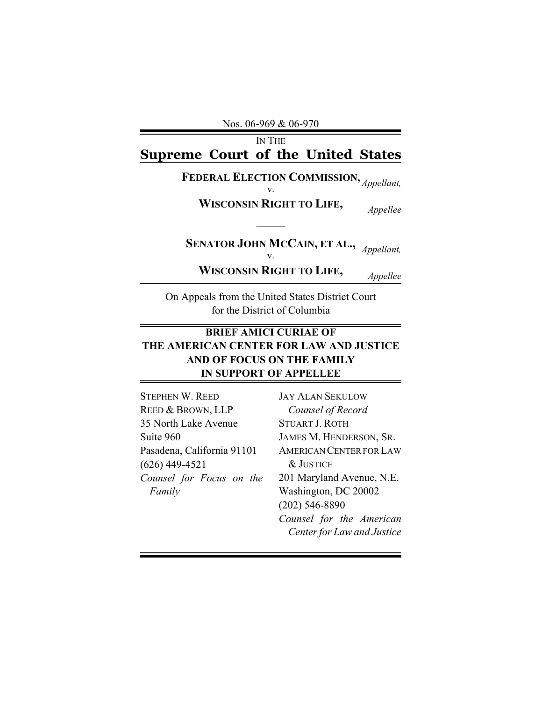Nos. 06-969 & 06-970

## IN THE **Supreme Court of the United States**

## **FEDERAL ELECTION COMMISSION, EXECUTED Appellant**, *N*.

**WISCONSIN RIGHT TO LIFE,** *Appellee*

**SENATOR JOHN MCCAIN, ET AL.,** *Appellant*,

**WISCONSIN RIGHT TO LIFE,** *Appellee*

*\_\_\_\_\_\_*

On Appeals from the United States District Court for the District of Columbia

## **BRIEF AMICI CURIAE OF THE AMERICAN CENTER FOR LAW AND JUSTICE AND OF FOCUS ON THE FAMILY IN SUPPORT OF APPELLEE**

STEPHEN W. REED REED & BROWN, LLP 35 North Lake Avenue Suite 960 Pasadena, California 91101 (626) 449-4521 *Counsel for Focus on the Family*

JAY ALAN SEKULOW *Counsel of Record* STUART J. ROTH JAMES M. HENDERSON, SR. AMERICAN CENTER FOR LAW & JUSTICE 201 Maryland Avenue, N.E. Washington, DC 20002 (202) 546-8890 *Counsel for the American Center for Law and Justice*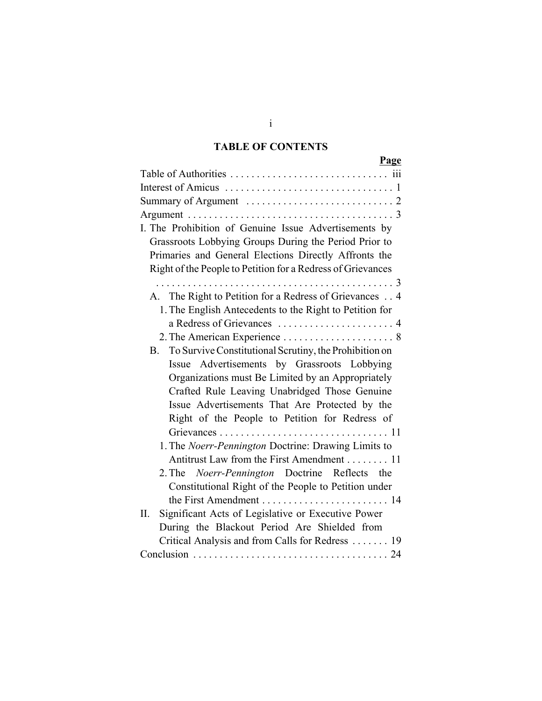## **TABLE OF CONTENTS**

| Page                                                                        |
|-----------------------------------------------------------------------------|
|                                                                             |
|                                                                             |
| Summary of Argument $\dots \dots \dots \dots \dots \dots \dots \dots \dots$ |
|                                                                             |
| I. The Prohibition of Genuine Issue Advertisements by                       |
| Grassroots Lobbying Groups During the Period Prior to                       |
| Primaries and General Elections Directly Affronts the                       |
| Right of the People to Petition for a Redress of Grievances                 |
|                                                                             |
| A. The Right to Petition for a Redress of Grievances 4                      |
| 1. The English Antecedents to the Right to Petition for                     |
|                                                                             |
|                                                                             |
| To Survive Constitutional Scrutiny, the Prohibition on<br><b>B</b> .        |
| Issue Advertisements by Grassroots Lobbying                                 |
| Organizations must Be Limited by an Appropriately                           |
| Crafted Rule Leaving Unabridged Those Genuine                               |
| Issue Advertisements That Are Protected by the                              |
| Right of the People to Petition for Redress of                              |
|                                                                             |
| 1. The Noerr-Pennington Doctrine: Drawing Limits to                         |
| Antitrust Law from the First Amendment 11                                   |
| 2. The Noerr-Pennington Doctrine Reflects the                               |
| Constitutional Right of the People to Petition under                        |
|                                                                             |
| Significant Acts of Legislative or Executive Power<br>П.                    |
| During the Blackout Period Are Shielded from                                |
| Critical Analysis and from Calls for Redress  19                            |
|                                                                             |

i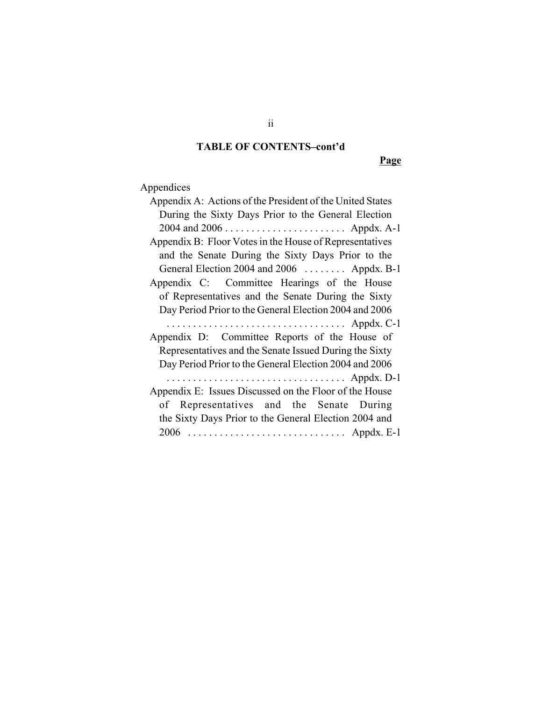## **TABLE OF CONTENTS–cont'd**

**Page**

# Appendices

| Appendix A: Actions of the President of the United States |
|-----------------------------------------------------------|
| During the Sixty Days Prior to the General Election       |
|                                                           |
| Appendix B: Floor Votes in the House of Representatives   |
| and the Senate During the Sixty Days Prior to the         |
| General Election 2004 and 2006  Appdx. B-1                |
| Appendix C: Committee Hearings of the House               |
| of Representatives and the Senate During the Sixty        |
| Day Period Prior to the General Election 2004 and 2006    |
|                                                           |
| Appendix D: Committee Reports of the House of             |
| Representatives and the Senate Issued During the Sixty    |
| Day Period Prior to the General Election 2004 and 2006    |
|                                                           |
| Appendix E: Issues Discussed on the Floor of the House    |
| of Representatives and the Senate During                  |
| the Sixty Days Prior to the General Election 2004 and     |
|                                                           |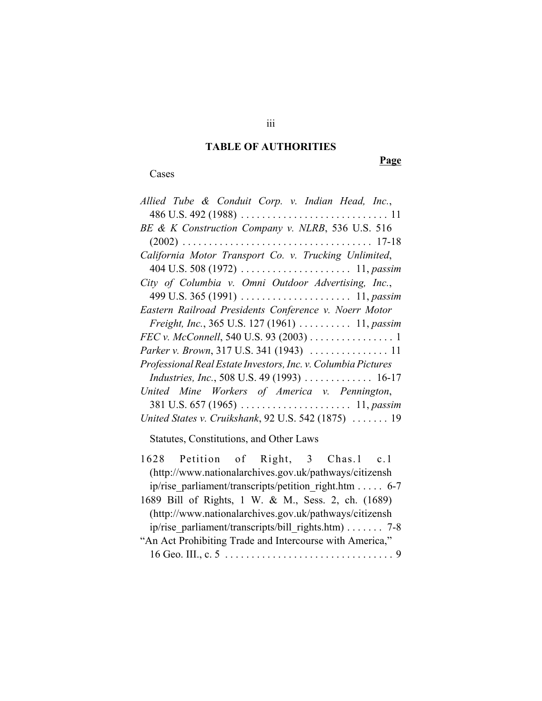### **TABLE OF AUTHORITIES**

Cases

**Page**

| Allied Tube & Conduit Corp. v. Indian Head, Inc.,             |
|---------------------------------------------------------------|
|                                                               |
| BE & K Construction Company v. NLRB, 536 U.S. 516             |
|                                                               |
| California Motor Transport Co. v. Trucking Unlimited,         |
|                                                               |
| City of Columbia v. Omni Outdoor Advertising, Inc.,           |
| 499 U.S. 365 (1991)  11, passim                               |
| Eastern Railroad Presidents Conference v. Noerr Motor         |
| Freight, Inc., 365 U.S. 127 (1961)  11, passim                |
| FEC v. McConnell, 540 U.S. 93 (2003) 1                        |
| Parker v. Brown, 317 U.S. 341 (1943)  11                      |
| Professional Real Estate Investors, Inc. v. Columbia Pictures |
| Industries, Inc., 508 U.S. 49 (1993)  16-17                   |
| United Mine Workers of America v. Pennington,                 |
|                                                               |
|                                                               |
| United States v. Cruikshank, 92 U.S. 542 (1875)  19           |
| Statutes, Constitutions, and Other Laws                       |
| 1628 Petition of Right, 3 Chas.1 c.1                          |
| (http://www.nationalarchives.gov.uk/pathways/citizensh        |
| ip/rise parliament/transcripts/petition right.htm 6-7         |
| 1689 Bill of Rights, 1 W. & M., Sess. 2, ch. (1689)           |
|                                                               |
| (http://www.nationalarchives.gov.uk/pathways/citizensh        |
| ip/rise_parliament/transcripts/bill_rights.htm) 7-8           |
| "An Act Prohibiting Trade and Intercourse with America,"      |

16 Geo. III., c. 5 . . . . . . . . . . . . . . . . . . . . . . . . . . . . . . . . 9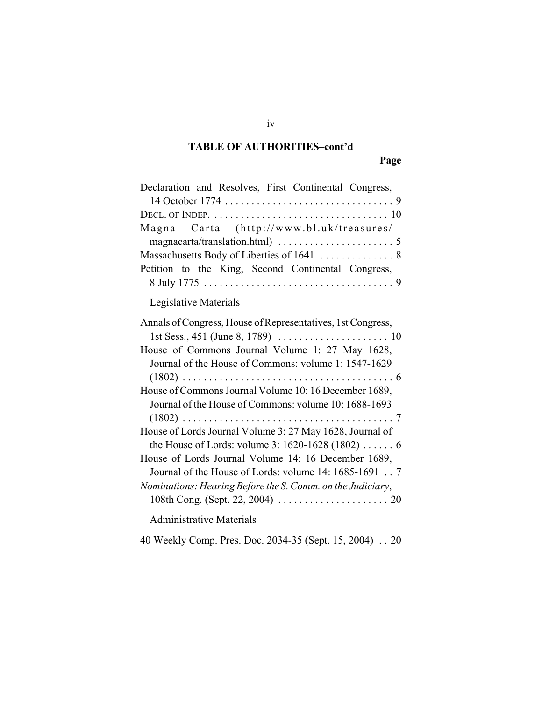## **TABLE OF AUTHORITIES–cont'd**

## **Page**

| Declaration and Resolves, First Continental Congress,                          |
|--------------------------------------------------------------------------------|
|                                                                                |
| DECL. OF INDEP. $\dots\dots\dots\dots\dots\dots\dots\dots\dots\dots\dots\dots$ |
| Magna Carta (http://www.bl.uk/treasures/                                       |
|                                                                                |
|                                                                                |
| Petition to the King, Second Continental Congress,                             |
|                                                                                |
| Legislative Materials                                                          |
| Annals of Congress, House of Representatives, 1st Congress,                    |
|                                                                                |
| House of Commons Journal Volume 1: 27 May 1628,                                |
| Journal of the House of Commons: volume 1: 1547-1629                           |
|                                                                                |
| House of Commons Journal Volume 10: 16 December 1689,                          |
| Journal of the House of Commons: volume 10: 1688-1693                          |
|                                                                                |
| House of Lords Journal Volume 3: 27 May 1628, Journal of                       |
| the House of Lords: volume 3: 1620-1628 (1802)  6                              |
| House of Lords Journal Volume 14: 16 December 1689,                            |
| Journal of the House of Lords: volume 14: 1685-1691 7                          |
| Nominations: Hearing Before the S. Comm. on the Judiciary,                     |
|                                                                                |
| <b>Administrative Materials</b>                                                |

40 Weekly Comp. Pres. Doc. 2034-35 (Sept. 15, 2004) . . 20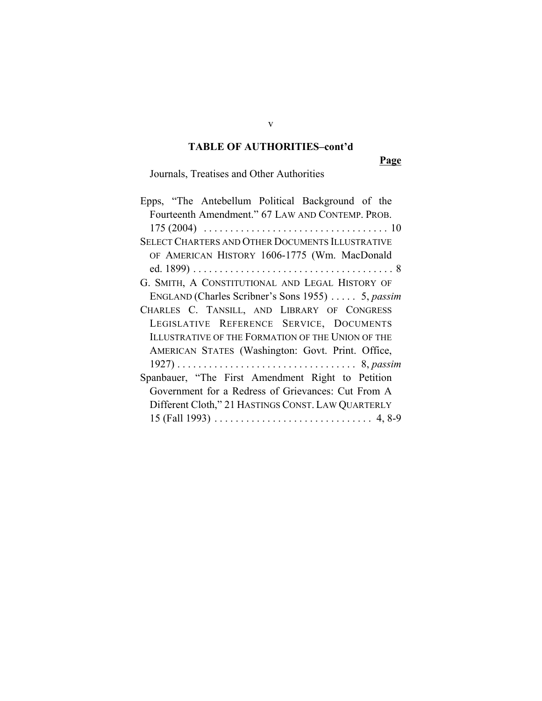### **TABLE OF AUTHORITIES–cont'd**

**Page**

Journals, Treatises and Other Authorities

v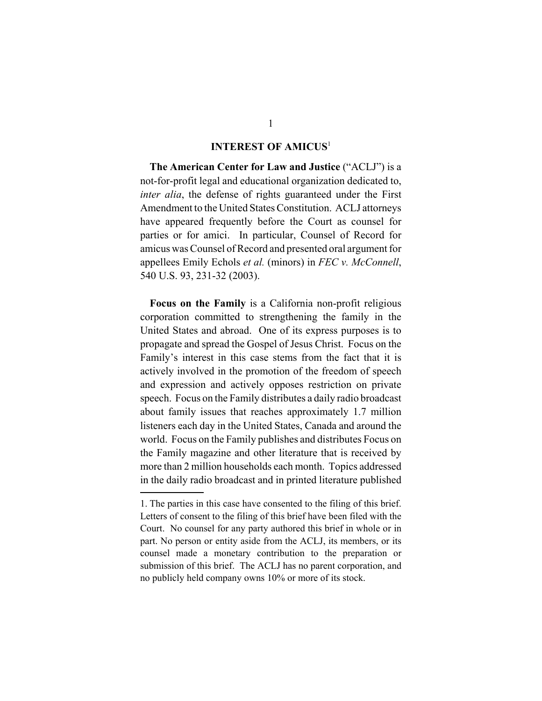#### **INTEREST OF AMICUS**<sup>1</sup>

**The American Center for Law and Justice** ("ACLJ") is a not-for-profit legal and educational organization dedicated to, *inter alia*, the defense of rights guaranteed under the First Amendment to the United States Constitution. ACLJ attorneys have appeared frequently before the Court as counsel for parties or for amici. In particular, Counsel of Record for amicus was Counsel of Record and presented oral argument for appellees Emily Echols *et al.* (minors) in *FEC v. McConnell*, 540 U.S. 93, 231-32 (2003).

**Focus on the Family** is a California non-profit religious corporation committed to strengthening the family in the United States and abroad. One of its express purposes is to propagate and spread the Gospel of Jesus Christ. Focus on the Family's interest in this case stems from the fact that it is actively involved in the promotion of the freedom of speech and expression and actively opposes restriction on private speech. Focus on the Family distributes a daily radio broadcast about family issues that reaches approximately 1.7 million listeners each day in the United States, Canada and around the world. Focus on the Family publishes and distributes Focus on the Family magazine and other literature that is received by more than 2 million households each month. Topics addressed in the daily radio broadcast and in printed literature published

<sup>1.</sup> The parties in this case have consented to the filing of this brief. Letters of consent to the filing of this brief have been filed with the Court. No counsel for any party authored this brief in whole or in part. No person or entity aside from the ACLJ, its members, or its counsel made a monetary contribution to the preparation or submission of this brief. The ACLJ has no parent corporation, and no publicly held company owns 10% or more of its stock.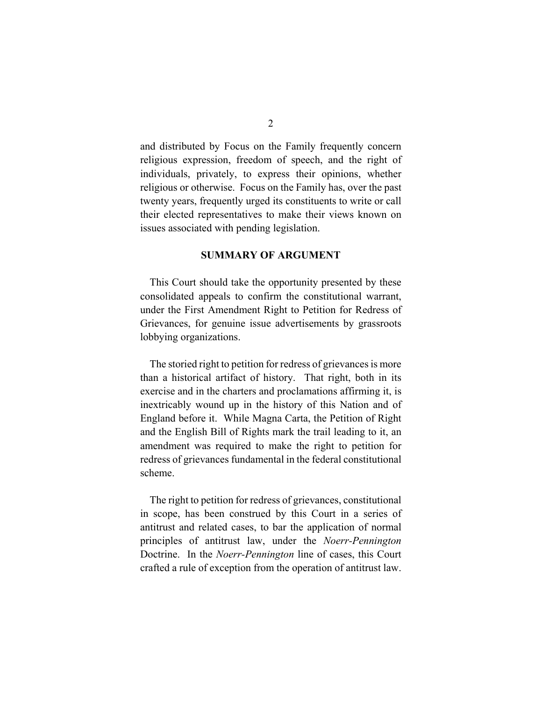and distributed by Focus on the Family frequently concern religious expression, freedom of speech, and the right of individuals, privately, to express their opinions, whether religious or otherwise. Focus on the Family has, over the past twenty years, frequently urged its constituents to write or call their elected representatives to make their views known on issues associated with pending legislation.

#### **SUMMARY OF ARGUMENT**

This Court should take the opportunity presented by these consolidated appeals to confirm the constitutional warrant, under the First Amendment Right to Petition for Redress of Grievances, for genuine issue advertisements by grassroots lobbying organizations.

The storied right to petition for redress of grievances is more than a historical artifact of history. That right, both in its exercise and in the charters and proclamations affirming it, is inextricably wound up in the history of this Nation and of England before it. While Magna Carta, the Petition of Right and the English Bill of Rights mark the trail leading to it, an amendment was required to make the right to petition for redress of grievances fundamental in the federal constitutional scheme.

The right to petition for redress of grievances, constitutional in scope, has been construed by this Court in a series of antitrust and related cases, to bar the application of normal principles of antitrust law, under the *Noerr-Pennington* Doctrine. In the *Noerr-Pennington* line of cases, this Court crafted a rule of exception from the operation of antitrust law.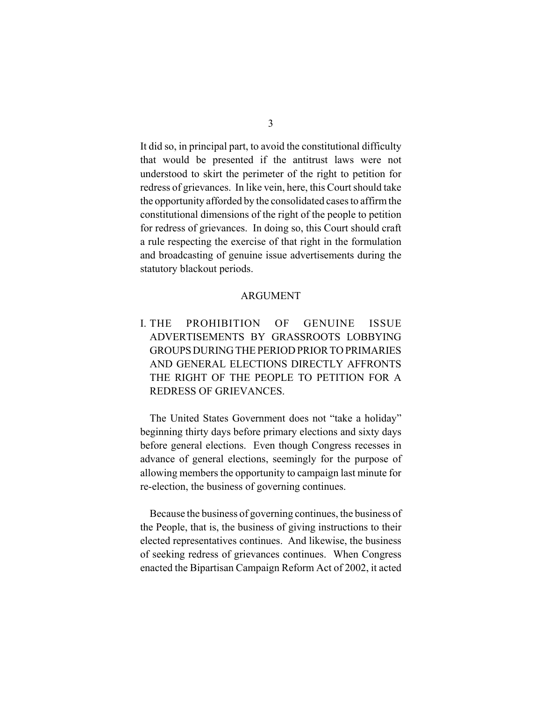It did so, in principal part, to avoid the constitutional difficulty that would be presented if the antitrust laws were not understood to skirt the perimeter of the right to petition for redress of grievances. In like vein, here, this Court should take the opportunity afforded by the consolidated cases to affirm the constitutional dimensions of the right of the people to petition for redress of grievances. In doing so, this Court should craft a rule respecting the exercise of that right in the formulation and broadcasting of genuine issue advertisements during the statutory blackout periods.

#### ARGUMENT

I. THE PROHIBITION OF GENUINE ISSUE ADVERTISEMENTS BY GRASSROOTS LOBBYING GROUPS DURING THE PERIOD PRIOR TO PRIMARIES AND GENERAL ELECTIONS DIRECTLY AFFRONTS THE RIGHT OF THE PEOPLE TO PETITION FOR A REDRESS OF GRIEVANCES.

The United States Government does not "take a holiday" beginning thirty days before primary elections and sixty days before general elections. Even though Congress recesses in advance of general elections, seemingly for the purpose of allowing members the opportunity to campaign last minute for re-election, the business of governing continues.

Because the business of governing continues, the business of the People, that is, the business of giving instructions to their elected representatives continues. And likewise, the business of seeking redress of grievances continues. When Congress enacted the Bipartisan Campaign Reform Act of 2002, it acted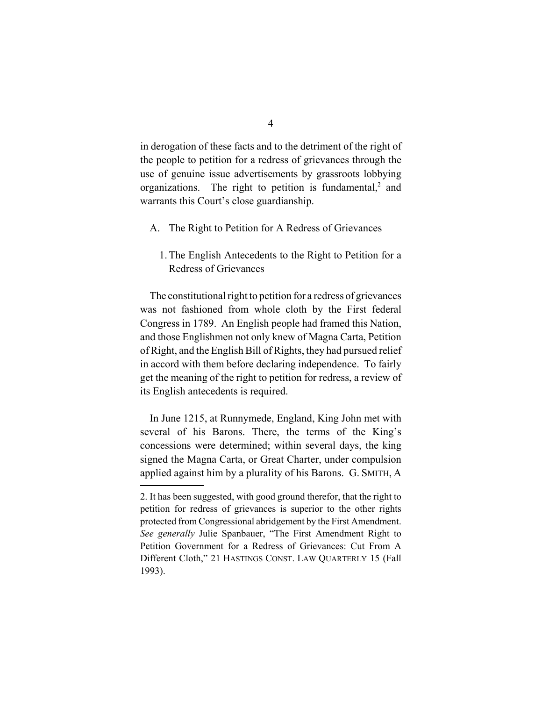in derogation of these facts and to the detriment of the right of the people to petition for a redress of grievances through the use of genuine issue advertisements by grassroots lobbying organizations. The right to petition is fundamental,<sup>2</sup> and warrants this Court's close guardianship.

- A. The Right to Petition for A Redress of Grievances
	- 1. The English Antecedents to the Right to Petition for a Redress of Grievances

The constitutional right to petition for a redress of grievances was not fashioned from whole cloth by the First federal Congress in 1789. An English people had framed this Nation, and those Englishmen not only knew of Magna Carta, Petition of Right, and the English Bill of Rights, they had pursued relief in accord with them before declaring independence. To fairly get the meaning of the right to petition for redress, a review of its English antecedents is required.

In June 1215, at Runnymede, England, King John met with several of his Barons. There, the terms of the King's concessions were determined; within several days, the king signed the Magna Carta, or Great Charter, under compulsion applied against him by a plurality of his Barons. G. SMITH, A

<sup>2.</sup> It has been suggested, with good ground therefor, that the right to petition for redress of grievances is superior to the other rights protected from Congressional abridgement by the First Amendment. *See generally* Julie Spanbauer, "The First Amendment Right to Petition Government for a Redress of Grievances: Cut From A Different Cloth," 21 HASTINGS CONST. LAW QUARTERLY 15 (Fall 1993).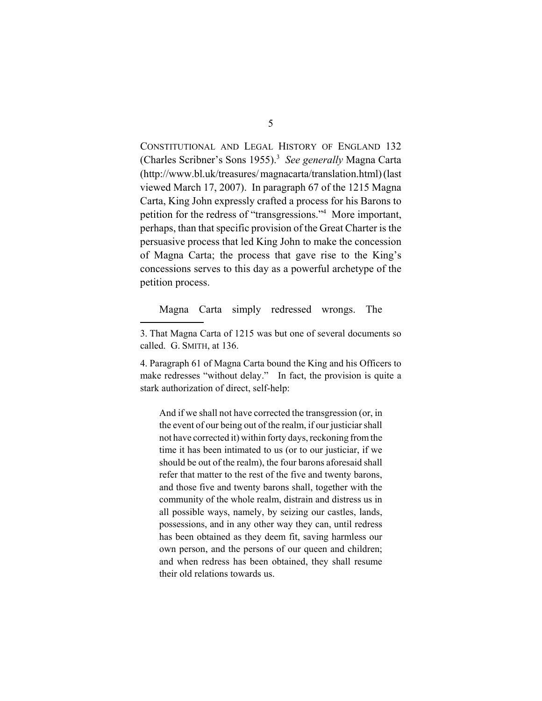CONSTITUTIONAL AND LEGAL HISTORY OF ENGLAND 132 (Charles Scribner's Sons 1955).<sup>3</sup> See generally Magna Carta (http://www.bl.uk/treasures/ magnacarta/translation.html) (last viewed March 17, 2007). In paragraph 67 of the 1215 Magna Carta, King John expressly crafted a process for his Barons to petition for the redress of "transgressions."4 More important, perhaps, than that specific provision of the Great Charter is the persuasive process that led King John to make the concession of Magna Carta; the process that gave rise to the King's concessions serves to this day as a powerful archetype of the petition process.

Magna Carta simply redressed wrongs. The

4. Paragraph 61 of Magna Carta bound the King and his Officers to make redresses "without delay." In fact, the provision is quite a stark authorization of direct, self-help:

And if we shall not have corrected the transgression (or, in the event of our being out of the realm, if our justiciar shall not have corrected it) within forty days, reckoning from the time it has been intimated to us (or to our justiciar, if we should be out of the realm), the four barons aforesaid shall refer that matter to the rest of the five and twenty barons, and those five and twenty barons shall, together with the community of the whole realm, distrain and distress us in all possible ways, namely, by seizing our castles, lands, possessions, and in any other way they can, until redress has been obtained as they deem fit, saving harmless our own person, and the persons of our queen and children; and when redress has been obtained, they shall resume their old relations towards us.

<sup>3.</sup> That Magna Carta of 1215 was but one of several documents so called. G. SMITH, at 136.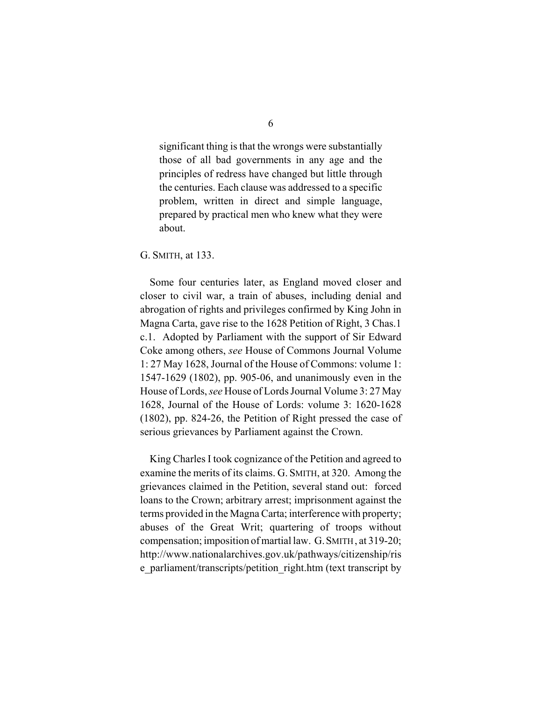significant thing is that the wrongs were substantially those of all bad governments in any age and the principles of redress have changed but little through the centuries. Each clause was addressed to a specific problem, written in direct and simple language, prepared by practical men who knew what they were about.

#### G. SMITH, at 133.

Some four centuries later, as England moved closer and closer to civil war, a train of abuses, including denial and abrogation of rights and privileges confirmed by King John in Magna Carta, gave rise to the 1628 Petition of Right, 3 Chas.1 c.1. Adopted by Parliament with the support of Sir Edward Coke among others, *see* House of Commons Journal Volume 1: 27 May 1628, Journal of the House of Commons: volume 1: 1547-1629 (1802), pp. 905-06, and unanimously even in the House of Lords, *see* House of Lords Journal Volume 3: 27 May 1628, Journal of the House of Lords: volume 3: 1620-1628 (1802), pp. 824-26, the Petition of Right pressed the case of serious grievances by Parliament against the Crown.

King Charles I took cognizance of the Petition and agreed to examine the merits of its claims. G. SMITH, at 320. Among the grievances claimed in the Petition, several stand out: forced loans to the Crown; arbitrary arrest; imprisonment against the terms provided in the Magna Carta; interference with property; abuses of the Great Writ; quartering of troops without compensation; imposition of martial law. G.SMITH , at 319-20; http://www.nationalarchives.gov.uk/pathways/citizenship/ris e\_parliament/transcripts/petition\_right.htm (text transcript by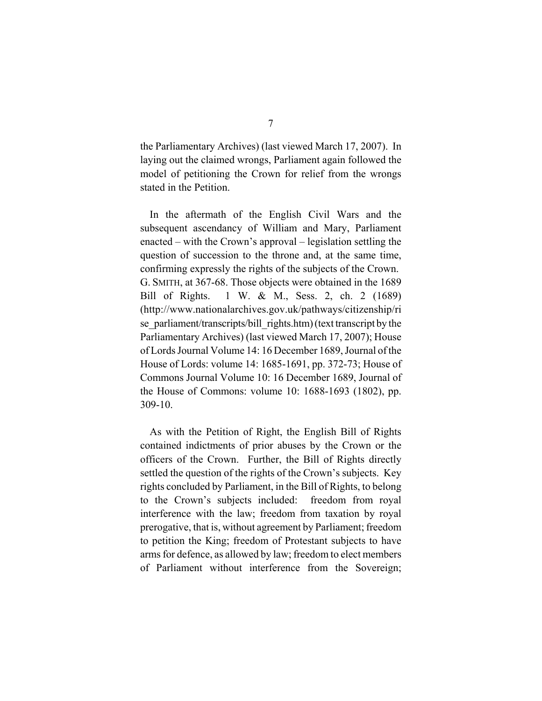the Parliamentary Archives) (last viewed March 17, 2007). In laying out the claimed wrongs, Parliament again followed the model of petitioning the Crown for relief from the wrongs stated in the Petition.

In the aftermath of the English Civil Wars and the subsequent ascendancy of William and Mary, Parliament enacted – with the Crown's approval – legislation settling the question of succession to the throne and, at the same time, confirming expressly the rights of the subjects of the Crown. G. SMITH, at 367-68. Those objects were obtained in the 1689 Bill of Rights. 1 W. & M., Sess. 2, ch. 2 (1689) (http://www.nationalarchives.gov.uk/pathways/citizenship/ri se\_parliament/transcripts/bill\_rights.htm) (text transcript by the Parliamentary Archives) (last viewed March 17, 2007); House of Lords Journal Volume 14: 16 December 1689, Journal of the House of Lords: volume 14: 1685-1691, pp. 372-73; House of Commons Journal Volume 10: 16 December 1689, Journal of the House of Commons: volume 10: 1688-1693 (1802), pp. 309-10.

As with the Petition of Right, the English Bill of Rights contained indictments of prior abuses by the Crown or the officers of the Crown. Further, the Bill of Rights directly settled the question of the rights of the Crown's subjects. Key rights concluded by Parliament, in the Bill of Rights, to belong to the Crown's subjects included: freedom from royal interference with the law; freedom from taxation by royal prerogative, that is, without agreement by Parliament; freedom to petition the King; freedom of Protestant subjects to have arms for defence, as allowed by law; freedom to elect members of Parliament without interference from the Sovereign;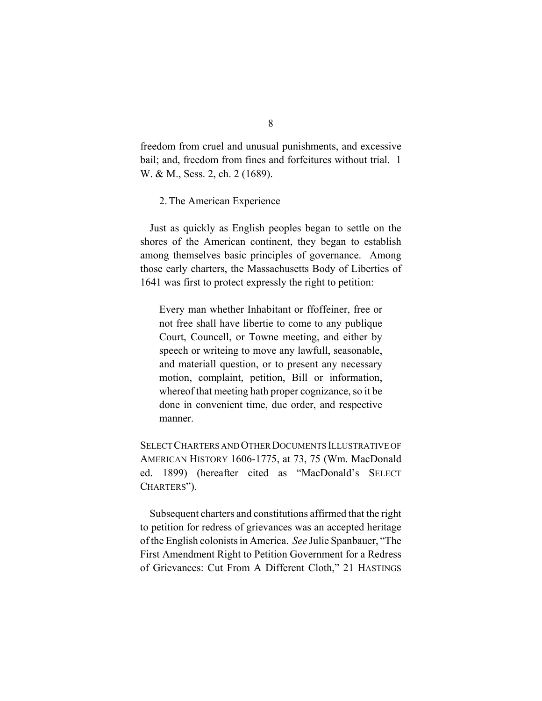freedom from cruel and unusual punishments, and excessive bail; and, freedom from fines and forfeitures without trial. 1 W. & M., Sess. 2, ch. 2 (1689).

#### 2. The American Experience

Just as quickly as English peoples began to settle on the shores of the American continent, they began to establish among themselves basic principles of governance. Among those early charters, the Massachusetts Body of Liberties of 1641 was first to protect expressly the right to petition:

Every man whether Inhabitant or ffoffeiner, free or not free shall have libertie to come to any publique Court, Councell, or Towne meeting, and either by speech or writeing to move any lawfull, seasonable, and materiall question, or to present any necessary motion, complaint, petition, Bill or information, whereof that meeting hath proper cognizance, so it be done in convenient time, due order, and respective manner.

SELECT CHARTERS AND OTHER DOCUMENTS ILLUSTRATIVE OF AMERICAN HISTORY 1606-1775, at 73, 75 (Wm. MacDonald ed. 1899) (hereafter cited as "MacDonald's SELECT CHARTERS").

Subsequent charters and constitutions affirmed that the right to petition for redress of grievances was an accepted heritage of the English colonists in America. *See* Julie Spanbauer, "The First Amendment Right to Petition Government for a Redress of Grievances: Cut From A Different Cloth," 21 HASTINGS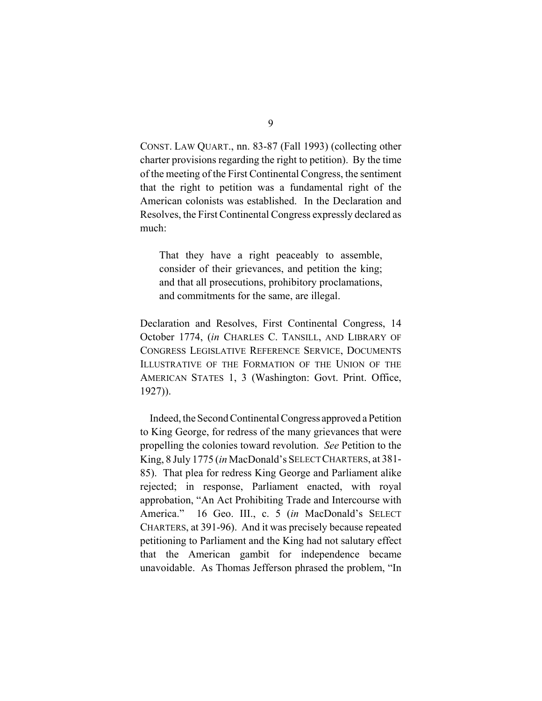CONST. LAW QUART., nn. 83-87 (Fall 1993) (collecting other charter provisions regarding the right to petition). By the time of the meeting of the First Continental Congress, the sentiment that the right to petition was a fundamental right of the American colonists was established. In the Declaration and Resolves, the First Continental Congress expressly declared as much:

That they have a right peaceably to assemble, consider of their grievances, and petition the king; and that all prosecutions, prohibitory proclamations, and commitments for the same, are illegal.

Declaration and Resolves, First Continental Congress, 14 October 1774, (*in* CHARLES C. TANSILL, AND LIBRARY OF CONGRESS LEGISLATIVE REFERENCE SERVICE, DOCUMENTS ILLUSTRATIVE OF THE FORMATION OF THE UNION OF THE AMERICAN STATES 1, 3 (Washington: Govt. Print. Office, 1927)).

Indeed, the Second Continental Congress approved a Petition to King George, for redress of the many grievances that were propelling the colonies toward revolution. *See* Petition to the King, 8 July 1775 (*in* MacDonald's SELECT CHARTERS, at 381- 85). That plea for redress King George and Parliament alike rejected; in response, Parliament enacted, with royal approbation, "An Act Prohibiting Trade and Intercourse with America." 16 Geo. III., c. 5 (*in* MacDonald's SELECT CHARTERS, at 391-96). And it was precisely because repeated petitioning to Parliament and the King had not salutary effect that the American gambit for independence became unavoidable. As Thomas Jefferson phrased the problem, "In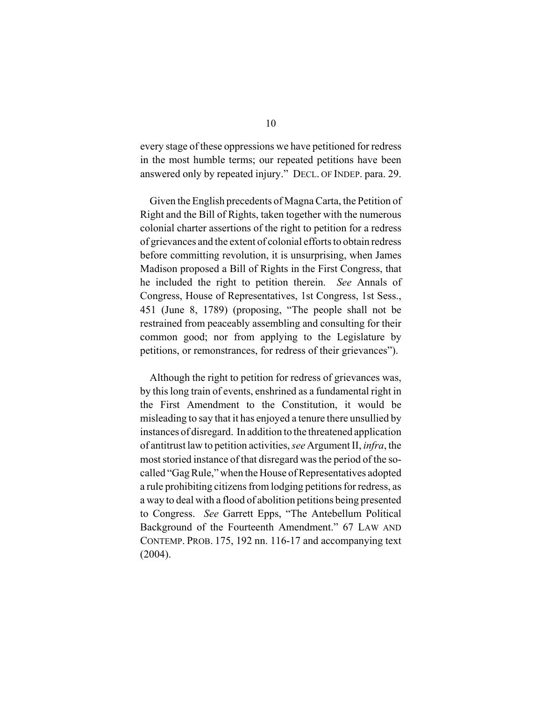every stage of these oppressions we have petitioned for redress in the most humble terms; our repeated petitions have been answered only by repeated injury." DECL. OF INDEP. para. 29.

Given the English precedents of Magna Carta, the Petition of Right and the Bill of Rights, taken together with the numerous colonial charter assertions of the right to petition for a redress of grievances and the extent of colonial efforts to obtain redress before committing revolution, it is unsurprising, when James Madison proposed a Bill of Rights in the First Congress, that he included the right to petition therein. *See* Annals of Congress, House of Representatives, 1st Congress, 1st Sess., 451 (June 8, 1789) (proposing, "The people shall not be restrained from peaceably assembling and consulting for their common good; nor from applying to the Legislature by petitions, or remonstrances, for redress of their grievances").

Although the right to petition for redress of grievances was, by this long train of events, enshrined as a fundamental right in the First Amendment to the Constitution, it would be misleading to say that it has enjoyed a tenure there unsullied by instances of disregard. In addition to the threatened application of antitrust law to petition activities, *see* Argument II, *infra*, the most storied instance of that disregard was the period of the socalled "Gag Rule," when the House of Representatives adopted a rule prohibiting citizens from lodging petitions for redress, as a way to deal with a flood of abolition petitions being presented to Congress. *See* Garrett Epps, "The Antebellum Political Background of the Fourteenth Amendment." 67 LAW AND CONTEMP. PROB. 175, 192 nn. 116-17 and accompanying text (2004).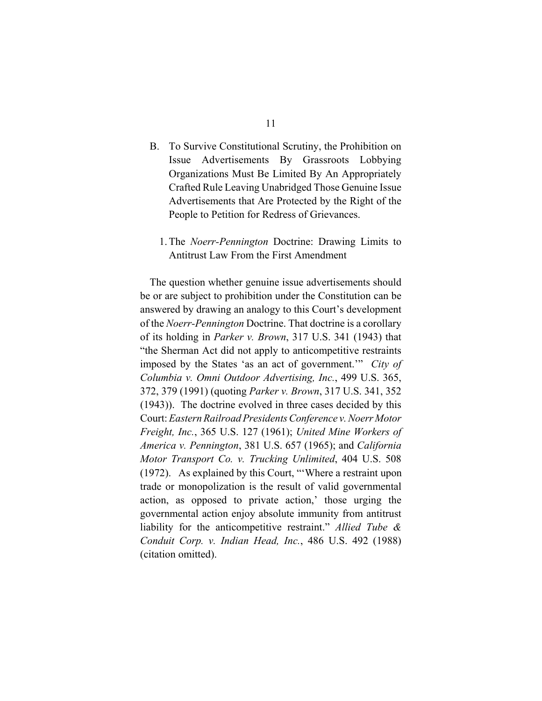- B. To Survive Constitutional Scrutiny, the Prohibition on Issue Advertisements By Grassroots Lobbying Organizations Must Be Limited By An Appropriately Crafted Rule Leaving Unabridged Those Genuine Issue Advertisements that Are Protected by the Right of the People to Petition for Redress of Grievances.
	- 1. The *Noerr-Pennington* Doctrine: Drawing Limits to Antitrust Law From the First Amendment

The question whether genuine issue advertisements should be or are subject to prohibition under the Constitution can be answered by drawing an analogy to this Court's development of the *Noerr-Pennington* Doctrine. That doctrine is a corollary of its holding in *Parker v. Brown*, 317 U.S. 341 (1943) that "the Sherman Act did not apply to anticompetitive restraints imposed by the States 'as an act of government.'" *City of Columbia v. Omni Outdoor Advertising, Inc.*, 499 U.S. 365, 372, 379 (1991) (quoting *Parker v. Brown*, 317 U.S. 341, 352 (1943)). The doctrine evolved in three cases decided by this Court: *Eastern Railroad Presidents Conference v. Noerr Motor Freight, Inc.*, 365 U.S. 127 (1961); *United Mine Workers of America v. Pennington*, 381 U.S. 657 (1965); and *California Motor Transport Co. v. Trucking Unlimited*, 404 U.S. 508 (1972). As explained by this Court, "'Where a restraint upon trade or monopolization is the result of valid governmental action, as opposed to private action,' those urging the governmental action enjoy absolute immunity from antitrust liability for the anticompetitive restraint." *Allied Tube & Conduit Corp. v. Indian Head, Inc.*, 486 U.S. 492 (1988) (citation omitted).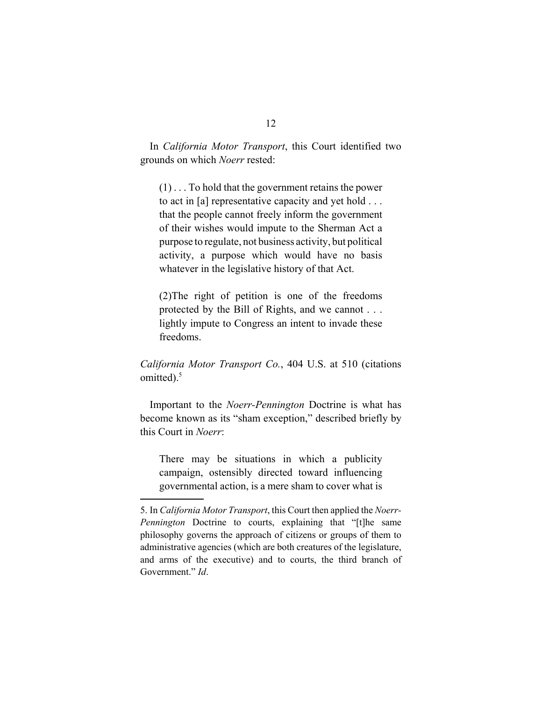In *California Motor Transport*, this Court identified two grounds on which *Noerr* rested:

(1) . . . To hold that the government retains the power to act in [a] representative capacity and yet hold . . . that the people cannot freely inform the government of their wishes would impute to the Sherman Act a purpose to regulate, not business activity, but political activity, a purpose which would have no basis whatever in the legislative history of that Act.

(2)The right of petition is one of the freedoms protected by the Bill of Rights, and we cannot . . . lightly impute to Congress an intent to invade these freedoms.

*California Motor Transport Co.*, 404 U.S. at 510 (citations omitted).<sup>5</sup>

Important to the *Noerr-Pennington* Doctrine is what has become known as its "sham exception," described briefly by this Court in *Noerr*:

There may be situations in which a publicity campaign, ostensibly directed toward influencing governmental action, is a mere sham to cover what is

<sup>5.</sup> In *California Motor Transport*, this Court then applied the *Noerr-Pennington* Doctrine to courts, explaining that "[t]he same philosophy governs the approach of citizens or groups of them to administrative agencies (which are both creatures of the legislature, and arms of the executive) and to courts, the third branch of Government." *Id*.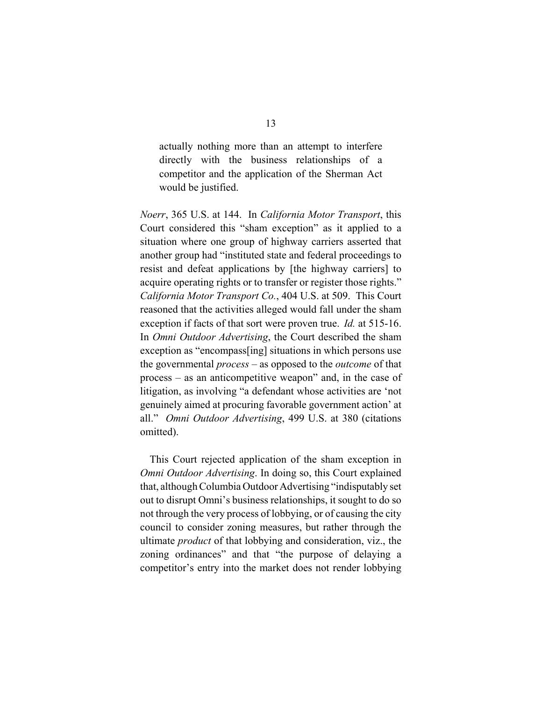actually nothing more than an attempt to interfere directly with the business relationships of a competitor and the application of the Sherman Act would be justified.

*Noerr*, 365 U.S. at 144. In *California Motor Transport*, this Court considered this "sham exception" as it applied to a situation where one group of highway carriers asserted that another group had "instituted state and federal proceedings to resist and defeat applications by [the highway carriers] to acquire operating rights or to transfer or register those rights." *California Motor Transport Co.*, 404 U.S. at 509. This Court reasoned that the activities alleged would fall under the sham exception if facts of that sort were proven true. *Id.* at 515-16. In *Omni Outdoor Advertising*, the Court described the sham exception as "encompass[ing] situations in which persons use the governmental *process* – as opposed to the *outcome* of that process – as an anticompetitive weapon" and, in the case of litigation, as involving "a defendant whose activities are 'not genuinely aimed at procuring favorable government action' at all." *Omni Outdoor Advertising*, 499 U.S. at 380 (citations omitted).

This Court rejected application of the sham exception in *Omni Outdoor Advertising*. In doing so, this Court explained that, although Columbia Outdoor Advertising "indisputably set out to disrupt Omni's business relationships, it sought to do so not through the very process of lobbying, or of causing the city council to consider zoning measures, but rather through the ultimate *product* of that lobbying and consideration, viz., the zoning ordinances" and that "the purpose of delaying a competitor's entry into the market does not render lobbying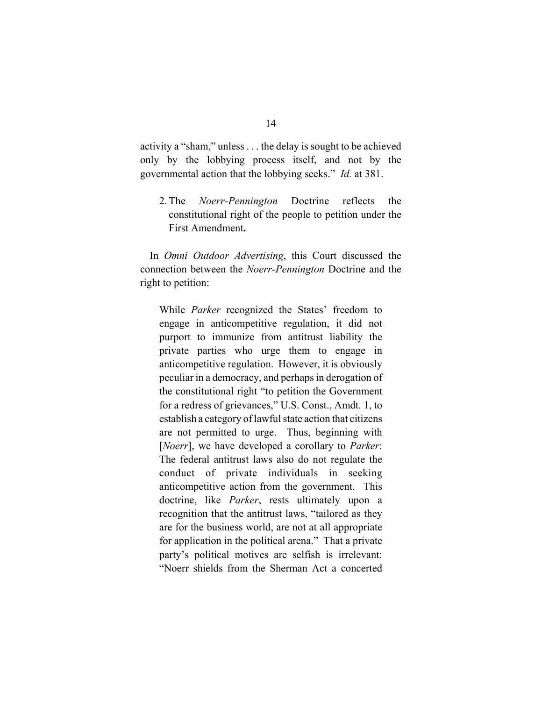activity a "sham," unless . . . the delay is sought to be achieved only by the lobbying process itself, and not by the governmental action that the lobbying seeks." *Id.* at 381.

2. The *Noerr-Pennington* Doctrine reflects the constitutional right of the people to petition under the First Amendment**.**

In *Omni Outdoor Advertising*, this Court discussed the connection between the *Noerr-Pennington* Doctrine and the right to petition:

While *Parker* recognized the States' freedom to engage in anticompetitive regulation, it did not purport to immunize from antitrust liability the private parties who urge them to engage in anticompetitive regulation. However, it is obviously peculiar in a democracy, and perhaps in derogation of the constitutional right "to petition the Government for a redress of grievances," U.S. Const., Amdt. 1, to establish a category of lawful state action that citizens are not permitted to urge. Thus, beginning with [*Noerr*], we have developed a corollary to *Parker*: The federal antitrust laws also do not regulate the conduct of private individuals in seeking anticompetitive action from the government. This doctrine, like *Parker*, rests ultimately upon a recognition that the antitrust laws, "tailored as they are for the business world, are not at all appropriate for application in the political arena." That a private party's political motives are selfish is irrelevant: "Noerr shields from the Sherman Act a concerted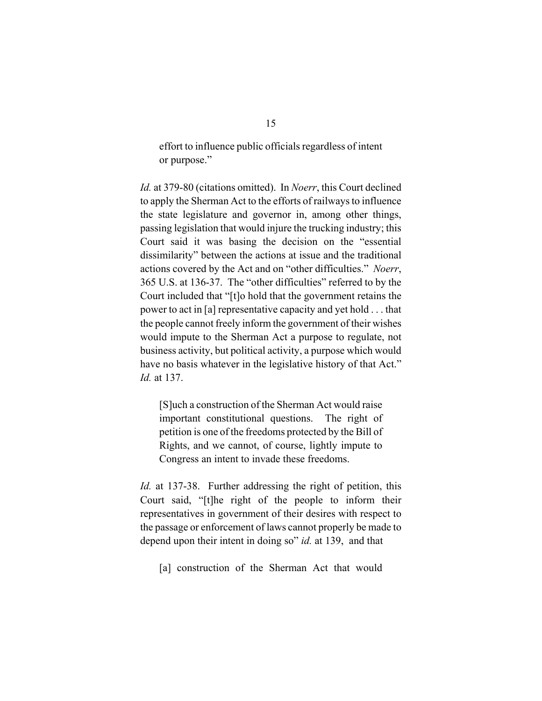effort to influence public officials regardless of intent or purpose."

*Id.* at 379-80 (citations omitted). In *Noerr*, this Court declined to apply the Sherman Act to the efforts of railways to influence the state legislature and governor in, among other things, passing legislation that would injure the trucking industry; this Court said it was basing the decision on the "essential dissimilarity" between the actions at issue and the traditional actions covered by the Act and on "other difficulties." *Noerr*, 365 U.S. at 136-37. The "other difficulties" referred to by the Court included that "[t]o hold that the government retains the power to act in [a] representative capacity and yet hold . . . that the people cannot freely inform the government of their wishes would impute to the Sherman Act a purpose to regulate, not business activity, but political activity, a purpose which would have no basis whatever in the legislative history of that Act." *Id.* at 137.

[S]uch a construction of the Sherman Act would raise important constitutional questions. The right of petition is one of the freedoms protected by the Bill of Rights, and we cannot, of course, lightly impute to Congress an intent to invade these freedoms.

*Id.* at 137-38. Further addressing the right of petition, this Court said, "[t]he right of the people to inform their representatives in government of their desires with respect to the passage or enforcement of laws cannot properly be made to depend upon their intent in doing so" *id.* at 139, and that

[a] construction of the Sherman Act that would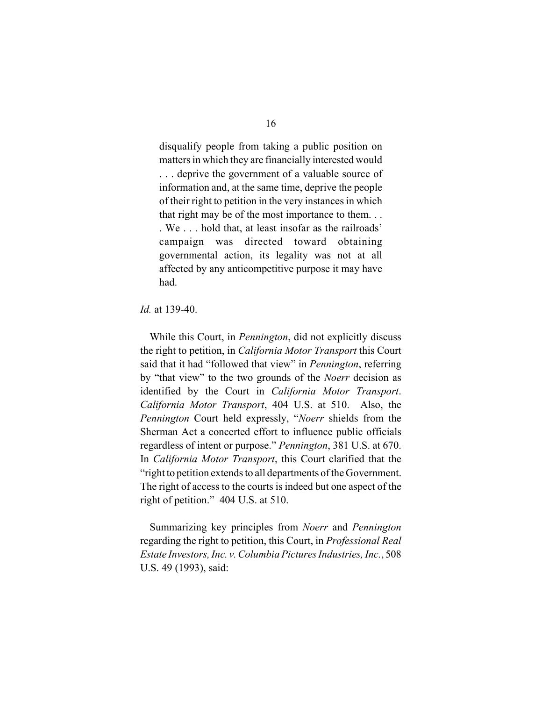disqualify people from taking a public position on matters in which they are financially interested would . . . deprive the government of a valuable source of information and, at the same time, deprive the people of their right to petition in the very instances in which that right may be of the most importance to them. . . . We . . . hold that, at least insofar as the railroads' campaign was directed toward obtaining governmental action, its legality was not at all affected by any anticompetitive purpose it may have had.

#### *Id.* at 139-40.

While this Court, in *Pennington*, did not explicitly discuss the right to petition, in *California Motor Transport* this Court said that it had "followed that view" in *Pennington*, referring by "that view" to the two grounds of the *Noerr* decision as identified by the Court in *California Motor Transport*. *California Motor Transport*, 404 U.S. at 510. Also, the *Pennington* Court held expressly, "*Noerr* shields from the Sherman Act a concerted effort to influence public officials regardless of intent or purpose." *Pennington*, 381 U.S. at 670. In *California Motor Transport*, this Court clarified that the "right to petition extends to all departments of the Government. The right of access to the courts is indeed but one aspect of the right of petition." 404 U.S. at 510.

Summarizing key principles from *Noerr* and *Pennington* regarding the right to petition, this Court, in *Professional Real Estate Investors, Inc. v. Columbia Pictures Industries, Inc.*, 508 U.S. 49 (1993), said: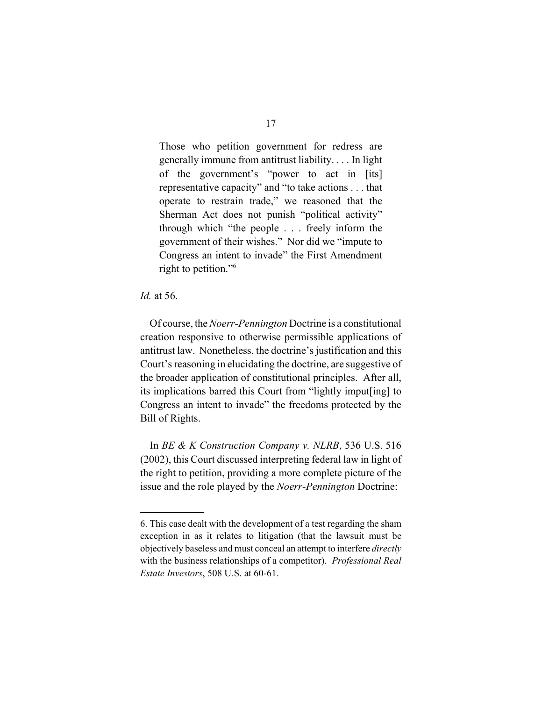Those who petition government for redress are generally immune from antitrust liability. . . . In light of the government's "power to act in [its] representative capacity" and "to take actions . . . that operate to restrain trade," we reasoned that the Sherman Act does not punish "political activity" through which "the people . . . freely inform the government of their wishes." Nor did we "impute to Congress an intent to invade" the First Amendment right to petition."6

#### *Id.* at 56.

Of course, the *Noerr-Pennington* Doctrine is a constitutional creation responsive to otherwise permissible applications of antitrust law. Nonetheless, the doctrine's justification and this Court's reasoning in elucidating the doctrine, are suggestive of the broader application of constitutional principles. After all, its implications barred this Court from "lightly imput[ing] to Congress an intent to invade" the freedoms protected by the Bill of Rights.

 In *BE & K Construction Company v. NLRB*, 536 U.S. 516 (2002), this Court discussed interpreting federal law in light of the right to petition, providing a more complete picture of the issue and the role played by the *Noerr-Pennington* Doctrine:

<sup>6.</sup> This case dealt with the development of a test regarding the sham exception in as it relates to litigation (that the lawsuit must be objectively baseless and must conceal an attempt to interfere *directly* with the business relationships of a competitor). *Professional Real Estate Investors*, 508 U.S. at 60-61.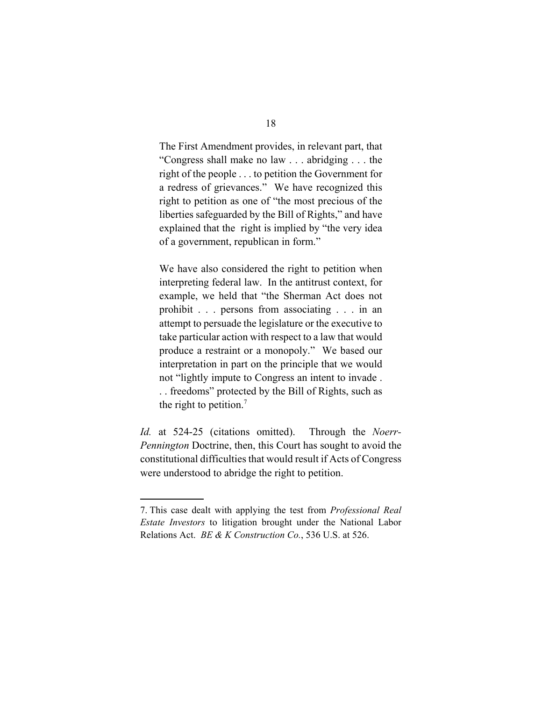The First Amendment provides, in relevant part, that "Congress shall make no law . . . abridging . . . the right of the people . . . to petition the Government for a redress of grievances." We have recognized this right to petition as one of "the most precious of the liberties safeguarded by the Bill of Rights," and have explained that the right is implied by "the very idea of a government, republican in form."

We have also considered the right to petition when interpreting federal law. In the antitrust context, for example, we held that "the Sherman Act does not prohibit . . . persons from associating . . . in an attempt to persuade the legislature or the executive to take particular action with respect to a law that would produce a restraint or a monopoly." We based our interpretation in part on the principle that we would not "lightly impute to Congress an intent to invade . . . freedoms" protected by the Bill of Rights, such as the right to petition. $<sup>7</sup>$ </sup>

*Id.* at 524-25 (citations omitted). Through the *Noerr-Pennington* Doctrine, then, this Court has sought to avoid the constitutional difficulties that would result if Acts of Congress were understood to abridge the right to petition.

<sup>7.</sup> This case dealt with applying the test from *Professional Real Estate Investors* to litigation brought under the National Labor Relations Act. *BE & K Construction Co.*, 536 U.S. at 526.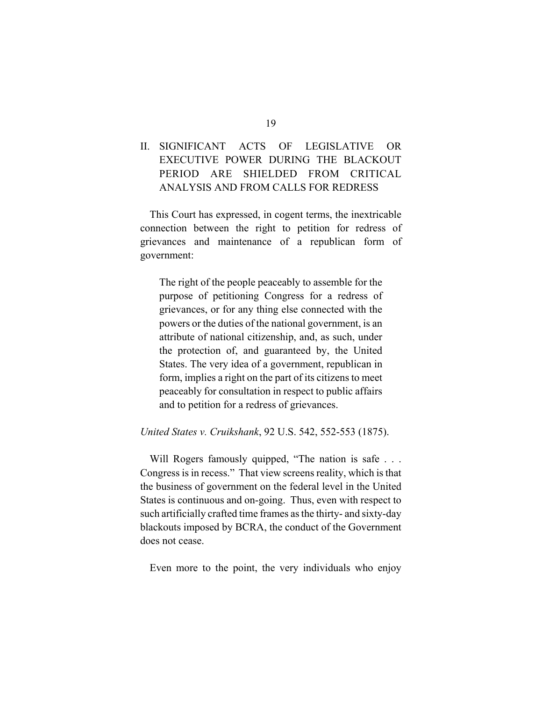### II. SIGNIFICANT ACTS OF LEGISLATIVE OR EXECUTIVE POWER DURING THE BLACKOUT PERIOD ARE SHIELDED FROM CRITICAL ANALYSIS AND FROM CALLS FOR REDRESS

This Court has expressed, in cogent terms, the inextricable connection between the right to petition for redress of grievances and maintenance of a republican form of government:

The right of the people peaceably to assemble for the purpose of petitioning Congress for a redress of grievances, or for any thing else connected with the powers or the duties of the national government, is an attribute of national citizenship, and, as such, under the protection of, and guaranteed by, the United States. The very idea of a government, republican in form, implies a right on the part of its citizens to meet peaceably for consultation in respect to public affairs and to petition for a redress of grievances.

#### *United States v. Cruikshank*, 92 U.S. 542, 552-553 (1875).

Will Rogers famously quipped, "The nation is safe . . . Congress is in recess." That view screens reality, which is that the business of government on the federal level in the United States is continuous and on-going. Thus, even with respect to such artificially crafted time frames as the thirty- and sixty-day blackouts imposed by BCRA, the conduct of the Government does not cease.

Even more to the point, the very individuals who enjoy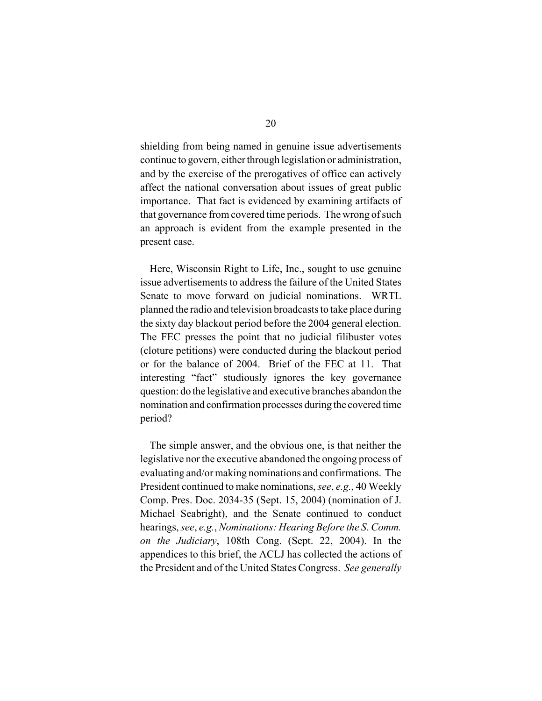shielding from being named in genuine issue advertisements continue to govern, either through legislation or administration, and by the exercise of the prerogatives of office can actively affect the national conversation about issues of great public importance. That fact is evidenced by examining artifacts of that governance from covered time periods. The wrong of such an approach is evident from the example presented in the present case.

Here, Wisconsin Right to Life, Inc., sought to use genuine issue advertisements to address the failure of the United States Senate to move forward on judicial nominations. WRTL planned the radio and television broadcasts to take place during the sixty day blackout period before the 2004 general election. The FEC presses the point that no judicial filibuster votes (cloture petitions) were conducted during the blackout period or for the balance of 2004. Brief of the FEC at 11. That interesting "fact" studiously ignores the key governance question: do the legislative and executive branches abandon the nomination and confirmation processes during the covered time period?

The simple answer, and the obvious one, is that neither the legislative nor the executive abandoned the ongoing process of evaluating and/or making nominations and confirmations. The President continued to make nominations, *see*, *e.g.*, 40 Weekly Comp. Pres. Doc. 2034-35 (Sept. 15, 2004) (nomination of J. Michael Seabright), and the Senate continued to conduct hearings, *see*, *e.g.*, *Nominations: Hearing Before the S. Comm. on the Judiciary*, 108th Cong. (Sept. 22, 2004). In the appendices to this brief, the ACLJ has collected the actions of the President and of the United States Congress. *See generally*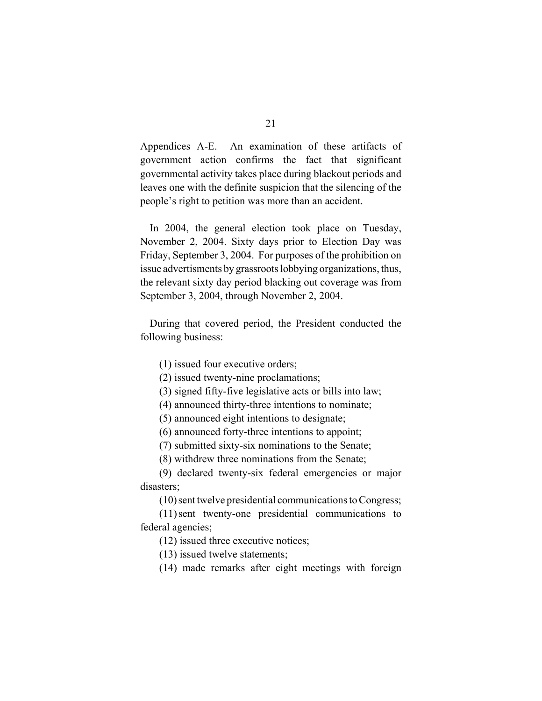Appendices A-E. An examination of these artifacts of government action confirms the fact that significant governmental activity takes place during blackout periods and leaves one with the definite suspicion that the silencing of the people's right to petition was more than an accident.

In 2004, the general election took place on Tuesday, November 2, 2004. Sixty days prior to Election Day was Friday, September 3, 2004. For purposes of the prohibition on issue advertisments by grassroots lobbying organizations, thus, the relevant sixty day period blacking out coverage was from September 3, 2004, through November 2, 2004.

During that covered period, the President conducted the following business:

(1) issued four executive orders;

(2) issued twenty-nine proclamations;

(3) signed fifty-five legislative acts or bills into law;

(4) announced thirty-three intentions to nominate;

(5) announced eight intentions to designate;

(6) announced forty-three intentions to appoint;

(7) submitted sixty-six nominations to the Senate;

(8) withdrew three nominations from the Senate;

(9) declared twenty-six federal emergencies or major disasters;

(10) sent twelve presidential communications to Congress;

(11) sent twenty-one presidential communications to federal agencies;

(12) issued three executive notices;

(13) issued twelve statements;

(14) made remarks after eight meetings with foreign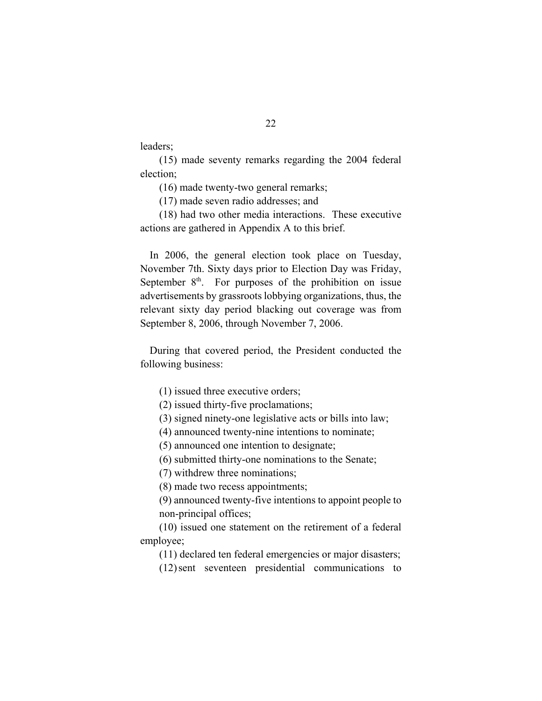leaders;

(15) made seventy remarks regarding the 2004 federal election;

(16) made twenty-two general remarks;

(17) made seven radio addresses; and

(18) had two other media interactions. These executive actions are gathered in Appendix A to this brief.

In 2006, the general election took place on Tuesday, November 7th. Sixty days prior to Election Day was Friday, September  $8<sup>th</sup>$ . For purposes of the prohibition on issue advertisements by grassroots lobbying organizations, thus, the relevant sixty day period blacking out coverage was from September 8, 2006, through November 7, 2006.

During that covered period, the President conducted the following business:

(1) issued three executive orders;

(2) issued thirty-five proclamations;

(3) signed ninety-one legislative acts or bills into law;

(4) announced twenty-nine intentions to nominate;

(5) announced one intention to designate;

(6) submitted thirty-one nominations to the Senate;

(7) withdrew three nominations;

(8) made two recess appointments;

(9) announced twenty-five intentions to appoint people to non-principal offices;

(10) issued one statement on the retirement of a federal employee;

(11) declared ten federal emergencies or major disasters;

(12) sent seventeen presidential communications to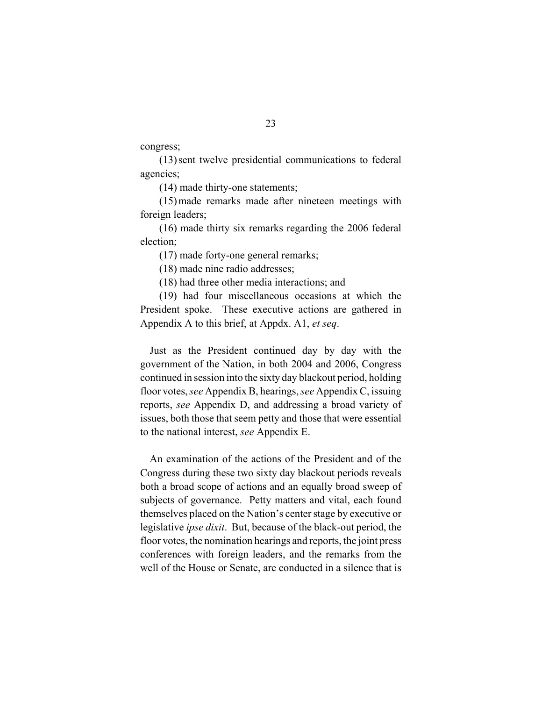congress;

(13) sent twelve presidential communications to federal agencies;

(14) made thirty-one statements;

(15) made remarks made after nineteen meetings with foreign leaders;

(16) made thirty six remarks regarding the 2006 federal election;

(17) made forty-one general remarks;

(18) made nine radio addresses;

(18) had three other media interactions; and

(19) had four miscellaneous occasions at which the President spoke. These executive actions are gathered in Appendix A to this brief, at Appdx. A1, *et seq*.

Just as the President continued day by day with the government of the Nation, in both 2004 and 2006, Congress continued in session into the sixty day blackout period, holding floor votes, *see* Appendix B, hearings, *see* Appendix C, issuing reports, *see* Appendix D, and addressing a broad variety of issues, both those that seem petty and those that were essential to the national interest, *see* Appendix E.

An examination of the actions of the President and of the Congress during these two sixty day blackout periods reveals both a broad scope of actions and an equally broad sweep of subjects of governance. Petty matters and vital, each found themselves placed on the Nation's center stage by executive or legislative *ipse dixit*. But, because of the black-out period, the floor votes, the nomination hearings and reports, the joint press conferences with foreign leaders, and the remarks from the well of the House or Senate, are conducted in a silence that is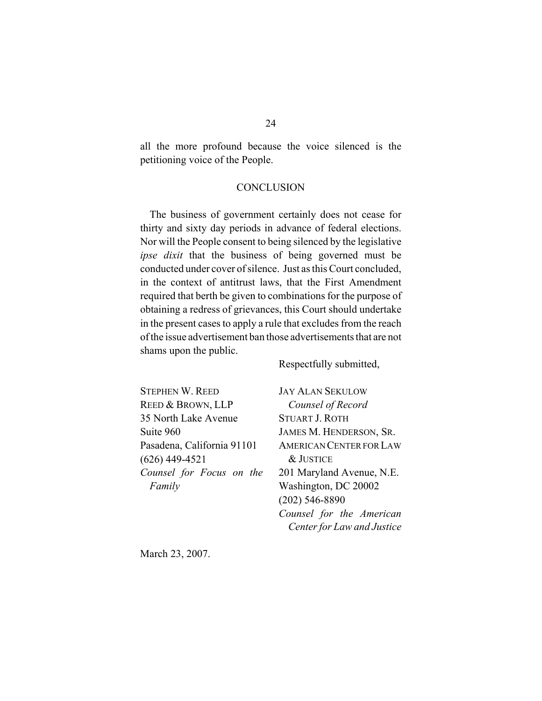all the more profound because the voice silenced is the petitioning voice of the People.

#### **CONCLUSION**

The business of government certainly does not cease for thirty and sixty day periods in advance of federal elections. Nor will the People consent to being silenced by the legislative *ipse dixit* that the business of being governed must be conducted under cover of silence. Just as this Court concluded, in the context of antitrust laws, that the First Amendment required that berth be given to combinations for the purpose of obtaining a redress of grievances, this Court should undertake in the present cases to apply a rule that excludes from the reach of the issue advertisement ban those advertisements that are not shams upon the public.

Respectfully submitted,

STEPHEN W. REED REED & BROWN, LLP 35 North Lake Avenue Suite 960 Pasadena, California 91101 (626) 449-4521 *Counsel for Focus on the Family*

JAY ALAN SEKULOW *Counsel of Record* STUART J. ROTH JAMES M. HENDERSON, SR. AMERICAN CENTER FOR LAW & JUSTICE 201 Maryland Avenue, N.E. Washington, DC 20002 (202) 546-8890 *Counsel for the American Center for Law and Justice*

March 23, 2007.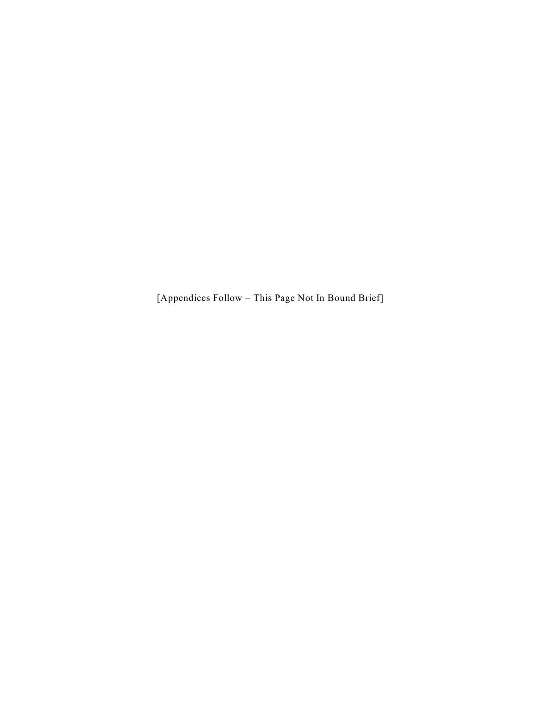[Appendices Follow – This Page Not In Bound Brief]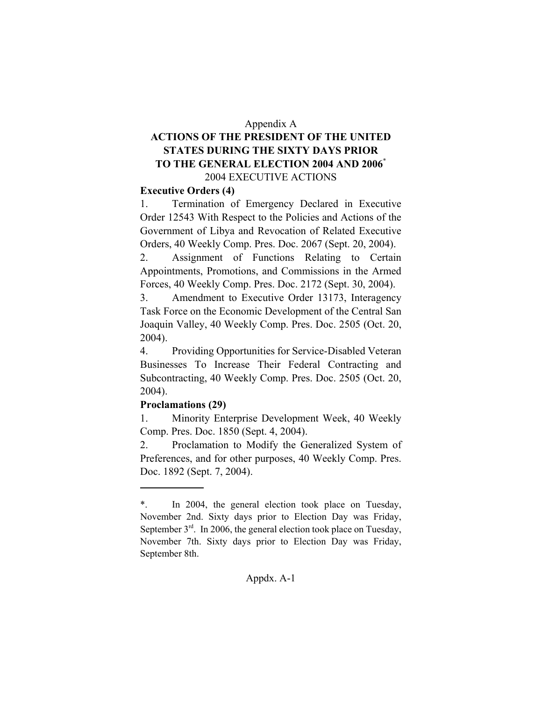#### Appendix A

### **ACTIONS OF THE PRESIDENT OF THE UNITED STATES DURING THE SIXTY DAYS PRIOR TO THE GENERAL ELECTION 2004 AND 2006**\* 2004 EXECUTIVE ACTIONS

#### **Executive Orders (4)**

1. Termination of Emergency Declared in Executive Order 12543 With Respect to the Policies and Actions of the Government of Libya and Revocation of Related Executive Orders, 40 Weekly Comp. Pres. Doc. 2067 (Sept. 20, 2004).

2. Assignment of Functions Relating to Certain Appointments, Promotions, and Commissions in the Armed Forces, 40 Weekly Comp. Pres. Doc. 2172 (Sept. 30, 2004).

3. Amendment to Executive Order 13173, Interagency Task Force on the Economic Development of the Central San Joaquin Valley, 40 Weekly Comp. Pres. Doc. 2505 (Oct. 20, 2004).

4. Providing Opportunities for Service-Disabled Veteran Businesses To Increase Their Federal Contracting and Subcontracting, 40 Weekly Comp. Pres. Doc. 2505 (Oct. 20, 2004).

#### **Proclamations (29)**

1. Minority Enterprise Development Week, 40 Weekly Comp. Pres. Doc. 1850 (Sept. 4, 2004).

2. Proclamation to Modify the Generalized System of Preferences, and for other purposes, 40 Weekly Comp. Pres. Doc. 1892 (Sept. 7, 2004).

<sup>\*.</sup> In 2004, the general election took place on Tuesday, November 2nd. Sixty days prior to Election Day was Friday, September  $3<sup>rd</sup>$ . In 2006, the general election took place on Tuesday, November 7th. Sixty days prior to Election Day was Friday, September 8th.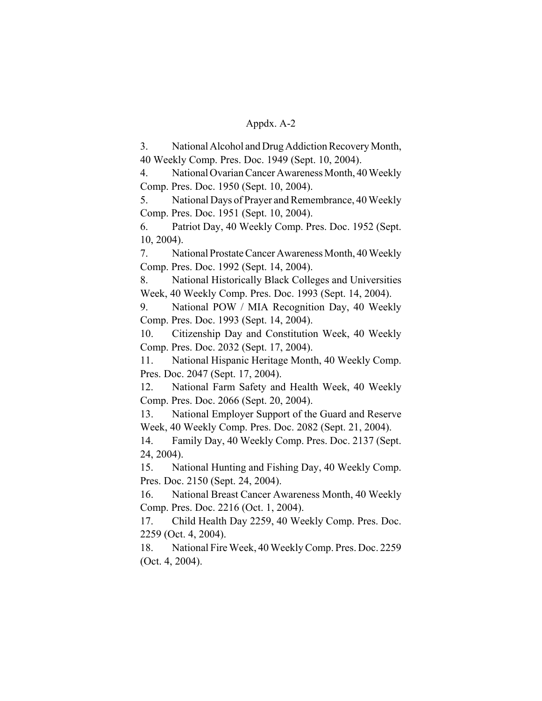3. National Alcohol and Drug Addiction Recovery Month, 40 Weekly Comp. Pres. Doc. 1949 (Sept. 10, 2004).

4. National Ovarian Cancer Awareness Month, 40 Weekly Comp. Pres. Doc. 1950 (Sept. 10, 2004).

5. National Days of Prayer and Remembrance, 40 Weekly Comp. Pres. Doc. 1951 (Sept. 10, 2004).

6. Patriot Day, 40 Weekly Comp. Pres. Doc. 1952 (Sept. 10, 2004).

7. National Prostate Cancer Awareness Month, 40 Weekly Comp. Pres. Doc. 1992 (Sept. 14, 2004).

8. National Historically Black Colleges and Universities Week, 40 Weekly Comp. Pres. Doc. 1993 (Sept. 14, 2004).

9. National POW / MIA Recognition Day, 40 Weekly Comp. Pres. Doc. 1993 (Sept. 14, 2004).

10. Citizenship Day and Constitution Week, 40 Weekly Comp. Pres. Doc. 2032 (Sept. 17, 2004).

11. National Hispanic Heritage Month, 40 Weekly Comp. Pres. Doc. 2047 (Sept. 17, 2004).

12. National Farm Safety and Health Week, 40 Weekly Comp. Pres. Doc. 2066 (Sept. 20, 2004).

13. National Employer Support of the Guard and Reserve Week, 40 Weekly Comp. Pres. Doc. 2082 (Sept. 21, 2004).

14. Family Day, 40 Weekly Comp. Pres. Doc. 2137 (Sept. 24, 2004).

15. National Hunting and Fishing Day, 40 Weekly Comp. Pres. Doc. 2150 (Sept. 24, 2004).

16. National Breast Cancer Awareness Month, 40 Weekly Comp. Pres. Doc. 2216 (Oct. 1, 2004).

17. Child Health Day 2259, 40 Weekly Comp. Pres. Doc. 2259 (Oct. 4, 2004).

18. National Fire Week, 40 Weekly Comp. Pres. Doc. 2259 (Oct. 4, 2004).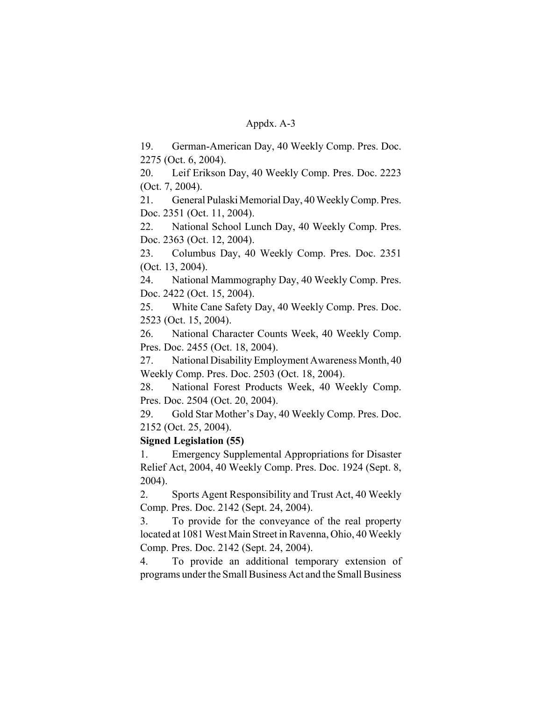19. German-American Day, 40 Weekly Comp. Pres. Doc. 2275 (Oct. 6, 2004).

20. Leif Erikson Day, 40 Weekly Comp. Pres. Doc. 2223 (Oct. 7, 2004).

21. General Pulaski Memorial Day, 40 Weekly Comp. Pres. Doc. 2351 (Oct. 11, 2004).

22. National School Lunch Day, 40 Weekly Comp. Pres. Doc. 2363 (Oct. 12, 2004).

23. Columbus Day, 40 Weekly Comp. Pres. Doc. 2351 (Oct. 13, 2004).

24. National Mammography Day, 40 Weekly Comp. Pres. Doc. 2422 (Oct. 15, 2004).

25. White Cane Safety Day, 40 Weekly Comp. Pres. Doc. 2523 (Oct. 15, 2004).

26. National Character Counts Week, 40 Weekly Comp. Pres. Doc. 2455 (Oct. 18, 2004).

27. National Disability Employment Awareness Month, 40 Weekly Comp. Pres. Doc. 2503 (Oct. 18, 2004).

28. National Forest Products Week, 40 Weekly Comp. Pres. Doc. 2504 (Oct. 20, 2004).

29. Gold Star Mother's Day, 40 Weekly Comp. Pres. Doc. 2152 (Oct. 25, 2004).

### **Signed Legislation (55)**

1. Emergency Supplemental Appropriations for Disaster Relief Act, 2004, 40 Weekly Comp. Pres. Doc. 1924 (Sept. 8, 2004).

2. Sports Agent Responsibility and Trust Act, 40 Weekly Comp. Pres. Doc. 2142 (Sept. 24, 2004).

3. To provide for the conveyance of the real property located at 1081 West Main Street in Ravenna, Ohio, 40 Weekly Comp. Pres. Doc. 2142 (Sept. 24, 2004).

4. To provide an additional temporary extension of programs under the Small Business Act and the Small Business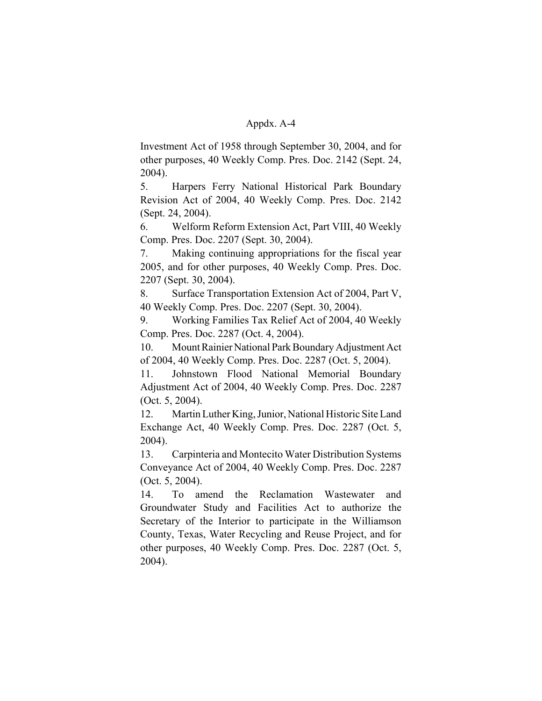Investment Act of 1958 through September 30, 2004, and for other purposes, 40 Weekly Comp. Pres. Doc. 2142 (Sept. 24, 2004).

5. Harpers Ferry National Historical Park Boundary Revision Act of 2004, 40 Weekly Comp. Pres. Doc. 2142 (Sept. 24, 2004).

6. Welform Reform Extension Act, Part VIII, 40 Weekly Comp. Pres. Doc. 2207 (Sept. 30, 2004).

7. Making continuing appropriations for the fiscal year 2005, and for other purposes, 40 Weekly Comp. Pres. Doc. 2207 (Sept. 30, 2004).

8. Surface Transportation Extension Act of 2004, Part V, 40 Weekly Comp. Pres. Doc. 2207 (Sept. 30, 2004).

9. Working Families Tax Relief Act of 2004, 40 Weekly Comp. Pres. Doc. 2287 (Oct. 4, 2004).

10. Mount Rainier National Park Boundary Adjustment Act of 2004, 40 Weekly Comp. Pres. Doc. 2287 (Oct. 5, 2004).

11. Johnstown Flood National Memorial Boundary Adjustment Act of 2004, 40 Weekly Comp. Pres. Doc. 2287 (Oct. 5, 2004).

12. Martin Luther King, Junior, National Historic Site Land Exchange Act, 40 Weekly Comp. Pres. Doc. 2287 (Oct. 5, 2004).

13. Carpinteria and Montecito Water Distribution Systems Conveyance Act of 2004, 40 Weekly Comp. Pres. Doc. 2287 (Oct. 5, 2004).

14. To amend the Reclamation Wastewater and Groundwater Study and Facilities Act to authorize the Secretary of the Interior to participate in the Williamson County, Texas, Water Recycling and Reuse Project, and for other purposes, 40 Weekly Comp. Pres. Doc. 2287 (Oct. 5, 2004).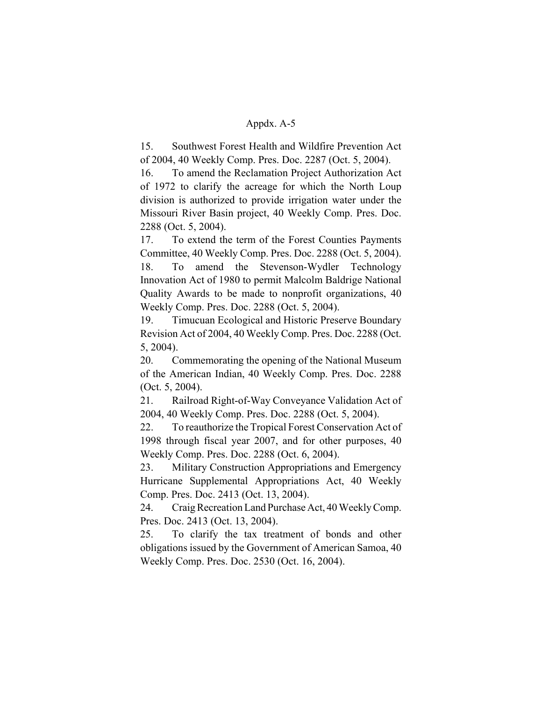15. Southwest Forest Health and Wildfire Prevention Act of 2004, 40 Weekly Comp. Pres. Doc. 2287 (Oct. 5, 2004).

16. To amend the Reclamation Project Authorization Act of 1972 to clarify the acreage for which the North Loup division is authorized to provide irrigation water under the Missouri River Basin project, 40 Weekly Comp. Pres. Doc. 2288 (Oct. 5, 2004).

17. To extend the term of the Forest Counties Payments Committee, 40 Weekly Comp. Pres. Doc. 2288 (Oct. 5, 2004). 18. To amend the Stevenson-Wydler Technology Innovation Act of 1980 to permit Malcolm Baldrige National Quality Awards to be made to nonprofit organizations, 40 Weekly Comp. Pres. Doc. 2288 (Oct. 5, 2004).

19. Timucuan Ecological and Historic Preserve Boundary Revision Act of 2004, 40 Weekly Comp. Pres. Doc. 2288 (Oct. 5, 2004).

20. Commemorating the opening of the National Museum of the American Indian, 40 Weekly Comp. Pres. Doc. 2288 (Oct. 5, 2004).

21. Railroad Right-of-Way Conveyance Validation Act of 2004, 40 Weekly Comp. Pres. Doc. 2288 (Oct. 5, 2004).

22. To reauthorize the Tropical Forest Conservation Act of 1998 through fiscal year 2007, and for other purposes, 40 Weekly Comp. Pres. Doc. 2288 (Oct. 6, 2004).

23. Military Construction Appropriations and Emergency Hurricane Supplemental Appropriations Act, 40 Weekly Comp. Pres. Doc. 2413 (Oct. 13, 2004).

24. Craig Recreation Land Purchase Act, 40 Weekly Comp. Pres. Doc. 2413 (Oct. 13, 2004).

25. To clarify the tax treatment of bonds and other obligations issued by the Government of American Samoa, 40 Weekly Comp. Pres. Doc. 2530 (Oct. 16, 2004).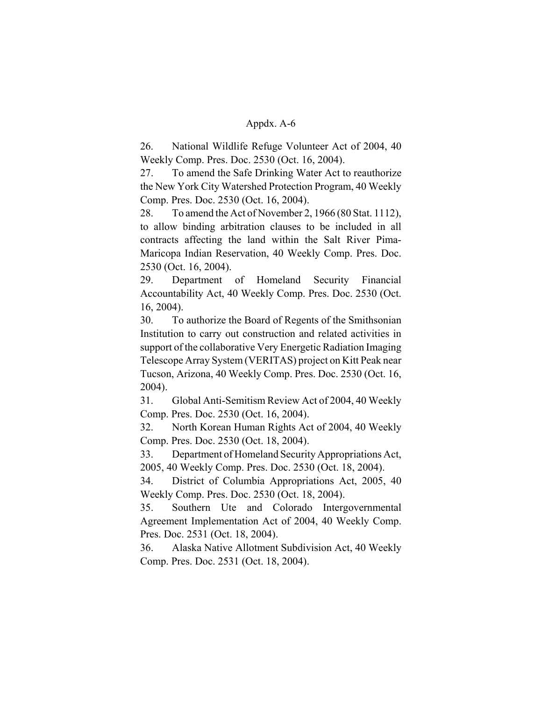26. National Wildlife Refuge Volunteer Act of 2004, 40 Weekly Comp. Pres. Doc. 2530 (Oct. 16, 2004).

27. To amend the Safe Drinking Water Act to reauthorize the New York City Watershed Protection Program, 40 Weekly Comp. Pres. Doc. 2530 (Oct. 16, 2004).

28. To amend the Act of November 2, 1966 (80 Stat. 1112), to allow binding arbitration clauses to be included in all contracts affecting the land within the Salt River Pima-Maricopa Indian Reservation, 40 Weekly Comp. Pres. Doc. 2530 (Oct. 16, 2004).

29. Department of Homeland Security Financial Accountability Act, 40 Weekly Comp. Pres. Doc. 2530 (Oct. 16, 2004).

30. To authorize the Board of Regents of the Smithsonian Institution to carry out construction and related activities in support of the collaborative Very Energetic Radiation Imaging Telescope Array System (VERITAS) project on Kitt Peak near Tucson, Arizona, 40 Weekly Comp. Pres. Doc. 2530 (Oct. 16, 2004).

31. Global Anti-Semitism Review Act of 2004, 40 Weekly Comp. Pres. Doc. 2530 (Oct. 16, 2004).

32. North Korean Human Rights Act of 2004, 40 Weekly Comp. Pres. Doc. 2530 (Oct. 18, 2004).

33. Department of Homeland Security Appropriations Act, 2005, 40 Weekly Comp. Pres. Doc. 2530 (Oct. 18, 2004).

34. District of Columbia Appropriations Act, 2005, 40 Weekly Comp. Pres. Doc. 2530 (Oct. 18, 2004).

35. Southern Ute and Colorado Intergovernmental Agreement Implementation Act of 2004, 40 Weekly Comp. Pres. Doc. 2531 (Oct. 18, 2004).

36. Alaska Native Allotment Subdivision Act, 40 Weekly Comp. Pres. Doc. 2531 (Oct. 18, 2004).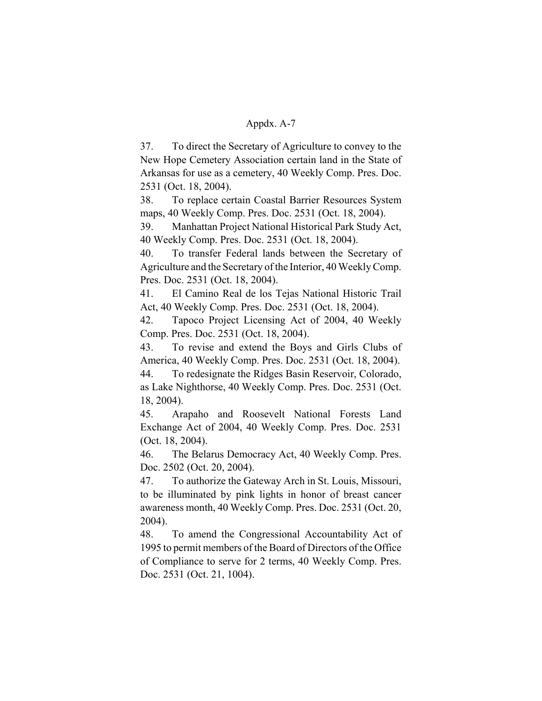37. To direct the Secretary of Agriculture to convey to the New Hope Cemetery Association certain land in the State of Arkansas for use as a cemetery, 40 Weekly Comp. Pres. Doc. 2531 (Oct. 18, 2004).

38. To replace certain Coastal Barrier Resources System maps, 40 Weekly Comp. Pres. Doc. 2531 (Oct. 18, 2004).

39. Manhattan Project National Historical Park Study Act, 40 Weekly Comp. Pres. Doc. 2531 (Oct. 18, 2004).

40. To transfer Federal lands between the Secretary of Agriculture and the Secretary of the Interior, 40 Weekly Comp. Pres. Doc. 2531 (Oct. 18, 2004).

41. El Camino Real de los Tejas National Historic Trail Act, 40 Weekly Comp. Pres. Doc. 2531 (Oct. 18, 2004).

42. Tapoco Project Licensing Act of 2004, 40 Weekly Comp. Pres. Doc. 2531 (Oct. 18, 2004).

43. To revise and extend the Boys and Girls Clubs of America, 40 Weekly Comp. Pres. Doc. 2531 (Oct. 18, 2004).

44. To redesignate the Ridges Basin Reservoir, Colorado, as Lake Nighthorse, 40 Weekly Comp. Pres. Doc. 2531 (Oct. 18, 2004).

45. Arapaho and Roosevelt National Forests Land Exchange Act of 2004, 40 Weekly Comp. Pres. Doc. 2531 (Oct. 18, 2004).

46. The Belarus Democracy Act, 40 Weekly Comp. Pres. Doc. 2502 (Oct. 20, 2004).

47. To authorize the Gateway Arch in St. Louis, Missouri, to be illuminated by pink lights in honor of breast cancer awareness month, 40 Weekly Comp. Pres. Doc. 2531 (Oct. 20, 2004).

48. To amend the Congressional Accountability Act of 1995 to permit members of the Board of Directors of the Office of Compliance to serve for 2 terms, 40 Weekly Comp. Pres. Doc. 2531 (Oct. 21, 1004).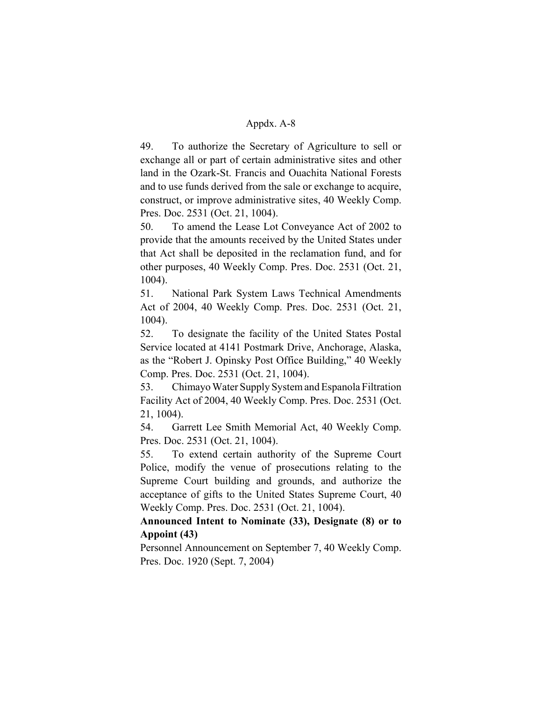49. To authorize the Secretary of Agriculture to sell or exchange all or part of certain administrative sites and other land in the Ozark-St. Francis and Ouachita National Forests and to use funds derived from the sale or exchange to acquire, construct, or improve administrative sites, 40 Weekly Comp. Pres. Doc. 2531 (Oct. 21, 1004).

50. To amend the Lease Lot Conveyance Act of 2002 to provide that the amounts received by the United States under that Act shall be deposited in the reclamation fund, and for other purposes, 40 Weekly Comp. Pres. Doc. 2531 (Oct. 21, 1004).

51. National Park System Laws Technical Amendments Act of 2004, 40 Weekly Comp. Pres. Doc. 2531 (Oct. 21, 1004).

52. To designate the facility of the United States Postal Service located at 4141 Postmark Drive, Anchorage, Alaska, as the "Robert J. Opinsky Post Office Building," 40 Weekly Comp. Pres. Doc. 2531 (Oct. 21, 1004).

53. Chimayo Water Supply System and Espanola Filtration Facility Act of 2004, 40 Weekly Comp. Pres. Doc. 2531 (Oct. 21, 1004).

54. Garrett Lee Smith Memorial Act, 40 Weekly Comp. Pres. Doc. 2531 (Oct. 21, 1004).

55. To extend certain authority of the Supreme Court Police, modify the venue of prosecutions relating to the Supreme Court building and grounds, and authorize the acceptance of gifts to the United States Supreme Court, 40 Weekly Comp. Pres. Doc. 2531 (Oct. 21, 1004).

**Announced Intent to Nominate (33), Designate (8) or to Appoint (43)**

Personnel Announcement on September 7, 40 Weekly Comp. Pres. Doc. 1920 (Sept. 7, 2004)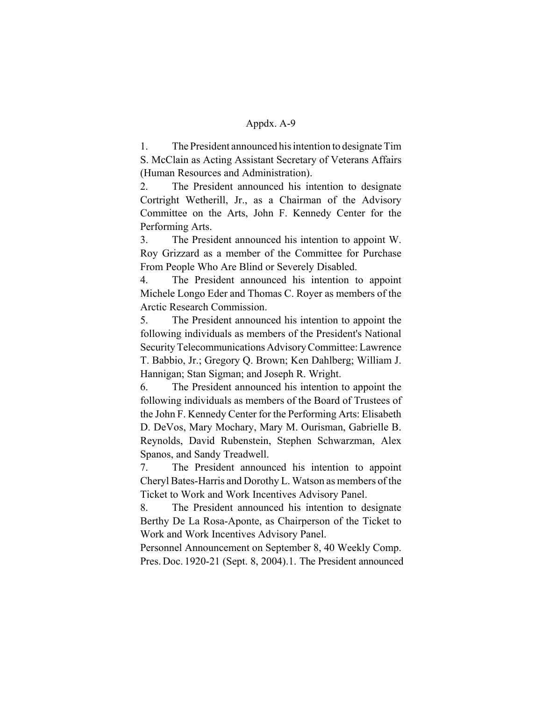1. The President announced his intention to designate Tim S. McClain as Acting Assistant Secretary of Veterans Affairs (Human Resources and Administration).

2. The President announced his intention to designate Cortright Wetherill, Jr., as a Chairman of the Advisory Committee on the Arts, John F. Kennedy Center for the Performing Arts.

3. The President announced his intention to appoint W. Roy Grizzard as a member of the Committee for Purchase From People Who Are Blind or Severely Disabled.

4. The President announced his intention to appoint Michele Longo Eder and Thomas C. Royer as members of the Arctic Research Commission.

5. The President announced his intention to appoint the following individuals as members of the President's National Security Telecommunications Advisory Committee: Lawrence T. Babbio, Jr.; Gregory Q. Brown; Ken Dahlberg; William J. Hannigan; Stan Sigman; and Joseph R. Wright.

6. The President announced his intention to appoint the following individuals as members of the Board of Trustees of the John F. Kennedy Center for the Performing Arts: Elisabeth D. DeVos, Mary Mochary, Mary M. Ourisman, Gabrielle B. Reynolds, David Rubenstein, Stephen Schwarzman, Alex Spanos, and Sandy Treadwell.

7. The President announced his intention to appoint Cheryl Bates-Harris and Dorothy L. Watson as members of the Ticket to Work and Work Incentives Advisory Panel.

8. The President announced his intention to designate Berthy De La Rosa-Aponte, as Chairperson of the Ticket to Work and Work Incentives Advisory Panel.

Personnel Announcement on September 8, 40 Weekly Comp. Pres. Doc. 1920-21 (Sept. 8, 2004).1. The President announced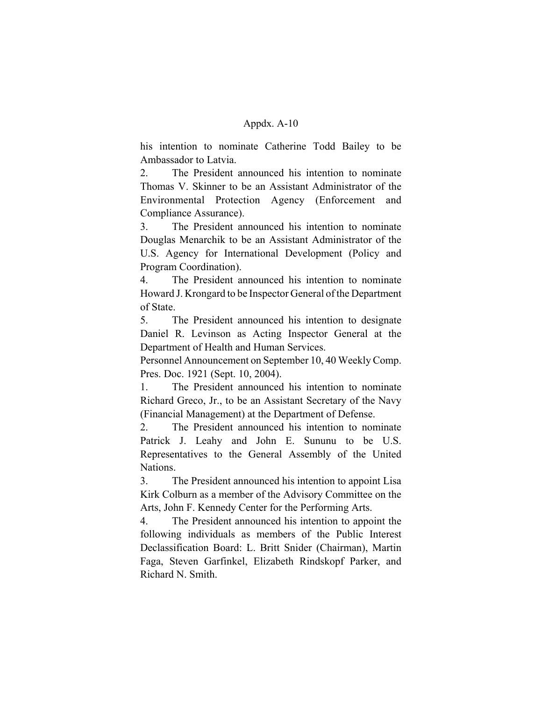his intention to nominate Catherine Todd Bailey to be Ambassador to Latvia.

2. The President announced his intention to nominate Thomas V. Skinner to be an Assistant Administrator of the Environmental Protection Agency (Enforcement and Compliance Assurance).

3. The President announced his intention to nominate Douglas Menarchik to be an Assistant Administrator of the U.S. Agency for International Development (Policy and Program Coordination).

4. The President announced his intention to nominate Howard J. Krongard to be Inspector General of the Department of State.

5. The President announced his intention to designate Daniel R. Levinson as Acting Inspector General at the Department of Health and Human Services.

Personnel Announcement on September 10, 40 Weekly Comp. Pres. Doc. 1921 (Sept. 10, 2004).

1. The President announced his intention to nominate Richard Greco, Jr., to be an Assistant Secretary of the Navy (Financial Management) at the Department of Defense.

2. The President announced his intention to nominate Patrick J. Leahy and John E. Sununu to be U.S. Representatives to the General Assembly of the United Nations.

3. The President announced his intention to appoint Lisa Kirk Colburn as a member of the Advisory Committee on the Arts, John F. Kennedy Center for the Performing Arts.

4. The President announced his intention to appoint the following individuals as members of the Public Interest Declassification Board: L. Britt Snider (Chairman), Martin Faga, Steven Garfinkel, Elizabeth Rindskopf Parker, and Richard N. Smith.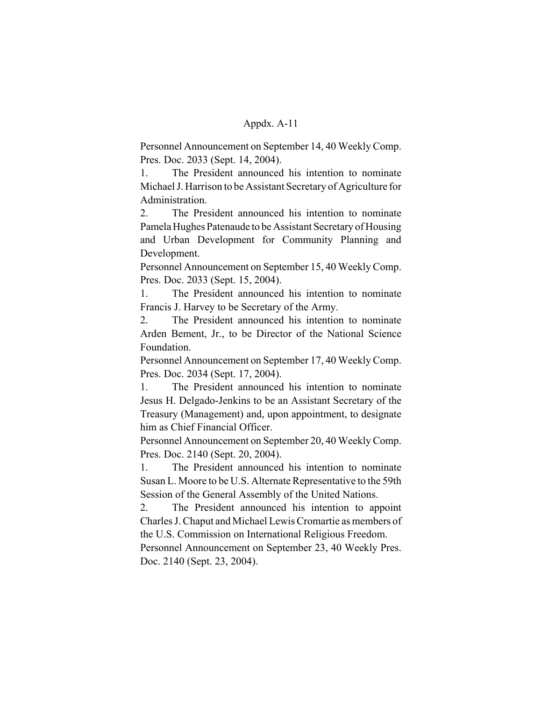Personnel Announcement on September 14, 40 Weekly Comp. Pres. Doc. 2033 (Sept. 14, 2004).

1. The President announced his intention to nominate Michael J. Harrison to be Assistant Secretary of Agriculture for Administration.

2. The President announced his intention to nominate Pamela Hughes Patenaude to be Assistant Secretary of Housing and Urban Development for Community Planning and Development.

Personnel Announcement on September 15, 40 Weekly Comp. Pres. Doc. 2033 (Sept. 15, 2004).

1. The President announced his intention to nominate Francis J. Harvey to be Secretary of the Army.

2. The President announced his intention to nominate Arden Bement, Jr., to be Director of the National Science Foundation.

Personnel Announcement on September 17, 40 Weekly Comp. Pres. Doc. 2034 (Sept. 17, 2004).

1. The President announced his intention to nominate Jesus H. Delgado-Jenkins to be an Assistant Secretary of the Treasury (Management) and, upon appointment, to designate him as Chief Financial Officer.

Personnel Announcement on September 20, 40 Weekly Comp. Pres. Doc. 2140 (Sept. 20, 2004).

1. The President announced his intention to nominate Susan L. Moore to be U.S. Alternate Representative to the 59th Session of the General Assembly of the United Nations.

2. The President announced his intention to appoint Charles J. Chaput and Michael Lewis Cromartie as members of the U.S. Commission on International Religious Freedom.

Personnel Announcement on September 23, 40 Weekly Pres. Doc. 2140 (Sept. 23, 2004).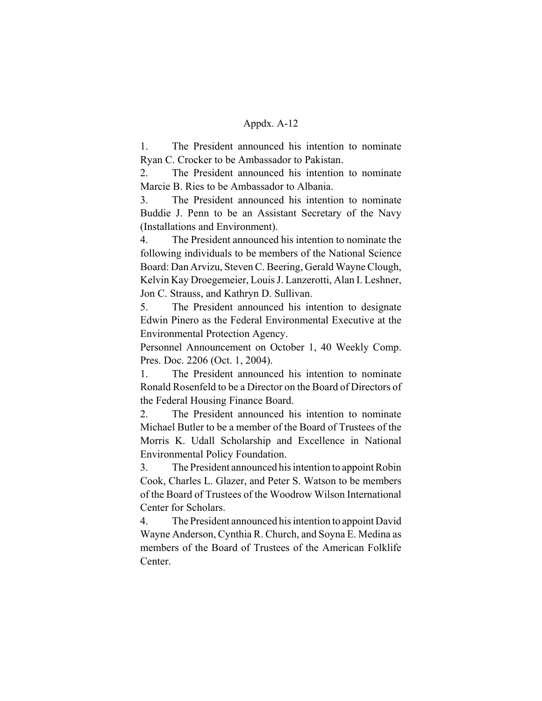1. The President announced his intention to nominate Ryan C. Crocker to be Ambassador to Pakistan.

2. The President announced his intention to nominate Marcie B. Ries to be Ambassador to Albania.

3. The President announced his intention to nominate Buddie J. Penn to be an Assistant Secretary of the Navy (Installations and Environment).

4. The President announced his intention to nominate the following individuals to be members of the National Science Board: Dan Arvizu, Steven C. Beering, Gerald Wayne Clough, Kelvin Kay Droegemeier, Louis J. Lanzerotti, Alan I. Leshner, Jon C. Strauss, and Kathryn D. Sullivan.

5. The President announced his intention to designate Edwin Pinero as the Federal Environmental Executive at the Environmental Protection Agency.

Personnel Announcement on October 1, 40 Weekly Comp. Pres. Doc. 2206 (Oct. 1, 2004).

1. The President announced his intention to nominate Ronald Rosenfeld to be a Director on the Board of Directors of the Federal Housing Finance Board.

2. The President announced his intention to nominate Michael Butler to be a member of the Board of Trustees of the Morris K. Udall Scholarship and Excellence in National Environmental Policy Foundation.

3. The President announced his intention to appoint Robin Cook, Charles L. Glazer, and Peter S. Watson to be members of the Board of Trustees of the Woodrow Wilson International Center for Scholars.

4. The President announced his intention to appoint David Wayne Anderson, Cynthia R. Church, and Soyna E. Medina as members of the Board of Trustees of the American Folklife Center.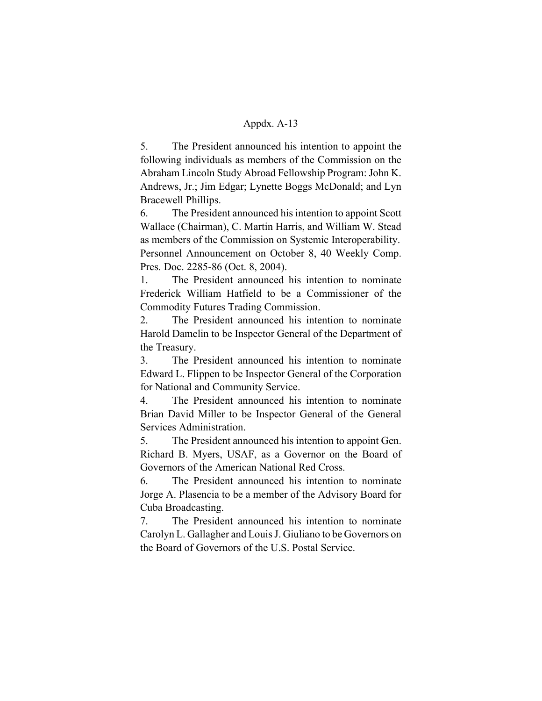5. The President announced his intention to appoint the following individuals as members of the Commission on the Abraham Lincoln Study Abroad Fellowship Program: John K. Andrews, Jr.; Jim Edgar; Lynette Boggs McDonald; and Lyn Bracewell Phillips.

6. The President announced his intention to appoint Scott Wallace (Chairman), C. Martin Harris, and William W. Stead as members of the Commission on Systemic Interoperability. Personnel Announcement on October 8, 40 Weekly Comp. Pres. Doc. 2285-86 (Oct. 8, 2004).

1. The President announced his intention to nominate Frederick William Hatfield to be a Commissioner of the Commodity Futures Trading Commission.

2. The President announced his intention to nominate Harold Damelin to be Inspector General of the Department of the Treasury.

3. The President announced his intention to nominate Edward L. Flippen to be Inspector General of the Corporation for National and Community Service.

4. The President announced his intention to nominate Brian David Miller to be Inspector General of the General Services Administration.

5. The President announced his intention to appoint Gen. Richard B. Myers, USAF, as a Governor on the Board of Governors of the American National Red Cross.

6. The President announced his intention to nominate Jorge A. Plasencia to be a member of the Advisory Board for Cuba Broadcasting.

7. The President announced his intention to nominate Carolyn L. Gallagher and Louis J. Giuliano to be Governors on the Board of Governors of the U.S. Postal Service.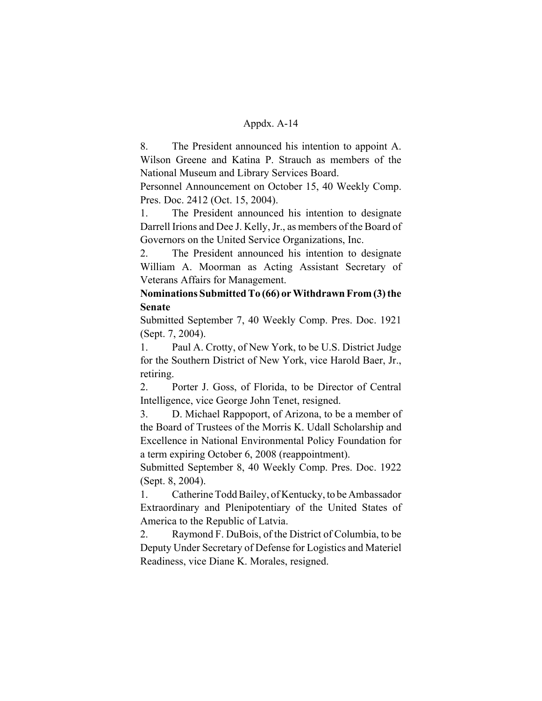8. The President announced his intention to appoint A. Wilson Greene and Katina P. Strauch as members of the National Museum and Library Services Board.

Personnel Announcement on October 15, 40 Weekly Comp. Pres. Doc. 2412 (Oct. 15, 2004).

1. The President announced his intention to designate Darrell Irions and Dee J. Kelly, Jr., as members of the Board of Governors on the United Service Organizations, Inc.

2. The President announced his intention to designate William A. Moorman as Acting Assistant Secretary of Veterans Affairs for Management.

# **Nominations Submitted To (66) or Withdrawn From (3) the Senate**

Submitted September 7, 40 Weekly Comp. Pres. Doc. 1921 (Sept. 7, 2004).

1. Paul A. Crotty, of New York, to be U.S. District Judge for the Southern District of New York, vice Harold Baer, Jr., retiring.

2. Porter J. Goss, of Florida, to be Director of Central Intelligence, vice George John Tenet, resigned.

3. D. Michael Rappoport, of Arizona, to be a member of the Board of Trustees of the Morris K. Udall Scholarship and Excellence in National Environmental Policy Foundation for a term expiring October 6, 2008 (reappointment).

Submitted September 8, 40 Weekly Comp. Pres. Doc. 1922 (Sept. 8, 2004).

1. Catherine Todd Bailey, of Kentucky, to be Ambassador Extraordinary and Plenipotentiary of the United States of America to the Republic of Latvia.

2. Raymond F. DuBois, of the District of Columbia, to be Deputy Under Secretary of Defense for Logistics and Materiel Readiness, vice Diane K. Morales, resigned.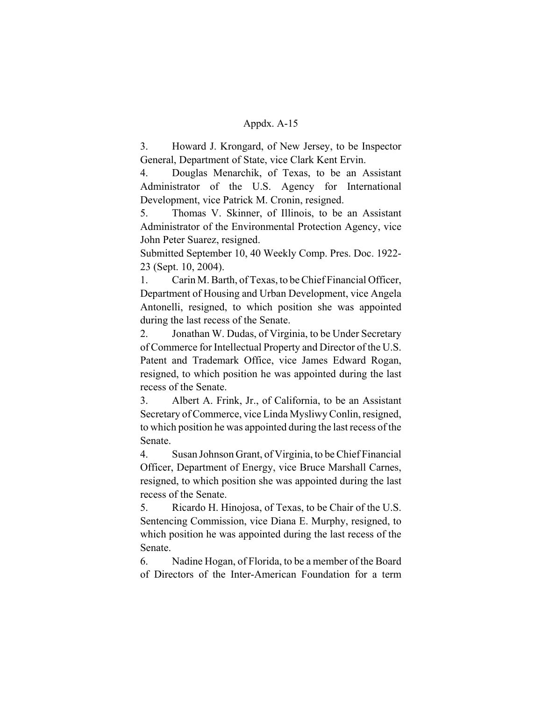3. Howard J. Krongard, of New Jersey, to be Inspector General, Department of State, vice Clark Kent Ervin.

4. Douglas Menarchik, of Texas, to be an Assistant Administrator of the U.S. Agency for International Development, vice Patrick M. Cronin, resigned.

5. Thomas V. Skinner, of Illinois, to be an Assistant Administrator of the Environmental Protection Agency, vice John Peter Suarez, resigned.

Submitted September 10, 40 Weekly Comp. Pres. Doc. 1922- 23 (Sept. 10, 2004).

1. Carin M. Barth, of Texas, to be Chief Financial Officer, Department of Housing and Urban Development, vice Angela Antonelli, resigned, to which position she was appointed during the last recess of the Senate.

2. Jonathan W. Dudas, of Virginia, to be Under Secretary of Commerce for Intellectual Property and Director of the U.S. Patent and Trademark Office, vice James Edward Rogan, resigned, to which position he was appointed during the last recess of the Senate.

3. Albert A. Frink, Jr., of California, to be an Assistant Secretary of Commerce, vice Linda Mysliwy Conlin, resigned, to which position he was appointed during the last recess of the Senate.

4. Susan Johnson Grant, of Virginia, to be Chief Financial Officer, Department of Energy, vice Bruce Marshall Carnes, resigned, to which position she was appointed during the last recess of the Senate.

5. Ricardo H. Hinojosa, of Texas, to be Chair of the U.S. Sentencing Commission, vice Diana E. Murphy, resigned, to which position he was appointed during the last recess of the Senate.

6. Nadine Hogan, of Florida, to be a member of the Board of Directors of the Inter-American Foundation for a term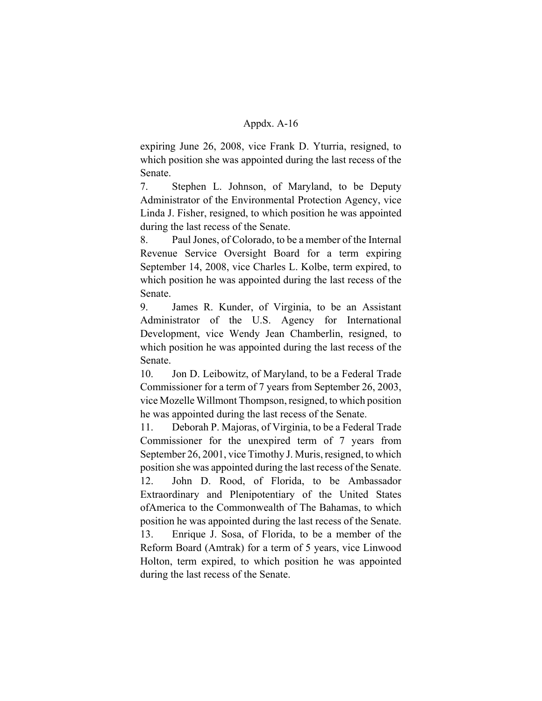expiring June 26, 2008, vice Frank D. Yturria, resigned, to which position she was appointed during the last recess of the Senate.

7. Stephen L. Johnson, of Maryland, to be Deputy Administrator of the Environmental Protection Agency, vice Linda J. Fisher, resigned, to which position he was appointed during the last recess of the Senate.

8. Paul Jones, of Colorado, to be a member of the Internal Revenue Service Oversight Board for a term expiring September 14, 2008, vice Charles L. Kolbe, term expired, to which position he was appointed during the last recess of the Senate.

9. James R. Kunder, of Virginia, to be an Assistant Administrator of the U.S. Agency for International Development, vice Wendy Jean Chamberlin, resigned, to which position he was appointed during the last recess of the Senate.

10. Jon D. Leibowitz, of Maryland, to be a Federal Trade Commissioner for a term of 7 years from September 26, 2003, vice Mozelle Willmont Thompson, resigned, to which position he was appointed during the last recess of the Senate.

11. Deborah P. Majoras, of Virginia, to be a Federal Trade Commissioner for the unexpired term of 7 years from September 26, 2001, vice Timothy J. Muris, resigned, to which position she was appointed during the last recess of the Senate.

12. John D. Rood, of Florida, to be Ambassador Extraordinary and Plenipotentiary of the United States ofAmerica to the Commonwealth of The Bahamas, to which position he was appointed during the last recess of the Senate.

13. Enrique J. Sosa, of Florida, to be a member of the Reform Board (Amtrak) for a term of 5 years, vice Linwood Holton, term expired, to which position he was appointed during the last recess of the Senate.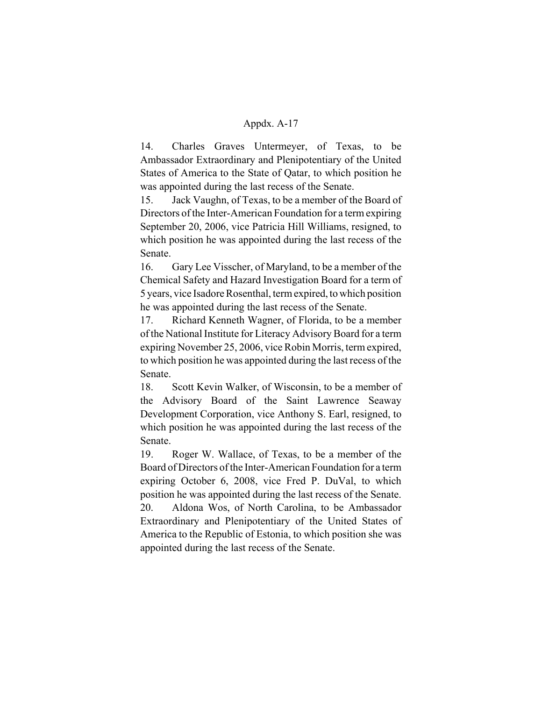14. Charles Graves Untermeyer, of Texas, to be Ambassador Extraordinary and Plenipotentiary of the United States of America to the State of Qatar, to which position he was appointed during the last recess of the Senate.

15. Jack Vaughn, of Texas, to be a member of the Board of Directors of the Inter-American Foundation for a term expiring September 20, 2006, vice Patricia Hill Williams, resigned, to which position he was appointed during the last recess of the Senate.

16. Gary Lee Visscher, of Maryland, to be a member of the Chemical Safety and Hazard Investigation Board for a term of 5 years, vice Isadore Rosenthal, term expired, to which position he was appointed during the last recess of the Senate.

17. Richard Kenneth Wagner, of Florida, to be a member of the National Institute for Literacy Advisory Board for a term expiring November 25, 2006, vice Robin Morris, term expired, to which position he was appointed during the last recess of the Senate.

18. Scott Kevin Walker, of Wisconsin, to be a member of the Advisory Board of the Saint Lawrence Seaway Development Corporation, vice Anthony S. Earl, resigned, to which position he was appointed during the last recess of the Senate.

19. Roger W. Wallace, of Texas, to be a member of the Board of Directors of the Inter-American Foundation for a term expiring October 6, 2008, vice Fred P. DuVal, to which position he was appointed during the last recess of the Senate. 20. Aldona Wos, of North Carolina, to be Ambassador Extraordinary and Plenipotentiary of the United States of America to the Republic of Estonia, to which position she was appointed during the last recess of the Senate.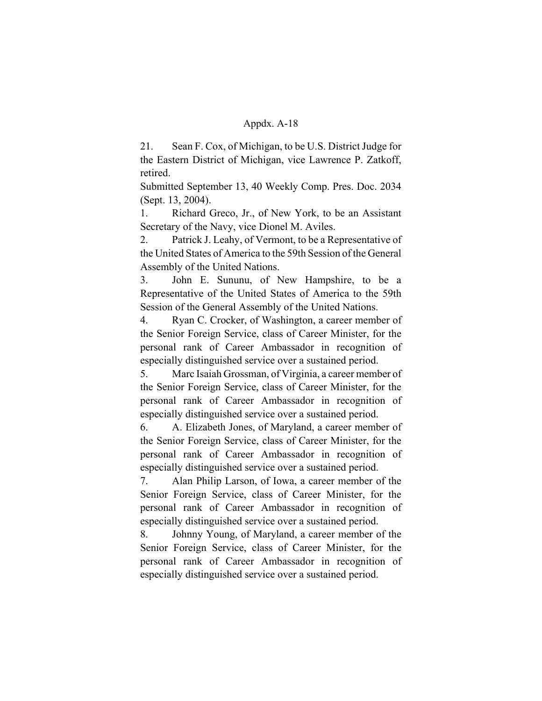21. Sean F. Cox, of Michigan, to be U.S. District Judge for the Eastern District of Michigan, vice Lawrence P. Zatkoff, retired.

Submitted September 13, 40 Weekly Comp. Pres. Doc. 2034 (Sept. 13, 2004).

1. Richard Greco, Jr., of New York, to be an Assistant Secretary of the Navy, vice Dionel M. Aviles.

2. Patrick J. Leahy, of Vermont, to be a Representative of the United States of America to the 59th Session of the General Assembly of the United Nations.

3. John E. Sununu, of New Hampshire, to be a Representative of the United States of America to the 59th Session of the General Assembly of the United Nations.

4. Ryan C. Crocker, of Washington, a career member of the Senior Foreign Service, class of Career Minister, for the personal rank of Career Ambassador in recognition of especially distinguished service over a sustained period.

5. Marc Isaiah Grossman, of Virginia, a career member of the Senior Foreign Service, class of Career Minister, for the personal rank of Career Ambassador in recognition of especially distinguished service over a sustained period.

6. A. Elizabeth Jones, of Maryland, a career member of the Senior Foreign Service, class of Career Minister, for the personal rank of Career Ambassador in recognition of especially distinguished service over a sustained period.

7. Alan Philip Larson, of Iowa, a career member of the Senior Foreign Service, class of Career Minister, for the personal rank of Career Ambassador in recognition of especially distinguished service over a sustained period.

8. Johnny Young, of Maryland, a career member of the Senior Foreign Service, class of Career Minister, for the personal rank of Career Ambassador in recognition of especially distinguished service over a sustained period.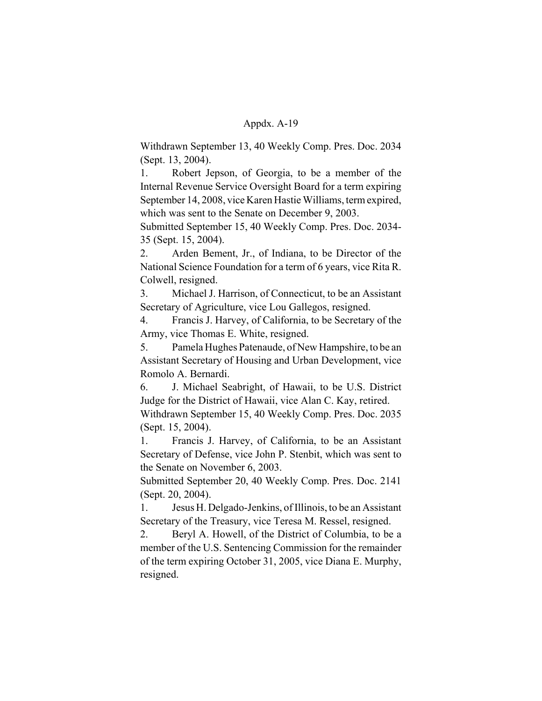Withdrawn September 13, 40 Weekly Comp. Pres. Doc. 2034 (Sept. 13, 2004).

1. Robert Jepson, of Georgia, to be a member of the Internal Revenue Service Oversight Board for a term expiring September 14, 2008, vice Karen Hastie Williams, term expired, which was sent to the Senate on December 9, 2003.

Submitted September 15, 40 Weekly Comp. Pres. Doc. 2034- 35 (Sept. 15, 2004).

2. Arden Bement, Jr., of Indiana, to be Director of the National Science Foundation for a term of 6 years, vice Rita R. Colwell, resigned.

3. Michael J. Harrison, of Connecticut, to be an Assistant Secretary of Agriculture, vice Lou Gallegos, resigned.

4. Francis J. Harvey, of California, to be Secretary of the Army, vice Thomas E. White, resigned.

5. Pamela Hughes Patenaude, of New Hampshire, to be an Assistant Secretary of Housing and Urban Development, vice Romolo A. Bernardi.

6. J. Michael Seabright, of Hawaii, to be U.S. District Judge for the District of Hawaii, vice Alan C. Kay, retired.

Withdrawn September 15, 40 Weekly Comp. Pres. Doc. 2035 (Sept. 15, 2004).

1. Francis J. Harvey, of California, to be an Assistant Secretary of Defense, vice John P. Stenbit, which was sent to the Senate on November 6, 2003.

Submitted September 20, 40 Weekly Comp. Pres. Doc. 2141 (Sept. 20, 2004).

1. Jesus H. Delgado-Jenkins, of Illinois, to be an Assistant Secretary of the Treasury, vice Teresa M. Ressel, resigned.

2. Beryl A. Howell, of the District of Columbia, to be a member of the U.S. Sentencing Commission for the remainder of the term expiring October 31, 2005, vice Diana E. Murphy, resigned.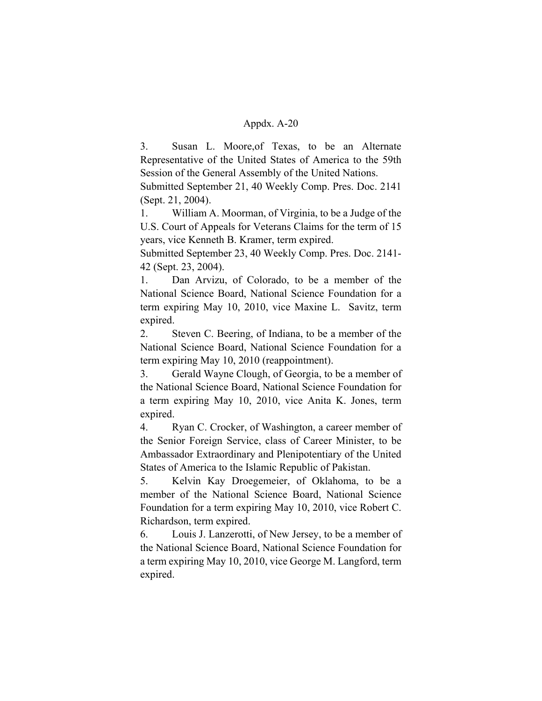3. Susan L. Moore,of Texas, to be an Alternate Representative of the United States of America to the 59th Session of the General Assembly of the United Nations.

Submitted September 21, 40 Weekly Comp. Pres. Doc. 2141 (Sept. 21, 2004).

1. William A. Moorman, of Virginia, to be a Judge of the U.S. Court of Appeals for Veterans Claims for the term of 15 years, vice Kenneth B. Kramer, term expired.

Submitted September 23, 40 Weekly Comp. Pres. Doc. 2141- 42 (Sept. 23, 2004).

1. Dan Arvizu, of Colorado, to be a member of the National Science Board, National Science Foundation for a term expiring May 10, 2010, vice Maxine L. Savitz, term expired.

2. Steven C. Beering, of Indiana, to be a member of the National Science Board, National Science Foundation for a term expiring May 10, 2010 (reappointment).

3. Gerald Wayne Clough, of Georgia, to be a member of the National Science Board, National Science Foundation for a term expiring May 10, 2010, vice Anita K. Jones, term expired.

4. Ryan C. Crocker, of Washington, a career member of the Senior Foreign Service, class of Career Minister, to be Ambassador Extraordinary and Plenipotentiary of the United States of America to the Islamic Republic of Pakistan.

5. Kelvin Kay Droegemeier, of Oklahoma, to be a member of the National Science Board, National Science Foundation for a term expiring May 10, 2010, vice Robert C. Richardson, term expired.

6. Louis J. Lanzerotti, of New Jersey, to be a member of the National Science Board, National Science Foundation for a term expiring May 10, 2010, vice George M. Langford, term expired.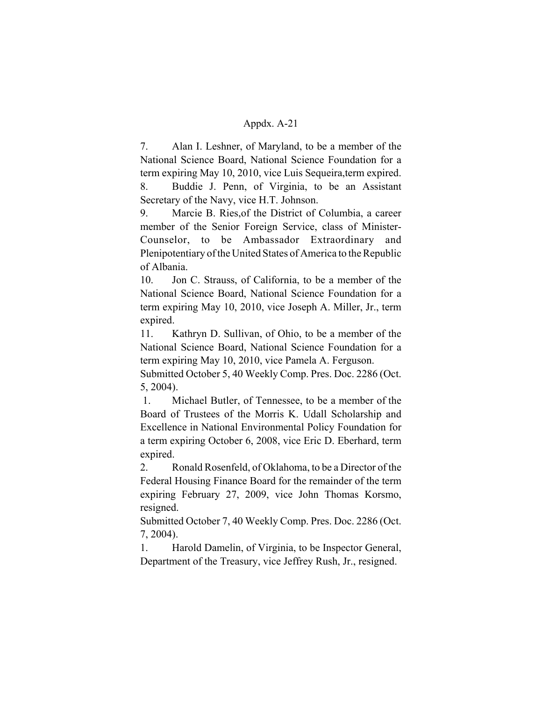7. Alan I. Leshner, of Maryland, to be a member of the National Science Board, National Science Foundation for a term expiring May 10, 2010, vice Luis Sequeira,term expired. 8. Buddie J. Penn, of Virginia, to be an Assistant Secretary of the Navy, vice H.T. Johnson.

9. Marcie B. Ries,of the District of Columbia, a career member of the Senior Foreign Service, class of Minister-Counselor, to be Ambassador Extraordinary and Plenipotentiary of the United States of America to the Republic of Albania.

10. Jon C. Strauss, of California, to be a member of the National Science Board, National Science Foundation for a term expiring May 10, 2010, vice Joseph A. Miller, Jr., term expired.

11. Kathryn D. Sullivan, of Ohio, to be a member of the National Science Board, National Science Foundation for a term expiring May 10, 2010, vice Pamela A. Ferguson.

Submitted October 5, 40 Weekly Comp. Pres. Doc. 2286 (Oct. 5, 2004).

 1. Michael Butler, of Tennessee, to be a member of the Board of Trustees of the Morris K. Udall Scholarship and Excellence in National Environmental Policy Foundation for a term expiring October 6, 2008, vice Eric D. Eberhard, term expired.

2. Ronald Rosenfeld, of Oklahoma, to be a Director of the Federal Housing Finance Board for the remainder of the term expiring February 27, 2009, vice John Thomas Korsmo, resigned.

Submitted October 7, 40 Weekly Comp. Pres. Doc. 2286 (Oct. 7, 2004).

1. Harold Damelin, of Virginia, to be Inspector General, Department of the Treasury, vice Jeffrey Rush, Jr., resigned.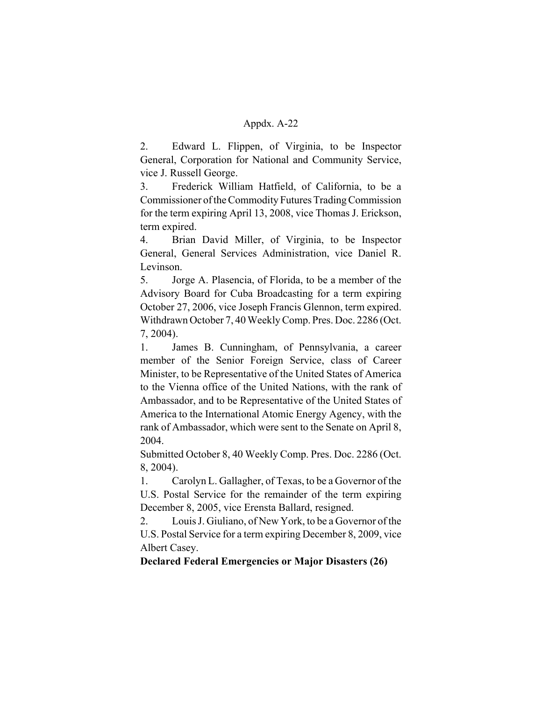2. Edward L. Flippen, of Virginia, to be Inspector General, Corporation for National and Community Service, vice J. Russell George.

3. Frederick William Hatfield, of California, to be a Commissioner of the Commodity Futures Trading Commission for the term expiring April 13, 2008, vice Thomas J. Erickson, term expired.

4. Brian David Miller, of Virginia, to be Inspector General, General Services Administration, vice Daniel R. Levinson.

5. Jorge A. Plasencia, of Florida, to be a member of the Advisory Board for Cuba Broadcasting for a term expiring October 27, 2006, vice Joseph Francis Glennon, term expired. Withdrawn October 7, 40 Weekly Comp. Pres. Doc. 2286 (Oct. 7, 2004).

1. James B. Cunningham, of Pennsylvania, a career member of the Senior Foreign Service, class of Career Minister, to be Representative of the United States of America to the Vienna office of the United Nations, with the rank of Ambassador, and to be Representative of the United States of America to the International Atomic Energy Agency, with the rank of Ambassador, which were sent to the Senate on April 8, 2004.

Submitted October 8, 40 Weekly Comp. Pres. Doc. 2286 (Oct. 8, 2004).

1. Carolyn L. Gallagher, of Texas, to be a Governor of the U.S. Postal Service for the remainder of the term expiring December 8, 2005, vice Erensta Ballard, resigned.

2. Louis J. Giuliano, of New York, to be a Governor of the U.S. Postal Service for a term expiring December 8, 2009, vice Albert Casey.

**Declared Federal Emergencies or Major Disasters (26)**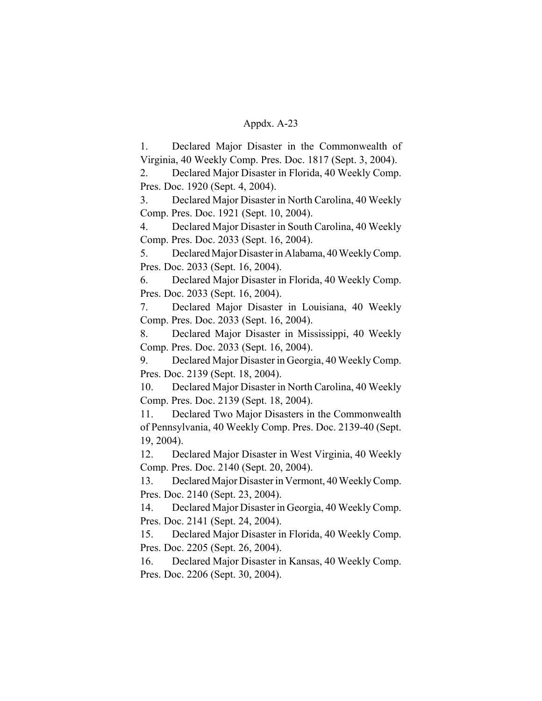1. Declared Major Disaster in the Commonwealth of Virginia, 40 Weekly Comp. Pres. Doc. 1817 (Sept. 3, 2004).

2. Declared Major Disaster in Florida, 40 Weekly Comp. Pres. Doc. 1920 (Sept. 4, 2004).

3. Declared Major Disaster in North Carolina, 40 Weekly Comp. Pres. Doc. 1921 (Sept. 10, 2004).

4. Declared Major Disaster in South Carolina, 40 Weekly Comp. Pres. Doc. 2033 (Sept. 16, 2004).

5. Declared Major Disaster in Alabama, 40 Weekly Comp. Pres. Doc. 2033 (Sept. 16, 2004).

6. Declared Major Disaster in Florida, 40 Weekly Comp. Pres. Doc. 2033 (Sept. 16, 2004).

7. Declared Major Disaster in Louisiana, 40 Weekly Comp. Pres. Doc. 2033 (Sept. 16, 2004).

8. Declared Major Disaster in Mississippi, 40 Weekly Comp. Pres. Doc. 2033 (Sept. 16, 2004).

9. Declared Major Disaster in Georgia, 40 Weekly Comp. Pres. Doc. 2139 (Sept. 18, 2004).

10. Declared Major Disaster in North Carolina, 40 Weekly Comp. Pres. Doc. 2139 (Sept. 18, 2004).

11. Declared Two Major Disasters in the Commonwealth of Pennsylvania, 40 Weekly Comp. Pres. Doc. 2139-40 (Sept. 19, 2004).

12. Declared Major Disaster in West Virginia, 40 Weekly Comp. Pres. Doc. 2140 (Sept. 20, 2004).

13. Declared Major Disaster in Vermont, 40 Weekly Comp. Pres. Doc. 2140 (Sept. 23, 2004).

14. Declared Major Disaster in Georgia, 40 Weekly Comp. Pres. Doc. 2141 (Sept. 24, 2004).

15. Declared Major Disaster in Florida, 40 Weekly Comp. Pres. Doc. 2205 (Sept. 26, 2004).

16. Declared Major Disaster in Kansas, 40 Weekly Comp. Pres. Doc. 2206 (Sept. 30, 2004).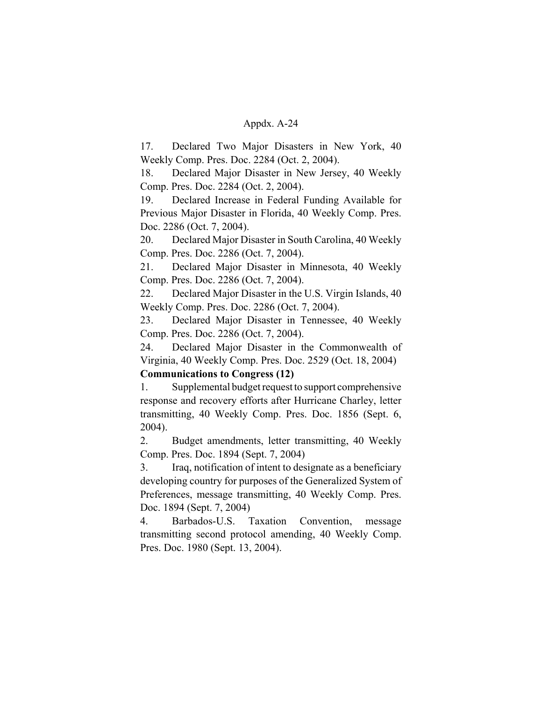17. Declared Two Major Disasters in New York, 40 Weekly Comp. Pres. Doc. 2284 (Oct. 2, 2004).

18. Declared Major Disaster in New Jersey, 40 Weekly Comp. Pres. Doc. 2284 (Oct. 2, 2004).

19. Declared Increase in Federal Funding Available for Previous Major Disaster in Florida, 40 Weekly Comp. Pres. Doc. 2286 (Oct. 7, 2004).

20. Declared Major Disaster in South Carolina, 40 Weekly Comp. Pres. Doc. 2286 (Oct. 7, 2004).

21. Declared Major Disaster in Minnesota, 40 Weekly Comp. Pres. Doc. 2286 (Oct. 7, 2004).

22. Declared Major Disaster in the U.S. Virgin Islands, 40 Weekly Comp. Pres. Doc. 2286 (Oct. 7, 2004).

23. Declared Major Disaster in Tennessee, 40 Weekly Comp. Pres. Doc. 2286 (Oct. 7, 2004).

24. Declared Major Disaster in the Commonwealth of Virginia, 40 Weekly Comp. Pres. Doc. 2529 (Oct. 18, 2004)

# **Communications to Congress (12)**

1. Supplemental budget request to support comprehensive response and recovery efforts after Hurricane Charley, letter transmitting, 40 Weekly Comp. Pres. Doc. 1856 (Sept. 6, 2004).

2. Budget amendments, letter transmitting, 40 Weekly Comp. Pres. Doc. 1894 (Sept. 7, 2004)

3. Iraq, notification of intent to designate as a beneficiary developing country for purposes of the Generalized System of Preferences, message transmitting, 40 Weekly Comp. Pres. Doc. 1894 (Sept. 7, 2004)

4. Barbados-U.S. Taxation Convention, message transmitting second protocol amending, 40 Weekly Comp. Pres. Doc. 1980 (Sept. 13, 2004).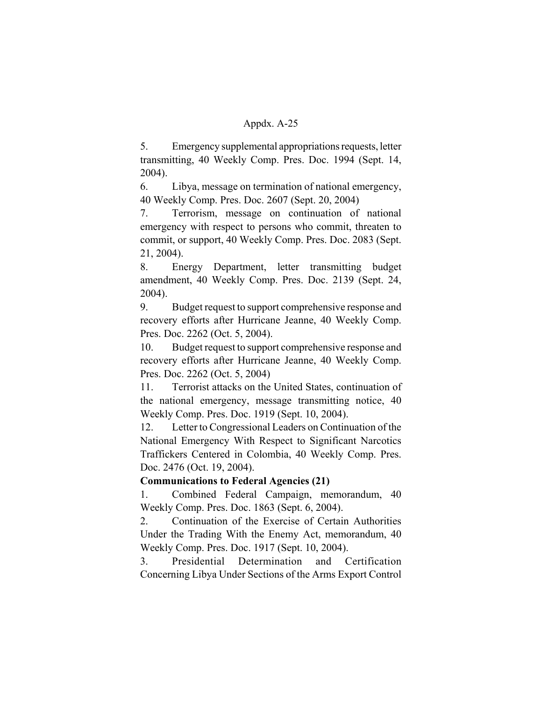5. Emergency supplemental appropriations requests, letter transmitting, 40 Weekly Comp. Pres. Doc. 1994 (Sept. 14, 2004).

6. Libya, message on termination of national emergency, 40 Weekly Comp. Pres. Doc. 2607 (Sept. 20, 2004)

7. Terrorism, message on continuation of national emergency with respect to persons who commit, threaten to commit, or support, 40 Weekly Comp. Pres. Doc. 2083 (Sept. 21, 2004).

8. Energy Department, letter transmitting budget amendment, 40 Weekly Comp. Pres. Doc. 2139 (Sept. 24, 2004).

9. Budget request to support comprehensive response and recovery efforts after Hurricane Jeanne, 40 Weekly Comp. Pres. Doc. 2262 (Oct. 5, 2004).

10. Budget request to support comprehensive response and recovery efforts after Hurricane Jeanne, 40 Weekly Comp. Pres. Doc. 2262 (Oct. 5, 2004)

11. Terrorist attacks on the United States, continuation of the national emergency, message transmitting notice, 40 Weekly Comp. Pres. Doc. 1919 (Sept. 10, 2004).

12. Letter to Congressional Leaders on Continuation of the National Emergency With Respect to Significant Narcotics Traffickers Centered in Colombia, 40 Weekly Comp. Pres. Doc. 2476 (Oct. 19, 2004).

# **Communications to Federal Agencies (21)**

1. Combined Federal Campaign, memorandum, 40 Weekly Comp. Pres. Doc. 1863 (Sept. 6, 2004).

2. Continuation of the Exercise of Certain Authorities Under the Trading With the Enemy Act, memorandum, 40 Weekly Comp. Pres. Doc. 1917 (Sept. 10, 2004).

3. Presidential Determination and Certification Concerning Libya Under Sections of the Arms Export Control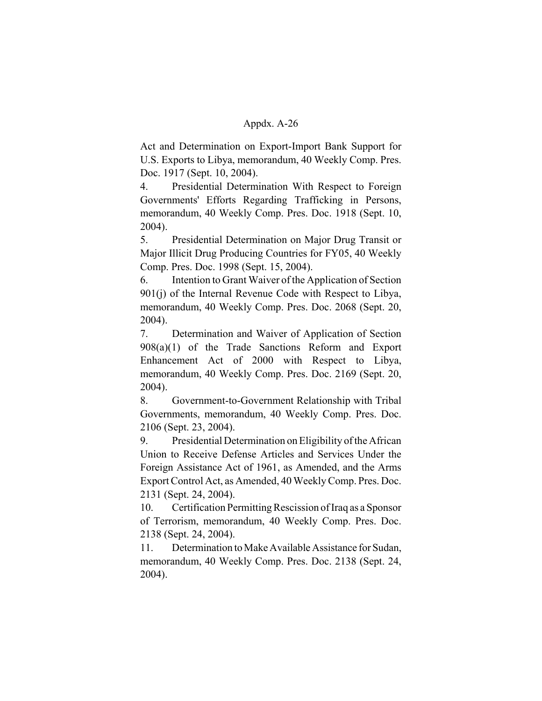Act and Determination on Export-Import Bank Support for U.S. Exports to Libya, memorandum, 40 Weekly Comp. Pres. Doc. 1917 (Sept. 10, 2004).

4. Presidential Determination With Respect to Foreign Governments' Efforts Regarding Trafficking in Persons, memorandum, 40 Weekly Comp. Pres. Doc. 1918 (Sept. 10, 2004).

5. Presidential Determination on Major Drug Transit or Major Illicit Drug Producing Countries for FY05, 40 Weekly Comp. Pres. Doc. 1998 (Sept. 15, 2004).

6. Intention to Grant Waiver of the Application of Section 901(j) of the Internal Revenue Code with Respect to Libya, memorandum, 40 Weekly Comp. Pres. Doc. 2068 (Sept. 20, 2004).

7. Determination and Waiver of Application of Section 908(a)(1) of the Trade Sanctions Reform and Export Enhancement Act of 2000 with Respect to Libya, memorandum, 40 Weekly Comp. Pres. Doc. 2169 (Sept. 20, 2004).

8. Government-to-Government Relationship with Tribal Governments, memorandum, 40 Weekly Comp. Pres. Doc. 2106 (Sept. 23, 2004).

9. Presidential Determination on Eligibility of the African Union to Receive Defense Articles and Services Under the Foreign Assistance Act of 1961, as Amended, and the Arms Export Control Act, as Amended, 40 Weekly Comp. Pres. Doc. 2131 (Sept. 24, 2004).

10. Certification Permitting Rescission of Iraq as a Sponsor of Terrorism, memorandum, 40 Weekly Comp. Pres. Doc. 2138 (Sept. 24, 2004).

11. Determination to Make Available Assistance for Sudan, memorandum, 40 Weekly Comp. Pres. Doc. 2138 (Sept. 24, 2004).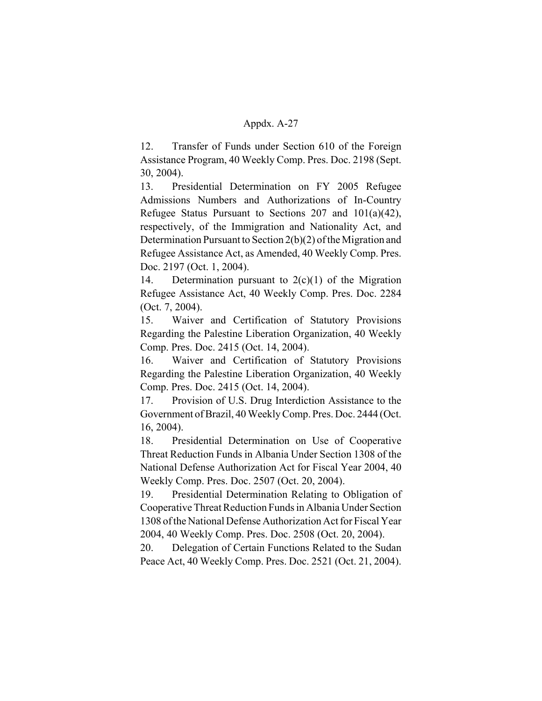12. Transfer of Funds under Section 610 of the Foreign Assistance Program, 40 Weekly Comp. Pres. Doc. 2198 (Sept. 30, 2004).

13. Presidential Determination on FY 2005 Refugee Admissions Numbers and Authorizations of In-Country Refugee Status Pursuant to Sections 207 and 101(a)(42), respectively, of the Immigration and Nationality Act, and Determination Pursuant to Section 2(b)(2) of the Migration and Refugee Assistance Act, as Amended, 40 Weekly Comp. Pres. Doc. 2197 (Oct. 1, 2004).

14. Determination pursuant to  $2(c)(1)$  of the Migration Refugee Assistance Act, 40 Weekly Comp. Pres. Doc. 2284 (Oct. 7, 2004).

15. Waiver and Certification of Statutory Provisions Regarding the Palestine Liberation Organization, 40 Weekly Comp. Pres. Doc. 2415 (Oct. 14, 2004).

16. Waiver and Certification of Statutory Provisions Regarding the Palestine Liberation Organization, 40 Weekly Comp. Pres. Doc. 2415 (Oct. 14, 2004).

17. Provision of U.S. Drug Interdiction Assistance to the Government of Brazil, 40 Weekly Comp. Pres. Doc. 2444 (Oct. 16, 2004).

18. Presidential Determination on Use of Cooperative Threat Reduction Funds in Albania Under Section 1308 of the National Defense Authorization Act for Fiscal Year 2004, 40 Weekly Comp. Pres. Doc. 2507 (Oct. 20, 2004).

19. Presidential Determination Relating to Obligation of Cooperative Threat Reduction Funds in Albania Under Section 1308 of the National Defense Authorization Act for Fiscal Year 2004, 40 Weekly Comp. Pres. Doc. 2508 (Oct. 20, 2004).

20. Delegation of Certain Functions Related to the Sudan Peace Act, 40 Weekly Comp. Pres. Doc. 2521 (Oct. 21, 2004).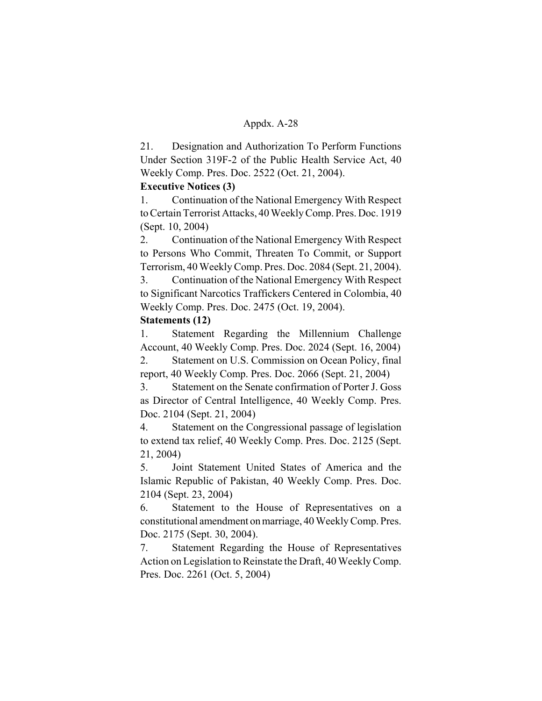21. Designation and Authorization To Perform Functions Under Section 319F-2 of the Public Health Service Act, 40 Weekly Comp. Pres. Doc. 2522 (Oct. 21, 2004).

# **Executive Notices (3)**

1. Continuation of the National Emergency With Respect to Certain Terrorist Attacks, 40 Weekly Comp. Pres. Doc. 1919 (Sept. 10, 2004)

2. Continuation of the National Emergency With Respect to Persons Who Commit, Threaten To Commit, or Support Terrorism, 40 Weekly Comp. Pres. Doc. 2084 (Sept. 21, 2004).

3. Continuation of the National Emergency With Respect to Significant Narcotics Traffickers Centered in Colombia, 40 Weekly Comp. Pres. Doc. 2475 (Oct. 19, 2004).

# **Statements (12)**

1. Statement Regarding the Millennium Challenge Account, 40 Weekly Comp. Pres. Doc. 2024 (Sept. 16, 2004)

2. Statement on U.S. Commission on Ocean Policy, final report, 40 Weekly Comp. Pres. Doc. 2066 (Sept. 21, 2004)

3. Statement on the Senate confirmation of Porter J. Goss as Director of Central Intelligence, 40 Weekly Comp. Pres. Doc. 2104 (Sept. 21, 2004)

4. Statement on the Congressional passage of legislation to extend tax relief, 40 Weekly Comp. Pres. Doc. 2125 (Sept. 21, 2004)

5. Joint Statement United States of America and the Islamic Republic of Pakistan, 40 Weekly Comp. Pres. Doc. 2104 (Sept. 23, 2004)

6. Statement to the House of Representatives on a constitutional amendment on marriage, 40 Weekly Comp. Pres. Doc. 2175 (Sept. 30, 2004).

7. Statement Regarding the House of Representatives Action on Legislation to Reinstate the Draft, 40 Weekly Comp. Pres. Doc. 2261 (Oct. 5, 2004)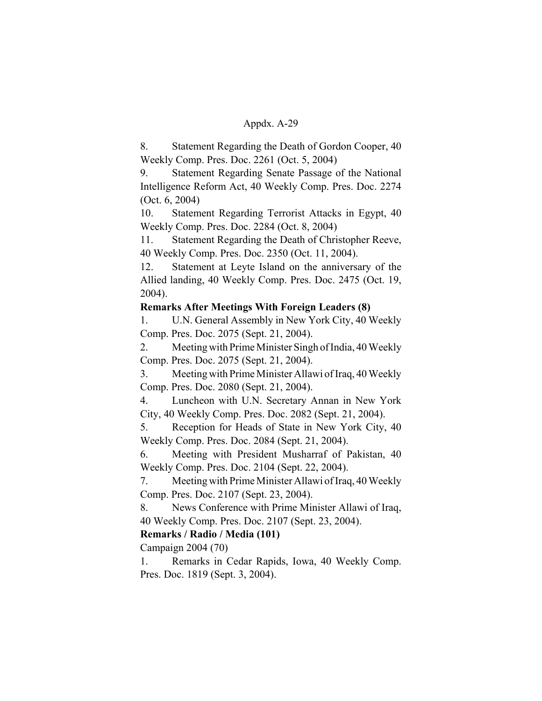8. Statement Regarding the Death of Gordon Cooper, 40 Weekly Comp. Pres. Doc. 2261 (Oct. 5, 2004)

9. Statement Regarding Senate Passage of the National Intelligence Reform Act, 40 Weekly Comp. Pres. Doc. 2274 (Oct. 6, 2004)

10. Statement Regarding Terrorist Attacks in Egypt, 40 Weekly Comp. Pres. Doc. 2284 (Oct. 8, 2004)

11. Statement Regarding the Death of Christopher Reeve, 40 Weekly Comp. Pres. Doc. 2350 (Oct. 11, 2004).

12. Statement at Leyte Island on the anniversary of the Allied landing, 40 Weekly Comp. Pres. Doc. 2475 (Oct. 19, 2004).

# **Remarks After Meetings With Foreign Leaders (8)**

1. U.N. General Assembly in New York City, 40 Weekly Comp. Pres. Doc. 2075 (Sept. 21, 2004).

2. Meeting with Prime Minister Singh of India, 40 Weekly Comp. Pres. Doc. 2075 (Sept. 21, 2004).

3. Meeting with Prime Minister Allawi of Iraq, 40 Weekly Comp. Pres. Doc. 2080 (Sept. 21, 2004).

4. Luncheon with U.N. Secretary Annan in New York City, 40 Weekly Comp. Pres. Doc. 2082 (Sept. 21, 2004).

5. Reception for Heads of State in New York City, 40 Weekly Comp. Pres. Doc. 2084 (Sept. 21, 2004).

6. Meeting with President Musharraf of Pakistan, 40 Weekly Comp. Pres. Doc. 2104 (Sept. 22, 2004).

7. Meeting with Prime Minister Allawi of Iraq, 40 Weekly Comp. Pres. Doc. 2107 (Sept. 23, 2004).

8. News Conference with Prime Minister Allawi of Iraq, 40 Weekly Comp. Pres. Doc. 2107 (Sept. 23, 2004).

# **Remarks / Radio / Media (101)**

Campaign 2004 (70)

1. Remarks in Cedar Rapids, Iowa, 40 Weekly Comp. Pres. Doc. 1819 (Sept. 3, 2004).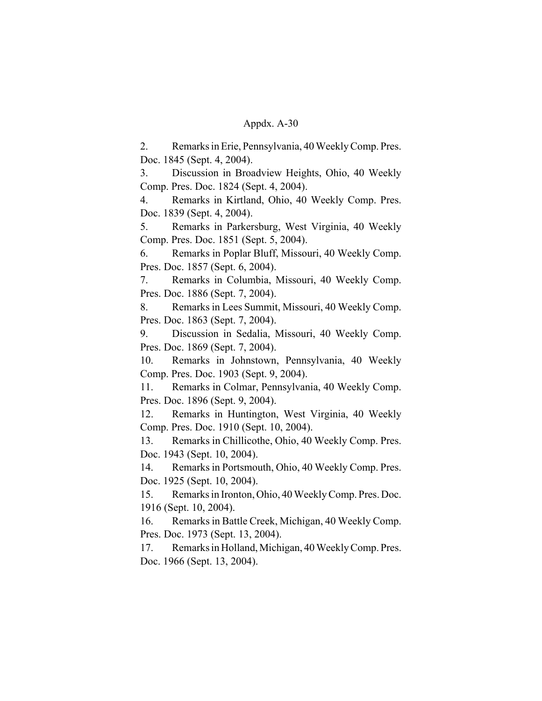2. Remarks in Erie, Pennsylvania, 40 Weekly Comp. Pres. Doc. 1845 (Sept. 4, 2004).

3. Discussion in Broadview Heights, Ohio, 40 Weekly Comp. Pres. Doc. 1824 (Sept. 4, 2004).

4. Remarks in Kirtland, Ohio, 40 Weekly Comp. Pres. Doc. 1839 (Sept. 4, 2004).

5. Remarks in Parkersburg, West Virginia, 40 Weekly Comp. Pres. Doc. 1851 (Sept. 5, 2004).

6. Remarks in Poplar Bluff, Missouri, 40 Weekly Comp. Pres. Doc. 1857 (Sept. 6, 2004).

7. Remarks in Columbia, Missouri, 40 Weekly Comp. Pres. Doc. 1886 (Sept. 7, 2004).

8. Remarks in Lees Summit, Missouri, 40 Weekly Comp. Pres. Doc. 1863 (Sept. 7, 2004).

9. Discussion in Sedalia, Missouri, 40 Weekly Comp. Pres. Doc. 1869 (Sept. 7, 2004).

10. Remarks in Johnstown, Pennsylvania, 40 Weekly Comp. Pres. Doc. 1903 (Sept. 9, 2004).

11. Remarks in Colmar, Pennsylvania, 40 Weekly Comp. Pres. Doc. 1896 (Sept. 9, 2004).

12. Remarks in Huntington, West Virginia, 40 Weekly Comp. Pres. Doc. 1910 (Sept. 10, 2004).

13. Remarks in Chillicothe, Ohio, 40 Weekly Comp. Pres. Doc. 1943 (Sept. 10, 2004).

14. Remarks in Portsmouth, Ohio, 40 Weekly Comp. Pres. Doc. 1925 (Sept. 10, 2004).

15. Remarks in Ironton, Ohio, 40 Weekly Comp. Pres. Doc. 1916 (Sept. 10, 2004).

16. Remarks in Battle Creek, Michigan, 40 Weekly Comp. Pres. Doc. 1973 (Sept. 13, 2004).

17. Remarks in Holland, Michigan, 40 Weekly Comp. Pres. Doc. 1966 (Sept. 13, 2004).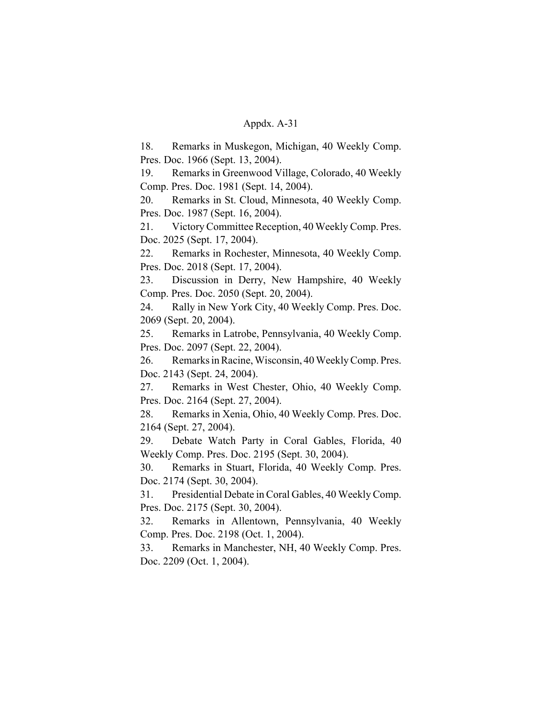18. Remarks in Muskegon, Michigan, 40 Weekly Comp. Pres. Doc. 1966 (Sept. 13, 2004).

19. Remarks in Greenwood Village, Colorado, 40 Weekly Comp. Pres. Doc. 1981 (Sept. 14, 2004).

20. Remarks in St. Cloud, Minnesota, 40 Weekly Comp. Pres. Doc. 1987 (Sept. 16, 2004).

21. Victory Committee Reception, 40 Weekly Comp. Pres. Doc. 2025 (Sept. 17, 2004).

22. Remarks in Rochester, Minnesota, 40 Weekly Comp. Pres. Doc. 2018 (Sept. 17, 2004).

23. Discussion in Derry, New Hampshire, 40 Weekly Comp. Pres. Doc. 2050 (Sept. 20, 2004).

24. Rally in New York City, 40 Weekly Comp. Pres. Doc. 2069 (Sept. 20, 2004).

25. Remarks in Latrobe, Pennsylvania, 40 Weekly Comp. Pres. Doc. 2097 (Sept. 22, 2004).

26. Remarks in Racine, Wisconsin, 40 Weekly Comp. Pres. Doc. 2143 (Sept. 24, 2004).

27. Remarks in West Chester, Ohio, 40 Weekly Comp. Pres. Doc. 2164 (Sept. 27, 2004).

28. Remarks in Xenia, Ohio, 40 Weekly Comp. Pres. Doc. 2164 (Sept. 27, 2004).

29. Debate Watch Party in Coral Gables, Florida, 40 Weekly Comp. Pres. Doc. 2195 (Sept. 30, 2004).

30. Remarks in Stuart, Florida, 40 Weekly Comp. Pres. Doc. 2174 (Sept. 30, 2004).

31. Presidential Debate in Coral Gables, 40 Weekly Comp. Pres. Doc. 2175 (Sept. 30, 2004).

32. Remarks in Allentown, Pennsylvania, 40 Weekly Comp. Pres. Doc. 2198 (Oct. 1, 2004).

33. Remarks in Manchester, NH, 40 Weekly Comp. Pres. Doc. 2209 (Oct. 1, 2004).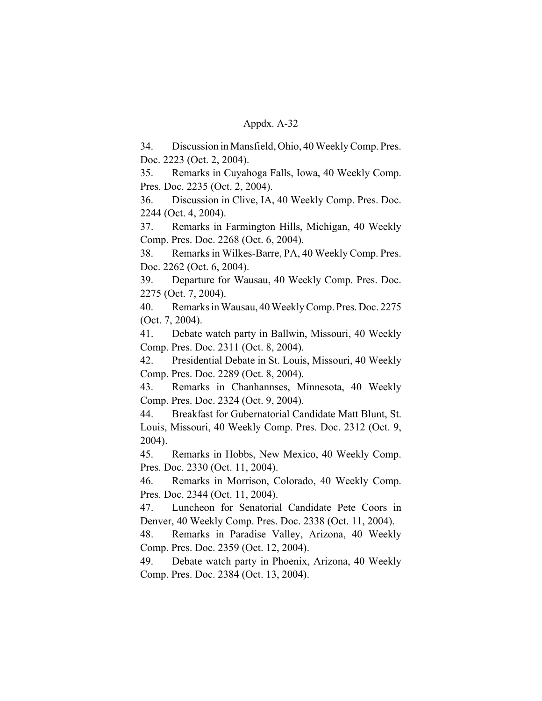34. Discussion in Mansfield, Ohio, 40 Weekly Comp. Pres. Doc. 2223 (Oct. 2, 2004).

35. Remarks in Cuyahoga Falls, Iowa, 40 Weekly Comp. Pres. Doc. 2235 (Oct. 2, 2004).

36. Discussion in Clive, IA, 40 Weekly Comp. Pres. Doc. 2244 (Oct. 4, 2004).

37. Remarks in Farmington Hills, Michigan, 40 Weekly Comp. Pres. Doc. 2268 (Oct. 6, 2004).

38. Remarks in Wilkes-Barre, PA, 40 Weekly Comp. Pres. Doc. 2262 (Oct. 6, 2004).

39. Departure for Wausau, 40 Weekly Comp. Pres. Doc. 2275 (Oct. 7, 2004).

40. Remarks in Wausau, 40 Weekly Comp. Pres. Doc. 2275 (Oct. 7, 2004).

41. Debate watch party in Ballwin, Missouri, 40 Weekly Comp. Pres. Doc. 2311 (Oct. 8, 2004).

42. Presidential Debate in St. Louis, Missouri, 40 Weekly Comp. Pres. Doc. 2289 (Oct. 8, 2004).

43. Remarks in Chanhannses, Minnesota, 40 Weekly Comp. Pres. Doc. 2324 (Oct. 9, 2004).

44. Breakfast for Gubernatorial Candidate Matt Blunt, St. Louis, Missouri, 40 Weekly Comp. Pres. Doc. 2312 (Oct. 9, 2004).

45. Remarks in Hobbs, New Mexico, 40 Weekly Comp. Pres. Doc. 2330 (Oct. 11, 2004).

46. Remarks in Morrison, Colorado, 40 Weekly Comp. Pres. Doc. 2344 (Oct. 11, 2004).

47. Luncheon for Senatorial Candidate Pete Coors in Denver, 40 Weekly Comp. Pres. Doc. 2338 (Oct. 11, 2004).

48. Remarks in Paradise Valley, Arizona, 40 Weekly Comp. Pres. Doc. 2359 (Oct. 12, 2004).

49. Debate watch party in Phoenix, Arizona, 40 Weekly Comp. Pres. Doc. 2384 (Oct. 13, 2004).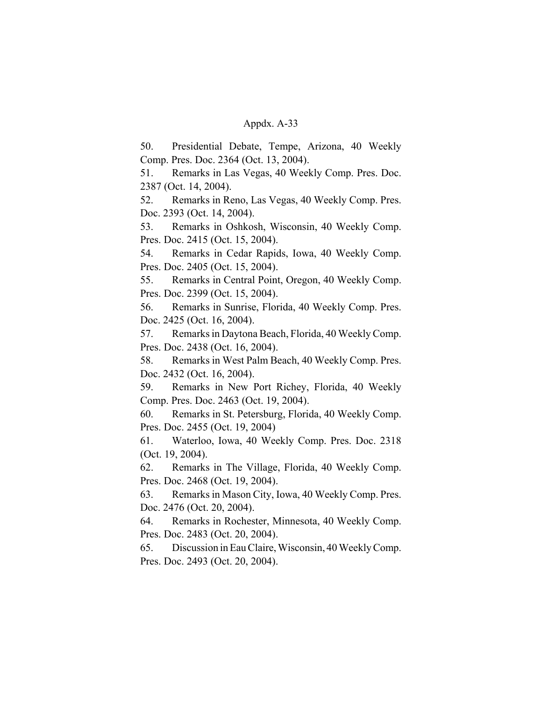50. Presidential Debate, Tempe, Arizona, 40 Weekly Comp. Pres. Doc. 2364 (Oct. 13, 2004).

51. Remarks in Las Vegas, 40 Weekly Comp. Pres. Doc. 2387 (Oct. 14, 2004).

52. Remarks in Reno, Las Vegas, 40 Weekly Comp. Pres. Doc. 2393 (Oct. 14, 2004).

53. Remarks in Oshkosh, Wisconsin, 40 Weekly Comp. Pres. Doc. 2415 (Oct. 15, 2004).

54. Remarks in Cedar Rapids, Iowa, 40 Weekly Comp. Pres. Doc. 2405 (Oct. 15, 2004).

55. Remarks in Central Point, Oregon, 40 Weekly Comp. Pres. Doc. 2399 (Oct. 15, 2004).

56. Remarks in Sunrise, Florida, 40 Weekly Comp. Pres. Doc. 2425 (Oct. 16, 2004).

57. Remarks in Daytona Beach, Florida, 40 Weekly Comp. Pres. Doc. 2438 (Oct. 16, 2004).

58. Remarks in West Palm Beach, 40 Weekly Comp. Pres. Doc. 2432 (Oct. 16, 2004).

59. Remarks in New Port Richey, Florida, 40 Weekly Comp. Pres. Doc. 2463 (Oct. 19, 2004).

60. Remarks in St. Petersburg, Florida, 40 Weekly Comp. Pres. Doc. 2455 (Oct. 19, 2004)

61. Waterloo, Iowa, 40 Weekly Comp. Pres. Doc. 2318 (Oct. 19, 2004).

62. Remarks in The Village, Florida, 40 Weekly Comp. Pres. Doc. 2468 (Oct. 19, 2004).

63. Remarks in Mason City, Iowa, 40 Weekly Comp. Pres. Doc. 2476 (Oct. 20, 2004).

64. Remarks in Rochester, Minnesota, 40 Weekly Comp. Pres. Doc. 2483 (Oct. 20, 2004).

65. Discussion in Eau Claire, Wisconsin, 40 Weekly Comp. Pres. Doc. 2493 (Oct. 20, 2004).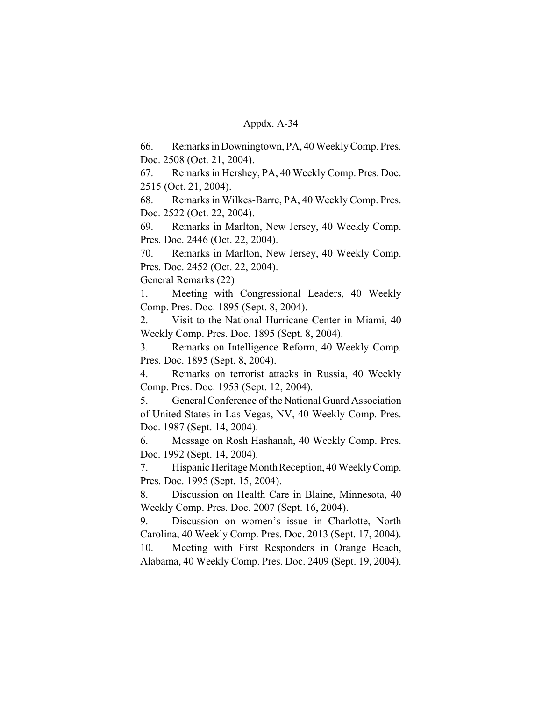66. Remarks in Downingtown, PA, 40 Weekly Comp. Pres. Doc. 2508 (Oct. 21, 2004).

67. Remarks in Hershey, PA, 40 Weekly Comp. Pres. Doc. 2515 (Oct. 21, 2004).

68. Remarks in Wilkes-Barre, PA, 40 Weekly Comp. Pres. Doc. 2522 (Oct. 22, 2004).

69. Remarks in Marlton, New Jersey, 40 Weekly Comp. Pres. Doc. 2446 (Oct. 22, 2004).

70. Remarks in Marlton, New Jersey, 40 Weekly Comp. Pres. Doc. 2452 (Oct. 22, 2004).

General Remarks (22)

1. Meeting with Congressional Leaders, 40 Weekly Comp. Pres. Doc. 1895 (Sept. 8, 2004).

2. Visit to the National Hurricane Center in Miami, 40 Weekly Comp. Pres. Doc. 1895 (Sept. 8, 2004).

3. Remarks on Intelligence Reform, 40 Weekly Comp. Pres. Doc. 1895 (Sept. 8, 2004).

4. Remarks on terrorist attacks in Russia, 40 Weekly Comp. Pres. Doc. 1953 (Sept. 12, 2004).

5. General Conference of the National Guard Association of United States in Las Vegas, NV, 40 Weekly Comp. Pres. Doc. 1987 (Sept. 14, 2004).

6. Message on Rosh Hashanah, 40 Weekly Comp. Pres. Doc. 1992 (Sept. 14, 2004).

7. Hispanic Heritage Month Reception, 40 Weekly Comp. Pres. Doc. 1995 (Sept. 15, 2004).

8. Discussion on Health Care in Blaine, Minnesota, 40 Weekly Comp. Pres. Doc. 2007 (Sept. 16, 2004).

9. Discussion on women's issue in Charlotte, North Carolina, 40 Weekly Comp. Pres. Doc. 2013 (Sept. 17, 2004).

10. Meeting with First Responders in Orange Beach, Alabama, 40 Weekly Comp. Pres. Doc. 2409 (Sept. 19, 2004).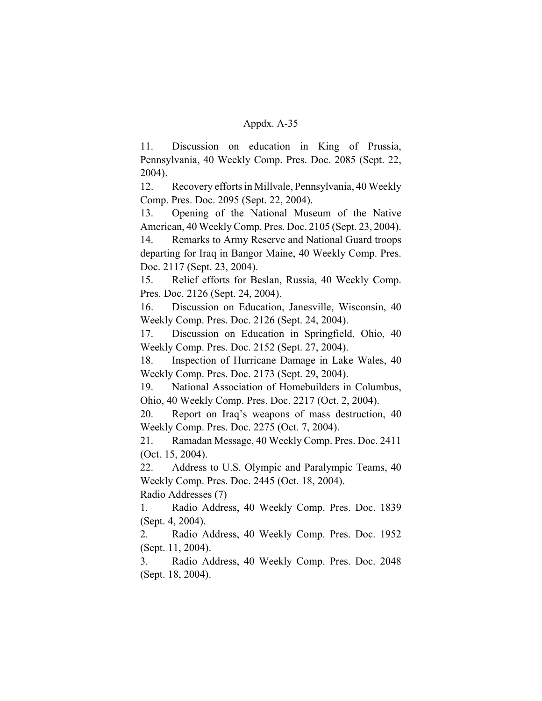11. Discussion on education in King of Prussia, Pennsylvania, 40 Weekly Comp. Pres. Doc. 2085 (Sept. 22, 2004).

12. Recovery efforts in Millvale, Pennsylvania, 40 Weekly Comp. Pres. Doc. 2095 (Sept. 22, 2004).

13. Opening of the National Museum of the Native American, 40 Weekly Comp. Pres. Doc. 2105 (Sept. 23, 2004).

14. Remarks to Army Reserve and National Guard troops departing for Iraq in Bangor Maine, 40 Weekly Comp. Pres. Doc. 2117 (Sept. 23, 2004).

15. Relief efforts for Beslan, Russia, 40 Weekly Comp. Pres. Doc. 2126 (Sept. 24, 2004).

16. Discussion on Education, Janesville, Wisconsin, 40 Weekly Comp. Pres. Doc. 2126 (Sept. 24, 2004).

17. Discussion on Education in Springfield, Ohio, 40 Weekly Comp. Pres. Doc. 2152 (Sept. 27, 2004).

18. Inspection of Hurricane Damage in Lake Wales, 40 Weekly Comp. Pres. Doc. 2173 (Sept. 29, 2004).

19. National Association of Homebuilders in Columbus, Ohio, 40 Weekly Comp. Pres. Doc. 2217 (Oct. 2, 2004).

20. Report on Iraq's weapons of mass destruction, 40 Weekly Comp. Pres. Doc. 2275 (Oct. 7, 2004).

21. Ramadan Message, 40 Weekly Comp. Pres. Doc. 2411 (Oct. 15, 2004).

22. Address to U.S. Olympic and Paralympic Teams, 40 Weekly Comp. Pres. Doc. 2445 (Oct. 18, 2004).

Radio Addresses (7)

1. Radio Address, 40 Weekly Comp. Pres. Doc. 1839 (Sept. 4, 2004).

2. Radio Address, 40 Weekly Comp. Pres. Doc. 1952 (Sept. 11, 2004).

3. Radio Address, 40 Weekly Comp. Pres. Doc. 2048 (Sept. 18, 2004).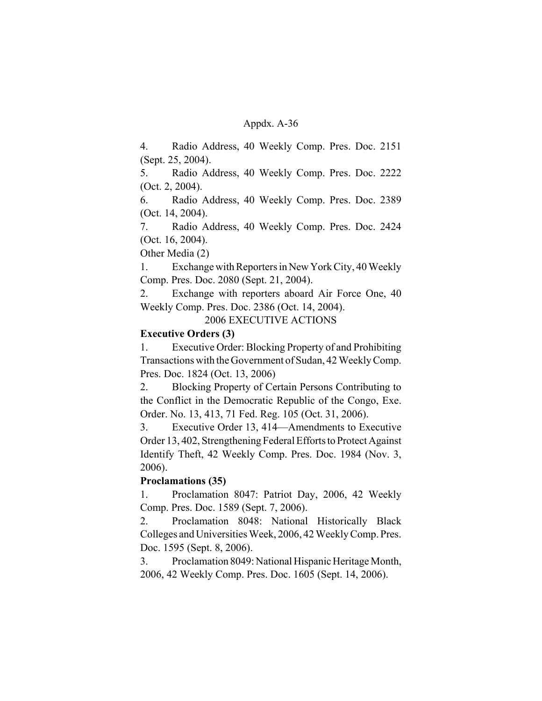4. Radio Address, 40 Weekly Comp. Pres. Doc. 2151 (Sept. 25, 2004).

5. Radio Address, 40 Weekly Comp. Pres. Doc. 2222 (Oct. 2, 2004).

6. Radio Address, 40 Weekly Comp. Pres. Doc. 2389 (Oct. 14, 2004).

7. Radio Address, 40 Weekly Comp. Pres. Doc. 2424 (Oct. 16, 2004).

Other Media (2)

1. Exchange with Reporters in New York City, 40 Weekly Comp. Pres. Doc. 2080 (Sept. 21, 2004).

2. Exchange with reporters aboard Air Force One, 40 Weekly Comp. Pres. Doc. 2386 (Oct. 14, 2004).

2006 EXECUTIVE ACTIONS

## **Executive Orders (3)**

1. Executive Order: Blocking Property of and Prohibiting Transactions with the Government of Sudan, 42 Weekly Comp. Pres. Doc. 1824 (Oct. 13, 2006)

2. Blocking Property of Certain Persons Contributing to the Conflict in the Democratic Republic of the Congo, Exe. Order. No. 13, 413, 71 Fed. Reg. 105 (Oct. 31, 2006).

3. Executive Order 13, 414—Amendments to Executive Order 13, 402, Strengthening Federal Efforts to Protect Against Identify Theft, 42 Weekly Comp. Pres. Doc. 1984 (Nov. 3, 2006).

# **Proclamations (35)**

1. Proclamation 8047: Patriot Day, 2006, 42 Weekly Comp. Pres. Doc. 1589 (Sept. 7, 2006).

2. Proclamation 8048: National Historically Black Colleges and Universities Week, 2006, 42 Weekly Comp. Pres. Doc. 1595 (Sept. 8, 2006).

3. Proclamation 8049: National Hispanic Heritage Month, 2006, 42 Weekly Comp. Pres. Doc. 1605 (Sept. 14, 2006).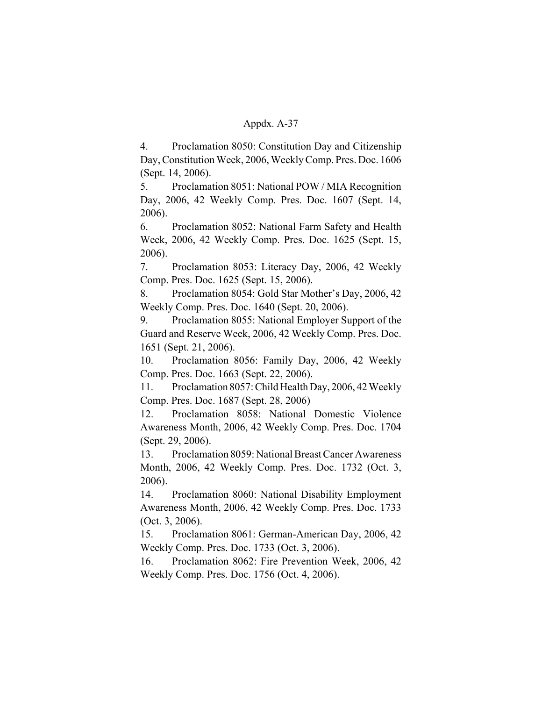4. Proclamation 8050: Constitution Day and Citizenship Day, Constitution Week, 2006, Weekly Comp. Pres. Doc. 1606 (Sept. 14, 2006).

5. Proclamation 8051: National POW / MIA Recognition Day, 2006, 42 Weekly Comp. Pres. Doc. 1607 (Sept. 14, 2006).

6. Proclamation 8052: National Farm Safety and Health Week, 2006, 42 Weekly Comp. Pres. Doc. 1625 (Sept. 15, 2006).

7. Proclamation 8053: Literacy Day, 2006, 42 Weekly Comp. Pres. Doc. 1625 (Sept. 15, 2006).

8. Proclamation 8054: Gold Star Mother's Day, 2006, 42 Weekly Comp. Pres. Doc. 1640 (Sept. 20, 2006).

9. Proclamation 8055: National Employer Support of the Guard and Reserve Week, 2006, 42 Weekly Comp. Pres. Doc. 1651 (Sept. 21, 2006).

10. Proclamation 8056: Family Day, 2006, 42 Weekly Comp. Pres. Doc. 1663 (Sept. 22, 2006).

11. Proclamation 8057: Child Health Day, 2006, 42 Weekly Comp. Pres. Doc. 1687 (Sept. 28, 2006)

12. Proclamation 8058: National Domestic Violence Awareness Month, 2006, 42 Weekly Comp. Pres. Doc. 1704 (Sept. 29, 2006).

13. Proclamation 8059: National Breast Cancer Awareness Month, 2006, 42 Weekly Comp. Pres. Doc. 1732 (Oct. 3, 2006).

14. Proclamation 8060: National Disability Employment Awareness Month, 2006, 42 Weekly Comp. Pres. Doc. 1733 (Oct. 3, 2006).

15. Proclamation 8061: German-American Day, 2006, 42 Weekly Comp. Pres. Doc. 1733 (Oct. 3, 2006).

16. Proclamation 8062: Fire Prevention Week, 2006, 42 Weekly Comp. Pres. Doc. 1756 (Oct. 4, 2006).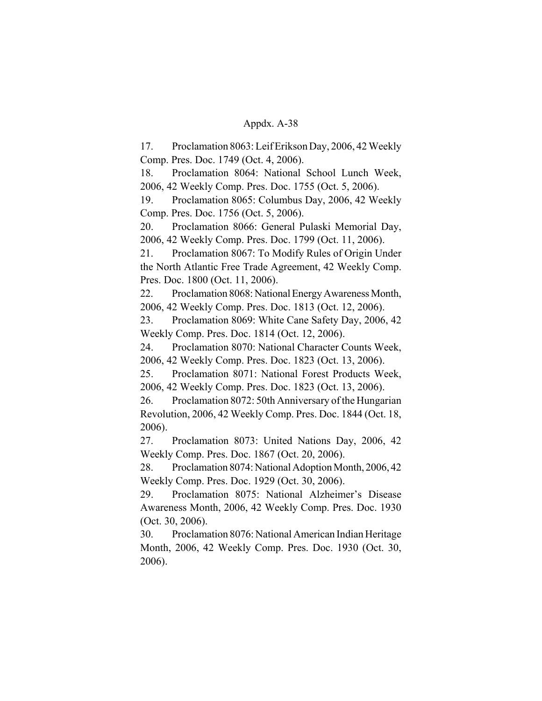17. Proclamation 8063: Leif Erikson Day, 2006, 42 Weekly Comp. Pres. Doc. 1749 (Oct. 4, 2006).

18. Proclamation 8064: National School Lunch Week, 2006, 42 Weekly Comp. Pres. Doc. 1755 (Oct. 5, 2006).

19. Proclamation 8065: Columbus Day, 2006, 42 Weekly Comp. Pres. Doc. 1756 (Oct. 5, 2006).

20. Proclamation 8066: General Pulaski Memorial Day, 2006, 42 Weekly Comp. Pres. Doc. 1799 (Oct. 11, 2006).

21. Proclamation 8067: To Modify Rules of Origin Under the North Atlantic Free Trade Agreement, 42 Weekly Comp. Pres. Doc. 1800 (Oct. 11, 2006).

22. Proclamation 8068: National Energy Awareness Month, 2006, 42 Weekly Comp. Pres. Doc. 1813 (Oct. 12, 2006).

23. Proclamation 8069: White Cane Safety Day, 2006, 42 Weekly Comp. Pres. Doc. 1814 (Oct. 12, 2006).

24. Proclamation 8070: National Character Counts Week, 2006, 42 Weekly Comp. Pres. Doc. 1823 (Oct. 13, 2006).

25. Proclamation 8071: National Forest Products Week, 2006, 42 Weekly Comp. Pres. Doc. 1823 (Oct. 13, 2006).

26. Proclamation 8072: 50th Anniversary of the Hungarian Revolution, 2006, 42 Weekly Comp. Pres. Doc. 1844 (Oct. 18, 2006).

27. Proclamation 8073: United Nations Day, 2006, 42 Weekly Comp. Pres. Doc. 1867 (Oct. 20, 2006).

28. Proclamation 8074: National Adoption Month, 2006, 42 Weekly Comp. Pres. Doc. 1929 (Oct. 30, 2006).

29. Proclamation 8075: National Alzheimer's Disease Awareness Month, 2006, 42 Weekly Comp. Pres. Doc. 1930 (Oct. 30, 2006).

30. Proclamation 8076: National American Indian Heritage Month, 2006, 42 Weekly Comp. Pres. Doc. 1930 (Oct. 30, 2006).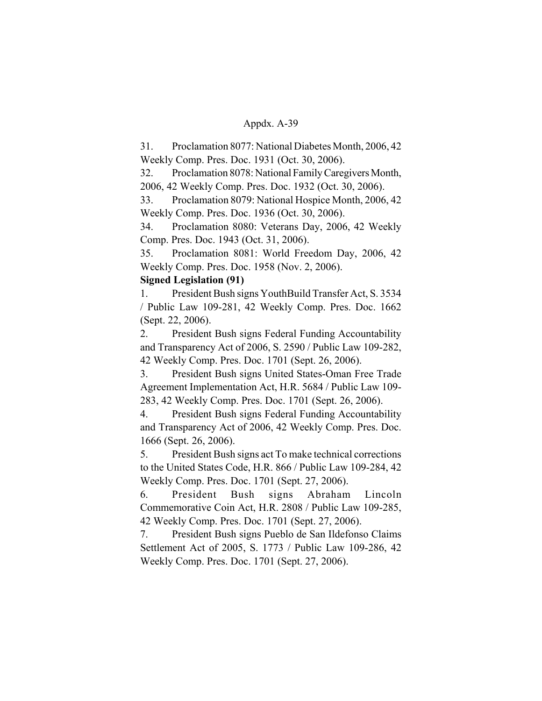31. Proclamation 8077: National Diabetes Month, 2006, 42 Weekly Comp. Pres. Doc. 1931 (Oct. 30, 2006).

32. Proclamation 8078: National Family Caregivers Month, 2006, 42 Weekly Comp. Pres. Doc. 1932 (Oct. 30, 2006).

33. Proclamation 8079: National Hospice Month, 2006, 42 Weekly Comp. Pres. Doc. 1936 (Oct. 30, 2006).

34. Proclamation 8080: Veterans Day, 2006, 42 Weekly Comp. Pres. Doc. 1943 (Oct. 31, 2006).

35. Proclamation 8081: World Freedom Day, 2006, 42 Weekly Comp. Pres. Doc. 1958 (Nov. 2, 2006).

# **Signed Legislation (91)**

1. President Bush signs YouthBuild Transfer Act, S. 3534 / Public Law 109-281, 42 Weekly Comp. Pres. Doc. 1662 (Sept. 22, 2006).

2. President Bush signs Federal Funding Accountability and Transparency Act of 2006, S. 2590 / Public Law 109-282, 42 Weekly Comp. Pres. Doc. 1701 (Sept. 26, 2006).

3. President Bush signs United States-Oman Free Trade Agreement Implementation Act, H.R. 5684 / Public Law 109- 283, 42 Weekly Comp. Pres. Doc. 1701 (Sept. 26, 2006).

4. President Bush signs Federal Funding Accountability and Transparency Act of 2006, 42 Weekly Comp. Pres. Doc. 1666 (Sept. 26, 2006).

5. President Bush signs act To make technical corrections to the United States Code, H.R. 866 / Public Law 109-284, 42 Weekly Comp. Pres. Doc. 1701 (Sept. 27, 2006).

6. President Bush signs Abraham Lincoln Commemorative Coin Act, H.R. 2808 / Public Law 109-285, 42 Weekly Comp. Pres. Doc. 1701 (Sept. 27, 2006).

7. President Bush signs Pueblo de San Ildefonso Claims Settlement Act of 2005, S. 1773 / Public Law 109-286, 42 Weekly Comp. Pres. Doc. 1701 (Sept. 27, 2006).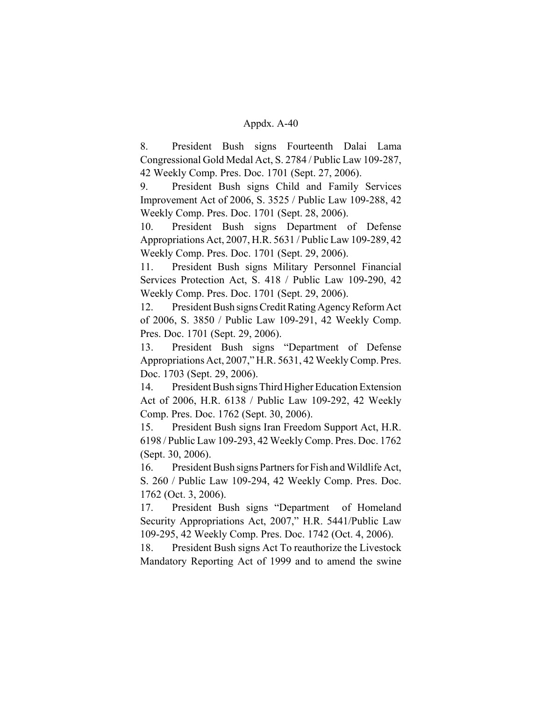8. President Bush signs Fourteenth Dalai Lama Congressional Gold Medal Act, S. 2784 / Public Law 109-287, 42 Weekly Comp. Pres. Doc. 1701 (Sept. 27, 2006).

9. President Bush signs Child and Family Services Improvement Act of 2006, S. 3525 / Public Law 109-288, 42 Weekly Comp. Pres. Doc. 1701 (Sept. 28, 2006).

10. President Bush signs Department of Defense Appropriations Act, 2007, H.R. 5631 / Public Law 109-289, 42 Weekly Comp. Pres. Doc. 1701 (Sept. 29, 2006).

11. President Bush signs Military Personnel Financial Services Protection Act, S. 418 / Public Law 109-290, 42 Weekly Comp. Pres. Doc. 1701 (Sept. 29, 2006).

12. President Bush signs Credit Rating Agency Reform Act of 2006, S. 3850 / Public Law 109-291, 42 Weekly Comp. Pres. Doc. 1701 (Sept. 29, 2006).

13. President Bush signs "Department of Defense Appropriations Act, 2007," H.R. 5631, 42 Weekly Comp. Pres. Doc. 1703 (Sept. 29, 2006).

14. President Bush signs Third Higher Education Extension Act of 2006, H.R. 6138 / Public Law 109-292, 42 Weekly Comp. Pres. Doc. 1762 (Sept. 30, 2006).

15. President Bush signs Iran Freedom Support Act, H.R. 6198 / Public Law 109-293, 42 Weekly Comp. Pres. Doc. 1762 (Sept. 30, 2006).

16. President Bush signs Partners for Fish and Wildlife Act, S. 260 / Public Law 109-294, 42 Weekly Comp. Pres. Doc. 1762 (Oct. 3, 2006).

17. President Bush signs "Department of Homeland Security Appropriations Act, 2007," H.R. 5441/Public Law 109-295, 42 Weekly Comp. Pres. Doc. 1742 (Oct. 4, 2006).

18. President Bush signs Act To reauthorize the Livestock Mandatory Reporting Act of 1999 and to amend the swine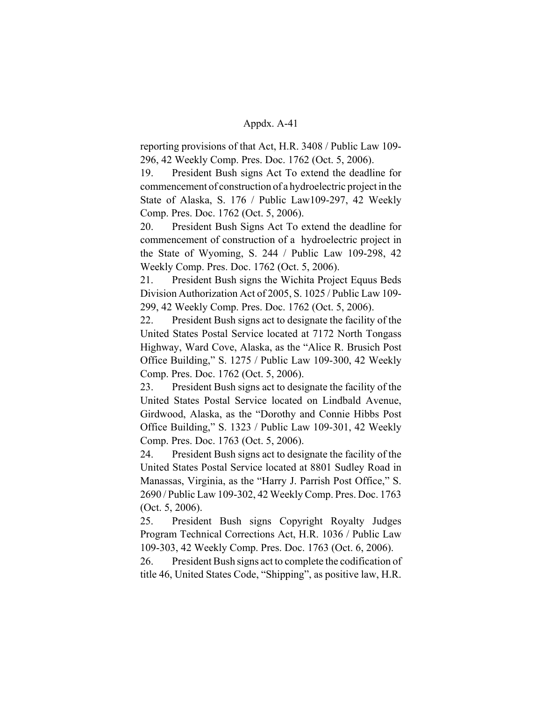reporting provisions of that Act, H.R. 3408 / Public Law 109- 296, 42 Weekly Comp. Pres. Doc. 1762 (Oct. 5, 2006).

19. President Bush signs Act To extend the deadline for commencement of construction of a hydroelectric project in the State of Alaska, S. 176 / Public Law109-297, 42 Weekly Comp. Pres. Doc. 1762 (Oct. 5, 2006).

20. President Bush Signs Act To extend the deadline for commencement of construction of a hydroelectric project in the State of Wyoming, S. 244 / Public Law 109-298, 42 Weekly Comp. Pres. Doc. 1762 (Oct. 5, 2006).

21. President Bush signs the Wichita Project Equus Beds Division Authorization Act of 2005, S. 1025 / Public Law 109- 299, 42 Weekly Comp. Pres. Doc. 1762 (Oct. 5, 2006).

22. President Bush signs act to designate the facility of the United States Postal Service located at 7172 North Tongass Highway, Ward Cove, Alaska, as the "Alice R. Brusich Post Office Building," S. 1275 / Public Law 109-300, 42 Weekly Comp. Pres. Doc. 1762 (Oct. 5, 2006).

23. President Bush signs act to designate the facility of the United States Postal Service located on Lindbald Avenue, Girdwood, Alaska, as the "Dorothy and Connie Hibbs Post Office Building," S. 1323 / Public Law 109-301, 42 Weekly Comp. Pres. Doc. 1763 (Oct. 5, 2006).

24. President Bush signs act to designate the facility of the United States Postal Service located at 8801 Sudley Road in Manassas, Virginia, as the "Harry J. Parrish Post Office," S. 2690 / Public Law 109-302, 42 Weekly Comp. Pres. Doc. 1763 (Oct. 5, 2006).

25. President Bush signs Copyright Royalty Judges Program Technical Corrections Act, H.R. 1036 / Public Law 109-303, 42 Weekly Comp. Pres. Doc. 1763 (Oct. 6, 2006).

26. President Bush signs act to complete the codification of title 46, United States Code, "Shipping", as positive law, H.R.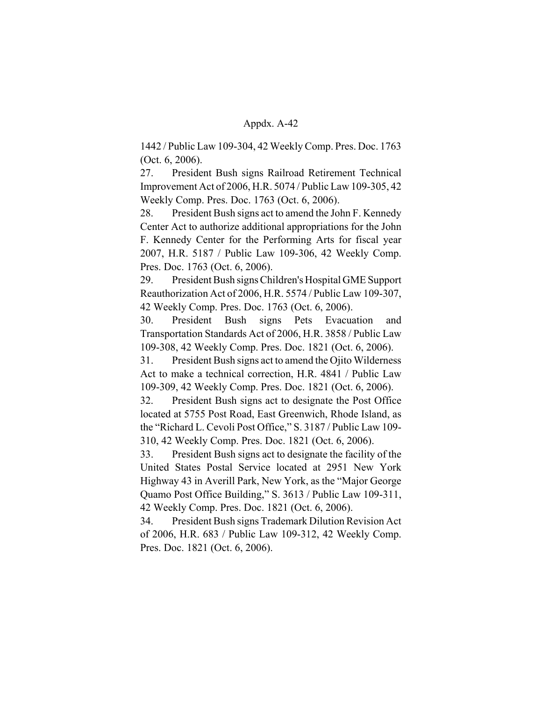1442 / Public Law 109-304, 42 Weekly Comp. Pres. Doc. 1763 (Oct. 6, 2006).

27. President Bush signs Railroad Retirement Technical Improvement Act of 2006, H.R. 5074 / Public Law 109-305, 42 Weekly Comp. Pres. Doc. 1763 (Oct. 6, 2006).

28. President Bush signs act to amend the John F. Kennedy Center Act to authorize additional appropriations for the John F. Kennedy Center for the Performing Arts for fiscal year 2007, H.R. 5187 / Public Law 109-306, 42 Weekly Comp. Pres. Doc. 1763 (Oct. 6, 2006).

29. President Bush signs Children's Hospital GME Support Reauthorization Act of 2006, H.R. 5574 / Public Law 109-307, 42 Weekly Comp. Pres. Doc. 1763 (Oct. 6, 2006).

30. President Bush signs Pets Evacuation and Transportation Standards Act of 2006, H.R. 3858 / Public Law 109-308, 42 Weekly Comp. Pres. Doc. 1821 (Oct. 6, 2006).

31. President Bush signs act to amend the Ojito Wilderness Act to make a technical correction, H.R. 4841 / Public Law 109-309, 42 Weekly Comp. Pres. Doc. 1821 (Oct. 6, 2006).

32. President Bush signs act to designate the Post Office located at 5755 Post Road, East Greenwich, Rhode Island, as the "Richard L. Cevoli Post Office," S. 3187 / Public Law 109- 310, 42 Weekly Comp. Pres. Doc. 1821 (Oct. 6, 2006).

33. President Bush signs act to designate the facility of the United States Postal Service located at 2951 New York Highway 43 in Averill Park, New York, as the "Major George Quamo Post Office Building," S. 3613 / Public Law 109-311, 42 Weekly Comp. Pres. Doc. 1821 (Oct. 6, 2006).

34. President Bush signs Trademark Dilution Revision Act of 2006, H.R. 683 / Public Law 109-312, 42 Weekly Comp. Pres. Doc. 1821 (Oct. 6, 2006).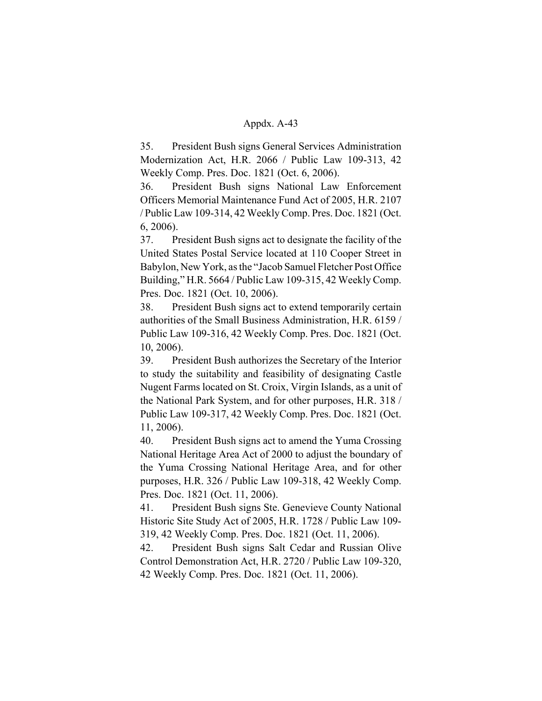35. President Bush signs General Services Administration Modernization Act, H.R. 2066 / Public Law 109-313, 42 Weekly Comp. Pres. Doc. 1821 (Oct. 6, 2006).

36. President Bush signs National Law Enforcement Officers Memorial Maintenance Fund Act of 2005, H.R. 2107 / Public Law 109-314, 42 Weekly Comp. Pres. Doc. 1821 (Oct. 6, 2006).

37. President Bush signs act to designate the facility of the United States Postal Service located at 110 Cooper Street in Babylon, New York, as the "Jacob Samuel Fletcher Post Office Building," H.R. 5664 / Public Law 109-315, 42 Weekly Comp. Pres. Doc. 1821 (Oct. 10, 2006).

38. President Bush signs act to extend temporarily certain authorities of the Small Business Administration, H.R. 6159 / Public Law 109-316, 42 Weekly Comp. Pres. Doc. 1821 (Oct. 10, 2006).

39. President Bush authorizes the Secretary of the Interior to study the suitability and feasibility of designating Castle Nugent Farms located on St. Croix, Virgin Islands, as a unit of the National Park System, and for other purposes, H.R. 318 / Public Law 109-317, 42 Weekly Comp. Pres. Doc. 1821 (Oct. 11, 2006).

40. President Bush signs act to amend the Yuma Crossing National Heritage Area Act of 2000 to adjust the boundary of the Yuma Crossing National Heritage Area, and for other purposes, H.R. 326 / Public Law 109-318, 42 Weekly Comp. Pres. Doc. 1821 (Oct. 11, 2006).

41. President Bush signs Ste. Genevieve County National Historic Site Study Act of 2005, H.R. 1728 / Public Law 109- 319, 42 Weekly Comp. Pres. Doc. 1821 (Oct. 11, 2006).

42. President Bush signs Salt Cedar and Russian Olive Control Demonstration Act, H.R. 2720 / Public Law 109-320, 42 Weekly Comp. Pres. Doc. 1821 (Oct. 11, 2006).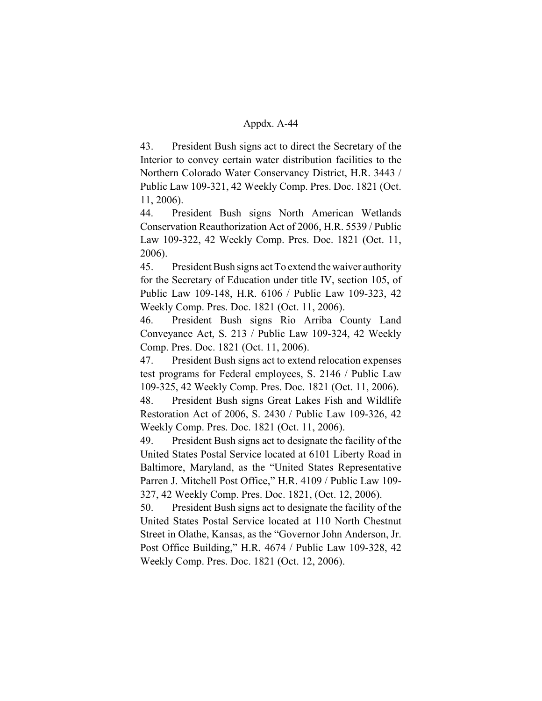43. President Bush signs act to direct the Secretary of the Interior to convey certain water distribution facilities to the Northern Colorado Water Conservancy District, H.R. 3443 / Public Law 109-321, 42 Weekly Comp. Pres. Doc. 1821 (Oct. 11, 2006).

44. President Bush signs North American Wetlands Conservation Reauthorization Act of 2006, H.R. 5539 / Public Law 109-322, 42 Weekly Comp. Pres. Doc. 1821 (Oct. 11, 2006).

45. President Bush signs act To extend the waiver authority for the Secretary of Education under title IV, section 105, of Public Law 109-148, H.R. 6106 / Public Law 109-323, 42 Weekly Comp. Pres. Doc. 1821 (Oct. 11, 2006).

46. President Bush signs Rio Arriba County Land Conveyance Act, S. 213 / Public Law 109-324, 42 Weekly Comp. Pres. Doc. 1821 (Oct. 11, 2006).

47. President Bush signs act to extend relocation expenses test programs for Federal employees, S. 2146 / Public Law 109-325, 42 Weekly Comp. Pres. Doc. 1821 (Oct. 11, 2006).

48. President Bush signs Great Lakes Fish and Wildlife Restoration Act of 2006, S. 2430 / Public Law 109-326, 42 Weekly Comp. Pres. Doc. 1821 (Oct. 11, 2006).

49. President Bush signs act to designate the facility of the United States Postal Service located at 6101 Liberty Road in Baltimore, Maryland, as the "United States Representative Parren J. Mitchell Post Office," H.R. 4109 / Public Law 109- 327, 42 Weekly Comp. Pres. Doc. 1821, (Oct. 12, 2006).

50. President Bush signs act to designate the facility of the United States Postal Service located at 110 North Chestnut Street in Olathe, Kansas, as the "Governor John Anderson, Jr. Post Office Building," H.R. 4674 / Public Law 109-328, 42 Weekly Comp. Pres. Doc. 1821 (Oct. 12, 2006).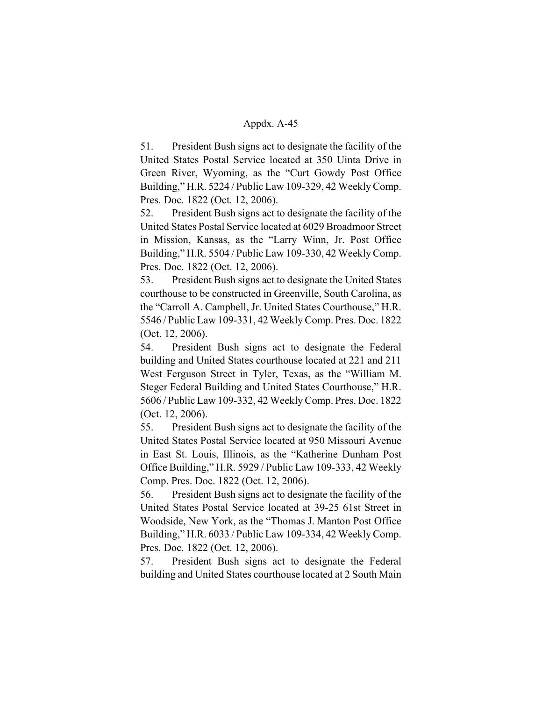51. President Bush signs act to designate the facility of the United States Postal Service located at 350 Uinta Drive in Green River, Wyoming, as the "Curt Gowdy Post Office Building," H.R. 5224 / Public Law 109-329, 42 Weekly Comp. Pres. Doc. 1822 (Oct. 12, 2006).

52. President Bush signs act to designate the facility of the United States Postal Service located at 6029 Broadmoor Street in Mission, Kansas, as the "Larry Winn, Jr. Post Office Building," H.R. 5504 / Public Law 109-330, 42 Weekly Comp. Pres. Doc. 1822 (Oct. 12, 2006).

53. President Bush signs act to designate the United States courthouse to be constructed in Greenville, South Carolina, as the "Carroll A. Campbell, Jr. United States Courthouse," H.R. 5546 / Public Law 109-331, 42 Weekly Comp. Pres. Doc. 1822 (Oct. 12, 2006).

54. President Bush signs act to designate the Federal building and United States courthouse located at 221 and 211 West Ferguson Street in Tyler, Texas, as the "William M. Steger Federal Building and United States Courthouse," H.R. 5606 / Public Law 109-332, 42 Weekly Comp. Pres. Doc. 1822 (Oct. 12, 2006).

55. President Bush signs act to designate the facility of the United States Postal Service located at 950 Missouri Avenue in East St. Louis, Illinois, as the "Katherine Dunham Post Office Building," H.R. 5929 / Public Law 109-333, 42 Weekly Comp. Pres. Doc. 1822 (Oct. 12, 2006).

56. President Bush signs act to designate the facility of the United States Postal Service located at 39-25 61st Street in Woodside, New York, as the "Thomas J. Manton Post Office Building," H.R. 6033 / Public Law 109-334, 42 Weekly Comp. Pres. Doc. 1822 (Oct. 12, 2006).

57. President Bush signs act to designate the Federal building and United States courthouse located at 2 South Main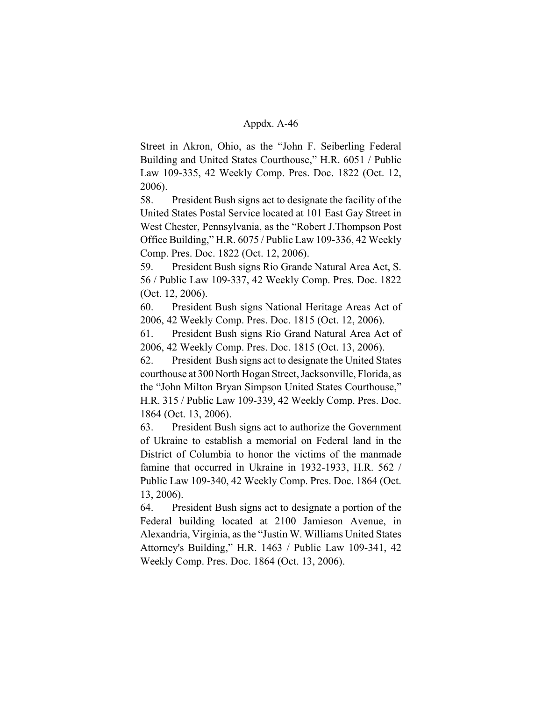Street in Akron, Ohio, as the "John F. Seiberling Federal Building and United States Courthouse," H.R. 6051 / Public Law 109-335, 42 Weekly Comp. Pres. Doc. 1822 (Oct. 12, 2006).

58. President Bush signs act to designate the facility of the United States Postal Service located at 101 East Gay Street in West Chester, Pennsylvania, as the "Robert J.Thompson Post Office Building," H.R. 6075 / Public Law 109-336, 42 Weekly Comp. Pres. Doc. 1822 (Oct. 12, 2006).

59. President Bush signs Rio Grande Natural Area Act, S. 56 / Public Law 109-337, 42 Weekly Comp. Pres. Doc. 1822 (Oct. 12, 2006).

60. President Bush signs National Heritage Areas Act of 2006, 42 Weekly Comp. Pres. Doc. 1815 (Oct. 12, 2006).

61. President Bush signs Rio Grand Natural Area Act of 2006, 42 Weekly Comp. Pres. Doc. 1815 (Oct. 13, 2006).

62. President Bush signs act to designate the United States courthouse at 300 North Hogan Street, Jacksonville, Florida, as the "John Milton Bryan Simpson United States Courthouse," H.R. 315 / Public Law 109-339, 42 Weekly Comp. Pres. Doc. 1864 (Oct. 13, 2006).

63. President Bush signs act to authorize the Government of Ukraine to establish a memorial on Federal land in the District of Columbia to honor the victims of the manmade famine that occurred in Ukraine in 1932-1933, H.R. 562 / Public Law 109-340, 42 Weekly Comp. Pres. Doc. 1864 (Oct. 13, 2006).

64. President Bush signs act to designate a portion of the Federal building located at 2100 Jamieson Avenue, in Alexandria, Virginia, as the "Justin W. Williams United States Attorney's Building," H.R. 1463 / Public Law 109-341, 42 Weekly Comp. Pres. Doc. 1864 (Oct. 13, 2006).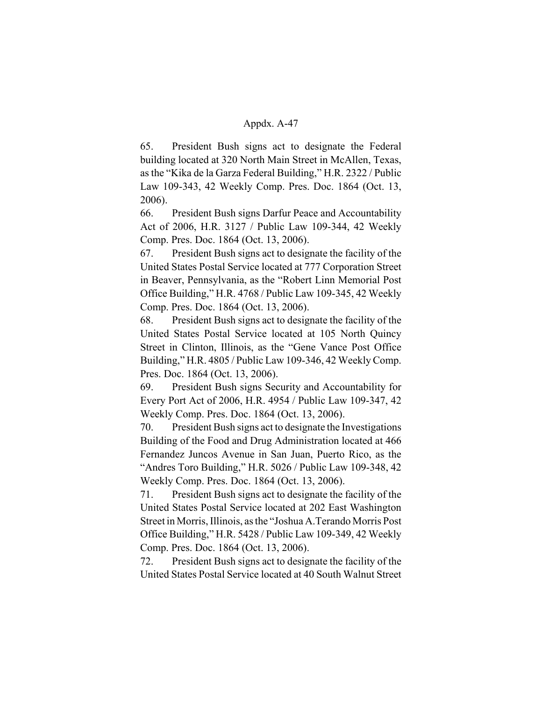65. President Bush signs act to designate the Federal building located at 320 North Main Street in McAllen, Texas, as the "Kika de la Garza Federal Building," H.R. 2322 / Public Law 109-343, 42 Weekly Comp. Pres. Doc. 1864 (Oct. 13, 2006).

66. President Bush signs Darfur Peace and Accountability Act of 2006, H.R. 3127 / Public Law 109-344, 42 Weekly Comp. Pres. Doc. 1864 (Oct. 13, 2006).

67. President Bush signs act to designate the facility of the United States Postal Service located at 777 Corporation Street in Beaver, Pennsylvania, as the "Robert Linn Memorial Post Office Building," H.R. 4768 / Public Law 109-345, 42 Weekly Comp. Pres. Doc. 1864 (Oct. 13, 2006).

68. President Bush signs act to designate the facility of the United States Postal Service located at 105 North Quincy Street in Clinton, Illinois, as the "Gene Vance Post Office Building," H.R. 4805 / Public Law 109-346, 42 Weekly Comp. Pres. Doc. 1864 (Oct. 13, 2006).

69. President Bush signs Security and Accountability for Every Port Act of 2006, H.R. 4954 / Public Law 109-347, 42 Weekly Comp. Pres. Doc. 1864 (Oct. 13, 2006).

70. President Bush signs act to designate the Investigations Building of the Food and Drug Administration located at 466 Fernandez Juncos Avenue in San Juan, Puerto Rico, as the "Andres Toro Building," H.R. 5026 / Public Law 109-348, 42 Weekly Comp. Pres. Doc. 1864 (Oct. 13, 2006).

71. President Bush signs act to designate the facility of the United States Postal Service located at 202 East Washington Street in Morris, Illinois, as the "Joshua A.Terando Morris Post Office Building," H.R. 5428 / Public Law 109-349, 42 Weekly Comp. Pres. Doc. 1864 (Oct. 13, 2006).

72. President Bush signs act to designate the facility of the United States Postal Service located at 40 South Walnut Street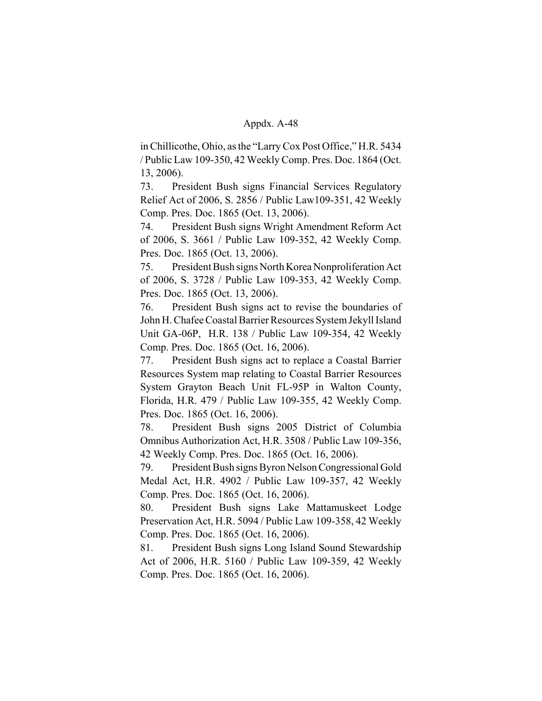in Chillicothe, Ohio, as the "Larry Cox Post Office," H.R. 5434 / Public Law 109-350, 42 Weekly Comp. Pres. Doc. 1864 (Oct. 13, 2006).

73. President Bush signs Financial Services Regulatory Relief Act of 2006, S. 2856 / Public Law109-351, 42 Weekly Comp. Pres. Doc. 1865 (Oct. 13, 2006).

74. President Bush signs Wright Amendment Reform Act of 2006, S. 3661 / Public Law 109-352, 42 Weekly Comp. Pres. Doc. 1865 (Oct. 13, 2006).

75. President Bush signs North Korea Nonproliferation Act of 2006, S. 3728 / Public Law 109-353, 42 Weekly Comp. Pres. Doc. 1865 (Oct. 13, 2006).

76. President Bush signs act to revise the boundaries of John H. Chafee Coastal Barrier Resources System Jekyll Island Unit GA-06P, H.R. 138 / Public Law 109-354, 42 Weekly Comp. Pres. Doc. 1865 (Oct. 16, 2006).

77. President Bush signs act to replace a Coastal Barrier Resources System map relating to Coastal Barrier Resources System Grayton Beach Unit FL-95P in Walton County, Florida, H.R. 479 / Public Law 109-355, 42 Weekly Comp. Pres. Doc. 1865 (Oct. 16, 2006).

78. President Bush signs 2005 District of Columbia Omnibus Authorization Act, H.R. 3508 / Public Law 109-356, 42 Weekly Comp. Pres. Doc. 1865 (Oct. 16, 2006).

79. President Bush signs Byron Nelson Congressional Gold Medal Act, H.R. 4902 / Public Law 109-357, 42 Weekly Comp. Pres. Doc. 1865 (Oct. 16, 2006).

80. President Bush signs Lake Mattamuskeet Lodge Preservation Act, H.R. 5094 / Public Law 109-358, 42 Weekly Comp. Pres. Doc. 1865 (Oct. 16, 2006).

81. President Bush signs Long Island Sound Stewardship Act of 2006, H.R. 5160 / Public Law 109-359, 42 Weekly Comp. Pres. Doc. 1865 (Oct. 16, 2006).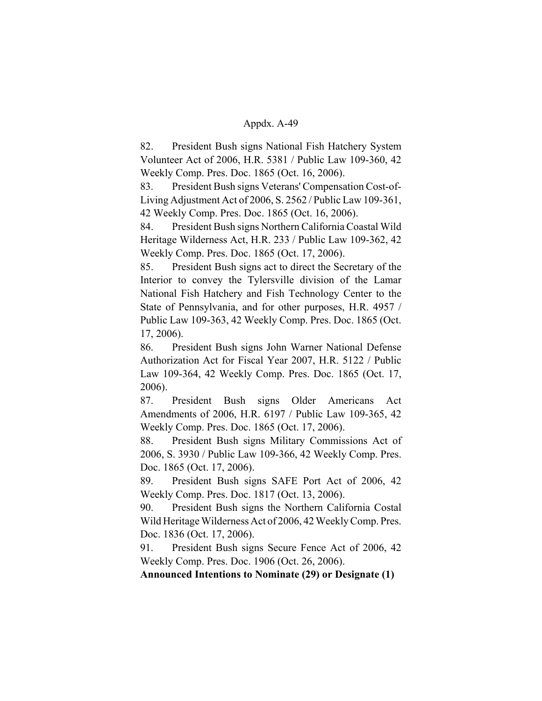82. President Bush signs National Fish Hatchery System Volunteer Act of 2006, H.R. 5381 / Public Law 109-360, 42 Weekly Comp. Pres. Doc. 1865 (Oct. 16, 2006).

83. President Bush signs Veterans' Compensation Cost-of-Living Adjustment Act of 2006, S. 2562 / Public Law 109-361, 42 Weekly Comp. Pres. Doc. 1865 (Oct. 16, 2006).

84. President Bush signs Northern California Coastal Wild Heritage Wilderness Act, H.R. 233 / Public Law 109-362, 42 Weekly Comp. Pres. Doc. 1865 (Oct. 17, 2006).

85. President Bush signs act to direct the Secretary of the Interior to convey the Tylersville division of the Lamar National Fish Hatchery and Fish Technology Center to the State of Pennsylvania, and for other purposes, H.R. 4957 / Public Law 109-363, 42 Weekly Comp. Pres. Doc. 1865 (Oct. 17, 2006).

86. President Bush signs John Warner National Defense Authorization Act for Fiscal Year 2007, H.R. 5122 / Public Law 109-364, 42 Weekly Comp. Pres. Doc. 1865 (Oct. 17, 2006).

87. President Bush signs Older Americans Act Amendments of 2006, H.R. 6197 / Public Law 109-365, 42 Weekly Comp. Pres. Doc. 1865 (Oct. 17, 2006).

88. President Bush signs Military Commissions Act of 2006, S. 3930 / Public Law 109-366, 42 Weekly Comp. Pres. Doc. 1865 (Oct. 17, 2006).

89. President Bush signs SAFE Port Act of 2006, 42 Weekly Comp. Pres. Doc. 1817 (Oct. 13, 2006).

90. President Bush signs the Northern California Costal Wild Heritage Wilderness Act of 2006, 42 Weekly Comp. Pres. Doc. 1836 (Oct. 17, 2006).

91. President Bush signs Secure Fence Act of 2006, 42 Weekly Comp. Pres. Doc. 1906 (Oct. 26, 2006).

**Announced Intentions to Nominate (29) or Designate (1)**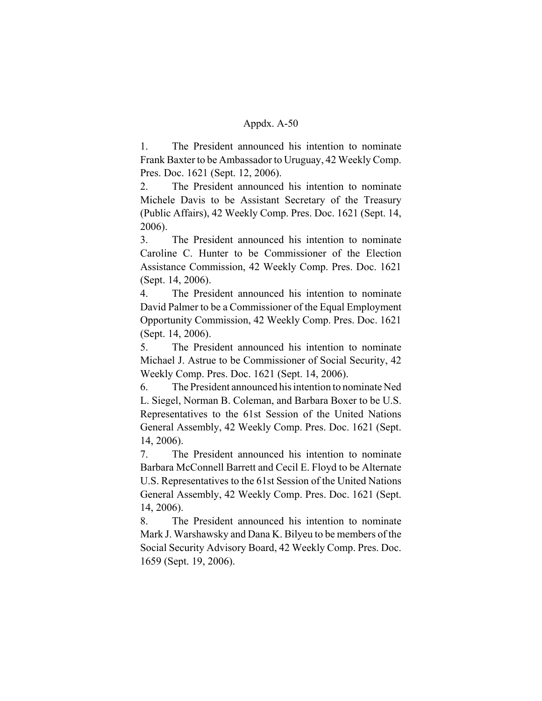1. The President announced his intention to nominate Frank Baxter to be Ambassador to Uruguay, 42 Weekly Comp. Pres. Doc. 1621 (Sept. 12, 2006).

2. The President announced his intention to nominate Michele Davis to be Assistant Secretary of the Treasury (Public Affairs), 42 Weekly Comp. Pres. Doc. 1621 (Sept. 14, 2006).

3. The President announced his intention to nominate Caroline C. Hunter to be Commissioner of the Election Assistance Commission, 42 Weekly Comp. Pres. Doc. 1621 (Sept. 14, 2006).

4. The President announced his intention to nominate David Palmer to be a Commissioner of the Equal Employment Opportunity Commission, 42 Weekly Comp. Pres. Doc. 1621 (Sept. 14, 2006).

5. The President announced his intention to nominate Michael J. Astrue to be Commissioner of Social Security, 42 Weekly Comp. Pres. Doc. 1621 (Sept. 14, 2006).

6. The President announced his intention to nominate Ned L. Siegel, Norman B. Coleman, and Barbara Boxer to be U.S. Representatives to the 61st Session of the United Nations General Assembly, 42 Weekly Comp. Pres. Doc. 1621 (Sept. 14, 2006).

7. The President announced his intention to nominate Barbara McConnell Barrett and Cecil E. Floyd to be Alternate U.S. Representatives to the 61st Session of the United Nations General Assembly, 42 Weekly Comp. Pres. Doc. 1621 (Sept. 14, 2006).

8. The President announced his intention to nominate Mark J. Warshawsky and Dana K. Bilyeu to be members of the Social Security Advisory Board, 42 Weekly Comp. Pres. Doc. 1659 (Sept. 19, 2006).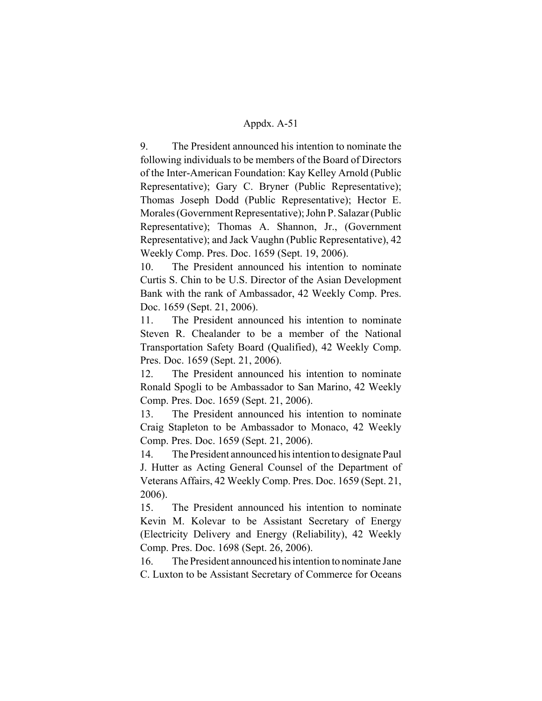9. The President announced his intention to nominate the following individuals to be members of the Board of Directors of the Inter-American Foundation: Kay Kelley Arnold (Public Representative); Gary C. Bryner (Public Representative); Thomas Joseph Dodd (Public Representative); Hector E. Morales (Government Representative); John P. Salazar (Public Representative); Thomas A. Shannon, Jr., (Government Representative); and Jack Vaughn (Public Representative), 42 Weekly Comp. Pres. Doc. 1659 (Sept. 19, 2006).

10. The President announced his intention to nominate Curtis S. Chin to be U.S. Director of the Asian Development Bank with the rank of Ambassador, 42 Weekly Comp. Pres. Doc. 1659 (Sept. 21, 2006).

11. The President announced his intention to nominate Steven R. Chealander to be a member of the National Transportation Safety Board (Qualified), 42 Weekly Comp. Pres. Doc. 1659 (Sept. 21, 2006).

12. The President announced his intention to nominate Ronald Spogli to be Ambassador to San Marino, 42 Weekly Comp. Pres. Doc. 1659 (Sept. 21, 2006).

13. The President announced his intention to nominate Craig Stapleton to be Ambassador to Monaco, 42 Weekly Comp. Pres. Doc. 1659 (Sept. 21, 2006).

14. The President announced his intention to designate Paul J. Hutter as Acting General Counsel of the Department of Veterans Affairs, 42 Weekly Comp. Pres. Doc. 1659 (Sept. 21, 2006).

15. The President announced his intention to nominate Kevin M. Kolevar to be Assistant Secretary of Energy (Electricity Delivery and Energy (Reliability), 42 Weekly Comp. Pres. Doc. 1698 (Sept. 26, 2006).

16. The President announced his intention to nominate Jane C. Luxton to be Assistant Secretary of Commerce for Oceans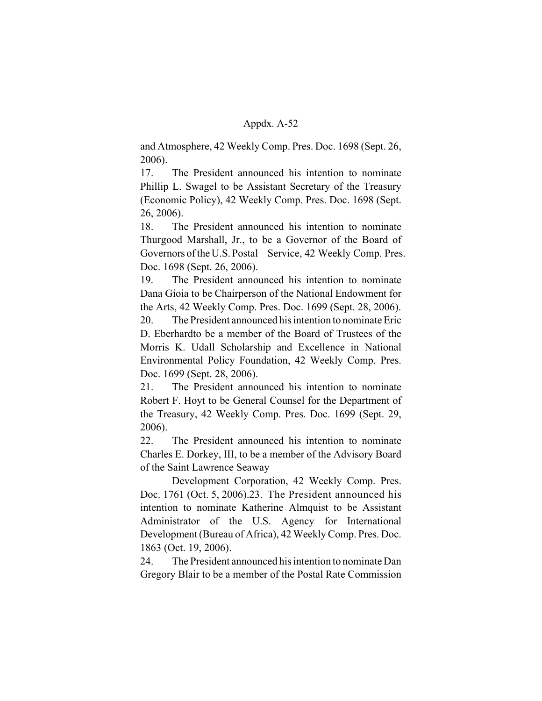and Atmosphere, 42 Weekly Comp. Pres. Doc. 1698 (Sept. 26, 2006).

17. The President announced his intention to nominate Phillip L. Swagel to be Assistant Secretary of the Treasury (Economic Policy), 42 Weekly Comp. Pres. Doc. 1698 (Sept. 26, 2006).

18. The President announced his intention to nominate Thurgood Marshall, Jr., to be a Governor of the Board of Governors of the U.S. Postal Service, 42 Weekly Comp. Pres. Doc. 1698 (Sept. 26, 2006).

19. The President announced his intention to nominate Dana Gioia to be Chairperson of the National Endowment for the Arts, 42 Weekly Comp. Pres. Doc. 1699 (Sept. 28, 2006).

20. The President announced his intention to nominate Eric D. Eberhardto be a member of the Board of Trustees of the Morris K. Udall Scholarship and Excellence in National Environmental Policy Foundation, 42 Weekly Comp. Pres. Doc. 1699 (Sept. 28, 2006).

21. The President announced his intention to nominate Robert F. Hoyt to be General Counsel for the Department of the Treasury, 42 Weekly Comp. Pres. Doc. 1699 (Sept. 29, 2006).

22. The President announced his intention to nominate Charles E. Dorkey, III, to be a member of the Advisory Board of the Saint Lawrence Seaway

Development Corporation, 42 Weekly Comp. Pres. Doc. 1761 (Oct. 5, 2006).23. The President announced his intention to nominate Katherine Almquist to be Assistant Administrator of the U.S. Agency for International Development (Bureau of Africa), 42 Weekly Comp. Pres. Doc. 1863 (Oct. 19, 2006).

24. The President announced his intention to nominate Dan Gregory Blair to be a member of the Postal Rate Commission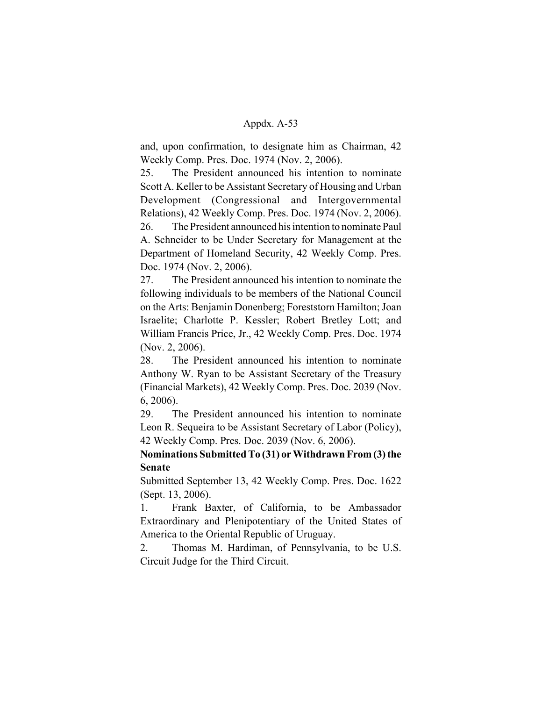and, upon confirmation, to designate him as Chairman, 42 Weekly Comp. Pres. Doc. 1974 (Nov. 2, 2006).

25. The President announced his intention to nominate Scott A. Keller to be Assistant Secretary of Housing and Urban Development (Congressional and Intergovernmental Relations), 42 Weekly Comp. Pres. Doc. 1974 (Nov. 2, 2006). 26. The President announced his intention to nominate Paul A. Schneider to be Under Secretary for Management at the Department of Homeland Security, 42 Weekly Comp. Pres. Doc. 1974 (Nov. 2, 2006).

27. The President announced his intention to nominate the following individuals to be members of the National Council on the Arts: Benjamin Donenberg; Foreststorn Hamilton; Joan Israelite; Charlotte P. Kessler; Robert Bretley Lott; and William Francis Price, Jr., 42 Weekly Comp. Pres. Doc. 1974 (Nov. 2, 2006).

28. The President announced his intention to nominate Anthony W. Ryan to be Assistant Secretary of the Treasury (Financial Markets), 42 Weekly Comp. Pres. Doc. 2039 (Nov. 6, 2006).

29. The President announced his intention to nominate Leon R. Sequeira to be Assistant Secretary of Labor (Policy), 42 Weekly Comp. Pres. Doc. 2039 (Nov. 6, 2006).

**Nominations Submitted To (31) or Withdrawn From (3) the Senate**

Submitted September 13, 42 Weekly Comp. Pres. Doc. 1622 (Sept. 13, 2006).

1. Frank Baxter, of California, to be Ambassador Extraordinary and Plenipotentiary of the United States of America to the Oriental Republic of Uruguay.

2. Thomas M. Hardiman, of Pennsylvania, to be U.S. Circuit Judge for the Third Circuit.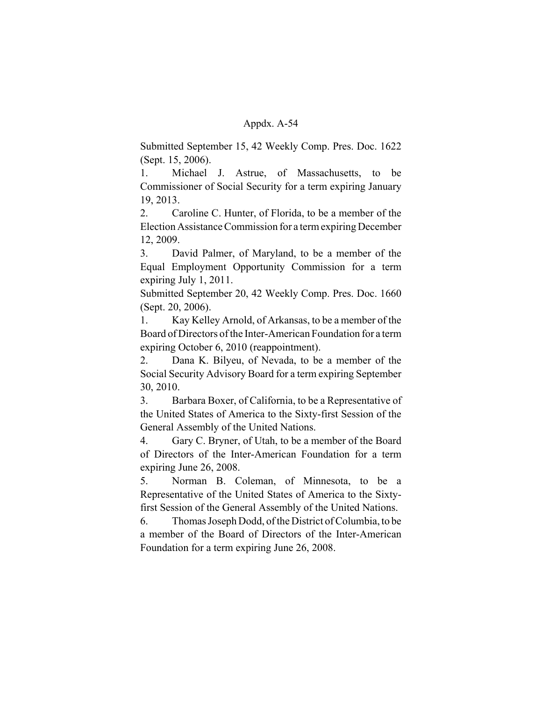Submitted September 15, 42 Weekly Comp. Pres. Doc. 1622 (Sept. 15, 2006).

1. Michael J. Astrue, of Massachusetts, to be Commissioner of Social Security for a term expiring January 19, 2013.

2. Caroline C. Hunter, of Florida, to be a member of the Election Assistance Commission for a term expiring December 12, 2009.

3. David Palmer, of Maryland, to be a member of the Equal Employment Opportunity Commission for a term expiring July 1, 2011.

Submitted September 20, 42 Weekly Comp. Pres. Doc. 1660 (Sept. 20, 2006).

1. Kay Kelley Arnold, of Arkansas, to be a member of the Board of Directors of the Inter-American Foundation for a term expiring October 6, 2010 (reappointment).

2. Dana K. Bilyeu, of Nevada, to be a member of the Social Security Advisory Board for a term expiring September 30, 2010.

3. Barbara Boxer, of California, to be a Representative of the United States of America to the Sixty-first Session of the General Assembly of the United Nations.

4. Gary C. Bryner, of Utah, to be a member of the Board of Directors of the Inter-American Foundation for a term expiring June 26, 2008.

5. Norman B. Coleman, of Minnesota, to be a Representative of the United States of America to the Sixtyfirst Session of the General Assembly of the United Nations.

6. Thomas Joseph Dodd, of the District of Columbia, to be a member of the Board of Directors of the Inter-American Foundation for a term expiring June 26, 2008.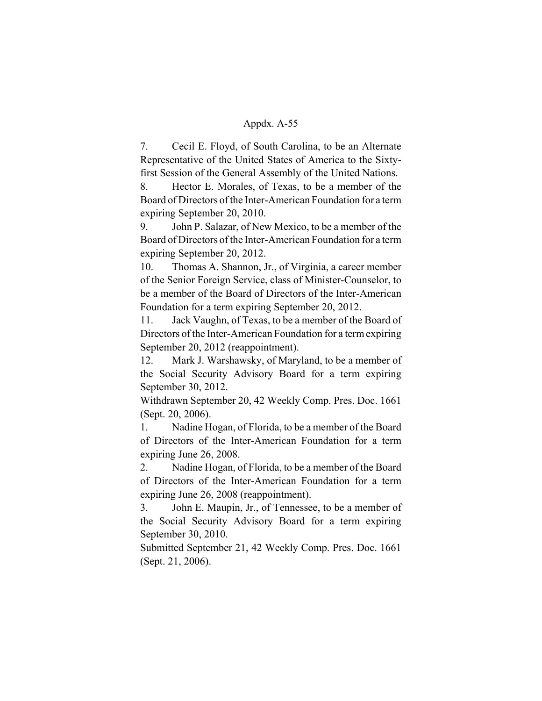7. Cecil E. Floyd, of South Carolina, to be an Alternate Representative of the United States of America to the Sixtyfirst Session of the General Assembly of the United Nations.

8. Hector E. Morales, of Texas, to be a member of the Board of Directors of the Inter-American Foundation for a term expiring September 20, 2010.

9. John P. Salazar, of New Mexico, to be a member of the Board of Directors of the Inter-American Foundation for a term expiring September 20, 2012.

10. Thomas A. Shannon, Jr., of Virginia, a career member of the Senior Foreign Service, class of Minister-Counselor, to be a member of the Board of Directors of the Inter-American Foundation for a term expiring September 20, 2012.

11. Jack Vaughn, of Texas, to be a member of the Board of Directors of the Inter-American Foundation for a term expiring September 20, 2012 (reappointment).

12. Mark J. Warshawsky, of Maryland, to be a member of the Social Security Advisory Board for a term expiring September 30, 2012.

Withdrawn September 20, 42 Weekly Comp. Pres. Doc. 1661 (Sept. 20, 2006).

1. Nadine Hogan, of Florida, to be a member of the Board of Directors of the Inter-American Foundation for a term expiring June 26, 2008.

2. Nadine Hogan, of Florida, to be a member of the Board of Directors of the Inter-American Foundation for a term expiring June 26, 2008 (reappointment).

3. John E. Maupin, Jr., of Tennessee, to be a member of the Social Security Advisory Board for a term expiring September 30, 2010.

Submitted September 21, 42 Weekly Comp. Pres. Doc. 1661 (Sept. 21, 2006).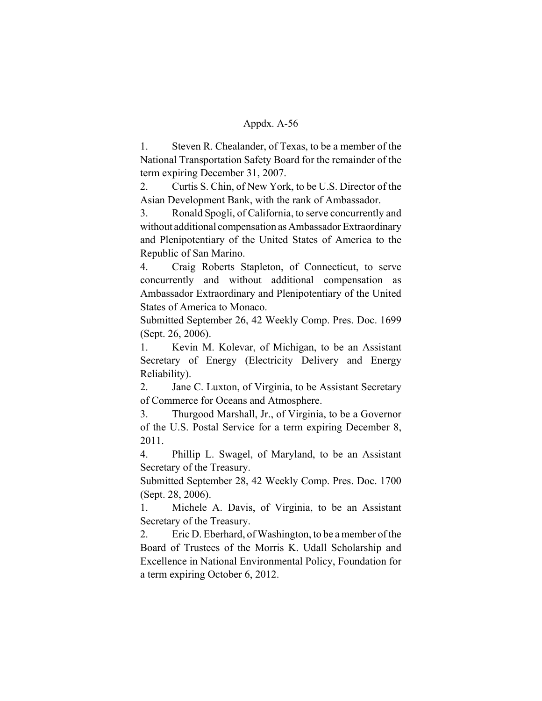1. Steven R. Chealander, of Texas, to be a member of the National Transportation Safety Board for the remainder of the term expiring December 31, 2007.

2. Curtis S. Chin, of New York, to be U.S. Director of the Asian Development Bank, with the rank of Ambassador.

3. Ronald Spogli, of California, to serve concurrently and without additional compensation as Ambassador Extraordinary and Plenipotentiary of the United States of America to the Republic of San Marino.

4. Craig Roberts Stapleton, of Connecticut, to serve concurrently and without additional compensation as Ambassador Extraordinary and Plenipotentiary of the United States of America to Monaco.

Submitted September 26, 42 Weekly Comp. Pres. Doc. 1699 (Sept. 26, 2006).

1. Kevin M. Kolevar, of Michigan, to be an Assistant Secretary of Energy (Electricity Delivery and Energy Reliability).

2. Jane C. Luxton, of Virginia, to be Assistant Secretary of Commerce for Oceans and Atmosphere.

3. Thurgood Marshall, Jr., of Virginia, to be a Governor of the U.S. Postal Service for a term expiring December 8, 2011.

4. Phillip L. Swagel, of Maryland, to be an Assistant Secretary of the Treasury.

Submitted September 28, 42 Weekly Comp. Pres. Doc. 1700 (Sept. 28, 2006).

1. Michele A. Davis, of Virginia, to be an Assistant Secretary of the Treasury.

2. Eric D. Eberhard, of Washington, to be a member of the Board of Trustees of the Morris K. Udall Scholarship and Excellence in National Environmental Policy, Foundation for a term expiring October 6, 2012.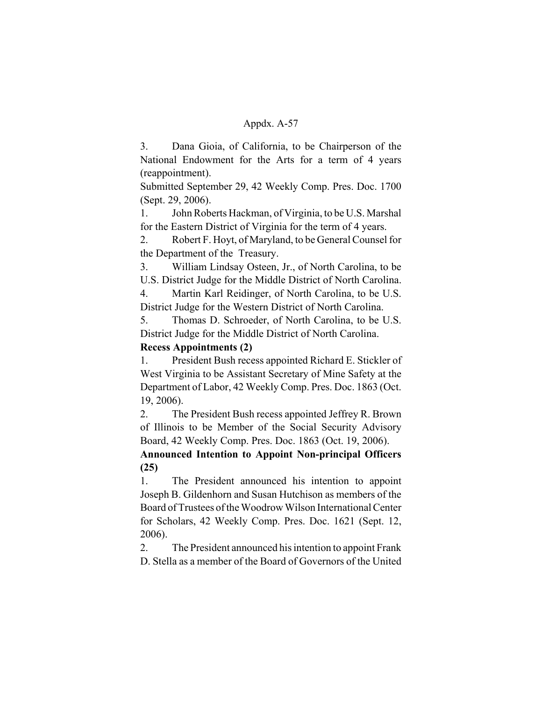3. Dana Gioia, of California, to be Chairperson of the National Endowment for the Arts for a term of 4 years (reappointment).

Submitted September 29, 42 Weekly Comp. Pres. Doc. 1700 (Sept. 29, 2006).

1. John Roberts Hackman, of Virginia, to be U.S. Marshal for the Eastern District of Virginia for the term of 4 years.

2. Robert F. Hoyt, of Maryland, to be General Counsel for the Department of the Treasury.

3. William Lindsay Osteen, Jr., of North Carolina, to be U.S. District Judge for the Middle District of North Carolina.

4. Martin Karl Reidinger, of North Carolina, to be U.S. District Judge for the Western District of North Carolina.

5. Thomas D. Schroeder, of North Carolina, to be U.S. District Judge for the Middle District of North Carolina.

# **Recess Appointments (2)**

1. President Bush recess appointed Richard E. Stickler of West Virginia to be Assistant Secretary of Mine Safety at the Department of Labor, 42 Weekly Comp. Pres. Doc. 1863 (Oct. 19, 2006).

2. The President Bush recess appointed Jeffrey R. Brown of Illinois to be Member of the Social Security Advisory Board, 42 Weekly Comp. Pres. Doc. 1863 (Oct. 19, 2006).

**Announced Intention to Appoint Non-principal Officers (25)**

1. The President announced his intention to appoint Joseph B. Gildenhorn and Susan Hutchison as members of the Board of Trustees of the Woodrow Wilson International Center for Scholars, 42 Weekly Comp. Pres. Doc. 1621 (Sept. 12, 2006).

2. The President announced his intention to appoint Frank D. Stella as a member of the Board of Governors of the United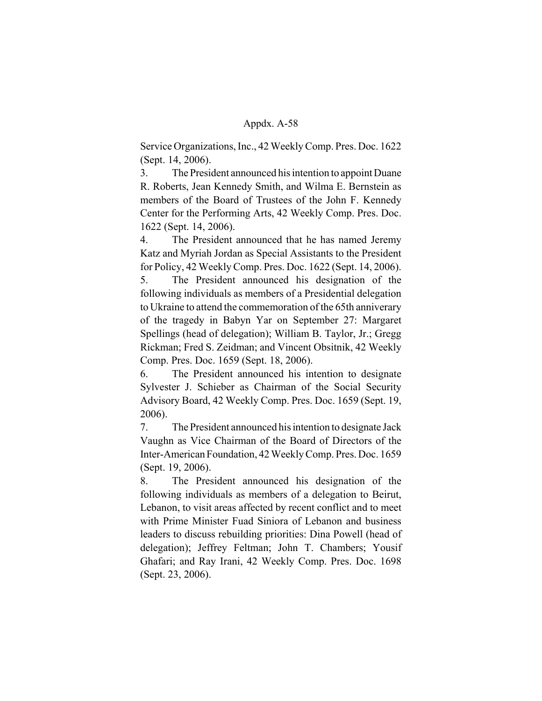Service Organizations, Inc., 42 Weekly Comp. Pres. Doc. 1622 (Sept. 14, 2006).

3. The President announced his intention to appoint Duane R. Roberts, Jean Kennedy Smith, and Wilma E. Bernstein as members of the Board of Trustees of the John F. Kennedy Center for the Performing Arts, 42 Weekly Comp. Pres. Doc. 1622 (Sept. 14, 2006).

4. The President announced that he has named Jeremy Katz and Myriah Jordan as Special Assistants to the President for Policy, 42 Weekly Comp. Pres. Doc. 1622 (Sept. 14, 2006). 5. The President announced his designation of the following individuals as members of a Presidential delegation to Ukraine to attend the commemoration of the 65th anniverary of the tragedy in Babyn Yar on September 27: Margaret Spellings (head of delegation); William B. Taylor, Jr.; Gregg Rickman; Fred S. Zeidman; and Vincent Obsitnik, 42 Weekly Comp. Pres. Doc. 1659 (Sept. 18, 2006).

6. The President announced his intention to designate Sylvester J. Schieber as Chairman of the Social Security Advisory Board, 42 Weekly Comp. Pres. Doc. 1659 (Sept. 19, 2006).

7. The President announced his intention to designate Jack Vaughn as Vice Chairman of the Board of Directors of the Inter-American Foundation, 42 Weekly Comp. Pres. Doc. 1659 (Sept. 19, 2006).

8. The President announced his designation of the following individuals as members of a delegation to Beirut, Lebanon, to visit areas affected by recent conflict and to meet with Prime Minister Fuad Siniora of Lebanon and business leaders to discuss rebuilding priorities: Dina Powell (head of delegation); Jeffrey Feltman; John T. Chambers; Yousif Ghafari; and Ray Irani, 42 Weekly Comp. Pres. Doc. 1698 (Sept. 23, 2006).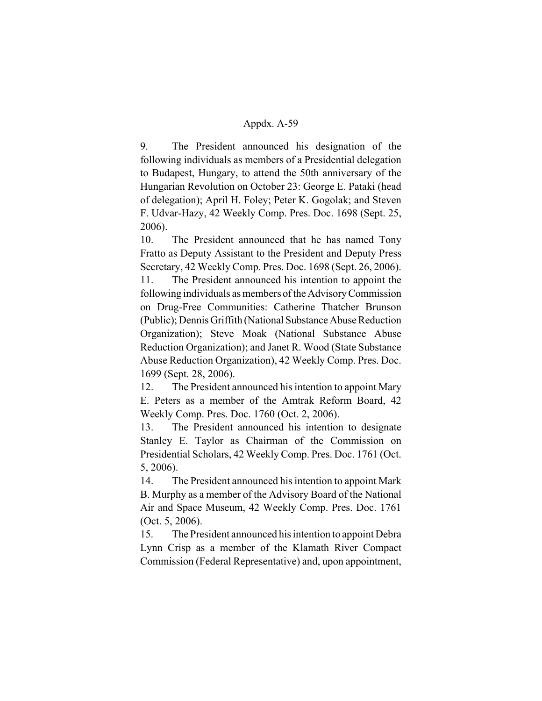9. The President announced his designation of the following individuals as members of a Presidential delegation to Budapest, Hungary, to attend the 50th anniversary of the Hungarian Revolution on October 23: George E. Pataki (head of delegation); April H. Foley; Peter K. Gogolak; and Steven F. Udvar-Hazy, 42 Weekly Comp. Pres. Doc. 1698 (Sept. 25, 2006).

10. The President announced that he has named Tony Fratto as Deputy Assistant to the President and Deputy Press Secretary, 42 Weekly Comp. Pres. Doc. 1698 (Sept. 26, 2006). 11. The President announced his intention to appoint the following individuals as members of the Advisory Commission on Drug-Free Communities: Catherine Thatcher Brunson (Public); Dennis Griffith (National Substance Abuse Reduction Organization); Steve Moak (National Substance Abuse Reduction Organization); and Janet R. Wood (State Substance Abuse Reduction Organization), 42 Weekly Comp. Pres. Doc. 1699 (Sept. 28, 2006).

12. The President announced his intention to appoint Mary E. Peters as a member of the Amtrak Reform Board, 42 Weekly Comp. Pres. Doc. 1760 (Oct. 2, 2006).

13. The President announced his intention to designate Stanley E. Taylor as Chairman of the Commission on Presidential Scholars, 42 Weekly Comp. Pres. Doc. 1761 (Oct. 5, 2006).

14. The President announced his intention to appoint Mark B. Murphy as a member of the Advisory Board of the National Air and Space Museum, 42 Weekly Comp. Pres. Doc. 1761 (Oct. 5, 2006).

15. The President announced his intention to appoint Debra Lynn Crisp as a member of the Klamath River Compact Commission (Federal Representative) and, upon appointment,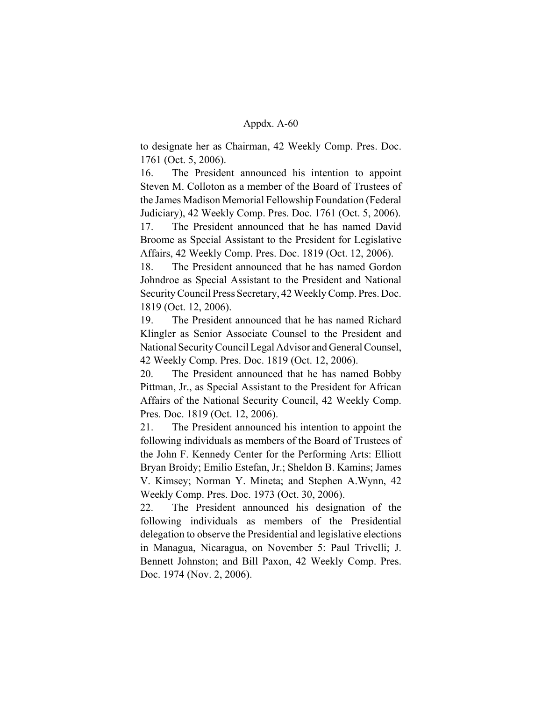to designate her as Chairman, 42 Weekly Comp. Pres. Doc. 1761 (Oct. 5, 2006).

16. The President announced his intention to appoint Steven M. Colloton as a member of the Board of Trustees of the James Madison Memorial Fellowship Foundation (Federal Judiciary), 42 Weekly Comp. Pres. Doc. 1761 (Oct. 5, 2006).

17. The President announced that he has named David Broome as Special Assistant to the President for Legislative Affairs, 42 Weekly Comp. Pres. Doc. 1819 (Oct. 12, 2006).

18. The President announced that he has named Gordon Johndroe as Special Assistant to the President and National Security Council Press Secretary, 42 Weekly Comp. Pres. Doc. 1819 (Oct. 12, 2006).

19. The President announced that he has named Richard Klingler as Senior Associate Counsel to the President and National Security Council Legal Advisor and General Counsel, 42 Weekly Comp. Pres. Doc. 1819 (Oct. 12, 2006).

20. The President announced that he has named Bobby Pittman, Jr., as Special Assistant to the President for African Affairs of the National Security Council, 42 Weekly Comp. Pres. Doc. 1819 (Oct. 12, 2006).

21. The President announced his intention to appoint the following individuals as members of the Board of Trustees of the John F. Kennedy Center for the Performing Arts: Elliott Bryan Broidy; Emilio Estefan, Jr.; Sheldon B. Kamins; James V. Kimsey; Norman Y. Mineta; and Stephen A.Wynn, 42 Weekly Comp. Pres. Doc. 1973 (Oct. 30, 2006).

22. The President announced his designation of the following individuals as members of the Presidential delegation to observe the Presidential and legislative elections in Managua, Nicaragua, on November 5: Paul Trivelli; J. Bennett Johnston; and Bill Paxon, 42 Weekly Comp. Pres. Doc. 1974 (Nov. 2, 2006).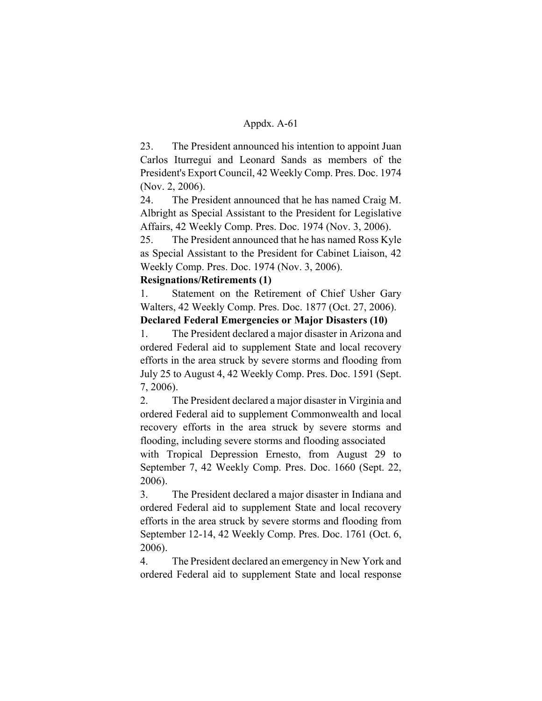23. The President announced his intention to appoint Juan Carlos Iturregui and Leonard Sands as members of the President's Export Council, 42 Weekly Comp. Pres. Doc. 1974 (Nov. 2, 2006).

24. The President announced that he has named Craig M. Albright as Special Assistant to the President for Legislative Affairs, 42 Weekly Comp. Pres. Doc. 1974 (Nov. 3, 2006).

25. The President announced that he has named Ross Kyle as Special Assistant to the President for Cabinet Liaison, 42 Weekly Comp. Pres. Doc. 1974 (Nov. 3, 2006).

# **Resignations/Retirements (1)**

1. Statement on the Retirement of Chief Usher Gary Walters, 42 Weekly Comp. Pres. Doc. 1877 (Oct. 27, 2006).

# **Declared Federal Emergencies or Major Disasters (10)**

1. The President declared a major disaster in Arizona and ordered Federal aid to supplement State and local recovery efforts in the area struck by severe storms and flooding from July 25 to August 4, 42 Weekly Comp. Pres. Doc. 1591 (Sept. 7, 2006).

2. The President declared a major disaster in Virginia and ordered Federal aid to supplement Commonwealth and local recovery efforts in the area struck by severe storms and flooding, including severe storms and flooding associated

with Tropical Depression Ernesto, from August 29 to September 7, 42 Weekly Comp. Pres. Doc. 1660 (Sept. 22, 2006).

3. The President declared a major disaster in Indiana and ordered Federal aid to supplement State and local recovery efforts in the area struck by severe storms and flooding from September 12-14, 42 Weekly Comp. Pres. Doc. 1761 (Oct. 6, 2006).

4. The President declared an emergency in New York and ordered Federal aid to supplement State and local response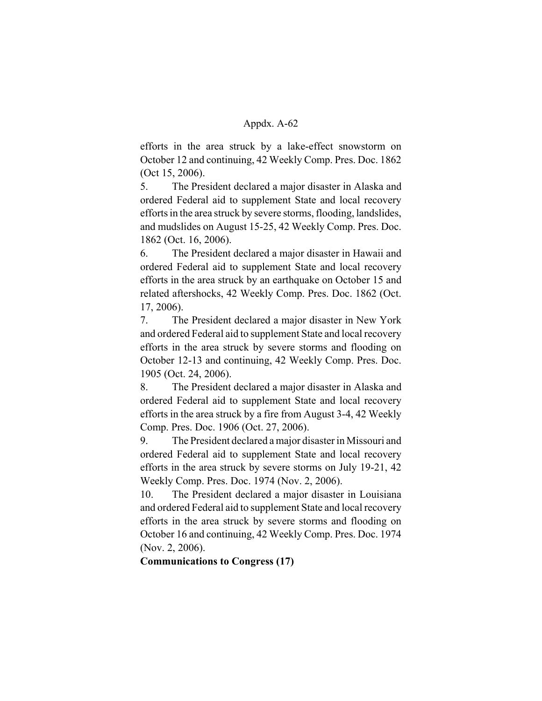efforts in the area struck by a lake-effect snowstorm on October 12 and continuing, 42 Weekly Comp. Pres. Doc. 1862 (Oct 15, 2006).

5. The President declared a major disaster in Alaska and ordered Federal aid to supplement State and local recovery efforts in the area struck by severe storms, flooding, landslides, and mudslides on August 15-25, 42 Weekly Comp. Pres. Doc. 1862 (Oct. 16, 2006).

6. The President declared a major disaster in Hawaii and ordered Federal aid to supplement State and local recovery efforts in the area struck by an earthquake on October 15 and related aftershocks, 42 Weekly Comp. Pres. Doc. 1862 (Oct. 17, 2006).

7. The President declared a major disaster in New York and ordered Federal aid to supplement State and local recovery efforts in the area struck by severe storms and flooding on October 12-13 and continuing, 42 Weekly Comp. Pres. Doc. 1905 (Oct. 24, 2006).

8. The President declared a major disaster in Alaska and ordered Federal aid to supplement State and local recovery efforts in the area struck by a fire from August 3-4, 42 Weekly Comp. Pres. Doc. 1906 (Oct. 27, 2006).

9. The President declared a major disaster in Missouri and ordered Federal aid to supplement State and local recovery efforts in the area struck by severe storms on July 19-21, 42 Weekly Comp. Pres. Doc. 1974 (Nov. 2, 2006).

10. The President declared a major disaster in Louisiana and ordered Federal aid to supplement State and local recovery efforts in the area struck by severe storms and flooding on October 16 and continuing, 42 Weekly Comp. Pres. Doc. 1974 (Nov. 2, 2006).

**Communications to Congress (17)**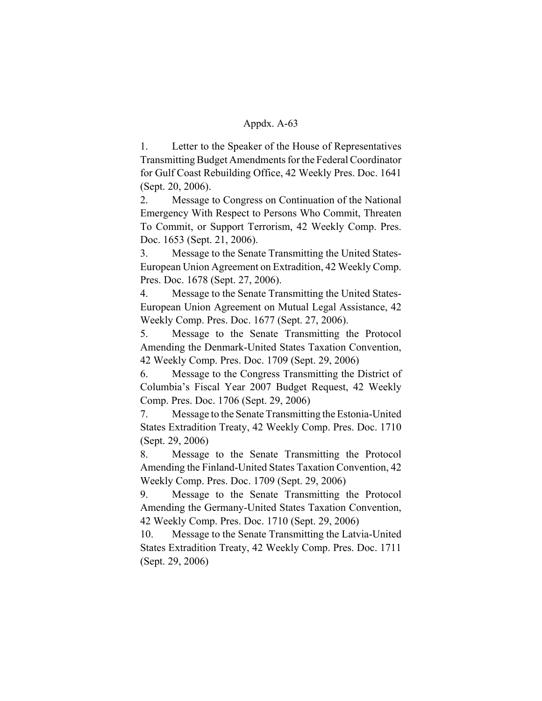1. Letter to the Speaker of the House of Representatives Transmitting Budget Amendments for the Federal Coordinator for Gulf Coast Rebuilding Office, 42 Weekly Pres. Doc. 1641 (Sept. 20, 2006).

2. Message to Congress on Continuation of the National Emergency With Respect to Persons Who Commit, Threaten To Commit, or Support Terrorism, 42 Weekly Comp. Pres. Doc. 1653 (Sept. 21, 2006).

3. Message to the Senate Transmitting the United States-European Union Agreement on Extradition, 42 Weekly Comp. Pres. Doc. 1678 (Sept. 27, 2006).

4. Message to the Senate Transmitting the United States-European Union Agreement on Mutual Legal Assistance, 42 Weekly Comp. Pres. Doc. 1677 (Sept. 27, 2006).

5. Message to the Senate Transmitting the Protocol Amending the Denmark-United States Taxation Convention, 42 Weekly Comp. Pres. Doc. 1709 (Sept. 29, 2006)

6. Message to the Congress Transmitting the District of Columbia's Fiscal Year 2007 Budget Request, 42 Weekly Comp. Pres. Doc. 1706 (Sept. 29, 2006)

7. Message to the Senate Transmitting the Estonia-United States Extradition Treaty, 42 Weekly Comp. Pres. Doc. 1710 (Sept. 29, 2006)

8. Message to the Senate Transmitting the Protocol Amending the Finland-United States Taxation Convention, 42 Weekly Comp. Pres. Doc. 1709 (Sept. 29, 2006)

9. Message to the Senate Transmitting the Protocol Amending the Germany-United States Taxation Convention, 42 Weekly Comp. Pres. Doc. 1710 (Sept. 29, 2006)

10. Message to the Senate Transmitting the Latvia-United States Extradition Treaty, 42 Weekly Comp. Pres. Doc. 1711 (Sept. 29, 2006)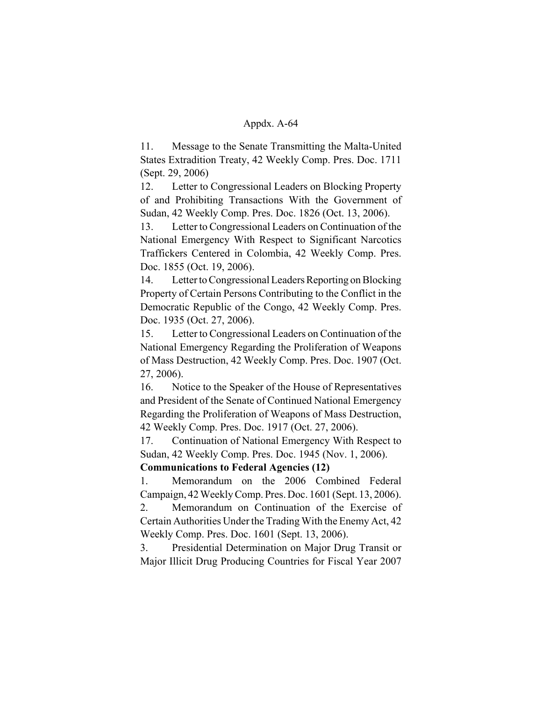11. Message to the Senate Transmitting the Malta-United States Extradition Treaty, 42 Weekly Comp. Pres. Doc. 1711 (Sept. 29, 2006)

12. Letter to Congressional Leaders on Blocking Property of and Prohibiting Transactions With the Government of Sudan, 42 Weekly Comp. Pres. Doc. 1826 (Oct. 13, 2006).

13. Letter to Congressional Leaders on Continuation of the National Emergency With Respect to Significant Narcotics Traffickers Centered in Colombia, 42 Weekly Comp. Pres. Doc. 1855 (Oct. 19, 2006).

14. Letter to Congressional Leaders Reporting on Blocking Property of Certain Persons Contributing to the Conflict in the Democratic Republic of the Congo, 42 Weekly Comp. Pres. Doc. 1935 (Oct. 27, 2006).

15. Letter to Congressional Leaders on Continuation of the National Emergency Regarding the Proliferation of Weapons of Mass Destruction, 42 Weekly Comp. Pres. Doc. 1907 (Oct. 27, 2006).

16. Notice to the Speaker of the House of Representatives and President of the Senate of Continued National Emergency Regarding the Proliferation of Weapons of Mass Destruction, 42 Weekly Comp. Pres. Doc. 1917 (Oct. 27, 2006).

17. Continuation of National Emergency With Respect to Sudan, 42 Weekly Comp. Pres. Doc. 1945 (Nov. 1, 2006).

# **Communications to Federal Agencies (12)**

1. Memorandum on the 2006 Combined Federal Campaign, 42 Weekly Comp. Pres. Doc. 1601 (Sept. 13, 2006).

2. Memorandum on Continuation of the Exercise of Certain Authorities Under the Trading With the Enemy Act, 42 Weekly Comp. Pres. Doc. 1601 (Sept. 13, 2006).

3. Presidential Determination on Major Drug Transit or Major Illicit Drug Producing Countries for Fiscal Year 2007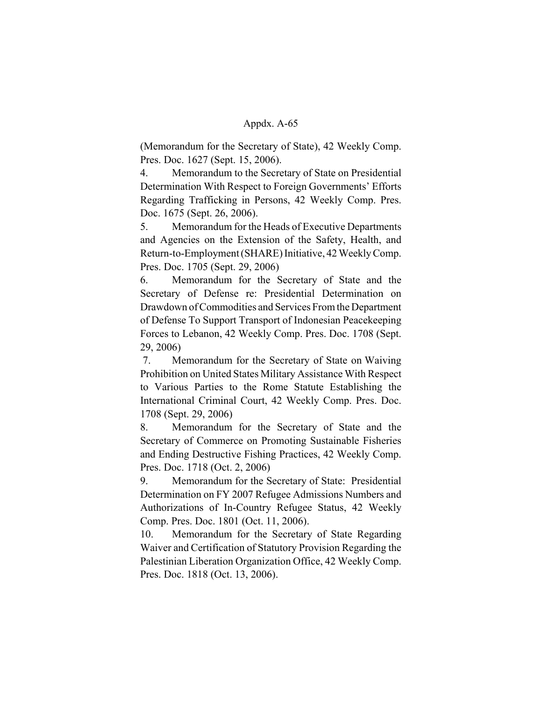(Memorandum for the Secretary of State), 42 Weekly Comp. Pres. Doc. 1627 (Sept. 15, 2006).

4. Memorandum to the Secretary of State on Presidential Determination With Respect to Foreign Governments' Efforts Regarding Trafficking in Persons, 42 Weekly Comp. Pres. Doc. 1675 (Sept. 26, 2006).

5. Memorandum for the Heads of Executive Departments and Agencies on the Extension of the Safety, Health, and Return-to-Employment (SHARE) Initiative, 42 Weekly Comp. Pres. Doc. 1705 (Sept. 29, 2006)

6. Memorandum for the Secretary of State and the Secretary of Defense re: Presidential Determination on Drawdown of Commodities and Services From the Department of Defense To Support Transport of Indonesian Peacekeeping Forces to Lebanon, 42 Weekly Comp. Pres. Doc. 1708 (Sept. 29, 2006)

 7. Memorandum for the Secretary of State on Waiving Prohibition on United States Military Assistance With Respect to Various Parties to the Rome Statute Establishing the International Criminal Court, 42 Weekly Comp. Pres. Doc. 1708 (Sept. 29, 2006)

8. Memorandum for the Secretary of State and the Secretary of Commerce on Promoting Sustainable Fisheries and Ending Destructive Fishing Practices, 42 Weekly Comp. Pres. Doc. 1718 (Oct. 2, 2006)

9. Memorandum for the Secretary of State: Presidential Determination on FY 2007 Refugee Admissions Numbers and Authorizations of In-Country Refugee Status, 42 Weekly Comp. Pres. Doc. 1801 (Oct. 11, 2006).

10. Memorandum for the Secretary of State Regarding Waiver and Certification of Statutory Provision Regarding the Palestinian Liberation Organization Office, 42 Weekly Comp. Pres. Doc. 1818 (Oct. 13, 2006).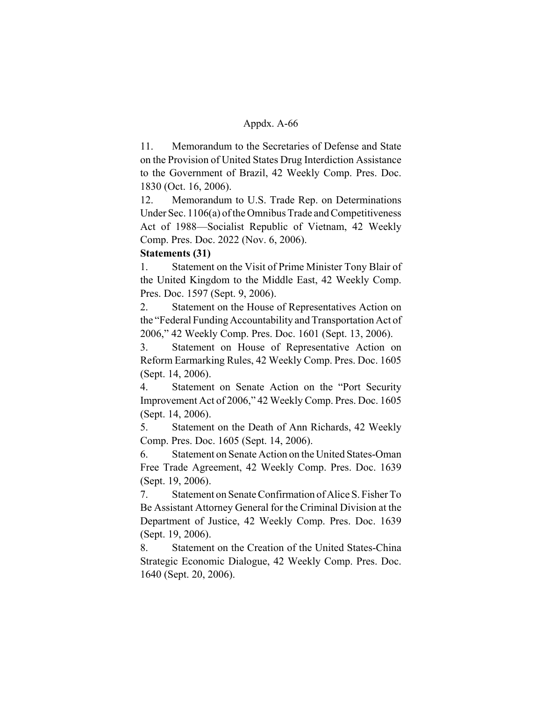11. Memorandum to the Secretaries of Defense and State on the Provision of United States Drug Interdiction Assistance to the Government of Brazil, 42 Weekly Comp. Pres. Doc. 1830 (Oct. 16, 2006).

12. Memorandum to U.S. Trade Rep. on Determinations Under Sec. 1106(a) of the Omnibus Trade and Competitiveness Act of 1988—Socialist Republic of Vietnam, 42 Weekly Comp. Pres. Doc. 2022 (Nov. 6, 2006).

# **Statements (31)**

1. Statement on the Visit of Prime Minister Tony Blair of the United Kingdom to the Middle East, 42 Weekly Comp. Pres. Doc. 1597 (Sept. 9, 2006).

2. Statement on the House of Representatives Action on the "Federal Funding Accountability and Transportation Act of 2006," 42 Weekly Comp. Pres. Doc. 1601 (Sept. 13, 2006).

3. Statement on House of Representative Action on Reform Earmarking Rules, 42 Weekly Comp. Pres. Doc. 1605 (Sept. 14, 2006).

4. Statement on Senate Action on the "Port Security Improvement Act of 2006," 42 Weekly Comp. Pres. Doc. 1605 (Sept. 14, 2006).

5. Statement on the Death of Ann Richards, 42 Weekly Comp. Pres. Doc. 1605 (Sept. 14, 2006).

6. Statement on Senate Action on the United States-Oman Free Trade Agreement, 42 Weekly Comp. Pres. Doc. 1639 (Sept. 19, 2006).

7. Statement on Senate Confirmation of Alice S. Fisher To Be Assistant Attorney General for the Criminal Division at the Department of Justice, 42 Weekly Comp. Pres. Doc. 1639 (Sept. 19, 2006).

8. Statement on the Creation of the United States-China Strategic Economic Dialogue, 42 Weekly Comp. Pres. Doc. 1640 (Sept. 20, 2006).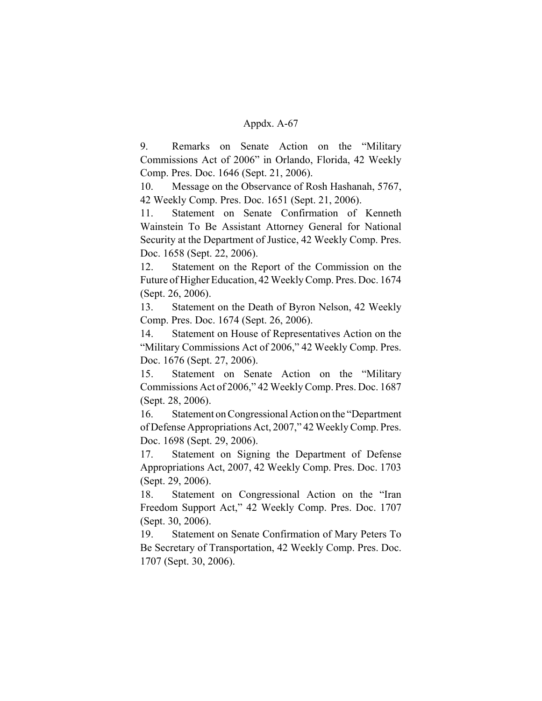9. Remarks on Senate Action on the "Military Commissions Act of 2006" in Orlando, Florida, 42 Weekly Comp. Pres. Doc. 1646 (Sept. 21, 2006).

10. Message on the Observance of Rosh Hashanah, 5767, 42 Weekly Comp. Pres. Doc. 1651 (Sept. 21, 2006).

11. Statement on Senate Confirmation of Kenneth Wainstein To Be Assistant Attorney General for National Security at the Department of Justice, 42 Weekly Comp. Pres. Doc. 1658 (Sept. 22, 2006).

12. Statement on the Report of the Commission on the Future of Higher Education, 42 Weekly Comp. Pres. Doc. 1674 (Sept. 26, 2006).

13. Statement on the Death of Byron Nelson, 42 Weekly Comp. Pres. Doc. 1674 (Sept. 26, 2006).

14. Statement on House of Representatives Action on the "Military Commissions Act of 2006," 42 Weekly Comp. Pres. Doc. 1676 (Sept. 27, 2006).

15. Statement on Senate Action on the "Military Commissions Act of 2006," 42 Weekly Comp. Pres. Doc. 1687 (Sept. 28, 2006).

16. Statement on Congressional Action on the "Department of Defense Appropriations Act, 2007," 42 Weekly Comp. Pres. Doc. 1698 (Sept. 29, 2006).

17. Statement on Signing the Department of Defense Appropriations Act, 2007, 42 Weekly Comp. Pres. Doc. 1703 (Sept. 29, 2006).

18. Statement on Congressional Action on the "Iran Freedom Support Act," 42 Weekly Comp. Pres. Doc. 1707 (Sept. 30, 2006).

19. Statement on Senate Confirmation of Mary Peters To Be Secretary of Transportation, 42 Weekly Comp. Pres. Doc. 1707 (Sept. 30, 2006).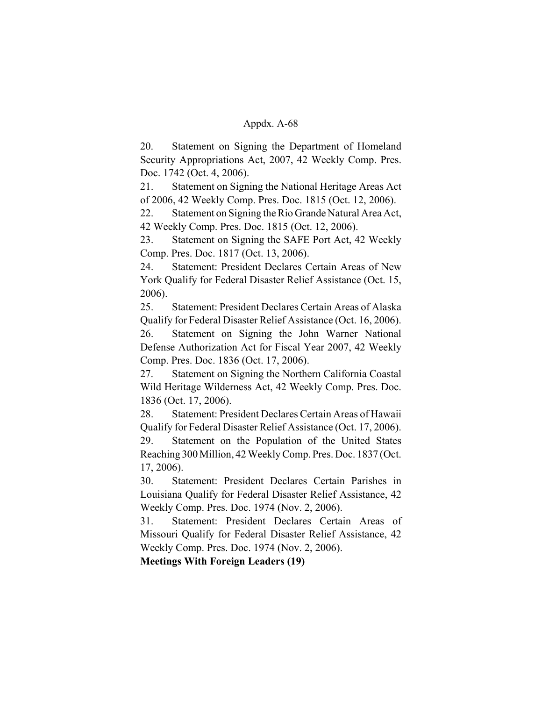20. Statement on Signing the Department of Homeland Security Appropriations Act, 2007, 42 Weekly Comp. Pres. Doc. 1742 (Oct. 4, 2006).

21. Statement on Signing the National Heritage Areas Act of 2006, 42 Weekly Comp. Pres. Doc. 1815 (Oct. 12, 2006).

22. Statement on Signing the Rio Grande Natural Area Act, 42 Weekly Comp. Pres. Doc. 1815 (Oct. 12, 2006).

23. Statement on Signing the SAFE Port Act, 42 Weekly Comp. Pres. Doc. 1817 (Oct. 13, 2006).

24. Statement: President Declares Certain Areas of New York Qualify for Federal Disaster Relief Assistance (Oct. 15, 2006).

25. Statement: President Declares Certain Areas of Alaska Qualify for Federal Disaster Relief Assistance (Oct. 16, 2006). 26. Statement on Signing the John Warner National Defense Authorization Act for Fiscal Year 2007, 42 Weekly Comp. Pres. Doc. 1836 (Oct. 17, 2006).

27. Statement on Signing the Northern California Coastal Wild Heritage Wilderness Act, 42 Weekly Comp. Pres. Doc. 1836 (Oct. 17, 2006).

28. Statement: President Declares Certain Areas of Hawaii Qualify for Federal Disaster Relief Assistance (Oct. 17, 2006). 29. Statement on the Population of the United States Reaching 300 Million, 42 Weekly Comp. Pres. Doc. 1837 (Oct. 17, 2006).

30. Statement: President Declares Certain Parishes in Louisiana Qualify for Federal Disaster Relief Assistance, 42 Weekly Comp. Pres. Doc. 1974 (Nov. 2, 2006).

31. Statement: President Declares Certain Areas of Missouri Qualify for Federal Disaster Relief Assistance, 42 Weekly Comp. Pres. Doc. 1974 (Nov. 2, 2006).

**Meetings With Foreign Leaders (19)**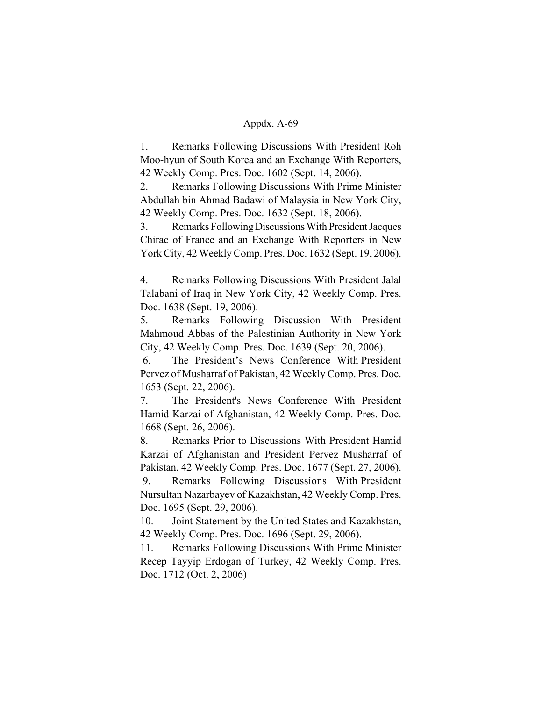1. Remarks Following Discussions With President Roh Moo-hyun of South Korea and an Exchange With Reporters, 42 Weekly Comp. Pres. Doc. 1602 (Sept. 14, 2006).

2. Remarks Following Discussions With Prime Minister Abdullah bin Ahmad Badawi of Malaysia in New York City, 42 Weekly Comp. Pres. Doc. 1632 (Sept. 18, 2006).

3. Remarks Following Discussions With President Jacques Chirac of France and an Exchange With Reporters in New York City, 42 Weekly Comp. Pres. Doc. 1632 (Sept. 19, 2006).

4. Remarks Following Discussions With President Jalal Talabani of Iraq in New York City, 42 Weekly Comp. Pres. Doc. 1638 (Sept. 19, 2006).

5. Remarks Following Discussion With President Mahmoud Abbas of the Palestinian Authority in New York City, 42 Weekly Comp. Pres. Doc. 1639 (Sept. 20, 2006).

 6. The President's News Conference With President Pervez of Musharraf of Pakistan, 42 Weekly Comp. Pres. Doc. 1653 (Sept. 22, 2006).

7. The President's News Conference With President Hamid Karzai of Afghanistan, 42 Weekly Comp. Pres. Doc. 1668 (Sept. 26, 2006).

8. Remarks Prior to Discussions With President Hamid Karzai of Afghanistan and President Pervez Musharraf of Pakistan, 42 Weekly Comp. Pres. Doc. 1677 (Sept. 27, 2006).

 9. Remarks Following Discussions With President Nursultan Nazarbayev of Kazakhstan, 42 Weekly Comp. Pres. Doc. 1695 (Sept. 29, 2006).

10. Joint Statement by the United States and Kazakhstan, 42 Weekly Comp. Pres. Doc. 1696 (Sept. 29, 2006).

11. Remarks Following Discussions With Prime Minister Recep Tayyip Erdogan of Turkey, 42 Weekly Comp. Pres. Doc. 1712 (Oct. 2, 2006)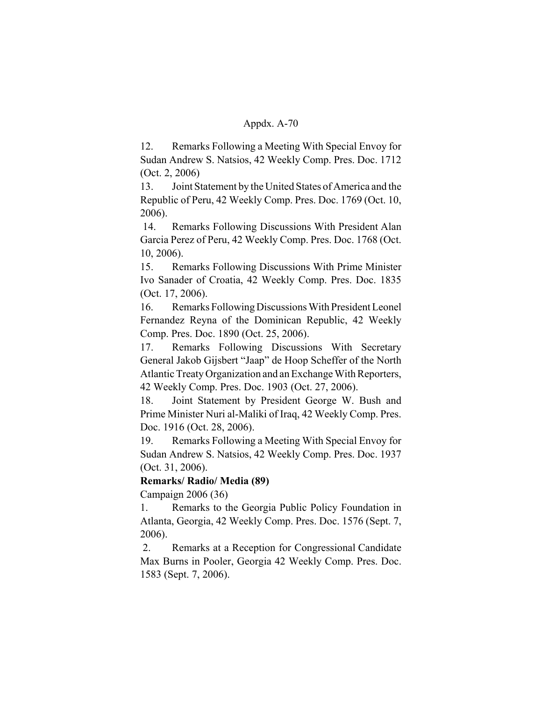12. Remarks Following a Meeting With Special Envoy for Sudan Andrew S. Natsios, 42 Weekly Comp. Pres. Doc. 1712 (Oct. 2, 2006)

13. Joint Statement by the United States of America and the Republic of Peru, 42 Weekly Comp. Pres. Doc. 1769 (Oct. 10, 2006).

 14. Remarks Following Discussions With President Alan Garcia Perez of Peru, 42 Weekly Comp. Pres. Doc. 1768 (Oct. 10, 2006).

15. Remarks Following Discussions With Prime Minister Ivo Sanader of Croatia, 42 Weekly Comp. Pres. Doc. 1835 (Oct. 17, 2006).

16. Remarks Following Discussions With President Leonel Fernandez Reyna of the Dominican Republic, 42 Weekly Comp. Pres. Doc. 1890 (Oct. 25, 2006).

17. Remarks Following Discussions With Secretary General Jakob Gijsbert "Jaap" de Hoop Scheffer of the North Atlantic Treaty Organization and an Exchange With Reporters, 42 Weekly Comp. Pres. Doc. 1903 (Oct. 27, 2006).

18. Joint Statement by President George W. Bush and Prime Minister Nuri al-Maliki of Iraq, 42 Weekly Comp. Pres. Doc. 1916 (Oct. 28, 2006).

19. Remarks Following a Meeting With Special Envoy for Sudan Andrew S. Natsios, 42 Weekly Comp. Pres. Doc. 1937 (Oct. 31, 2006).

# **Remarks/ Radio/ Media (89)**

Campaign 2006 (36)

1. Remarks to the Georgia Public Policy Foundation in Atlanta, Georgia, 42 Weekly Comp. Pres. Doc. 1576 (Sept. 7, 2006).

 2. Remarks at a Reception for Congressional Candidate Max Burns in Pooler, Georgia 42 Weekly Comp. Pres. Doc. 1583 (Sept. 7, 2006).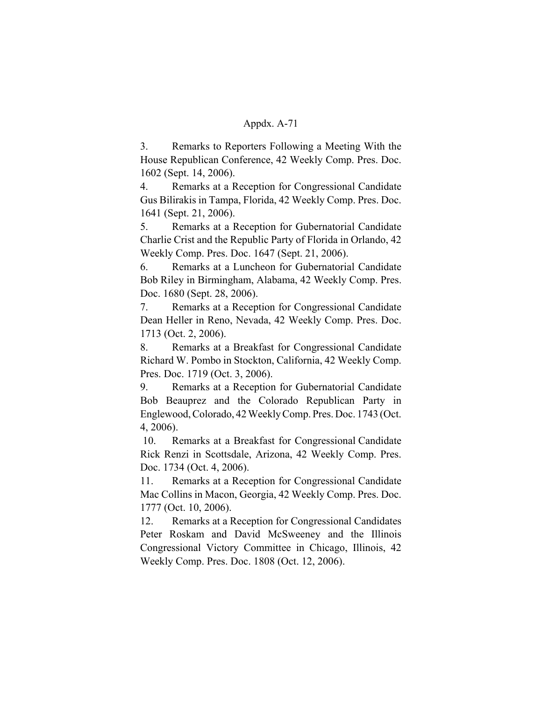3. Remarks to Reporters Following a Meeting With the House Republican Conference, 42 Weekly Comp. Pres. Doc. 1602 (Sept. 14, 2006).

4. Remarks at a Reception for Congressional Candidate Gus Bilirakis in Tampa, Florida, 42 Weekly Comp. Pres. Doc. 1641 (Sept. 21, 2006).

5. Remarks at a Reception for Gubernatorial Candidate Charlie Crist and the Republic Party of Florida in Orlando, 42 Weekly Comp. Pres. Doc. 1647 (Sept. 21, 2006).

6. Remarks at a Luncheon for Gubernatorial Candidate Bob Riley in Birmingham, Alabama, 42 Weekly Comp. Pres. Doc. 1680 (Sept. 28, 2006).

7. Remarks at a Reception for Congressional Candidate Dean Heller in Reno, Nevada, 42 Weekly Comp. Pres. Doc. 1713 (Oct. 2, 2006).

8. Remarks at a Breakfast for Congressional Candidate Richard W. Pombo in Stockton, California, 42 Weekly Comp. Pres. Doc. 1719 (Oct. 3, 2006).

9. Remarks at a Reception for Gubernatorial Candidate Bob Beauprez and the Colorado Republican Party in Englewood, Colorado, 42 Weekly Comp. Pres. Doc. 1743 (Oct. 4, 2006).

 10. Remarks at a Breakfast for Congressional Candidate Rick Renzi in Scottsdale, Arizona, 42 Weekly Comp. Pres. Doc. 1734 (Oct. 4, 2006).

11. Remarks at a Reception for Congressional Candidate Mac Collins in Macon, Georgia, 42 Weekly Comp. Pres. Doc. 1777 (Oct. 10, 2006).

12. Remarks at a Reception for Congressional Candidates Peter Roskam and David McSweeney and the Illinois Congressional Victory Committee in Chicago, Illinois, 42 Weekly Comp. Pres. Doc. 1808 (Oct. 12, 2006).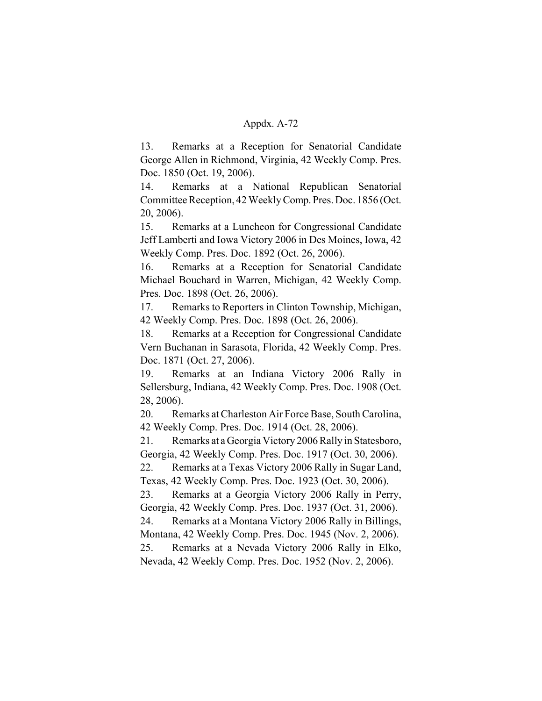13. Remarks at a Reception for Senatorial Candidate George Allen in Richmond, Virginia, 42 Weekly Comp. Pres. Doc. 1850 (Oct. 19, 2006).

14. Remarks at a National Republican Senatorial Committee Reception, 42 Weekly Comp. Pres. Doc. 1856 (Oct. 20, 2006).

15. Remarks at a Luncheon for Congressional Candidate Jeff Lamberti and Iowa Victory 2006 in Des Moines, Iowa, 42 Weekly Comp. Pres. Doc. 1892 (Oct. 26, 2006).

16. Remarks at a Reception for Senatorial Candidate Michael Bouchard in Warren, Michigan, 42 Weekly Comp. Pres. Doc. 1898 (Oct. 26, 2006).

17. Remarks to Reporters in Clinton Township, Michigan, 42 Weekly Comp. Pres. Doc. 1898 (Oct. 26, 2006).

18. Remarks at a Reception for Congressional Candidate Vern Buchanan in Sarasota, Florida, 42 Weekly Comp. Pres. Doc. 1871 (Oct. 27, 2006).

19. Remarks at an Indiana Victory 2006 Rally in Sellersburg, Indiana, 42 Weekly Comp. Pres. Doc. 1908 (Oct. 28, 2006).

20. Remarks at Charleston Air Force Base, South Carolina, 42 Weekly Comp. Pres. Doc. 1914 (Oct. 28, 2006).

21. Remarks at a Georgia Victory 2006 Rally in Statesboro, Georgia, 42 Weekly Comp. Pres. Doc. 1917 (Oct. 30, 2006).

22. Remarks at a Texas Victory 2006 Rally in Sugar Land, Texas, 42 Weekly Comp. Pres. Doc. 1923 (Oct. 30, 2006).

23. Remarks at a Georgia Victory 2006 Rally in Perry, Georgia, 42 Weekly Comp. Pres. Doc. 1937 (Oct. 31, 2006).

24. Remarks at a Montana Victory 2006 Rally in Billings, Montana, 42 Weekly Comp. Pres. Doc. 1945 (Nov. 2, 2006).

25. Remarks at a Nevada Victory 2006 Rally in Elko, Nevada, 42 Weekly Comp. Pres. Doc. 1952 (Nov. 2, 2006).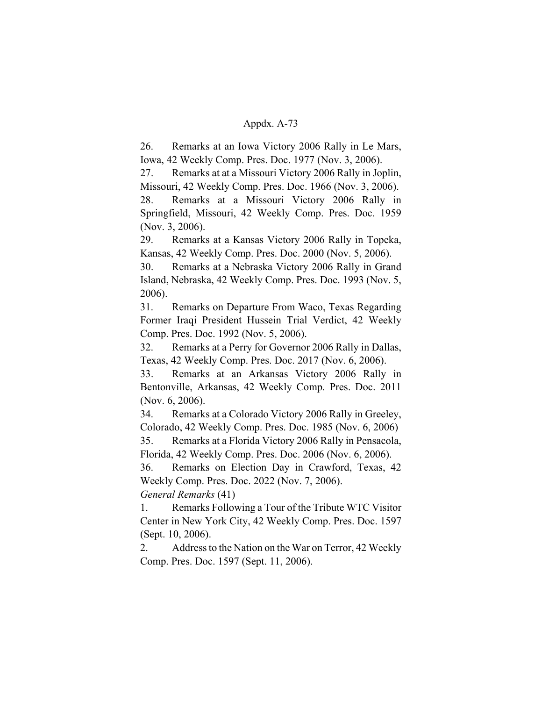26. Remarks at an Iowa Victory 2006 Rally in Le Mars, Iowa, 42 Weekly Comp. Pres. Doc. 1977 (Nov. 3, 2006).

27. Remarks at at a Missouri Victory 2006 Rally in Joplin, Missouri, 42 Weekly Comp. Pres. Doc. 1966 (Nov. 3, 2006). 28. Remarks at a Missouri Victory 2006 Rally in Springfield, Missouri, 42 Weekly Comp. Pres. Doc. 1959 (Nov. 3, 2006).

29. Remarks at a Kansas Victory 2006 Rally in Topeka, Kansas, 42 Weekly Comp. Pres. Doc. 2000 (Nov. 5, 2006).

30. Remarks at a Nebraska Victory 2006 Rally in Grand Island, Nebraska, 42 Weekly Comp. Pres. Doc. 1993 (Nov. 5, 2006).

31. Remarks on Departure From Waco, Texas Regarding Former Iraqi President Hussein Trial Verdict, 42 Weekly Comp. Pres. Doc. 1992 (Nov. 5, 2006).

32. Remarks at a Perry for Governor 2006 Rally in Dallas, Texas, 42 Weekly Comp. Pres. Doc. 2017 (Nov. 6, 2006).

33. Remarks at an Arkansas Victory 2006 Rally in Bentonville, Arkansas, 42 Weekly Comp. Pres. Doc. 2011 (Nov. 6, 2006).

34. Remarks at a Colorado Victory 2006 Rally in Greeley, Colorado, 42 Weekly Comp. Pres. Doc. 1985 (Nov. 6, 2006) 35. Remarks at a Florida Victory 2006 Rally in Pensacola,

Florida, 42 Weekly Comp. Pres. Doc. 2006 (Nov. 6, 2006).

36. Remarks on Election Day in Crawford, Texas, 42 Weekly Comp. Pres. Doc. 2022 (Nov. 7, 2006).

*General Remarks* (41)

1. Remarks Following a Tour of the Tribute WTC Visitor Center in New York City, 42 Weekly Comp. Pres. Doc. 1597 (Sept. 10, 2006).

2. Address to the Nation on the War on Terror, 42 Weekly Comp. Pres. Doc. 1597 (Sept. 11, 2006).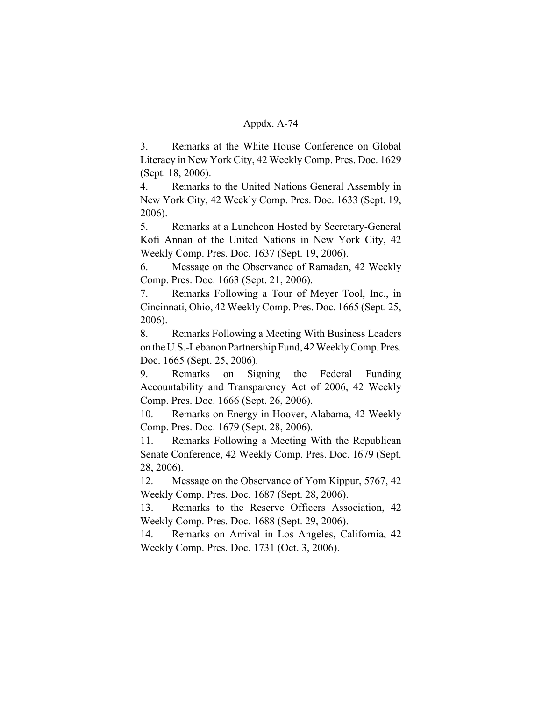3. Remarks at the White House Conference on Global Literacy in New York City, 42 Weekly Comp. Pres. Doc. 1629 (Sept. 18, 2006).

4. Remarks to the United Nations General Assembly in New York City, 42 Weekly Comp. Pres. Doc. 1633 (Sept. 19, 2006).

5. Remarks at a Luncheon Hosted by Secretary-General Kofi Annan of the United Nations in New York City, 42 Weekly Comp. Pres. Doc. 1637 (Sept. 19, 2006).

6. Message on the Observance of Ramadan, 42 Weekly Comp. Pres. Doc. 1663 (Sept. 21, 2006).

7. Remarks Following a Tour of Meyer Tool, Inc., in Cincinnati, Ohio, 42 Weekly Comp. Pres. Doc. 1665 (Sept. 25, 2006).

8. Remarks Following a Meeting With Business Leaders on the U.S.-Lebanon Partnership Fund, 42 Weekly Comp. Pres. Doc. 1665 (Sept. 25, 2006).

9. Remarks on Signing the Federal Funding Accountability and Transparency Act of 2006, 42 Weekly Comp. Pres. Doc. 1666 (Sept. 26, 2006).

10. Remarks on Energy in Hoover, Alabama, 42 Weekly Comp. Pres. Doc. 1679 (Sept. 28, 2006).

11. Remarks Following a Meeting With the Republican Senate Conference, 42 Weekly Comp. Pres. Doc. 1679 (Sept. 28, 2006).

12. Message on the Observance of Yom Kippur, 5767, 42 Weekly Comp. Pres. Doc. 1687 (Sept. 28, 2006).

13. Remarks to the Reserve Officers Association, 42 Weekly Comp. Pres. Doc. 1688 (Sept. 29, 2006).

14. Remarks on Arrival in Los Angeles, California, 42 Weekly Comp. Pres. Doc. 1731 (Oct. 3, 2006).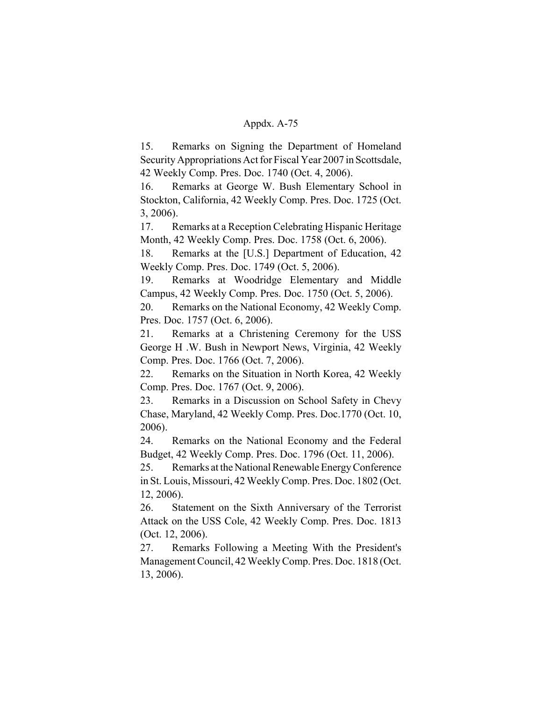15. Remarks on Signing the Department of Homeland Security Appropriations Act for Fiscal Year 2007 in Scottsdale, 42 Weekly Comp. Pres. Doc. 1740 (Oct. 4, 2006).

16. Remarks at George W. Bush Elementary School in Stockton, California, 42 Weekly Comp. Pres. Doc. 1725 (Oct. 3, 2006).

17. Remarks at a Reception Celebrating Hispanic Heritage Month, 42 Weekly Comp. Pres. Doc. 1758 (Oct. 6, 2006).

18. Remarks at the [U.S.] Department of Education, 42 Weekly Comp. Pres. Doc. 1749 (Oct. 5, 2006).

19. Remarks at Woodridge Elementary and Middle Campus, 42 Weekly Comp. Pres. Doc. 1750 (Oct. 5, 2006).

20. Remarks on the National Economy, 42 Weekly Comp. Pres. Doc. 1757 (Oct. 6, 2006).

21. Remarks at a Christening Ceremony for the USS George H .W. Bush in Newport News, Virginia, 42 Weekly Comp. Pres. Doc. 1766 (Oct. 7, 2006).

22. Remarks on the Situation in North Korea, 42 Weekly Comp. Pres. Doc. 1767 (Oct. 9, 2006).

23. Remarks in a Discussion on School Safety in Chevy Chase, Maryland, 42 Weekly Comp. Pres. Doc.1770 (Oct. 10, 2006).

24. Remarks on the National Economy and the Federal Budget, 42 Weekly Comp. Pres. Doc. 1796 (Oct. 11, 2006).

25. Remarks at the National Renewable Energy Conference in St. Louis, Missouri, 42 Weekly Comp. Pres. Doc. 1802 (Oct. 12, 2006).

26. Statement on the Sixth Anniversary of the Terrorist Attack on the USS Cole, 42 Weekly Comp. Pres. Doc. 1813 (Oct. 12, 2006).

27. Remarks Following a Meeting With the President's Management Council, 42 Weekly Comp. Pres. Doc. 1818 (Oct. 13, 2006).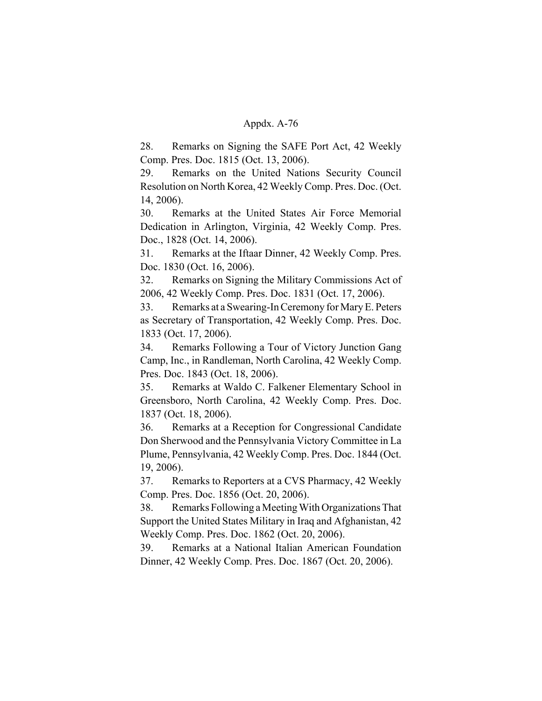28. Remarks on Signing the SAFE Port Act, 42 Weekly Comp. Pres. Doc. 1815 (Oct. 13, 2006).

29. Remarks on the United Nations Security Council Resolution on North Korea, 42 Weekly Comp. Pres. Doc. (Oct. 14, 2006).

30. Remarks at the United States Air Force Memorial Dedication in Arlington, Virginia, 42 Weekly Comp. Pres. Doc., 1828 (Oct. 14, 2006).

31. Remarks at the Iftaar Dinner, 42 Weekly Comp. Pres. Doc. 1830 (Oct. 16, 2006).

32. Remarks on Signing the Military Commissions Act of 2006, 42 Weekly Comp. Pres. Doc. 1831 (Oct. 17, 2006).

33. Remarks at a Swearing-In Ceremony for Mary E. Peters as Secretary of Transportation, 42 Weekly Comp. Pres. Doc. 1833 (Oct. 17, 2006).

34. Remarks Following a Tour of Victory Junction Gang Camp, Inc., in Randleman, North Carolina, 42 Weekly Comp. Pres. Doc. 1843 (Oct. 18, 2006).

35. Remarks at Waldo C. Falkener Elementary School in Greensboro, North Carolina, 42 Weekly Comp. Pres. Doc. 1837 (Oct. 18, 2006).

36. Remarks at a Reception for Congressional Candidate Don Sherwood and the Pennsylvania Victory Committee in La Plume, Pennsylvania, 42 Weekly Comp. Pres. Doc. 1844 (Oct. 19, 2006).

37. Remarks to Reporters at a CVS Pharmacy, 42 Weekly Comp. Pres. Doc. 1856 (Oct. 20, 2006).

38. Remarks Following a Meeting With Organizations That Support the United States Military in Iraq and Afghanistan, 42 Weekly Comp. Pres. Doc. 1862 (Oct. 20, 2006).

39. Remarks at a National Italian American Foundation Dinner, 42 Weekly Comp. Pres. Doc. 1867 (Oct. 20, 2006).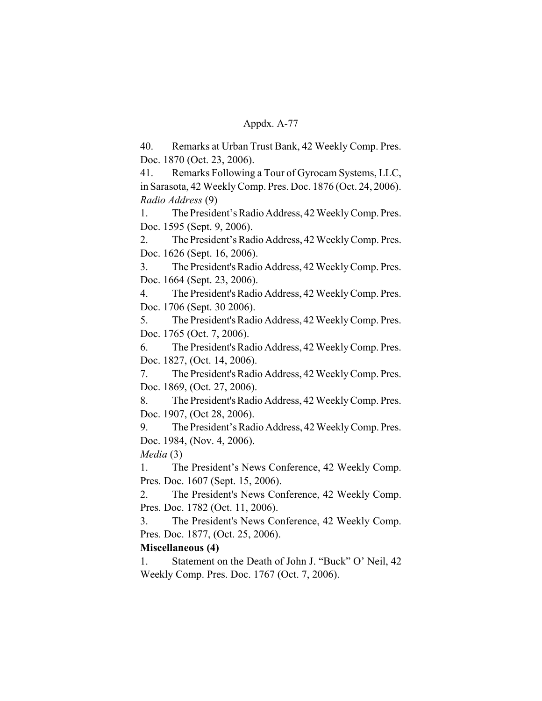40. Remarks at Urban Trust Bank, 42 Weekly Comp. Pres. Doc. 1870 (Oct. 23, 2006).

41. Remarks Following a Tour of Gyrocam Systems, LLC, in Sarasota, 42 Weekly Comp. Pres. Doc. 1876 (Oct. 24, 2006). *Radio Address* (9)

1. The President's Radio Address, 42 Weekly Comp. Pres. Doc. 1595 (Sept. 9, 2006).

2. The President's Radio Address, 42 Weekly Comp. Pres. Doc. 1626 (Sept. 16, 2006).

3. The President's Radio Address, 42 Weekly Comp. Pres. Doc. 1664 (Sept. 23, 2006).

4. The President's Radio Address, 42 Weekly Comp. Pres. Doc. 1706 (Sept. 30 2006).

5. The President's Radio Address, 42 Weekly Comp. Pres. Doc. 1765 (Oct. 7, 2006).

6. The President's Radio Address, 42 Weekly Comp. Pres. Doc. 1827, (Oct. 14, 2006).

7. The President's Radio Address, 42 Weekly Comp. Pres. Doc. 1869, (Oct. 27, 2006).

8. The President's Radio Address, 42 Weekly Comp. Pres. Doc. 1907, (Oct 28, 2006).

9. The President's Radio Address, 42 Weekly Comp. Pres. Doc. 1984, (Nov. 4, 2006).

*Media* (3)

1. The President's News Conference, 42 Weekly Comp. Pres. Doc. 1607 (Sept. 15, 2006).

2. The President's News Conference, 42 Weekly Comp. Pres. Doc. 1782 (Oct. 11, 2006).

3. The President's News Conference, 42 Weekly Comp. Pres. Doc. 1877, (Oct. 25, 2006).

# **Miscellaneous (4)**

1. Statement on the Death of John J. "Buck" O' Neil, 42 Weekly Comp. Pres. Doc. 1767 (Oct. 7, 2006).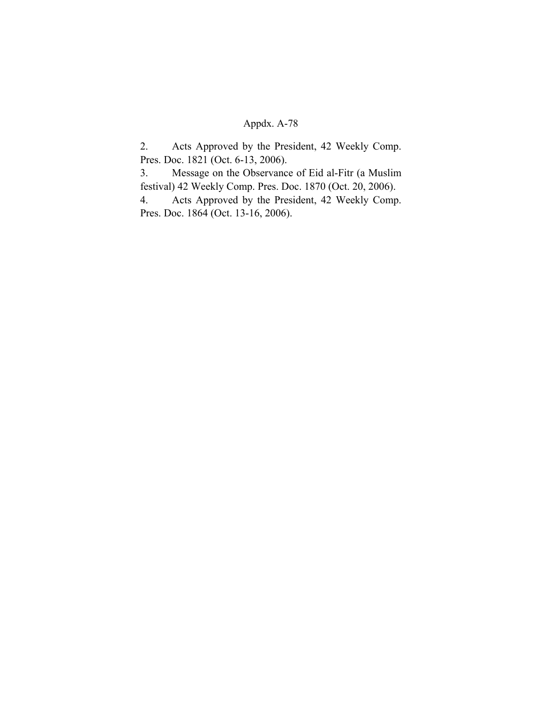# Appdx. A-78

2. Acts Approved by the President, 42 Weekly Comp. Pres. Doc. 1821 (Oct. 6-13, 2006).

3. Message on the Observance of Eid al-Fitr (a Muslim festival) 42 Weekly Comp. Pres. Doc. 1870 (Oct. 20, 2006).

4. Acts Approved by the President, 42 Weekly Comp. Pres. Doc. 1864 (Oct. 13-16, 2006).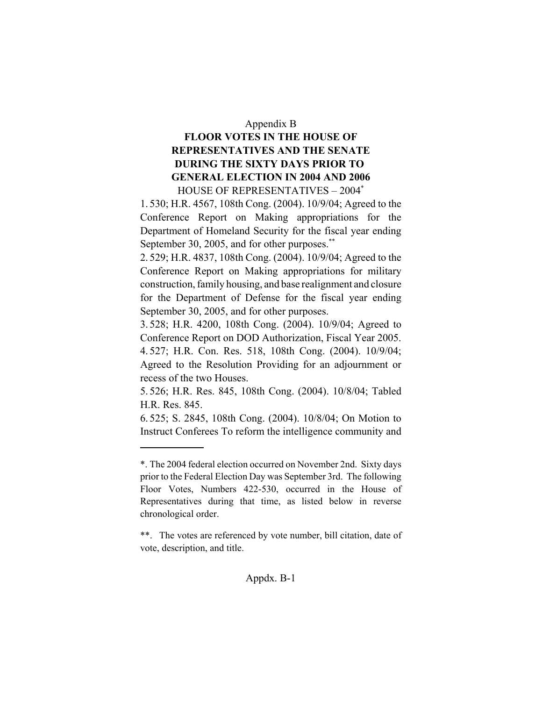#### Appendix B

# **FLOOR VOTES IN THE HOUSE OF REPRESENTATIVES AND THE SENATE DURING THE SIXTY DAYS PRIOR TO GENERAL ELECTION IN 2004 AND 2006** HOUSE OF REPRESENTATIVES – 2004\*

1. 530; H.R. 4567, 108th Cong. (2004). 10/9/04; Agreed to the Conference Report on Making appropriations for the Department of Homeland Security for the fiscal year ending September 30, 2005, and for other purposes.<sup>\*\*</sup>

2. 529; H.R. 4837, 108th Cong. (2004). 10/9/04; Agreed to the Conference Report on Making appropriations for military construction, family housing, and base realignment and closure for the Department of Defense for the fiscal year ending September 30, 2005, and for other purposes.

3. 528; H.R. 4200, 108th Cong. (2004). 10/9/04; Agreed to Conference Report on DOD Authorization, Fiscal Year 2005. 4. 527; H.R. Con. Res. 518, 108th Cong. (2004). 10/9/04; Agreed to the Resolution Providing for an adjournment or recess of the two Houses.

5. 526; H.R. Res. 845, 108th Cong. (2004). 10/8/04; Tabled H.R. Res. 845.

6. 525; S. 2845, 108th Cong. (2004). 10/8/04; On Motion to Instruct Conferees To reform the intelligence community and

<sup>\*.</sup> The 2004 federal election occurred on November 2nd. Sixty days prior to the Federal Election Day was September 3rd. The following Floor Votes, Numbers 422-530, occurred in the House of Representatives during that time, as listed below in reverse chronological order.

<sup>\*\*.</sup> The votes are referenced by vote number, bill citation, date of vote, description, and title.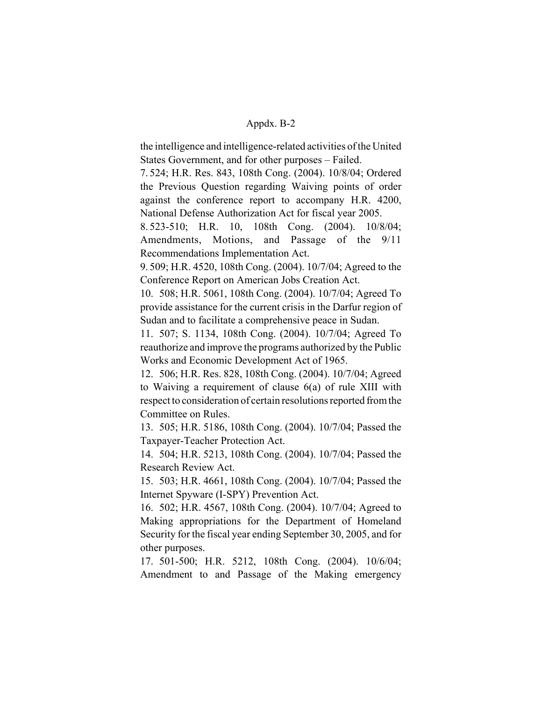the intelligence and intelligence-related activities of the United States Government, and for other purposes – Failed.

7. 524; H.R. Res. 843, 108th Cong. (2004). 10/8/04; Ordered the Previous Question regarding Waiving points of order against the conference report to accompany H.R. 4200, National Defense Authorization Act for fiscal year 2005.

8. 523-510; H.R. 10, 108th Cong. (2004). 10/8/04; Amendments, Motions, and Passage of the 9/11 Recommendations Implementation Act.

9. 509; H.R. 4520, 108th Cong. (2004). 10/7/04; Agreed to the Conference Report on American Jobs Creation Act.

10. 508; H.R. 5061, 108th Cong. (2004). 10/7/04; Agreed To provide assistance for the current crisis in the Darfur region of Sudan and to facilitate a comprehensive peace in Sudan.

11. 507; S. 1134, 108th Cong. (2004). 10/7/04; Agreed To reauthorize and improve the programs authorized by the Public Works and Economic Development Act of 1965.

12. 506; H.R. Res. 828, 108th Cong. (2004). 10/7/04; Agreed to Waiving a requirement of clause 6(a) of rule XIII with respect to consideration of certain resolutions reported from the Committee on Rules.

13. 505; H.R. 5186, 108th Cong. (2004). 10/7/04; Passed the Taxpayer-Teacher Protection Act.

14. 504; H.R. 5213, 108th Cong. (2004). 10/7/04; Passed the Research Review Act.

15. 503; H.R. 4661, 108th Cong. (2004). 10/7/04; Passed the Internet Spyware (I-SPY) Prevention Act.

16. 502; H.R. 4567, 108th Cong. (2004). 10/7/04; Agreed to Making appropriations for the Department of Homeland Security for the fiscal year ending September 30, 2005, and for other purposes.

17. 501-500; H.R. 5212, 108th Cong. (2004). 10/6/04; Amendment to and Passage of the Making emergency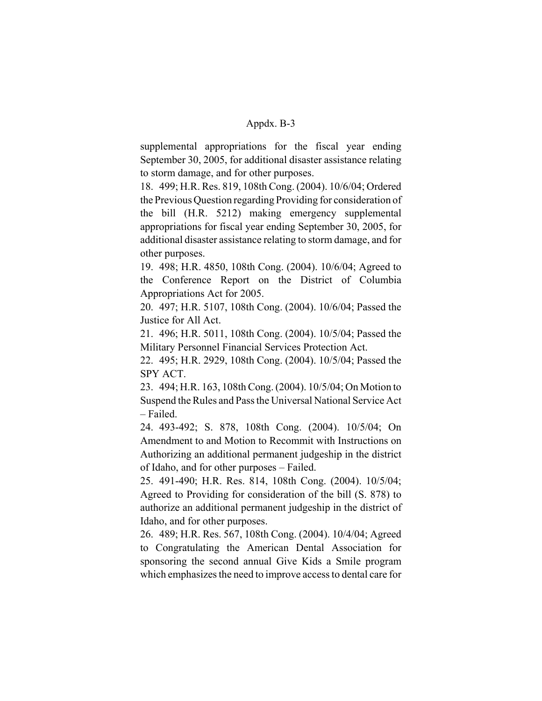supplemental appropriations for the fiscal year ending September 30, 2005, for additional disaster assistance relating to storm damage, and for other purposes.

18. 499; H.R. Res. 819, 108th Cong. (2004). 10/6/04; Ordered the Previous Question regarding Providing for consideration of the bill (H.R. 5212) making emergency supplemental appropriations for fiscal year ending September 30, 2005, for additional disaster assistance relating to storm damage, and for other purposes.

19. 498; H.R. 4850, 108th Cong. (2004). 10/6/04; Agreed to the Conference Report on the District of Columbia Appropriations Act for 2005.

20. 497; H.R. 5107, 108th Cong. (2004). 10/6/04; Passed the Justice for All Act.

21. 496; H.R. 5011, 108th Cong. (2004). 10/5/04; Passed the Military Personnel Financial Services Protection Act.

22. 495; H.R. 2929, 108th Cong. (2004). 10/5/04; Passed the SPY ACT.

23. 494; H.R. 163, 108th Cong. (2004). 10/5/04; On Motion to Suspend the Rules and Pass the Universal National Service Act – Failed.

24. 493-492; S. 878, 108th Cong. (2004). 10/5/04; On Amendment to and Motion to Recommit with Instructions on Authorizing an additional permanent judgeship in the district of Idaho, and for other purposes – Failed.

25. 491-490; H.R. Res. 814, 108th Cong. (2004). 10/5/04; Agreed to Providing for consideration of the bill (S. 878) to authorize an additional permanent judgeship in the district of Idaho, and for other purposes.

26. 489; H.R. Res. 567, 108th Cong. (2004). 10/4/04; Agreed to Congratulating the American Dental Association for sponsoring the second annual Give Kids a Smile program which emphasizes the need to improve access to dental care for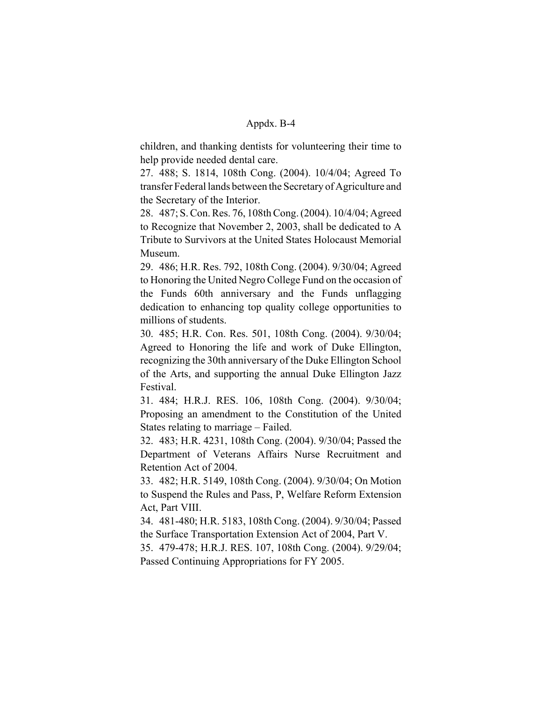children, and thanking dentists for volunteering their time to help provide needed dental care.

27. 488; S. 1814, 108th Cong. (2004). 10/4/04; Agreed To transfer Federal lands between the Secretary of Agriculture and the Secretary of the Interior.

28. 487; S. Con. Res. 76, 108th Cong. (2004). 10/4/04; Agreed to Recognize that November 2, 2003, shall be dedicated to A Tribute to Survivors at the United States Holocaust Memorial Museum.

29. 486; H.R. Res. 792, 108th Cong. (2004). 9/30/04; Agreed to Honoring the United Negro College Fund on the occasion of the Funds 60th anniversary and the Funds unflagging dedication to enhancing top quality college opportunities to millions of students.

30. 485; H.R. Con. Res. 501, 108th Cong. (2004). 9/30/04; Agreed to Honoring the life and work of Duke Ellington, recognizing the 30th anniversary of the Duke Ellington School of the Arts, and supporting the annual Duke Ellington Jazz Festival.

31. 484; H.R.J. RES. 106, 108th Cong. (2004). 9/30/04; Proposing an amendment to the Constitution of the United States relating to marriage – Failed.

32. 483; H.R. 4231, 108th Cong. (2004). 9/30/04; Passed the Department of Veterans Affairs Nurse Recruitment and Retention Act of 2004.

33. 482; H.R. 5149, 108th Cong. (2004). 9/30/04; On Motion to Suspend the Rules and Pass, P, Welfare Reform Extension Act, Part VIII.

34. 481-480; H.R. 5183, 108th Cong. (2004). 9/30/04; Passed the Surface Transportation Extension Act of 2004, Part V.

35. 479-478; H.R.J. RES. 107, 108th Cong. (2004). 9/29/04; Passed Continuing Appropriations for FY 2005.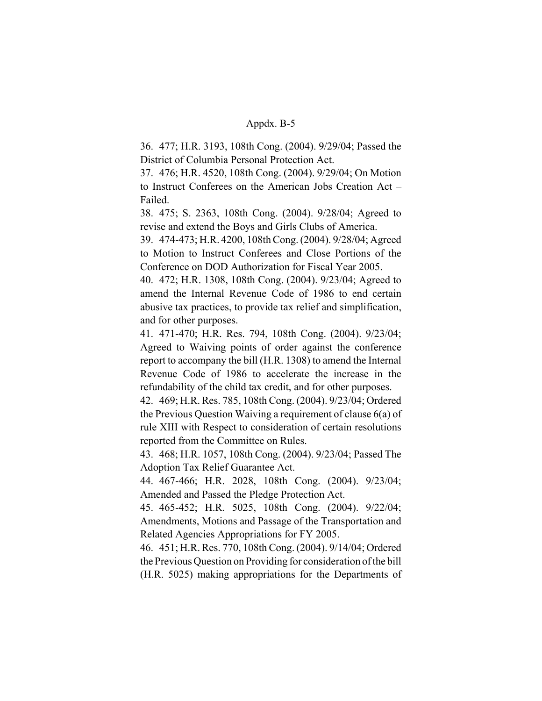36. 477; H.R. 3193, 108th Cong. (2004). 9/29/04; Passed the District of Columbia Personal Protection Act.

37. 476; H.R. 4520, 108th Cong. (2004). 9/29/04; On Motion to Instruct Conferees on the American Jobs Creation Act – Failed.

38. 475; S. 2363, 108th Cong. (2004). 9/28/04; Agreed to revise and extend the Boys and Girls Clubs of America.

39. 474-473; H.R. 4200, 108th Cong. (2004). 9/28/04; Agreed to Motion to Instruct Conferees and Close Portions of the Conference on DOD Authorization for Fiscal Year 2005.

40. 472; H.R. 1308, 108th Cong. (2004). 9/23/04; Agreed to amend the Internal Revenue Code of 1986 to end certain abusive tax practices, to provide tax relief and simplification, and for other purposes.

41. 471-470; H.R. Res. 794, 108th Cong. (2004). 9/23/04; Agreed to Waiving points of order against the conference report to accompany the bill (H.R. 1308) to amend the Internal Revenue Code of 1986 to accelerate the increase in the refundability of the child tax credit, and for other purposes.

42. 469; H.R. Res. 785, 108th Cong. (2004). 9/23/04; Ordered the Previous Question Waiving a requirement of clause 6(a) of rule XIII with Respect to consideration of certain resolutions reported from the Committee on Rules.

43. 468; H.R. 1057, 108th Cong. (2004). 9/23/04; Passed The Adoption Tax Relief Guarantee Act.

44. 467-466; H.R. 2028, 108th Cong. (2004). 9/23/04; Amended and Passed the Pledge Protection Act.

45. 465-452; H.R. 5025, 108th Cong. (2004). 9/22/04; Amendments, Motions and Passage of the Transportation and Related Agencies Appropriations for FY 2005.

46. 451; H.R. Res. 770, 108th Cong. (2004). 9/14/04; Ordered the Previous Question on Providing for consideration of the bill (H.R. 5025) making appropriations for the Departments of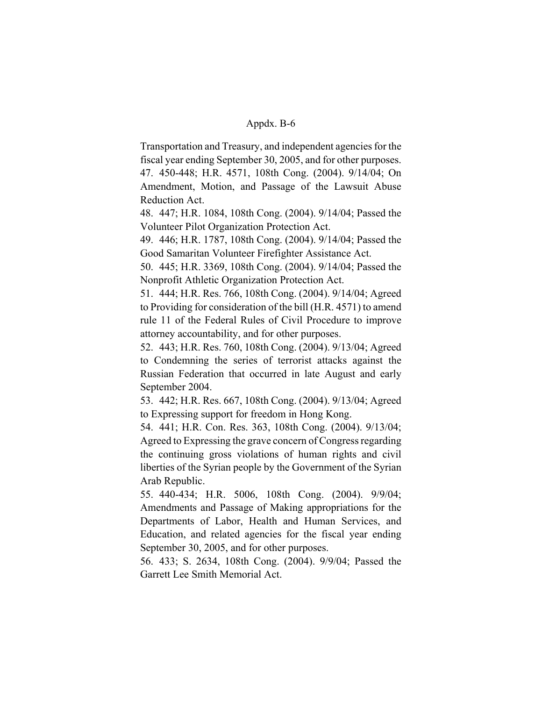Transportation and Treasury, and independent agencies for the fiscal year ending September 30, 2005, and for other purposes. 47. 450-448; H.R. 4571, 108th Cong. (2004). 9/14/04; On Amendment, Motion, and Passage of the Lawsuit Abuse Reduction Act.

48. 447; H.R. 1084, 108th Cong. (2004). 9/14/04; Passed the Volunteer Pilot Organization Protection Act.

49. 446; H.R. 1787, 108th Cong. (2004). 9/14/04; Passed the Good Samaritan Volunteer Firefighter Assistance Act.

50. 445; H.R. 3369, 108th Cong. (2004). 9/14/04; Passed the Nonprofit Athletic Organization Protection Act.

51. 444; H.R. Res. 766, 108th Cong. (2004). 9/14/04; Agreed to Providing for consideration of the bill (H.R. 4571) to amend rule 11 of the Federal Rules of Civil Procedure to improve attorney accountability, and for other purposes.

52. 443; H.R. Res. 760, 108th Cong. (2004). 9/13/04; Agreed to Condemning the series of terrorist attacks against the Russian Federation that occurred in late August and early September 2004.

53. 442; H.R. Res. 667, 108th Cong. (2004). 9/13/04; Agreed to Expressing support for freedom in Hong Kong.

54. 441; H.R. Con. Res. 363, 108th Cong. (2004). 9/13/04; Agreed to Expressing the grave concern of Congress regarding the continuing gross violations of human rights and civil liberties of the Syrian people by the Government of the Syrian Arab Republic.

55. 440-434; H.R. 5006, 108th Cong. (2004). 9/9/04; Amendments and Passage of Making appropriations for the Departments of Labor, Health and Human Services, and Education, and related agencies for the fiscal year ending September 30, 2005, and for other purposes.

56. 433; S. 2634, 108th Cong. (2004). 9/9/04; Passed the Garrett Lee Smith Memorial Act.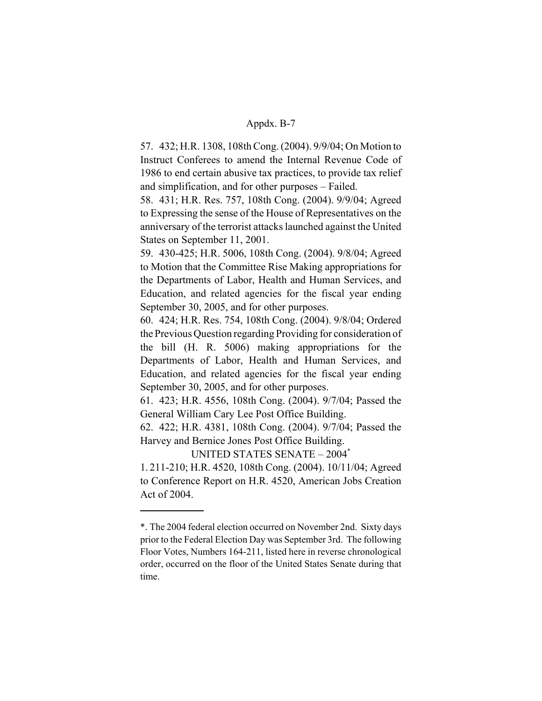57. 432; H.R. 1308, 108th Cong. (2004). 9/9/04; On Motion to Instruct Conferees to amend the Internal Revenue Code of 1986 to end certain abusive tax practices, to provide tax relief and simplification, and for other purposes – Failed.

58. 431; H.R. Res. 757, 108th Cong. (2004). 9/9/04; Agreed to Expressing the sense of the House of Representatives on the anniversary of the terrorist attacks launched against the United States on September 11, 2001.

59. 430-425; H.R. 5006, 108th Cong. (2004). 9/8/04; Agreed to Motion that the Committee Rise Making appropriations for the Departments of Labor, Health and Human Services, and Education, and related agencies for the fiscal year ending September 30, 2005, and for other purposes.

60. 424; H.R. Res. 754, 108th Cong. (2004). 9/8/04; Ordered the Previous Question regarding Providing for consideration of the bill (H. R. 5006) making appropriations for the Departments of Labor, Health and Human Services, and Education, and related agencies for the fiscal year ending September 30, 2005, and for other purposes.

61. 423; H.R. 4556, 108th Cong. (2004). 9/7/04; Passed the General William Cary Lee Post Office Building.

62. 422; H.R. 4381, 108th Cong. (2004). 9/7/04; Passed the Harvey and Bernice Jones Post Office Building.

UNITED STATES SENATE – 2004\*

1. 211-210; H.R. 4520, 108th Cong. (2004). 10/11/04; Agreed to Conference Report on H.R. 4520, American Jobs Creation Act of 2004.

<sup>\*.</sup> The 2004 federal election occurred on November 2nd. Sixty days prior to the Federal Election Day was September 3rd. The following Floor Votes, Numbers 164-211, listed here in reverse chronological order, occurred on the floor of the United States Senate during that time.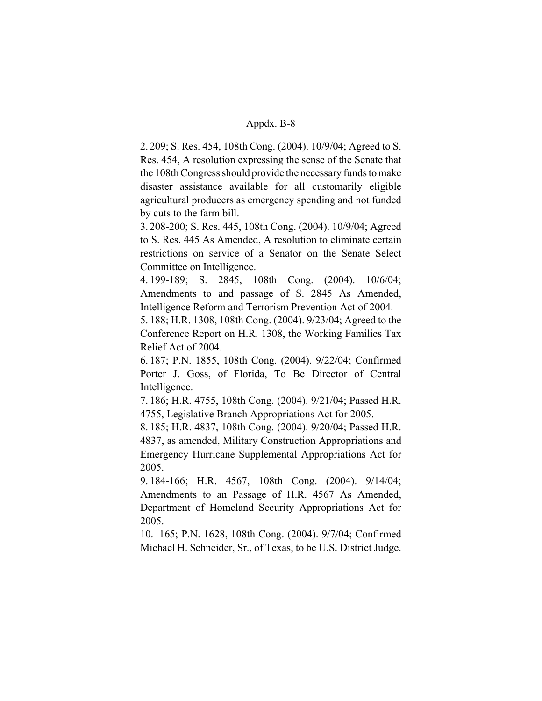2. 209; S. Res. 454, 108th Cong. (2004). 10/9/04; Agreed to S. Res. 454, A resolution expressing the sense of the Senate that the 108th Congress should provide the necessary funds to make disaster assistance available for all customarily eligible agricultural producers as emergency spending and not funded by cuts to the farm bill.

3. 208-200; S. Res. 445, 108th Cong. (2004). 10/9/04; Agreed to S. Res. 445 As Amended, A resolution to eliminate certain restrictions on service of a Senator on the Senate Select Committee on Intelligence.

4. 199-189; S. 2845, 108th Cong. (2004). 10/6/04; Amendments to and passage of S. 2845 As Amended, Intelligence Reform and Terrorism Prevention Act of 2004.

5. 188; H.R. 1308, 108th Cong. (2004). 9/23/04; Agreed to the Conference Report on H.R. 1308, the Working Families Tax Relief Act of 2004.

6. 187; P.N. 1855, 108th Cong. (2004). 9/22/04; Confirmed Porter J. Goss, of Florida, To Be Director of Central Intelligence.

7. 186; H.R. 4755, 108th Cong. (2004). 9/21/04; Passed H.R. 4755, Legislative Branch Appropriations Act for 2005.

8. 185; H.R. 4837, 108th Cong. (2004). 9/20/04; Passed H.R. 4837, as amended, Military Construction Appropriations and Emergency Hurricane Supplemental Appropriations Act for 2005.

9. 184-166; H.R. 4567, 108th Cong. (2004). 9/14/04; Amendments to an Passage of H.R. 4567 As Amended, Department of Homeland Security Appropriations Act for 2005.

10. 165; P.N. 1628, 108th Cong. (2004). 9/7/04; Confirmed Michael H. Schneider, Sr., of Texas, to be U.S. District Judge.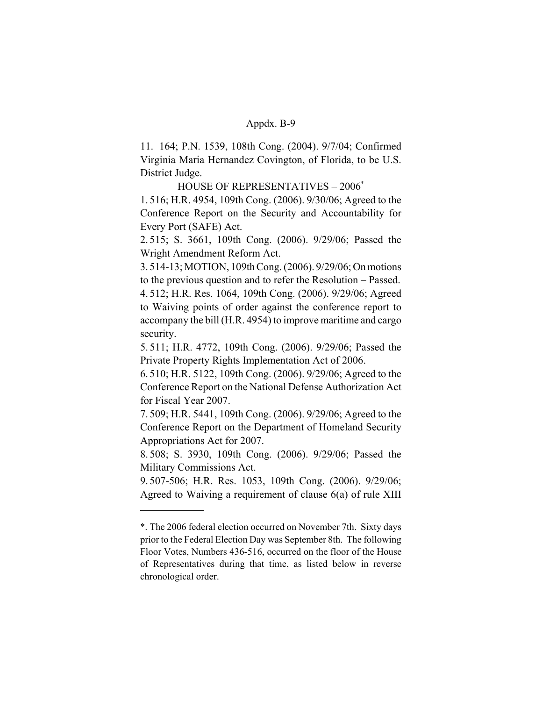11. 164; P.N. 1539, 108th Cong. (2004). 9/7/04; Confirmed Virginia Maria Hernandez Covington, of Florida, to be U.S. District Judge.

HOUSE OF REPRESENTATIVES – 2006\*

1. 516; H.R. 4954, 109th Cong. (2006). 9/30/06; Agreed to the Conference Report on the Security and Accountability for Every Port (SAFE) Act.

2. 515; S. 3661, 109th Cong. (2006). 9/29/06; Passed the Wright Amendment Reform Act.

3. 514-13; MOTION, 109th Cong. (2006). 9/29/06; On motions to the previous question and to refer the Resolution – Passed.

4. 512; H.R. Res. 1064, 109th Cong. (2006). 9/29/06; Agreed to Waiving points of order against the conference report to accompany the bill (H.R. 4954) to improve maritime and cargo security.

5. 511; H.R. 4772, 109th Cong. (2006). 9/29/06; Passed the Private Property Rights Implementation Act of 2006.

6. 510; H.R. 5122, 109th Cong. (2006). 9/29/06; Agreed to the Conference Report on the National Defense Authorization Act for Fiscal Year 2007.

7. 509; H.R. 5441, 109th Cong. (2006). 9/29/06; Agreed to the Conference Report on the Department of Homeland Security Appropriations Act for 2007.

8. 508; S. 3930, 109th Cong. (2006). 9/29/06; Passed the Military Commissions Act.

9. 507-506; H.R. Res. 1053, 109th Cong. (2006). 9/29/06; Agreed to Waiving a requirement of clause 6(a) of rule XIII

<sup>\*.</sup> The 2006 federal election occurred on November 7th. Sixty days prior to the Federal Election Day was September 8th. The following Floor Votes, Numbers 436-516, occurred on the floor of the House of Representatives during that time, as listed below in reverse chronological order.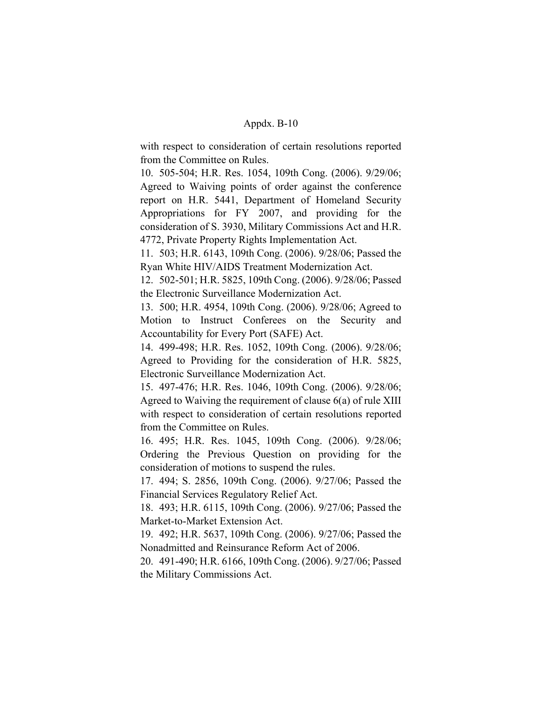with respect to consideration of certain resolutions reported from the Committee on Rules.

10. 505-504; H.R. Res. 1054, 109th Cong. (2006). 9/29/06; Agreed to Waiving points of order against the conference report on H.R. 5441, Department of Homeland Security Appropriations for FY 2007, and providing for the consideration of S. 3930, Military Commissions Act and H.R. 4772, Private Property Rights Implementation Act.

11. 503; H.R. 6143, 109th Cong. (2006). 9/28/06; Passed the Ryan White HIV/AIDS Treatment Modernization Act.

12. 502-501; H.R. 5825, 109th Cong. (2006). 9/28/06; Passed the Electronic Surveillance Modernization Act.

13. 500; H.R. 4954, 109th Cong. (2006). 9/28/06; Agreed to Motion to Instruct Conferees on the Security and Accountability for Every Port (SAFE) Act.

14. 499-498; H.R. Res. 1052, 109th Cong. (2006). 9/28/06; Agreed to Providing for the consideration of H.R. 5825, Electronic Surveillance Modernization Act.

15. 497-476; H.R. Res. 1046, 109th Cong. (2006). 9/28/06; Agreed to Waiving the requirement of clause 6(a) of rule XIII with respect to consideration of certain resolutions reported from the Committee on Rules.

16. 495; H.R. Res. 1045, 109th Cong. (2006). 9/28/06; Ordering the Previous Question on providing for the consideration of motions to suspend the rules.

17. 494; S. 2856, 109th Cong. (2006). 9/27/06; Passed the Financial Services Regulatory Relief Act.

18. 493; H.R. 6115, 109th Cong. (2006). 9/27/06; Passed the Market-to-Market Extension Act.

19. 492; H.R. 5637, 109th Cong. (2006). 9/27/06; Passed the Nonadmitted and Reinsurance Reform Act of 2006.

20. 491-490; H.R. 6166, 109th Cong. (2006). 9/27/06; Passed the Military Commissions Act.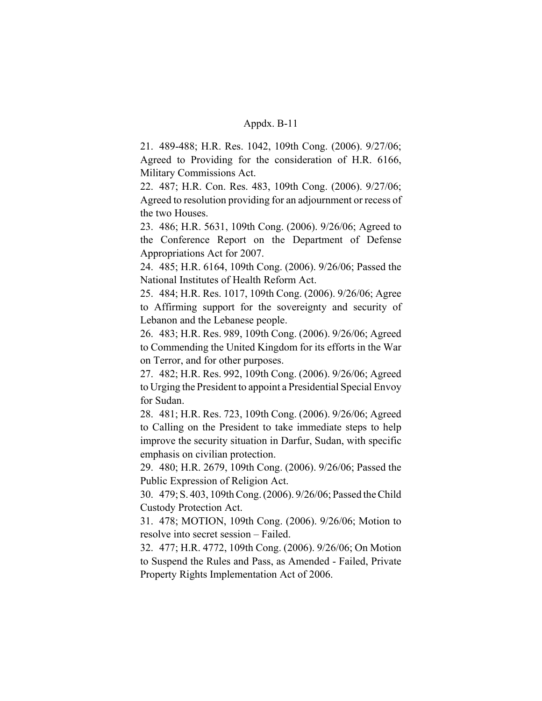21. 489-488; H.R. Res. 1042, 109th Cong. (2006). 9/27/06; Agreed to Providing for the consideration of H.R. 6166, Military Commissions Act.

22. 487; H.R. Con. Res. 483, 109th Cong. (2006). 9/27/06; Agreed to resolution providing for an adjournment or recess of the two Houses.

23. 486; H.R. 5631, 109th Cong. (2006). 9/26/06; Agreed to the Conference Report on the Department of Defense Appropriations Act for 2007.

24. 485; H.R. 6164, 109th Cong. (2006). 9/26/06; Passed the National Institutes of Health Reform Act.

25. 484; H.R. Res. 1017, 109th Cong. (2006). 9/26/06; Agree to Affirming support for the sovereignty and security of Lebanon and the Lebanese people.

26. 483; H.R. Res. 989, 109th Cong. (2006). 9/26/06; Agreed to Commending the United Kingdom for its efforts in the War on Terror, and for other purposes.

27. 482; H.R. Res. 992, 109th Cong. (2006). 9/26/06; Agreed to Urging the President to appoint a Presidential Special Envoy for Sudan.

28. 481; H.R. Res. 723, 109th Cong. (2006). 9/26/06; Agreed to Calling on the President to take immediate steps to help improve the security situation in Darfur, Sudan, with specific emphasis on civilian protection.

29. 480; H.R. 2679, 109th Cong. (2006). 9/26/06; Passed the Public Expression of Religion Act.

30. 479; S. 403, 109th Cong. (2006). 9/26/06; Passed the Child Custody Protection Act.

31. 478; MOTION, 109th Cong. (2006). 9/26/06; Motion to resolve into secret session – Failed.

32. 477; H.R. 4772, 109th Cong. (2006). 9/26/06; On Motion to Suspend the Rules and Pass, as Amended - Failed, Private Property Rights Implementation Act of 2006.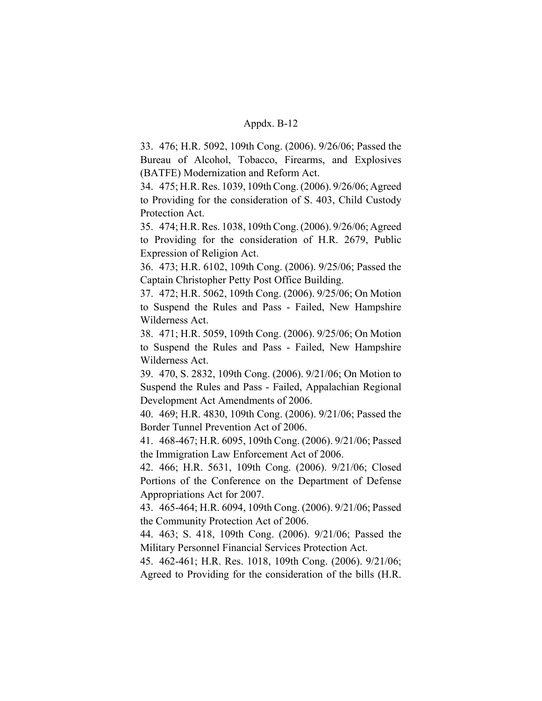33. 476; H.R. 5092, 109th Cong. (2006). 9/26/06; Passed the Bureau of Alcohol, Tobacco, Firearms, and Explosives (BATFE) Modernization and Reform Act.

34. 475; H.R. Res. 1039, 109th Cong. (2006). 9/26/06; Agreed to Providing for the consideration of S. 403, Child Custody Protection Act.

35. 474; H.R. Res. 1038, 109th Cong. (2006). 9/26/06; Agreed to Providing for the consideration of H.R. 2679, Public Expression of Religion Act.

36. 473; H.R. 6102, 109th Cong. (2006). 9/25/06; Passed the Captain Christopher Petty Post Office Building.

37. 472; H.R. 5062, 109th Cong. (2006). 9/25/06; On Motion to Suspend the Rules and Pass - Failed, New Hampshire Wilderness Act.

38. 471; H.R. 5059, 109th Cong. (2006). 9/25/06; On Motion to Suspend the Rules and Pass - Failed, New Hampshire Wilderness Act.

39. 470, S. 2832, 109th Cong. (2006). 9/21/06; On Motion to Suspend the Rules and Pass - Failed, Appalachian Regional Development Act Amendments of 2006.

40. 469; H.R. 4830, 109th Cong. (2006). 9/21/06; Passed the Border Tunnel Prevention Act of 2006.

41. 468-467; H.R. 6095, 109th Cong. (2006). 9/21/06; Passed the Immigration Law Enforcement Act of 2006.

42. 466; H.R. 5631, 109th Cong. (2006). 9/21/06; Closed Portions of the Conference on the Department of Defense Appropriations Act for 2007.

43. 465-464; H.R. 6094, 109th Cong. (2006). 9/21/06; Passed the Community Protection Act of 2006.

44. 463; S. 418, 109th Cong. (2006). 9/21/06; Passed the Military Personnel Financial Services Protection Act.

45. 462-461; H.R. Res. 1018, 109th Cong. (2006). 9/21/06; Agreed to Providing for the consideration of the bills (H.R.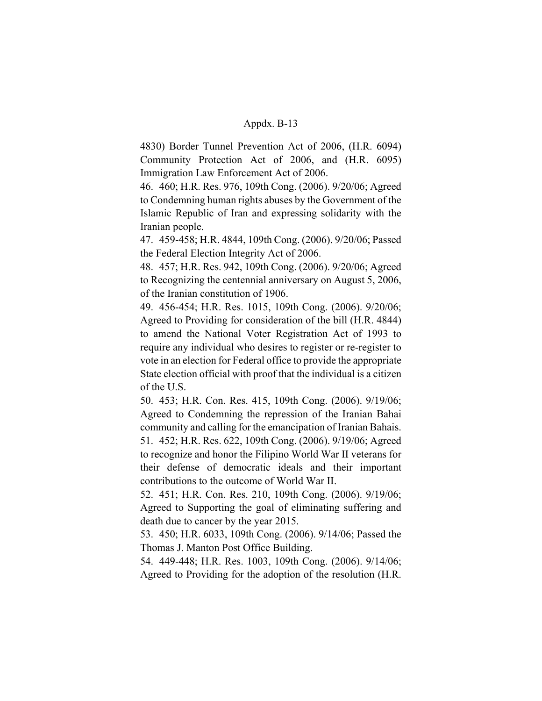4830) Border Tunnel Prevention Act of 2006, (H.R. 6094) Community Protection Act of 2006, and (H.R. 6095) Immigration Law Enforcement Act of 2006.

46. 460; H.R. Res. 976, 109th Cong. (2006). 9/20/06; Agreed to Condemning human rights abuses by the Government of the Islamic Republic of Iran and expressing solidarity with the Iranian people.

47. 459-458; H.R. 4844, 109th Cong. (2006). 9/20/06; Passed the Federal Election Integrity Act of 2006.

48. 457; H.R. Res. 942, 109th Cong. (2006). 9/20/06; Agreed to Recognizing the centennial anniversary on August 5, 2006, of the Iranian constitution of 1906.

49. 456-454; H.R. Res. 1015, 109th Cong. (2006). 9/20/06; Agreed to Providing for consideration of the bill (H.R. 4844) to amend the National Voter Registration Act of 1993 to require any individual who desires to register or re-register to vote in an election for Federal office to provide the appropriate State election official with proof that the individual is a citizen of the U.S.

50. 453; H.R. Con. Res. 415, 109th Cong. (2006). 9/19/06; Agreed to Condemning the repression of the Iranian Bahai community and calling for the emancipation of Iranian Bahais. 51. 452; H.R. Res. 622, 109th Cong. (2006). 9/19/06; Agreed to recognize and honor the Filipino World War II veterans for their defense of democratic ideals and their important contributions to the outcome of World War II.

52. 451; H.R. Con. Res. 210, 109th Cong. (2006). 9/19/06; Agreed to Supporting the goal of eliminating suffering and death due to cancer by the year 2015.

53. 450; H.R. 6033, 109th Cong. (2006). 9/14/06; Passed the Thomas J. Manton Post Office Building.

54. 449-448; H.R. Res. 1003, 109th Cong. (2006). 9/14/06; Agreed to Providing for the adoption of the resolution (H.R.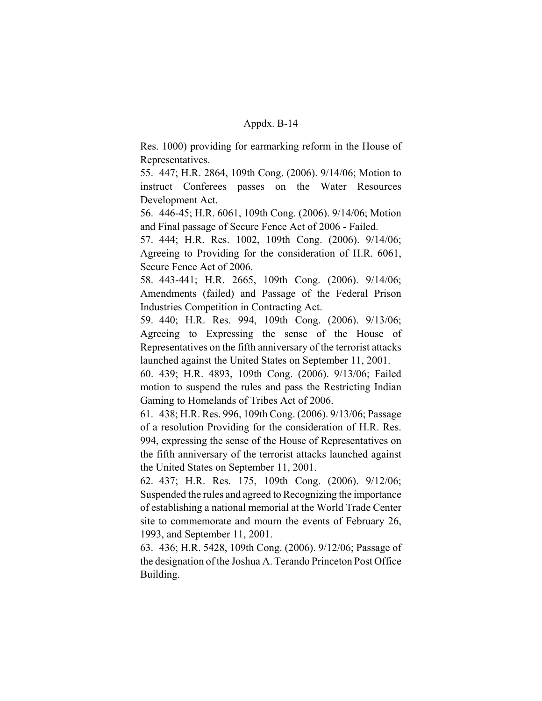Res. 1000) providing for earmarking reform in the House of Representatives.

55. 447; H.R. 2864, 109th Cong. (2006). 9/14/06; Motion to instruct Conferees passes on the Water Resources Development Act.

56. 446-45; H.R. 6061, 109th Cong. (2006). 9/14/06; Motion and Final passage of Secure Fence Act of 2006 - Failed.

57. 444; H.R. Res. 1002, 109th Cong. (2006). 9/14/06; Agreeing to Providing for the consideration of H.R. 6061, Secure Fence Act of 2006.

58. 443-441; H.R. 2665, 109th Cong. (2006). 9/14/06; Amendments (failed) and Passage of the Federal Prison Industries Competition in Contracting Act.

59. 440; H.R. Res. 994, 109th Cong. (2006). 9/13/06; Agreeing to Expressing the sense of the House of Representatives on the fifth anniversary of the terrorist attacks launched against the United States on September 11, 2001.

60. 439; H.R. 4893, 109th Cong. (2006). 9/13/06; Failed motion to suspend the rules and pass the Restricting Indian Gaming to Homelands of Tribes Act of 2006.

61. 438; H.R. Res. 996, 109th Cong. (2006). 9/13/06; Passage of a resolution Providing for the consideration of H.R. Res. 994, expressing the sense of the House of Representatives on the fifth anniversary of the terrorist attacks launched against the United States on September 11, 2001.

62. 437; H.R. Res. 175, 109th Cong. (2006). 9/12/06; Suspended the rules and agreed to Recognizing the importance of establishing a national memorial at the World Trade Center site to commemorate and mourn the events of February 26, 1993, and September 11, 2001.

63. 436; H.R. 5428, 109th Cong. (2006). 9/12/06; Passage of the designation of the Joshua A. Terando Princeton Post Office Building.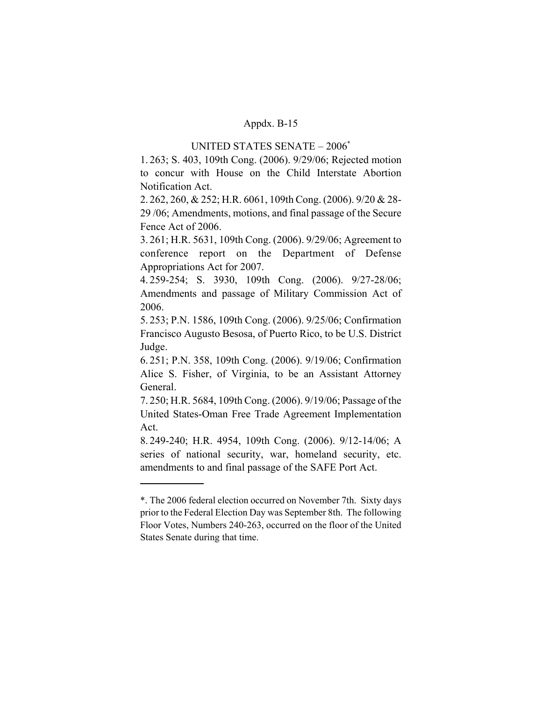# UNITED STATES SENATE – 2006\*

1. 263; S. 403, 109th Cong. (2006). 9/29/06; Rejected motion to concur with House on the Child Interstate Abortion Notification Act.

2. 262, 260, & 252; H.R. 6061, 109th Cong. (2006). 9/20 & 28- 29 /06; Amendments, motions, and final passage of the Secure Fence Act of 2006.

3. 261; H.R. 5631, 109th Cong. (2006). 9/29/06; Agreement to conference report on the Department of Defense Appropriations Act for 2007.

4. 259-254; S. 3930, 109th Cong. (2006). 9/27-28/06; Amendments and passage of Military Commission Act of 2006.

5. 253; P.N. 1586, 109th Cong. (2006). 9/25/06; Confirmation Francisco Augusto Besosa, of Puerto Rico, to be U.S. District Judge.

6. 251; P.N. 358, 109th Cong. (2006). 9/19/06; Confirmation Alice S. Fisher, of Virginia, to be an Assistant Attorney General.

7. 250; H.R. 5684, 109th Cong. (2006). 9/19/06; Passage of the United States-Oman Free Trade Agreement Implementation Act.

8. 249-240; H.R. 4954, 109th Cong. (2006). 9/12-14/06; A series of national security, war, homeland security, etc. amendments to and final passage of the SAFE Port Act.

<sup>\*.</sup> The 2006 federal election occurred on November 7th. Sixty days prior to the Federal Election Day was September 8th. The following Floor Votes, Numbers 240-263, occurred on the floor of the United States Senate during that time.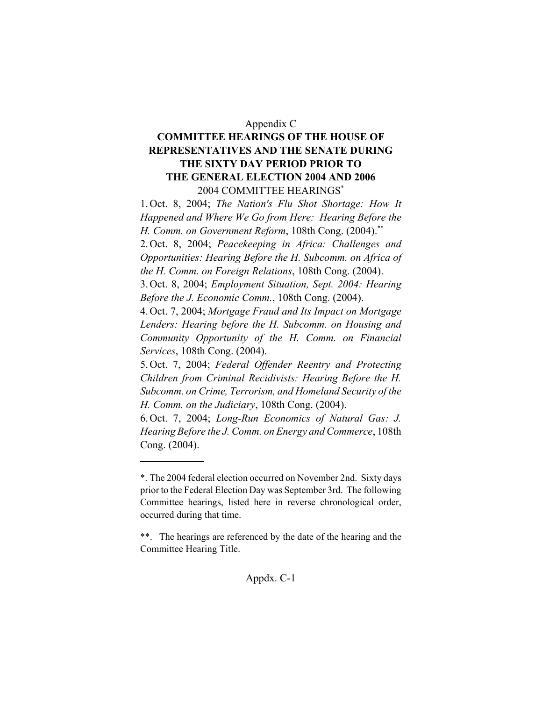# Appendix C

# **COMMITTEE HEARINGS OF THE HOUSE OF REPRESENTATIVES AND THE SENATE DURING THE SIXTY DAY PERIOD PRIOR TO THE GENERAL ELECTION 2004 AND 2006** 2004 COMMITTEE HEARINGS\*

1. Oct. 8, 2004; *The Nation's Flu Shot Shortage: How It Happened and Where We Go from Here: Hearing Before the H. Comm. on Government Reform*, 108th Cong. (2004).\*\*

2. Oct. 8, 2004; *Peacekeeping in Africa: Challenges and Opportunities: Hearing Before the H. Subcomm. on Africa of the H. Comm. on Foreign Relations*, 108th Cong. (2004).

3. Oct. 8, 2004; *Employment Situation, Sept. 2004: Hearing Before the J. Economic Comm.*, 108th Cong. (2004).

4. Oct. 7, 2004; *Mortgage Fraud and Its Impact on Mortgage Lenders: Hearing before the H. Subcomm. on Housing and Community Opportunity of the H. Comm. on Financial Services*, 108th Cong. (2004).

5. Oct. 7, 2004; *Federal Offender Reentry and Protecting Children from Criminal Recidivists: Hearing Before the H. Subcomm. on Crime, Terrorism, and Homeland Security of the H. Comm. on the Judiciary*, 108th Cong. (2004).

6. Oct. 7, 2004; *Long-Run Economics of Natural Gas: J. Hearing Before the J. Comm. on Energy and Commerce*, 108th Cong. (2004).

<sup>\*.</sup> The 2004 federal election occurred on November 2nd. Sixty days prior to the Federal Election Day was September 3rd. The following Committee hearings, listed here in reverse chronological order, occurred during that time.

<sup>\*\*.</sup> The hearings are referenced by the date of the hearing and the Committee Hearing Title.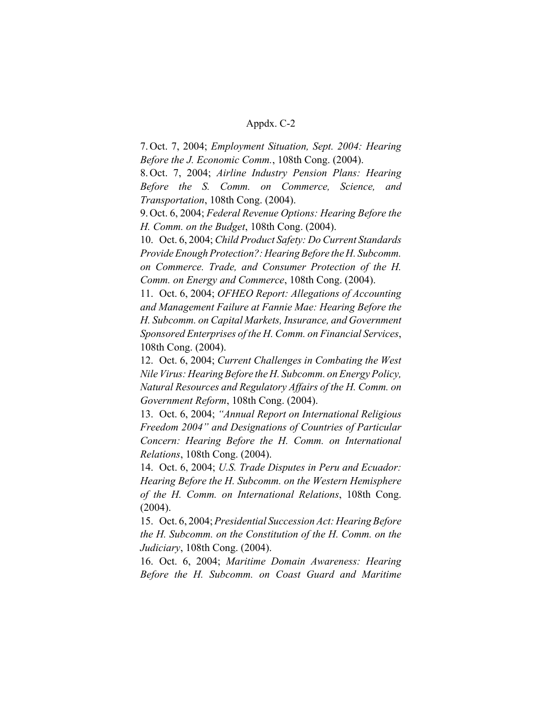7. Oct. 7, 2004; *Employment Situation, Sept. 2004: Hearing Before the J. Economic Comm.*, 108th Cong. (2004).

8. Oct. 7, 2004; *Airline Industry Pension Plans: Hearing Before the S. Comm. on Commerce, Science, and Transportation*, 108th Cong. (2004).

9. Oct. 6, 2004; *Federal Revenue Options: Hearing Before the H. Comm. on the Budget*, 108th Cong. (2004).

10. Oct. 6, 2004; *Child Product Safety: Do Current Standards Provide Enough Protection?: Hearing Before the H. Subcomm. on Commerce. Trade, and Consumer Protection of the H. Comm. on Energy and Commerce*, 108th Cong. (2004).

11. Oct. 6, 2004; *OFHEO Report: Allegations of Accounting and Management Failure at Fannie Mae: Hearing Before the H. Subcomm. on Capital Markets, Insurance, and Government Sponsored Enterprises of the H. Comm. on Financial Services*, 108th Cong. (2004).

12. Oct. 6, 2004; *Current Challenges in Combating the West Nile Virus: Hearing Before the H. Subcomm. on Energy Policy, Natural Resources and Regulatory Affairs of the H. Comm. on Government Reform*, 108th Cong. (2004).

13. Oct. 6, 2004; *"Annual Report on International Religious Freedom 2004" and Designations of Countries of Particular Concern: Hearing Before the H. Comm. on International Relations*, 108th Cong. (2004).

14. Oct. 6, 2004; *U.S. Trade Disputes in Peru and Ecuador: Hearing Before the H. Subcomm. on the Western Hemisphere of the H. Comm. on International Relations*, 108th Cong. (2004).

15. Oct. 6, 2004; *Presidential Succession Act: Hearing Before the H. Subcomm. on the Constitution of the H. Comm. on the Judiciary*, 108th Cong. (2004).

16. Oct. 6, 2004; *Maritime Domain Awareness: Hearing Before the H. Subcomm. on Coast Guard and Maritime*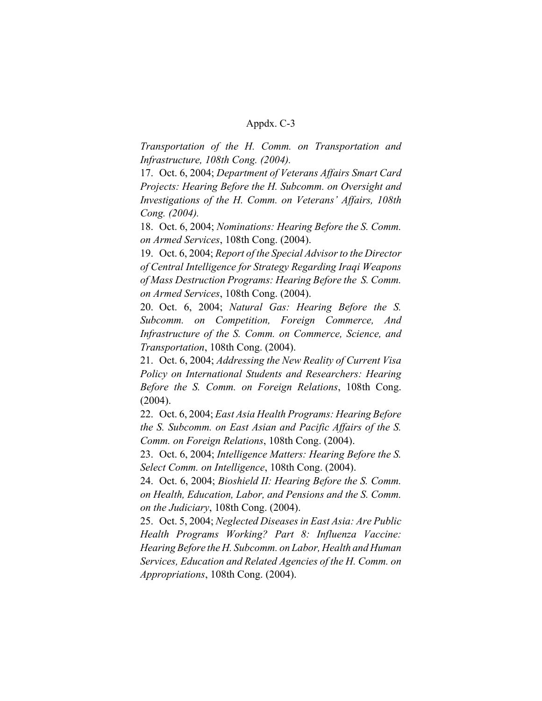*Transportation of the H. Comm. on Transportation and Infrastructure, 108th Cong. (2004).*

17. Oct. 6, 2004; *Department of Veterans Affairs Smart Card Projects: Hearing Before the H. Subcomm. on Oversight and Investigations of the H. Comm. on Veterans' Affairs, 108th Cong. (2004).*

18. Oct. 6, 2004; *Nominations: Hearing Before the S. Comm. on Armed Services*, 108th Cong. (2004).

19. Oct. 6, 2004; *Report of the Special Advisor to the Director of Central Intelligence for Strategy Regarding Iraqi Weapons of Mass Destruction Programs: Hearing Before the S. Comm. on Armed Services*, 108th Cong. (2004).

20. Oct. 6, 2004; *Natural Gas: Hearing Before the S. Subcomm. on Competition, Foreign Commerce, And Infrastructure of the S. Comm. on Commerce, Science, and Transportation*, 108th Cong. (2004).

21. Oct. 6, 2004; *Addressing the New Reality of Current Visa Policy on International Students and Researchers: Hearing Before the S. Comm. on Foreign Relations*, 108th Cong. (2004).

22. Oct. 6, 2004; *East Asia Health Programs: Hearing Before the S. Subcomm. on East Asian and Pacific Affairs of the S. Comm. on Foreign Relations*, 108th Cong. (2004).

23. Oct. 6, 2004; *Intelligence Matters: Hearing Before the S. Select Comm. on Intelligence*, 108th Cong. (2004).

24. Oct. 6, 2004; *Bioshield II: Hearing Before the S. Comm. on Health, Education, Labor, and Pensions and the S. Comm. on the Judiciary*, 108th Cong. (2004).

25. Oct. 5, 2004; *Neglected Diseases in East Asia: Are Public Health Programs Working? Part 8: Influenza Vaccine: Hearing Before the H. Subcomm. on Labor, Health and Human Services, Education and Related Agencies of the H. Comm. on Appropriations*, 108th Cong. (2004).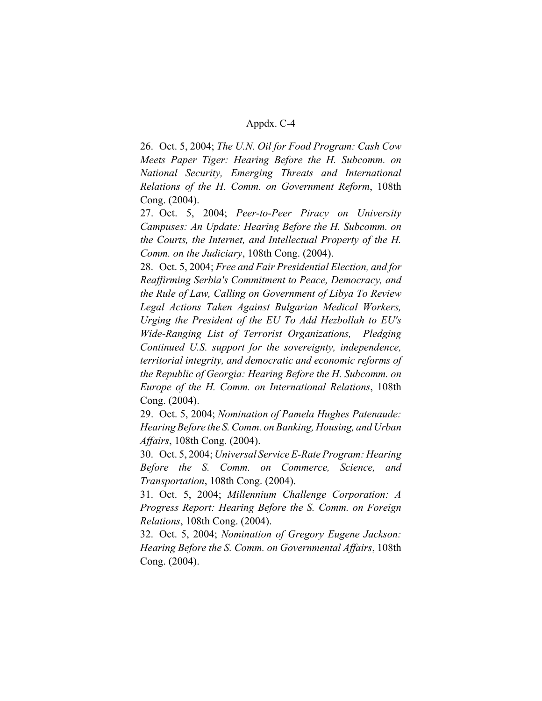26. Oct. 5, 2004; *The U.N. Oil for Food Program: Cash Cow Meets Paper Tiger: Hearing Before the H. Subcomm. on National Security, Emerging Threats and International Relations of the H. Comm. on Government Reform*, 108th Cong. (2004).

27. Oct. 5, 2004; *Peer-to-Peer Piracy on University Campuses: An Update: Hearing Before the H. Subcomm. on the Courts, the Internet, and Intellectual Property of the H. Comm. on the Judiciary*, 108th Cong. (2004).

28. Oct. 5, 2004; *Free and Fair Presidential Election, and for Reaffirming Serbia's Commitment to Peace, Democracy, and the Rule of Law, Calling on Government of Libya To Review Legal Actions Taken Against Bulgarian Medical Workers, Urging the President of the EU To Add Hezbollah to EU's Wide-Ranging List of Terrorist Organizations, Pledging Continued U.S. support for the sovereignty, independence, territorial integrity, and democratic and economic reforms of the Republic of Georgia: Hearing Before the H. Subcomm. on Europe of the H. Comm. on International Relations*, 108th Cong. (2004).

29. Oct. 5, 2004; *Nomination of Pamela Hughes Patenaude: Hearing Before the S. Comm. on Banking, Housing, and Urban Affairs*, 108th Cong. (2004).

30. Oct. 5, 2004; *Universal Service E-Rate Program: Hearing Before the S. Comm. on Commerce, Science, and Transportation*, 108th Cong. (2004).

31. Oct. 5, 2004; *Millennium Challenge Corporation: A Progress Report: Hearing Before the S. Comm. on Foreign Relations*, 108th Cong. (2004).

32. Oct. 5, 2004; *Nomination of Gregory Eugene Jackson: Hearing Before the S. Comm. on Governmental Affairs*, 108th Cong. (2004).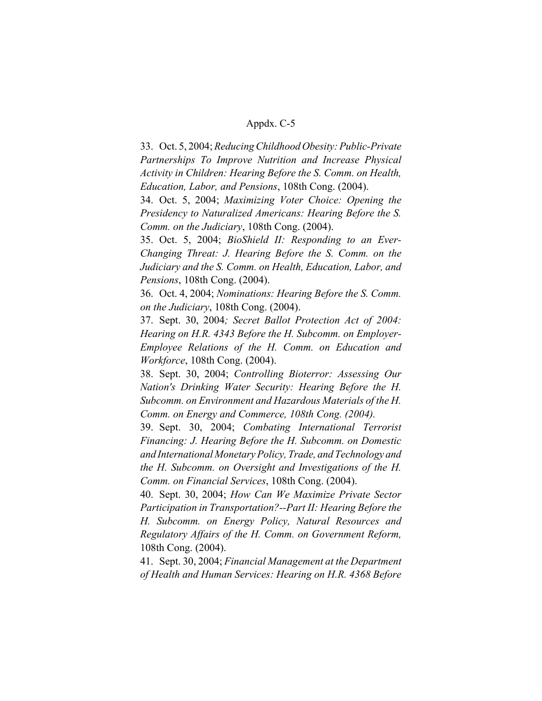33. Oct. 5, 2004; *Reducing Childhood Obesity: Public-Private Partnerships To Improve Nutrition and Increase Physical Activity in Children: Hearing Before the S. Comm. on Health, Education, Labor, and Pensions*, 108th Cong. (2004).

34. Oct. 5, 2004; *Maximizing Voter Choice: Opening the Presidency to Naturalized Americans: Hearing Before the S. Comm. on the Judiciary*, 108th Cong. (2004).

35. Oct. 5, 2004; *BioShield II: Responding to an Ever-Changing Threat: J. Hearing Before the S. Comm. on the Judiciary and the S. Comm. on Health, Education, Labor, and Pensions*, 108th Cong. (2004).

36. Oct. 4, 2004; *Nominations: Hearing Before the S. Comm. on the Judiciary*, 108th Cong. (2004).

37. Sept. 30, 2004*; Secret Ballot Protection Act of 2004: Hearing on H.R. 4343 Before the H. Subcomm. on Employer-Employee Relations of the H. Comm. on Education and Workforce*, 108th Cong. (2004).

38. Sept. 30, 2004; *Controlling Bioterror: Assessing Our Nation's Drinking Water Security: Hearing Before the H. Subcomm. on Environment and Hazardous Materials of the H. Comm. on Energy and Commerce, 108th Cong. (2004).*

39. Sept. 30, 2004; *Combating International Terrorist Financing: J. Hearing Before the H. Subcomm. on Domestic and International Monetary Policy, Trade, and Technology and the H. Subcomm. on Oversight and Investigations of the H. Comm. on Financial Services*, 108th Cong. (2004).

40. Sept. 30, 2004; *How Can We Maximize Private Sector Participation in Transportation?--Part II: Hearing Before the H. Subcomm. on Energy Policy, Natural Resources and Regulatory Affairs of the H. Comm. on Government Reform,* 108th Cong. (2004).

41. Sept. 30, 2004; *Financial Management at the Department of Health and Human Services: Hearing on H.R. 4368 Before*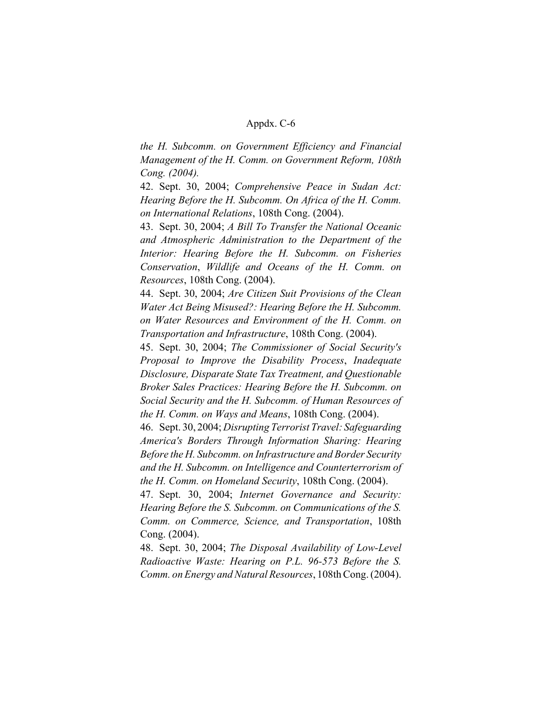*the H. Subcomm. on Government Efficiency and Financial Management of the H. Comm. on Government Reform, 108th Cong. (2004).*

42. Sept. 30, 2004; *Comprehensive Peace in Sudan Act: Hearing Before the H. Subcomm. On Africa of the H. Comm. on International Relations*, 108th Cong. (2004).

43. Sept. 30, 2004; *A Bill To Transfer the National Oceanic and Atmospheric Administration to the Department of the Interior: Hearing Before the H. Subcomm. on Fisheries Conservation*, *Wildlife and Oceans of the H. Comm. on Resources*, 108th Cong. (2004).

44. Sept. 30, 2004; *Are Citizen Suit Provisions of the Clean Water Act Being Misused?: Hearing Before the H. Subcomm. on Water Resources and Environment of the H. Comm. on Transportation and Infrastructure*, 108th Cong. (2004).

45. Sept. 30, 2004; *The Commissioner of Social Security's Proposal to Improve the Disability Process*, *Inadequate Disclosure, Disparate State Tax Treatment, and Questionable Broker Sales Practices: Hearing Before the H. Subcomm. on Social Security and the H. Subcomm. of Human Resources of the H. Comm. on Ways and Means*, 108th Cong. (2004).

46. Sept. 30, 2004; *Disrupting Terrorist Travel: Safeguarding America's Borders Through Information Sharing: Hearing Before the H. Subcomm. on Infrastructure and Border Security and the H. Subcomm. on Intelligence and Counterterrorism of the H. Comm. on Homeland Security*, 108th Cong. (2004).

47. Sept. 30, 2004; *Internet Governance and Security: Hearing Before the S. Subcomm. on Communications of the S. Comm. on Commerce, Science, and Transportation*, 108th Cong. (2004).

48. Sept. 30, 2004; *The Disposal Availability of Low-Level Radioactive Waste: Hearing on P.L. 96-573 Before the S. Comm. on Energy and Natural Resources*, 108th Cong. (2004).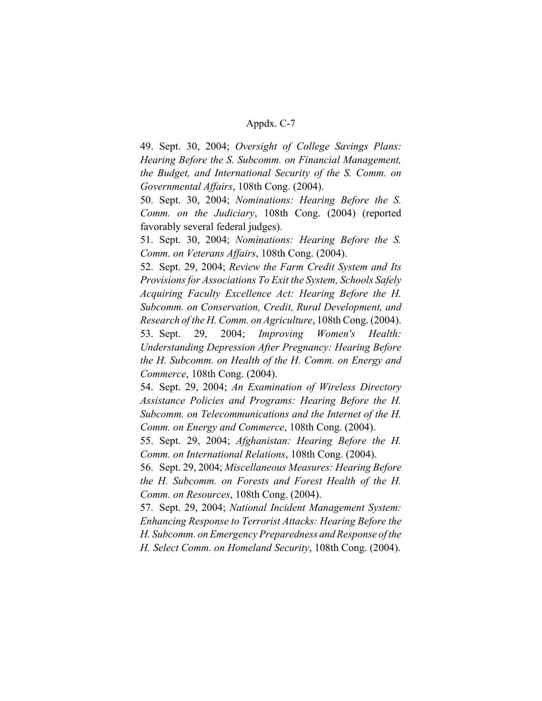49. Sept. 30, 2004; *Oversight of College Savings Plans: Hearing Before the S. Subcomm. on Financial Management, the Budget, and International Security of the S. Comm. on Governmental Affairs*, 108th Cong. (2004).

50. Sept. 30, 2004; *Nominations: Hearing Before the S. Comm. on the Judiciary*, 108th Cong. (2004) (reported favorably several federal judges).

51. Sept. 30, 2004; *Nominations: Hearing Before the S. Comm. on Veterans Affairs*, 108th Cong. (2004).

52. Sept. 29, 2004; *Review the Farm Credit System and Its Provisions for Associations To Exit the System, Schools Safely Acquiring Faculty Excellence Act: Hearing Before the H. Subcomm. on Conservation, Credit, Rural Development, and Research of the H. Comm. on Agriculture*, 108th Cong. (2004). 53. Sept. 29, 2004; *Improving Women's Health: Understanding Depression After Pregnancy: Hearing Before the H. Subcomm. on Health of the H. Comm. on Energy and Commerce*, 108th Cong. (2004).

54. Sept. 29, 2004; *An Examination of Wireless Directory Assistance Policies and Programs: Hearing Before the H. Subcomm. on Telecommunications and the Internet of the H. Comm. on Energy and Commerce*, 108th Cong. (2004).

55. Sept. 29, 2004; *Afghanistan: Hearing Before the H. Comm. on International Relations*, 108th Cong. (2004).

56. Sept. 29, 2004; *Miscellaneous Measures: Hearing Before the H. Subcomm. on Forests and Forest Health of the H. Comm. on Resources*, 108th Cong. (2004).

57. Sept. 29, 2004; *National Incident Management System: Enhancing Response to Terrorist Attacks: Hearing Before the H. Subcomm. on Emergency Preparedness and Response of the H. Select Comm. on Homeland Security*, 108th Cong. (2004).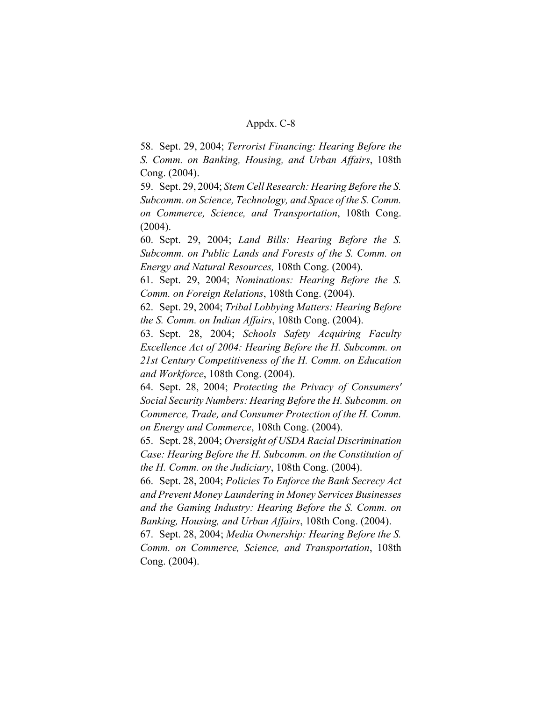58. Sept. 29, 2004; *Terrorist Financing: Hearing Before the S. Comm. on Banking, Housing, and Urban Affairs*, 108th Cong. (2004).

59. Sept. 29, 2004; *Stem Cell Research: Hearing Before the S. Subcomm. on Science, Technology, and Space of the S. Comm. on Commerce, Science, and Transportation*, 108th Cong. (2004).

60. Sept. 29, 2004; *Land Bills: Hearing Before the S. Subcomm. on Public Lands and Forests of the S. Comm. on Energy and Natural Resources,* 108th Cong. (2004).

61. Sept. 29, 2004; *Nominations: Hearing Before the S. Comm. on Foreign Relations*, 108th Cong. (2004).

62. Sept. 29, 2004; *Tribal Lobbying Matters: Hearing Before the S. Comm. on Indian Affairs*, 108th Cong. (2004).

63. Sept. 28, 2004; *Schools Safety Acquiring Faculty Excellence Act of 2004: Hearing Before the H. Subcomm. on 21st Century Competitiveness of the H. Comm. on Education and Workforce*, 108th Cong. (2004).

64. Sept. 28, 2004; *Protecting the Privacy of Consumers' Social Security Numbers: Hearing Before the H. Subcomm. on Commerce, Trade, and Consumer Protection of the H. Comm. on Energy and Commerce*, 108th Cong. (2004).

65. Sept. 28, 2004; *Oversight of USDA Racial Discrimination Case: Hearing Before the H. Subcomm. on the Constitution of the H. Comm. on the Judiciary*, 108th Cong. (2004).

66. Sept. 28, 2004; *Policies To Enforce the Bank Secrecy Act and Prevent Money Laundering in Money Services Businesses and the Gaming Industry: Hearing Before the S. Comm. on Banking, Housing, and Urban Affairs*, 108th Cong. (2004).

67. Sept. 28, 2004; *Media Ownership: Hearing Before the S. Comm. on Commerce, Science, and Transportation*, 108th Cong. (2004).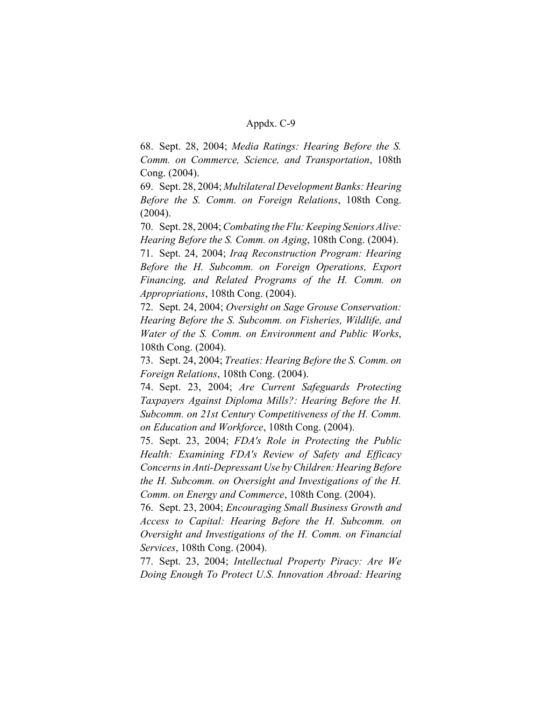68. Sept. 28, 2004; *Media Ratings: Hearing Before the S. Comm. on Commerce, Science, and Transportation*, 108th Cong. (2004).

69. Sept. 28, 2004; *Multilateral Development Banks: Hearing Before the S. Comm. on Foreign Relations*, 108th Cong. (2004).

70. Sept. 28, 2004; *Combating the Flu: Keeping Seniors Alive: Hearing Before the S. Comm. on Aging*, 108th Cong. (2004).

71. Sept. 24, 2004; *Iraq Reconstruction Program: Hearing Before the H. Subcomm. on Foreign Operations, Export Financing, and Related Programs of the H. Comm. on Appropriations*, 108th Cong. (2004).

72. Sept. 24, 2004; *Oversight on Sage Grouse Conservation: Hearing Before the S. Subcomm. on Fisheries, Wildlife, and Water of the S. Comm. on Environment and Public Works*, 108th Cong. (2004).

73. Sept. 24, 2004; *Treaties: Hearing Before the S. Comm. on Foreign Relations*, 108th Cong. (2004).

74. Sept. 23, 2004; *Are Current Safeguards Protecting Taxpayers Against Diploma Mills?: Hearing Before the H. Subcomm. on 21st Century Competitiveness of the H. Comm. on Education and Workforce*, 108th Cong. (2004).

75. Sept. 23, 2004; *FDA's Role in Protecting the Public Health: Examining FDA's Review of Safety and Efficacy Concerns in Anti-Depressant Use by Children: Hearing Before the H. Subcomm. on Oversight and Investigations of the H. Comm. on Energy and Commerce*, 108th Cong. (2004).

76. Sept. 23, 2004; *Encouraging Small Business Growth and Access to Capital: Hearing Before the H. Subcomm. on Oversight and Investigations of the H. Comm. on Financial Services*, 108th Cong. (2004).

77. Sept. 23, 2004; *Intellectual Property Piracy: Are We Doing Enough To Protect U.S. Innovation Abroad: Hearing*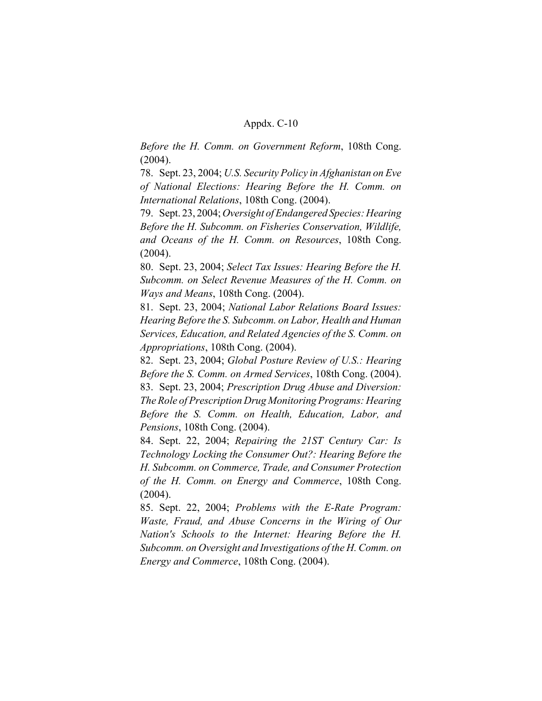*Before the H. Comm. on Government Reform*, 108th Cong. (2004).

78. Sept. 23, 2004; *U.S. Security Policy in Afghanistan on Eve of National Elections: Hearing Before the H. Comm. on International Relations*, 108th Cong. (2004).

79. Sept. 23, 2004; *Oversight of Endangered Species: Hearing Before the H. Subcomm. on Fisheries Conservation, Wildlife, and Oceans of the H. Comm. on Resources*, 108th Cong. (2004).

80. Sept. 23, 2004; *Select Tax Issues: Hearing Before the H. Subcomm. on Select Revenue Measures of the H. Comm. on Ways and Means*, 108th Cong. (2004).

81. Sept. 23, 2004; *National Labor Relations Board Issues: Hearing Before the S. Subcomm. on Labor, Health and Human Services, Education, and Related Agencies of the S. Comm. on Appropriations*, 108th Cong. (2004).

82. Sept. 23, 2004; *Global Posture Review of U.S.: Hearing Before the S. Comm. on Armed Services*, 108th Cong. (2004). 83. Sept. 23, 2004; *Prescription Drug Abuse and Diversion: The Role of Prescription Drug Monitoring Programs: Hearing Before the S. Comm. on Health, Education, Labor, and Pensions*, 108th Cong. (2004).

84. Sept. 22, 2004; *Repairing the 21ST Century Car: Is Technology Locking the Consumer Out?: Hearing Before the H. Subcomm. on Commerce, Trade, and Consumer Protection of the H. Comm. on Energy and Commerce*, 108th Cong. (2004).

85. Sept. 22, 2004; *Problems with the E-Rate Program: Waste, Fraud, and Abuse Concerns in the Wiring of Our Nation's Schools to the Internet: Hearing Before the H. Subcomm. on Oversight and Investigations of the H. Comm. on Energy and Commerce*, 108th Cong. (2004).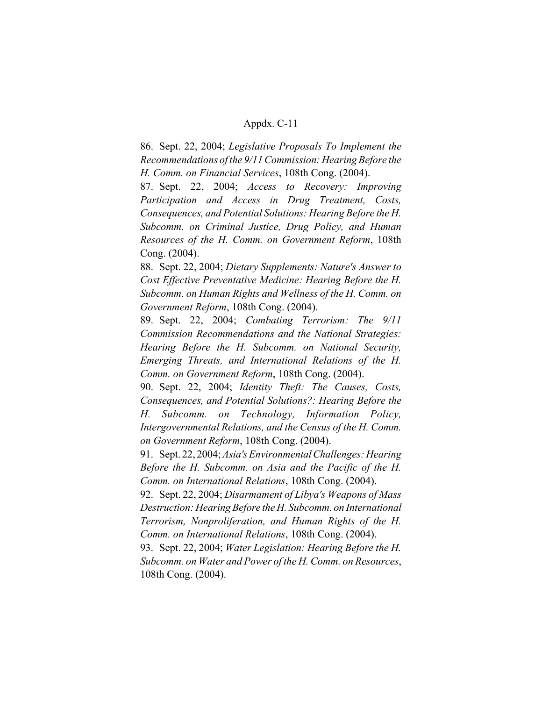86. Sept. 22, 2004; *Legislative Proposals To Implement the Recommendations of the 9/11 Commission: Hearing Before the H. Comm. on Financial Services*, 108th Cong. (2004).

87. Sept. 22, 2004; *Access to Recovery: Improving Participation and Access in Drug Treatment, Costs, Consequences, and Potential Solutions: Hearing Before the H. Subcomm. on Criminal Justice, Drug Policy, and Human Resources of the H. Comm. on Government Reform*, 108th Cong. (2004).

88. Sept. 22, 2004; *Dietary Supplements: Nature's Answer to Cost Effective Preventative Medicine: Hearing Before the H. Subcomm. on Human Rights and Wellness of the H. Comm. on Government Reform*, 108th Cong. (2004).

89. Sept. 22, 2004; *Combating Terrorism: The 9/11 Commission Recommendations and the National Strategies: Hearing Before the H. Subcomm. on National Security, Emerging Threats, and International Relations of the H. Comm. on Government Reform*, 108th Cong. (2004).

90. Sept. 22, 2004; *Identity Theft: The Causes, Costs, Consequences, and Potential Solutions?: Hearing Before the H. Subcomm. on Technology, Information Policy, Intergovernmental Relations, and the Census of the H. Comm. on Government Reform*, 108th Cong. (2004).

91. Sept. 22, 2004; *Asia's Environmental Challenges: Hearing Before the H. Subcomm. on Asia and the Pacific of the H. Comm. on International Relations*, 108th Cong. (2004).

92. Sept. 22, 2004; *Disarmament of Libya's Weapons of Mass Destruction: Hearing Before the H. Subcomm. on International Terrorism, Nonproliferation, and Human Rights of the H. Comm. on International Relations*, 108th Cong. (2004).

93. Sept. 22, 2004; *Water Legislation: Hearing Before the H. Subcomm. on Water and Power of the H. Comm. on Resources*, 108th Cong. (2004).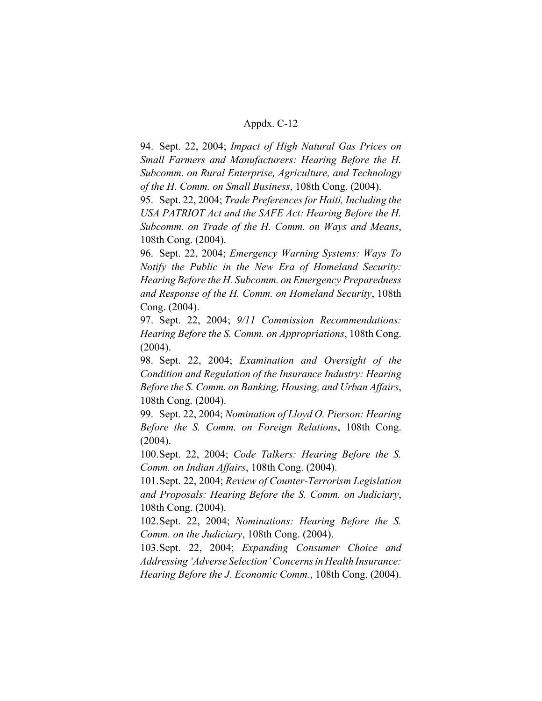94. Sept. 22, 2004; *Impact of High Natural Gas Prices on Small Farmers and Manufacturers: Hearing Before the H. Subcomm. on Rural Enterprise, Agriculture, and Technology of the H. Comm. on Small Business*, 108th Cong. (2004).

95. Sept. 22, 2004; *Trade Preferences for Haiti, Including the USA PATRIOT Act and the SAFE Act: Hearing Before the H. Subcomm. on Trade of the H. Comm. on Ways and Means*, 108th Cong. (2004).

96. Sept. 22, 2004; *Emergency Warning Systems: Ways To Notify the Public in the New Era of Homeland Security: Hearing Before the H. Subcomm. on Emergency Preparedness and Response of the H. Comm. on Homeland Security*, 108th Cong. (2004).

97. Sept. 22, 2004; *9/11 Commission Recommendations: Hearing Before the S. Comm. on Appropriations*, 108th Cong. (2004).

98. Sept. 22, 2004; *Examination and Oversight of the Condition and Regulation of the Insurance Industry: Hearing Before the S. Comm. on Banking, Housing, and Urban Affairs*, 108th Cong. (2004).

99. Sept. 22, 2004; *Nomination of Lloyd O. Pierson: Hearing Before the S. Comm. on Foreign Relations*, 108th Cong. (2004).

100.Sept. 22, 2004; *Code Talkers: Hearing Before the S. Comm. on Indian Affairs*, 108th Cong. (2004).

101.Sept. 22, 2004; *Review of Counter-Terrorism Legislation and Proposals: Hearing Before the S. Comm. on Judiciary*, 108th Cong. (2004).

102.Sept. 22, 2004; *Nominations: Hearing Before the S. Comm. on the Judiciary*, 108th Cong. (2004).

103.Sept. 22, 2004; *Expanding Consumer Choice and Addressing 'Adverse Selection' Concerns in Health Insurance: Hearing Before the J. Economic Comm.*, 108th Cong. (2004).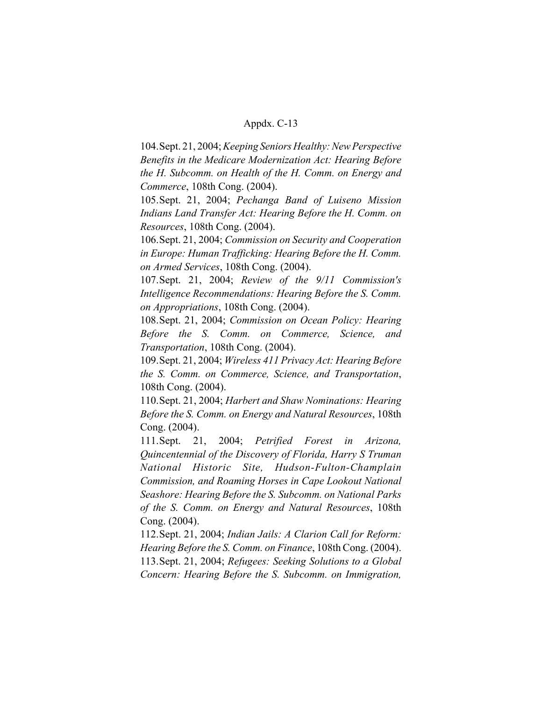104.Sept. 21, 2004; *Keeping Seniors Healthy: New Perspective Benefits in the Medicare Modernization Act: Hearing Before the H. Subcomm. on Health of the H. Comm. on Energy and Commerce*, 108th Cong. (2004).

105.Sept. 21, 2004; *Pechanga Band of Luiseno Mission Indians Land Transfer Act: Hearing Before the H. Comm. on Resources*, 108th Cong. (2004).

106.Sept. 21, 2004; *Commission on Security and Cooperation in Europe: Human Trafficking: Hearing Before the H. Comm. on Armed Services*, 108th Cong. (2004).

107.Sept. 21, 2004; *Review of the 9/11 Commission's Intelligence Recommendations: Hearing Before the S. Comm. on Appropriations*, 108th Cong. (2004).

108.Sept. 21, 2004; *Commission on Ocean Policy: Hearing Before the S. Comm. on Commerce, Science, and Transportation*, 108th Cong. (2004).

109.Sept. 21, 2004; *Wireless 411 Privacy Act: Hearing Before the S. Comm. on Commerce, Science, and Transportation*, 108th Cong. (2004).

110.Sept. 21, 2004; *Harbert and Shaw Nominations: Hearing Before the S. Comm. on Energy and Natural Resources*, 108th Cong. (2004).

111.Sept. 21, 2004; *Petrified Forest in Arizona, Quincentennial of the Discovery of Florida, Harry S Truman National Historic Site, Hudson-Fulton-Champlain Commission, and Roaming Horses in Cape Lookout National Seashore: Hearing Before the S. Subcomm. on National Parks of the S. Comm. on Energy and Natural Resources*, 108th Cong. (2004).

112.Sept. 21, 2004; *Indian Jails: A Clarion Call for Reform: Hearing Before the S. Comm. on Finance*, 108th Cong. (2004).

113.Sept. 21, 2004; *Refugees: Seeking Solutions to a Global Concern: Hearing Before the S. Subcomm. on Immigration,*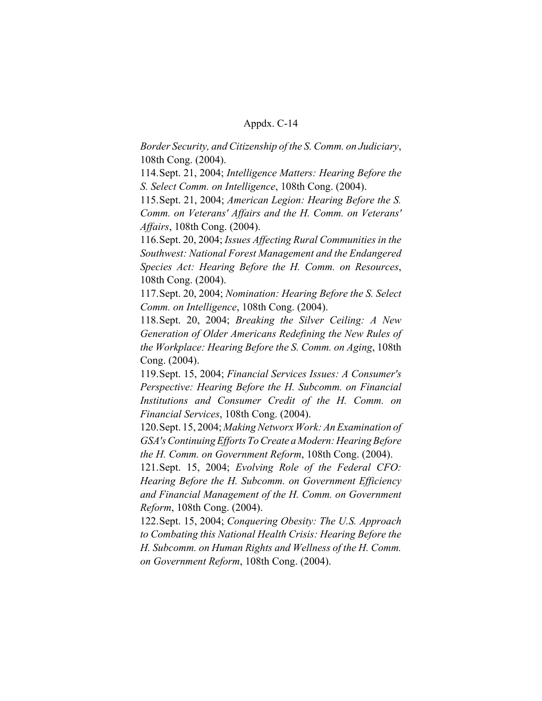*Border Security, and Citizenship of the S. Comm. on Judiciary*, 108th Cong. (2004).

114.Sept. 21, 2004; *Intelligence Matters: Hearing Before the S. Select Comm. on Intelligence*, 108th Cong. (2004).

115.Sept. 21, 2004; *American Legion: Hearing Before the S. Comm. on Veterans' Affairs and the H. Comm. on Veterans' Affairs*, 108th Cong. (2004).

116.Sept. 20, 2004; *Issues Affecting Rural Communities in the Southwest: National Forest Management and the Endangered Species Act: Hearing Before the H. Comm. on Resources*, 108th Cong. (2004).

117.Sept. 20, 2004; *Nomination: Hearing Before the S. Select Comm. on Intelligence*, 108th Cong. (2004).

118.Sept. 20, 2004; *Breaking the Silver Ceiling: A New Generation of Older Americans Redefining the New Rules of the Workplace: Hearing Before the S. Comm. on Aging*, 108th Cong. (2004).

119.Sept. 15, 2004; *Financial Services Issues: A Consumer's Perspective: Hearing Before the H. Subcomm. on Financial Institutions and Consumer Credit of the H. Comm. on Financial Services*, 108th Cong. (2004).

120.Sept. 15, 2004; *Making Networx Work: An Examination of GSA's Continuing Efforts To Create a Modern: Hearing Before the H. Comm. on Government Reform*, 108th Cong. (2004).

121.Sept. 15, 2004; *Evolving Role of the Federal CFO: Hearing Before the H. Subcomm. on Government Efficiency and Financial Management of the H. Comm. on Government Reform*, 108th Cong. (2004).

122.Sept. 15, 2004; *Conquering Obesity: The U.S. Approach to Combating this National Health Crisis: Hearing Before the H. Subcomm. on Human Rights and Wellness of the H. Comm. on Government Reform*, 108th Cong. (2004).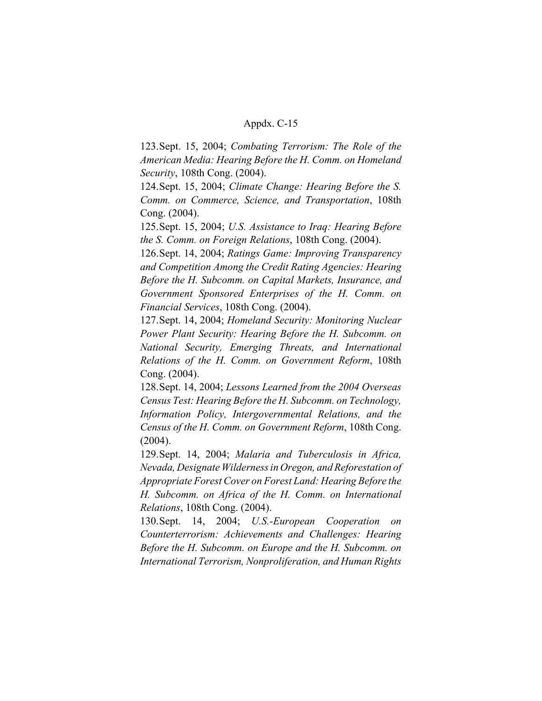123.Sept. 15, 2004; *Combating Terrorism: The Role of the American Media: Hearing Before the H. Comm. on Homeland Security*, 108th Cong. (2004).

124.Sept. 15, 2004; *Climate Change: Hearing Before the S. Comm. on Commerce, Science, and Transportation*, 108th Cong. (2004).

125.Sept. 15, 2004; *U.S. Assistance to Iraq: Hearing Before the S. Comm. on Foreign Relations*, 108th Cong. (2004).

126.Sept. 14, 2004; *Ratings Game: Improving Transparency and Competition Among the Credit Rating Agencies: Hearing Before the H. Subcomm. on Capital Markets, Insurance, and Government Sponsored Enterprises of the H. Comm. on Financial Services*, 108th Cong. (2004).

127.Sept. 14, 2004; *Homeland Security: Monitoring Nuclear Power Plant Security: Hearing Before the H. Subcomm. on National Security, Emerging Threats, and International Relations of the H. Comm. on Government Reform*, 108th Cong. (2004).

128.Sept. 14, 2004; *Lessons Learned from the 2004 Overseas Census Test: Hearing Before the H. Subcomm. on Technology, Information Policy, Intergovernmental Relations, and the Census of the H. Comm. on Government Reform*, 108th Cong. (2004).

129.Sept. 14, 2004; *Malaria and Tuberculosis in Africa, Nevada, Designate Wilderness in Oregon, and Reforestation of Appropriate Forest Cover on Forest Land: Hearing Before the H. Subcomm. on Africa of the H. Comm. on International Relations*, 108th Cong. (2004).

130.Sept. 14, 2004; *U.S.-European Cooperation on Counterterrorism: Achievements and Challenges: Hearing Before the H. Subcomm. on Europe and the H. Subcomm. on International Terrorism, Nonproliferation, and Human Rights*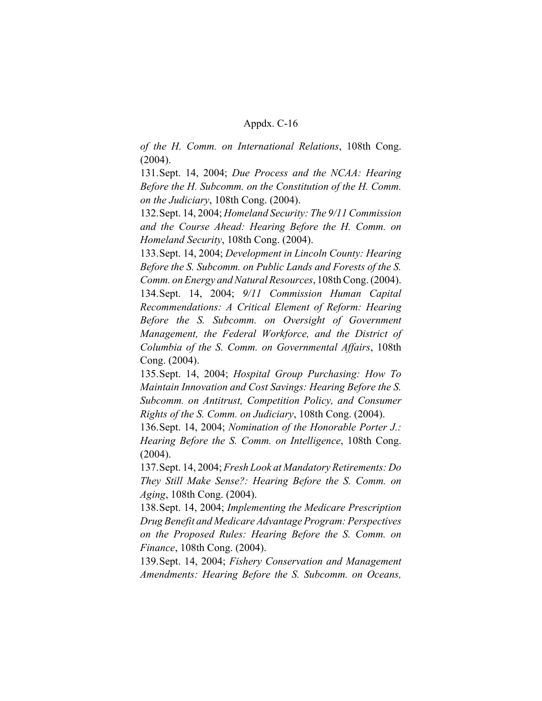*of the H. Comm. on International Relations*, 108th Cong. (2004).

131.Sept. 14, 2004; *Due Process and the NCAA: Hearing Before the H. Subcomm. on the Constitution of the H. Comm. on the Judiciary*, 108th Cong. (2004).

132.Sept. 14, 2004; *Homeland Security: The 9/11 Commission and the Course Ahead: Hearing Before the H. Comm. on Homeland Security*, 108th Cong. (2004).

133.Sept. 14, 2004; *Development in Lincoln County: Hearing Before the S. Subcomm. on Public Lands and Forests of the S. Comm. on Energy and Natural Resources*, 108th Cong. (2004). 134.Sept. 14, 2004; *9/11 Commission Human Capital Recommendations: A Critical Element of Reform: Hearing Before the S. Subcomm. on Oversight of Government Management, the Federal Workforce, and the District of Columbia of the S. Comm. on Governmental Affairs*, 108th Cong. (2004).

135.Sept. 14, 2004; *Hospital Group Purchasing: How To Maintain Innovation and Cost Savings: Hearing Before the S. Subcomm. on Antitrust, Competition Policy, and Consumer Rights of the S. Comm. on Judiciary*, 108th Cong. (2004).

136.Sept. 14, 2004; *Nomination of the Honorable Porter J.: Hearing Before the S. Comm. on Intelligence*, 108th Cong. (2004).

137.Sept. 14, 2004; *Fresh Look at Mandatory Retirements: Do They Still Make Sense?: Hearing Before the S. Comm. on Aging*, 108th Cong. (2004).

138.Sept. 14, 2004; *Implementing the Medicare Prescription Drug Benefit and Medicare Advantage Program: Perspectives on the Proposed Rules: Hearing Before the S. Comm. on Finance*, 108th Cong. (2004).

139.Sept. 14, 2004; *Fishery Conservation and Management Amendments: Hearing Before the S. Subcomm. on Oceans,*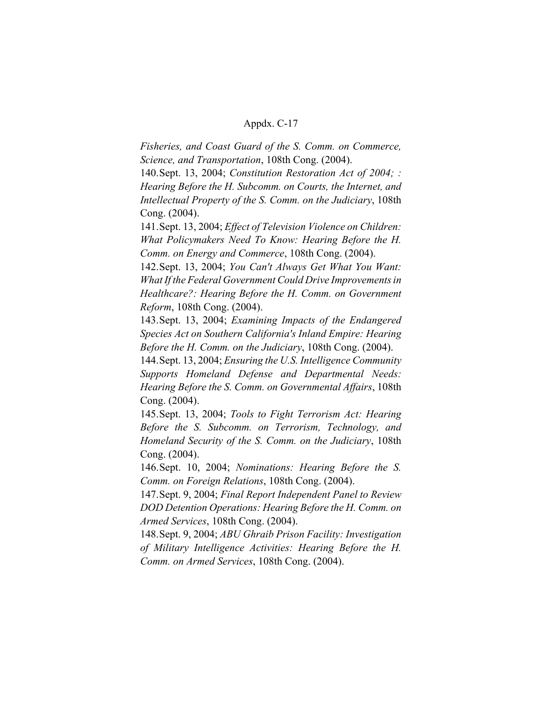*Fisheries, and Coast Guard of the S. Comm. on Commerce, Science, and Transportation*, 108th Cong. (2004).

140.Sept. 13, 2004; *Constitution Restoration Act of 2004; : Hearing Before the H. Subcomm. on Courts, the Internet, and Intellectual Property of the S. Comm. on the Judiciary*, 108th Cong. (2004).

141.Sept. 13, 2004; *Effect of Television Violence on Children: What Policymakers Need To Know: Hearing Before the H. Comm. on Energy and Commerce*, 108th Cong. (2004).

142.Sept. 13, 2004; *You Can't Always Get What You Want: What If the Federal Government Could Drive Improvements in Healthcare?: Hearing Before the H. Comm. on Government Reform*, 108th Cong. (2004).

143.Sept. 13, 2004; *Examining Impacts of the Endangered Species Act on Southern California's Inland Empire: Hearing Before the H. Comm. on the Judiciary*, 108th Cong. (2004).

144.Sept. 13, 2004; *Ensuring the U.S. Intelligence Community Supports Homeland Defense and Departmental Needs: Hearing Before the S. Comm. on Governmental Affairs*, 108th Cong. (2004).

145.Sept. 13, 2004; *Tools to Fight Terrorism Act: Hearing Before the S. Subcomm. on Terrorism, Technology, and Homeland Security of the S. Comm. on the Judiciary*, 108th Cong. (2004).

146.Sept. 10, 2004; *Nominations: Hearing Before the S. Comm. on Foreign Relations*, 108th Cong. (2004).

147.Sept. 9, 2004; *Final Report Independent Panel to Review DOD Detention Operations: Hearing Before the H. Comm. on Armed Services*, 108th Cong. (2004).

148.Sept. 9, 2004; *ABU Ghraib Prison Facility: Investigation of Military Intelligence Activities: Hearing Before the H. Comm. on Armed Services*, 108th Cong. (2004).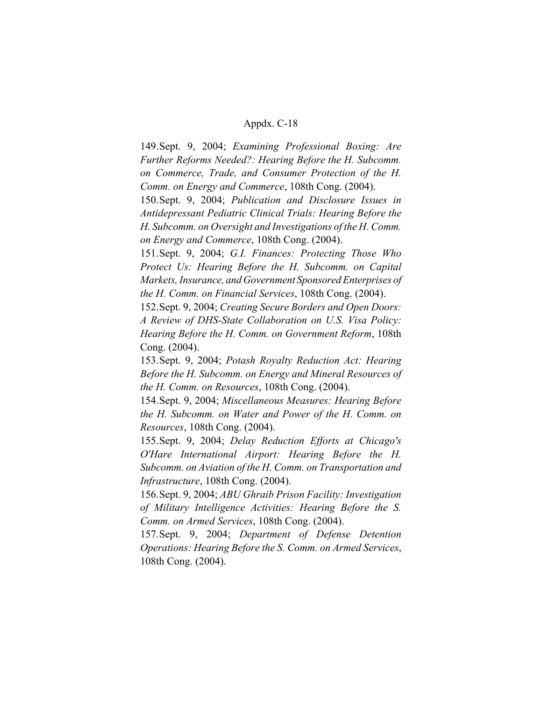149.Sept. 9, 2004; *Examining Professional Boxing: Are Further Reforms Needed?: Hearing Before the H. Subcomm. on Commerce, Trade, and Consumer Protection of the H. Comm. on Energy and Commerce*, 108th Cong. (2004).

150.Sept. 9, 2004; *Publication and Disclosure Issues in Antidepressant Pediatric Clinical Trials: Hearing Before the H. Subcomm. on Oversight and Investigations of the H. Comm. on Energy and Commerce*, 108th Cong. (2004).

151.Sept. 9, 2004; *G.I. Finances: Protecting Those Who Protect Us: Hearing Before the H. Subcomm. on Capital Markets, Insurance, and Government Sponsored Enterprises of the H. Comm. on Financial Services*, 108th Cong. (2004).

152.Sept. 9, 2004; *Creating Secure Borders and Open Doors: A Review of DHS-State Collaboration on U.S. Visa Policy: Hearing Before the H. Comm. on Government Reform*, 108th Cong. (2004).

153.Sept. 9, 2004; *Potash Royalty Reduction Act: Hearing Before the H. Subcomm. on Energy and Mineral Resources of the H. Comm. on Resources*, 108th Cong. (2004).

154.Sept. 9, 2004; *Miscellaneous Measures: Hearing Before the H. Subcomm. on Water and Power of the H. Comm. on Resources*, 108th Cong. (2004).

155.Sept. 9, 2004; *Delay Reduction Efforts at Chicago's O'Hare International Airport: Hearing Before the H. Subcomm. on Aviation of the H. Comm. on Transportation and Infrastructure*, 108th Cong. (2004).

156.Sept. 9, 2004; *ABU Ghraib Prison Facility: Investigation of Military Intelligence Activities: Hearing Before the S. Comm. on Armed Services*, 108th Cong. (2004).

157.Sept. 9, 2004; *Department of Defense Detention Operations: Hearing Before the S. Comm. on Armed Services*, 108th Cong. (2004).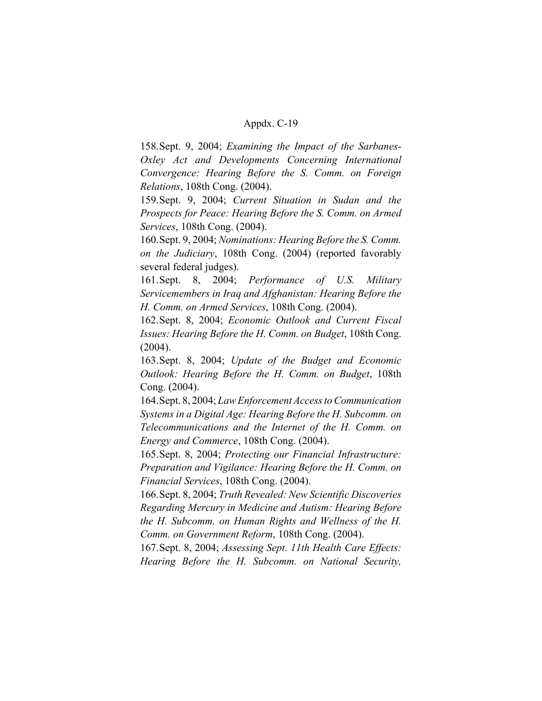158.Sept. 9, 2004; *Examining the Impact of the Sarbanes-Oxley Act and Developments Concerning International Convergence: Hearing Before the S. Comm. on Foreign Relations*, 108th Cong. (2004).

159.Sept. 9, 2004; *Current Situation in Sudan and the Prospects for Peace: Hearing Before the S. Comm. on Armed Services*, 108th Cong. (2004).

160.Sept. 9, 2004; *Nominations: Hearing Before the S. Comm. on the Judiciary*, 108th Cong. (2004) (reported favorably several federal judges).

161.Sept. 8, 2004; *Performance of U.S. Military Servicemembers in Iraq and Afghanistan: Hearing Before the H. Comm. on Armed Services*, 108th Cong. (2004).

162.Sept. 8, 2004; *Economic Outlook and Current Fiscal Issues: Hearing Before the H. Comm. on Budget*, 108th Cong. (2004).

163.Sept. 8, 2004; *Update of the Budget and Economic Outlook: Hearing Before the H. Comm. on Budget*, 108th Cong. (2004).

164.Sept. 8, 2004; *Law Enforcement Access to Communication Systems in a Digital Age: Hearing Before the H. Subcomm. on Telecommunications and the Internet of the H. Comm. on Energy and Commerce*, 108th Cong. (2004).

165.Sept. 8, 2004; *Protecting our Financial Infrastructure: Preparation and Vigilance: Hearing Before the H. Comm. on Financial Services*, 108th Cong. (2004).

166.Sept. 8, 2004; *Truth Revealed: New Scientific Discoveries Regarding Mercury in Medicine and Autism: Hearing Before the H. Subcomm. on Human Rights and Wellness of the H. Comm. on Government Reform*, 108th Cong. (2004).

167.Sept. 8, 2004; *Assessing Sept. 11th Health Care Effects: Hearing Before the H. Subcomm. on National Security,*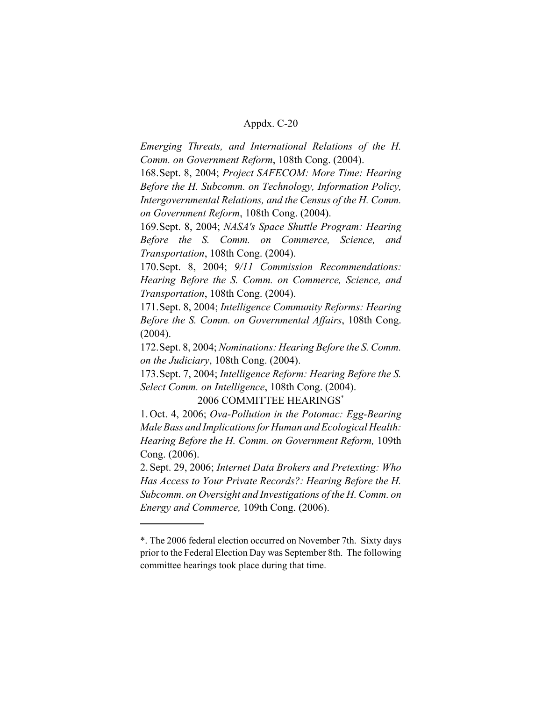*Emerging Threats, and International Relations of the H. Comm. on Government Reform*, 108th Cong. (2004).

168.Sept. 8, 2004; *Project SAFECOM: More Time: Hearing Before the H. Subcomm. on Technology, Information Policy, Intergovernmental Relations, and the Census of the H. Comm. on Government Reform*, 108th Cong. (2004).

169.Sept. 8, 2004; *NASA's Space Shuttle Program: Hearing Before the S. Comm. on Commerce, Science, and Transportation*, 108th Cong. (2004).

170.Sept. 8, 2004; *9/11 Commission Recommendations: Hearing Before the S. Comm. on Commerce, Science, and Transportation*, 108th Cong. (2004).

171.Sept. 8, 2004; *Intelligence Community Reforms: Hearing Before the S. Comm. on Governmental Affairs*, 108th Cong. (2004).

172.Sept. 8, 2004; *Nominations: Hearing Before the S. Comm. on the Judiciary*, 108th Cong. (2004).

173.Sept. 7, 2004; *Intelligence Reform: Hearing Before the S. Select Comm. on Intelligence*, 108th Cong. (2004).

2006 COMMITTEE HEARINGS\*

1. Oct. 4, 2006; *Ova-Pollution in the Potomac: Egg-Bearing Male Bass and Implications for Human and Ecological Health: Hearing Before the H. Comm. on Government Reform,* 109th Cong. (2006).

2. Sept. 29, 2006; *Internet Data Brokers and Pretexting: Who Has Access to Your Private Records?: Hearing Before the H. Subcomm. on Oversight and Investigations of the H. Comm. on Energy and Commerce,* 109th Cong. (2006).

<sup>\*.</sup> The 2006 federal election occurred on November 7th. Sixty days prior to the Federal Election Day was September 8th. The following committee hearings took place during that time.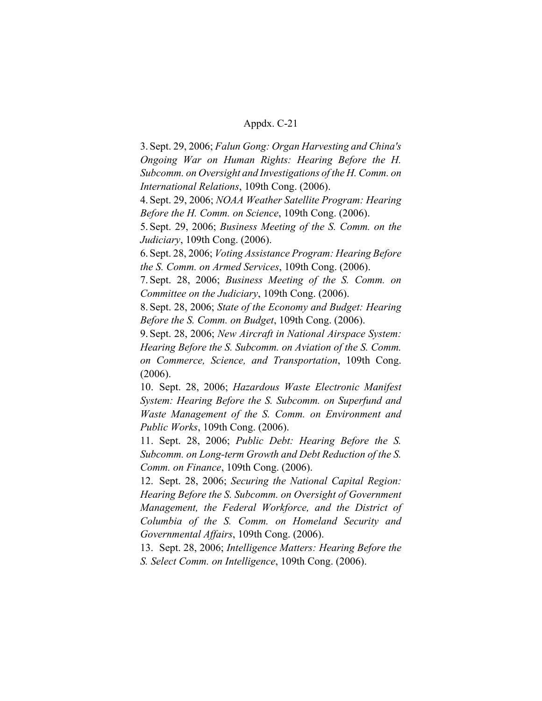3. Sept. 29, 2006; *Falun Gong: Organ Harvesting and China's Ongoing War on Human Rights: Hearing Before the H. Subcomm. on Oversight and Investigations of the H. Comm. on International Relations*, 109th Cong. (2006).

4. Sept. 29, 2006; *NOAA Weather Satellite Program: Hearing Before the H. Comm. on Science*, 109th Cong. (2006).

5. Sept. 29, 2006; *Business Meeting of the S. Comm. on the Judiciary*, 109th Cong. (2006).

6. Sept. 28, 2006; *Voting Assistance Program: Hearing Before the S. Comm. on Armed Services*, 109th Cong. (2006).

7. Sept. 28, 2006; *Business Meeting of the S. Comm. on Committee on the Judiciary*, 109th Cong. (2006).

8. Sept. 28, 2006; *State of the Economy and Budget: Hearing Before the S. Comm. on Budget*, 109th Cong. (2006).

9. Sept. 28, 2006; *New Aircraft in National Airspace System: Hearing Before the S. Subcomm. on Aviation of the S. Comm. on Commerce, Science, and Transportation*, 109th Cong. (2006).

10. Sept. 28, 2006; *Hazardous Waste Electronic Manifest System: Hearing Before the S. Subcomm. on Superfund and Waste Management of the S. Comm. on Environment and Public Works*, 109th Cong. (2006).

11. Sept. 28, 2006; *Public Debt: Hearing Before the S. Subcomm. on Long-term Growth and Debt Reduction of the S. Comm. on Finance*, 109th Cong. (2006).

12. Sept. 28, 2006; *Securing the National Capital Region: Hearing Before the S. Subcomm. on Oversight of Government Management, the Federal Workforce, and the District of Columbia of the S. Comm. on Homeland Security and Governmental Affairs*, 109th Cong. (2006).

13. Sept. 28, 2006; *Intelligence Matters: Hearing Before the S. Select Comm. on Intelligence*, 109th Cong. (2006).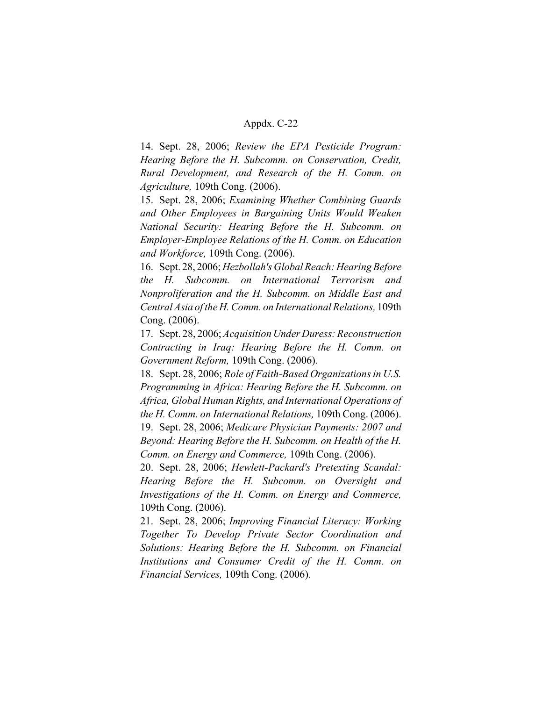14. Sept. 28, 2006; *Review the EPA Pesticide Program: Hearing Before the H. Subcomm. on Conservation, Credit, Rural Development, and Research of the H. Comm. on Agriculture,* 109th Cong. (2006).

15. Sept. 28, 2006; *Examining Whether Combining Guards and Other Employees in Bargaining Units Would Weaken National Security: Hearing Before the H. Subcomm. on Employer-Employee Relations of the H. Comm. on Education and Workforce,* 109th Cong. (2006).

16. Sept. 28, 2006; *Hezbollah's Global Reach: Hearing Before the H. Subcomm. on International Terrorism and Nonproliferation and the H. Subcomm. on Middle East and Central Asia of the H. Comm. on International Relations,* 109th Cong. (2006).

17. Sept. 28, 2006; *Acquisition Under Duress: Reconstruction Contracting in Iraq: Hearing Before the H. Comm. on Government Reform,* 109th Cong. (2006).

18. Sept. 28, 2006; *Role of Faith-Based Organizations in U.S. Programming in Africa: Hearing Before the H. Subcomm. on Africa, Global Human Rights, and International Operations of the H. Comm. on International Relations,* 109th Cong. (2006).

19. Sept. 28, 2006; *Medicare Physician Payments: 2007 and Beyond: Hearing Before the H. Subcomm. on Health of the H. Comm. on Energy and Commerce,* 109th Cong. (2006).

20. Sept. 28, 2006; *Hewlett-Packard's Pretexting Scandal: Hearing Before the H. Subcomm. on Oversight and Investigations of the H. Comm. on Energy and Commerce,* 109th Cong. (2006).

21. Sept. 28, 2006; *Improving Financial Literacy: Working Together To Develop Private Sector Coordination and Solutions: Hearing Before the H. Subcomm. on Financial Institutions and Consumer Credit of the H. Comm. on Financial Services,* 109th Cong. (2006).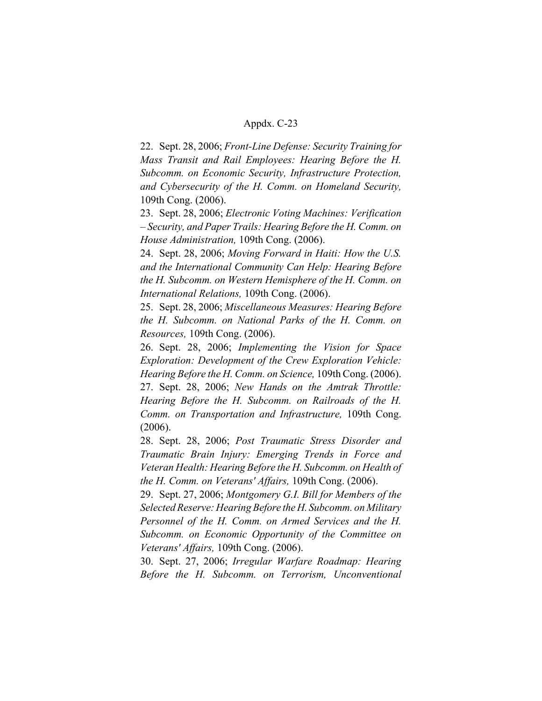22. Sept. 28, 2006; *Front-Line Defense: Security Training for Mass Transit and Rail Employees: Hearing Before the H. Subcomm. on Economic Security, Infrastructure Protection, and Cybersecurity of the H. Comm. on Homeland Security,* 109th Cong. (2006).

23. Sept. 28, 2006; *Electronic Voting Machines: Verification – Security, and Paper Trails: Hearing Before the H. Comm. on House Administration,* 109th Cong. (2006).

24. Sept. 28, 2006; *Moving Forward in Haiti: How the U.S. and the International Community Can Help: Hearing Before the H. Subcomm. on Western Hemisphere of the H. Comm. on International Relations,* 109th Cong. (2006).

25. Sept. 28, 2006; *Miscellaneous Measures: Hearing Before the H. Subcomm. on National Parks of the H. Comm. on Resources,* 109th Cong. (2006).

26. Sept. 28, 2006; *Implementing the Vision for Space Exploration: Development of the Crew Exploration Vehicle: Hearing Before the H. Comm. on Science,* 109th Cong. (2006). 27. Sept. 28, 2006; *New Hands on the Amtrak Throttle: Hearing Before the H. Subcomm. on Railroads of the H. Comm. on Transportation and Infrastructure,* 109th Cong. (2006).

28. Sept. 28, 2006; *Post Traumatic Stress Disorder and Traumatic Brain Injury: Emerging Trends in Force and Veteran Health: Hearing Before the H. Subcomm. on Health of the H. Comm. on Veterans' Affairs,* 109th Cong. (2006).

29. Sept. 27, 2006; *Montgomery G.I. Bill for Members of the Selected Reserve: Hearing Before the H. Subcomm. on Military Personnel of the H. Comm. on Armed Services and the H. Subcomm. on Economic Opportunity of the Committee on Veterans' Affairs,* 109th Cong. (2006).

30. Sept. 27, 2006; *Irregular Warfare Roadmap: Hearing Before the H. Subcomm. on Terrorism, Unconventional*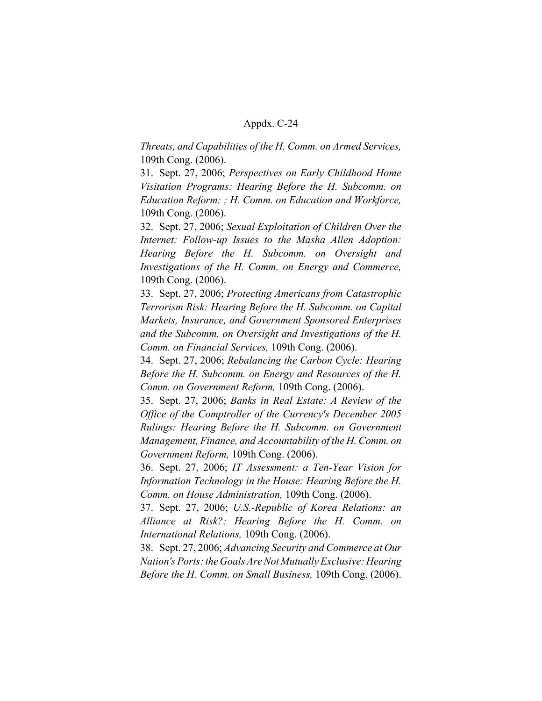*Threats, and Capabilities of the H. Comm. on Armed Services,* 109th Cong. (2006).

31. Sept. 27, 2006; *Perspectives on Early Childhood Home Visitation Programs: Hearing Before the H. Subcomm. on Education Reform; ; H. Comm. on Education and Workforce,* 109th Cong. (2006).

32. Sept. 27, 2006; *Sexual Exploitation of Children Over the Internet: Follow-up Issues to the Masha Allen Adoption: Hearing Before the H. Subcomm. on Oversight and Investigations of the H. Comm. on Energy and Commerce,* 109th Cong. (2006).

33. Sept. 27, 2006; *Protecting Americans from Catastrophic Terrorism Risk: Hearing Before the H. Subcomm. on Capital Markets, Insurance, and Government Sponsored Enterprises and the Subcomm. on Oversight and Investigations of the H. Comm. on Financial Services,* 109th Cong. (2006).

34. Sept. 27, 2006; *Rebalancing the Carbon Cycle: Hearing Before the H. Subcomm. on Energy and Resources of the H. Comm. on Government Reform,* 109th Cong. (2006).

35. Sept. 27, 2006; *Banks in Real Estate: A Review of the Office of the Comptroller of the Currency's December 2005 Rulings: Hearing Before the H. Subcomm. on Government Management, Finance, and Accountability of the H. Comm. on Government Reform,* 109th Cong. (2006).

36. Sept. 27, 2006; *IT Assessment: a Ten-Year Vision for Information Technology in the House: Hearing Before the H. Comm. on House Administration,* 109th Cong. (2006).

37. Sept. 27, 2006; *U.S.-Republic of Korea Relations: an Alliance at Risk?: Hearing Before the H. Comm. on International Relations,* 109th Cong. (2006).

38. Sept. 27, 2006; *Advancing Security and Commerce at Our Nation's Ports: the Goals Are Not Mutually Exclusive: Hearing Before the H. Comm. on Small Business,* 109th Cong. (2006).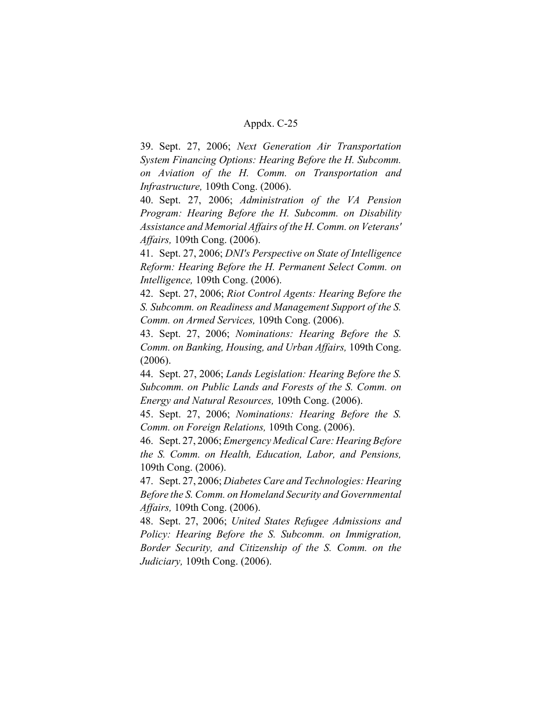39. Sept. 27, 2006; *Next Generation Air Transportation System Financing Options: Hearing Before the H. Subcomm. on Aviation of the H. Comm. on Transportation and Infrastructure,* 109th Cong. (2006).

40. Sept. 27, 2006; *Administration of the VA Pension Program: Hearing Before the H. Subcomm. on Disability Assistance and Memorial Affairs of the H. Comm. on Veterans' Affairs,* 109th Cong. (2006).

41. Sept. 27, 2006; *DNI's Perspective on State of Intelligence Reform: Hearing Before the H. Permanent Select Comm. on Intelligence,* 109th Cong. (2006).

42. Sept. 27, 2006; *Riot Control Agents: Hearing Before the S. Subcomm. on Readiness and Management Support of the S. Comm. on Armed Services,* 109th Cong. (2006).

43. Sept. 27, 2006; *Nominations: Hearing Before the S. Comm. on Banking, Housing, and Urban Affairs,* 109th Cong. (2006).

44. Sept. 27, 2006; *Lands Legislation: Hearing Before the S. Subcomm. on Public Lands and Forests of the S. Comm. on Energy and Natural Resources,* 109th Cong. (2006).

45. Sept. 27, 2006; *Nominations: Hearing Before the S. Comm. on Foreign Relations,* 109th Cong. (2006).

46. Sept. 27, 2006; *Emergency Medical Care: Hearing Before the S. Comm. on Health, Education, Labor, and Pensions,* 109th Cong. (2006).

47. Sept. 27, 2006; *Diabetes Care and Technologies: Hearing Before the S. Comm. on Homeland Security and Governmental Affairs,* 109th Cong. (2006).

48. Sept. 27, 2006; *United States Refugee Admissions and Policy: Hearing Before the S. Subcomm. on Immigration, Border Security, and Citizenship of the S. Comm. on the Judiciary,* 109th Cong. (2006).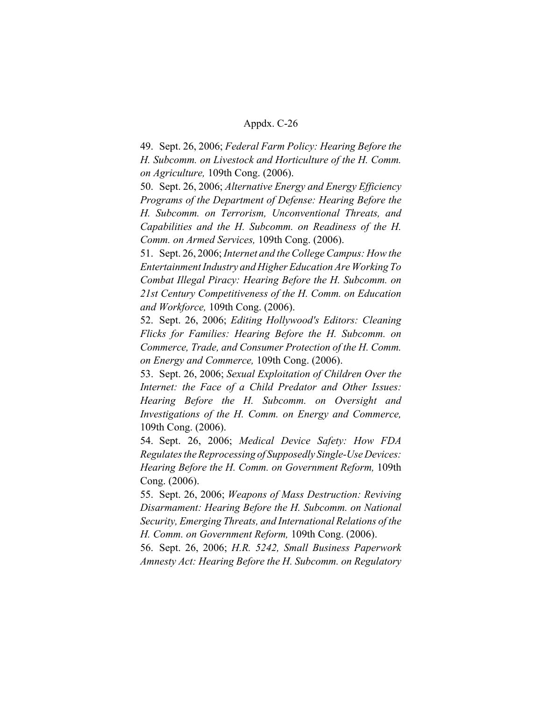49. Sept. 26, 2006; *Federal Farm Policy: Hearing Before the H. Subcomm. on Livestock and Horticulture of the H. Comm. on Agriculture,* 109th Cong. (2006).

50. Sept. 26, 2006; *Alternative Energy and Energy Efficiency Programs of the Department of Defense: Hearing Before the H. Subcomm. on Terrorism, Unconventional Threats, and Capabilities and the H. Subcomm. on Readiness of the H. Comm. on Armed Services,* 109th Cong. (2006).

51. Sept. 26, 2006; *Internet and the College Campus: How the Entertainment Industry and Higher Education Are Working To Combat Illegal Piracy: Hearing Before the H. Subcomm. on 21st Century Competitiveness of the H. Comm. on Education and Workforce,* 109th Cong. (2006).

52. Sept. 26, 2006; *Editing Hollywood's Editors: Cleaning Flicks for Families: Hearing Before the H. Subcomm. on Commerce, Trade, and Consumer Protection of the H. Comm. on Energy and Commerce,* 109th Cong. (2006).

53. Sept. 26, 2006; *Sexual Exploitation of Children Over the Internet: the Face of a Child Predator and Other Issues: Hearing Before the H. Subcomm. on Oversight and Investigations of the H. Comm. on Energy and Commerce,* 109th Cong. (2006).

54. Sept. 26, 2006; *Medical Device Safety: How FDA Regulates the Reprocessing of Supposedly Single-Use Devices: Hearing Before the H. Comm. on Government Reform,* 109th Cong. (2006).

55. Sept. 26, 2006; *Weapons of Mass Destruction: Reviving Disarmament: Hearing Before the H. Subcomm. on National Security, Emerging Threats, and International Relations of the H. Comm. on Government Reform,* 109th Cong. (2006).

56. Sept. 26, 2006; *H.R. 5242, Small Business Paperwork Amnesty Act: Hearing Before the H. Subcomm. on Regulatory*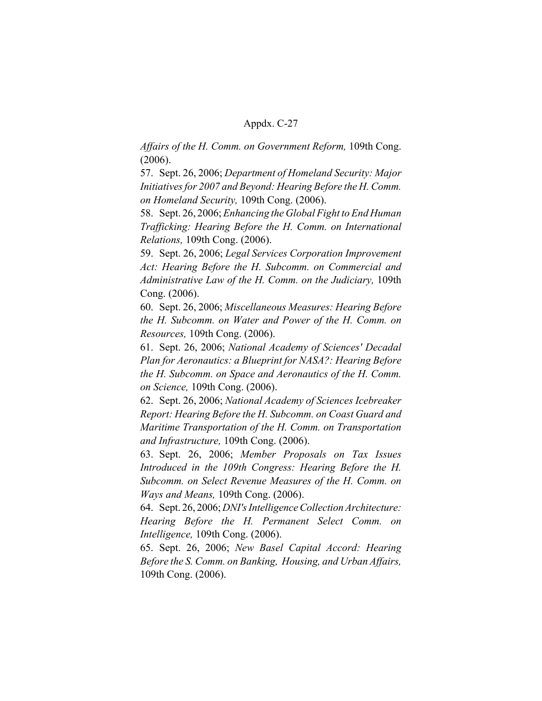*Affairs of the H. Comm. on Government Reform,* 109th Cong. (2006).

57. Sept. 26, 2006; *Department of Homeland Security: Major Initiatives for 2007 and Beyond: Hearing Before the H. Comm. on Homeland Security,* 109th Cong. (2006).

58. Sept. 26, 2006; *Enhancing the Global Fight to End Human Trafficking: Hearing Before the H. Comm. on International Relations,* 109th Cong. (2006).

59. Sept. 26, 2006; *Legal Services Corporation Improvement Act: Hearing Before the H. Subcomm. on Commercial and Administrative Law of the H. Comm. on the Judiciary,* 109th Cong. (2006).

60. Sept. 26, 2006; *Miscellaneous Measures: Hearing Before the H. Subcomm. on Water and Power of the H. Comm. on Resources,* 109th Cong. (2006).

61. Sept. 26, 2006; *National Academy of Sciences' Decadal Plan for Aeronautics: a Blueprint for NASA?: Hearing Before the H. Subcomm. on Space and Aeronautics of the H. Comm. on Science,* 109th Cong. (2006).

62. Sept. 26, 2006; *National Academy of Sciences Icebreaker Report: Hearing Before the H. Subcomm. on Coast Guard and Maritime Transportation of the H. Comm. on Transportation and Infrastructure,* 109th Cong. (2006).

63. Sept. 26, 2006; *Member Proposals on Tax Issues Introduced in the 109th Congress: Hearing Before the H. Subcomm. on Select Revenue Measures of the H. Comm. on Ways and Means,* 109th Cong. (2006).

64. Sept. 26, 2006; *DNI's Intelligence Collection Architecture: Hearing Before the H. Permanent Select Comm. on Intelligence,* 109th Cong. (2006).

65. Sept. 26, 2006; *New Basel Capital Accord: Hearing Before the S. Comm. on Banking, Housing, and Urban Affairs,* 109th Cong. (2006).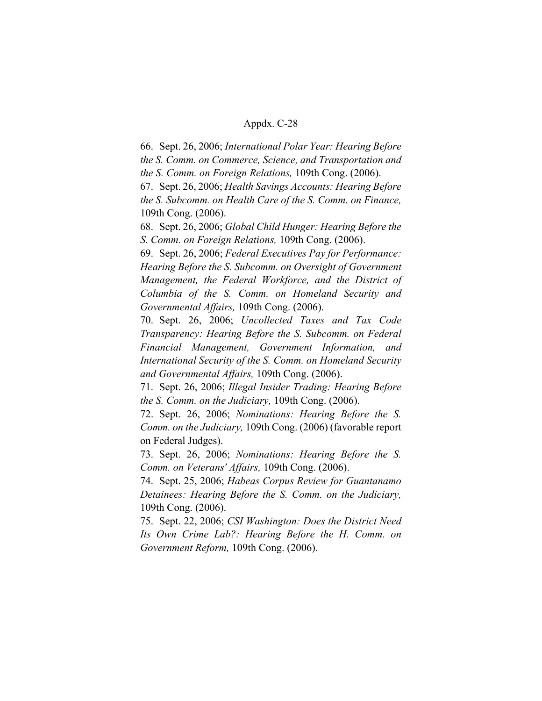66. Sept. 26, 2006; *International Polar Year: Hearing Before the S. Comm. on Commerce, Science, and Transportation and the S. Comm. on Foreign Relations,* 109th Cong. (2006).

67. Sept. 26, 2006; *Health Savings Accounts: Hearing Before the S. Subcomm. on Health Care of the S. Comm. on Finance,* 109th Cong. (2006).

68. Sept. 26, 2006; *Global Child Hunger: Hearing Before the S. Comm. on Foreign Relations,* 109th Cong. (2006).

69. Sept. 26, 2006; *Federal Executives Pay for Performance: Hearing Before the S. Subcomm. on Oversight of Government Management, the Federal Workforce, and the District of Columbia of the S. Comm. on Homeland Security and Governmental Affairs,* 109th Cong. (2006).

70. Sept. 26, 2006; *Uncollected Taxes and Tax Code Transparency: Hearing Before the S. Subcomm. on Federal Financial Management, Government Information, and International Security of the S. Comm. on Homeland Security and Governmental Affairs,* 109th Cong. (2006).

71. Sept. 26, 2006; *Illegal Insider Trading: Hearing Before the S. Comm. on the Judiciary,* 109th Cong. (2006).

72. Sept. 26, 2006; *Nominations: Hearing Before the S. Comm. on the Judiciary,* 109th Cong. (2006) (favorable report on Federal Judges).

73. Sept. 26, 2006; *Nominations: Hearing Before the S. Comm. on Veterans' Affairs,* 109th Cong. (2006).

74. Sept. 25, 2006; *Habeas Corpus Review for Guantanamo Detainees: Hearing Before the S. Comm. on the Judiciary,* 109th Cong. (2006).

75. Sept. 22, 2006; *CSI Washington: Does the District Need Its Own Crime Lab?: Hearing Before the H. Comm. on Government Reform,* 109th Cong. (2006).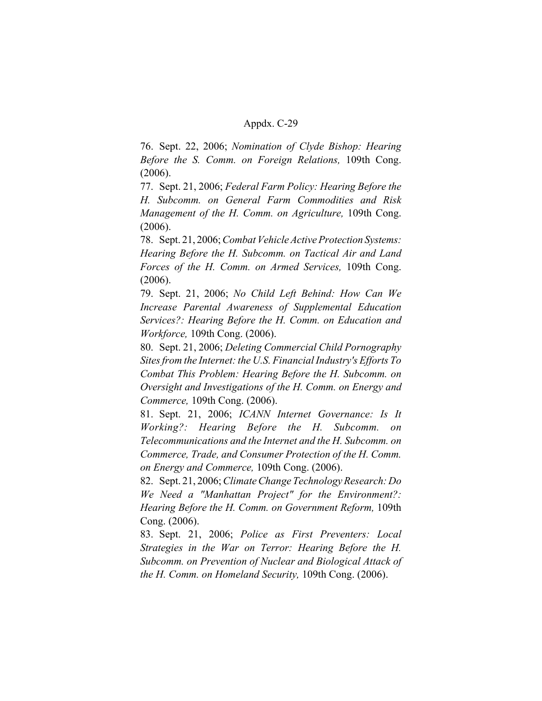76. Sept. 22, 2006; *Nomination of Clyde Bishop: Hearing Before the S. Comm. on Foreign Relations,* 109th Cong. (2006).

77. Sept. 21, 2006; *Federal Farm Policy: Hearing Before the H. Subcomm. on General Farm Commodities and Risk Management of the H. Comm. on Agriculture,* 109th Cong. (2006).

78. Sept. 21, 2006; *Combat Vehicle Active Protection Systems: Hearing Before the H. Subcomm. on Tactical Air and Land Forces of the H. Comm. on Armed Services,* 109th Cong. (2006).

79. Sept. 21, 2006; *No Child Left Behind: How Can We Increase Parental Awareness of Supplemental Education Services?: Hearing Before the H. Comm. on Education and Workforce,* 109th Cong. (2006).

80. Sept. 21, 2006; *Deleting Commercial Child Pornography Sites from the Internet: the U.S. Financial Industry's Efforts To Combat This Problem: Hearing Before the H. Subcomm. on Oversight and Investigations of the H. Comm. on Energy and Commerce,* 109th Cong. (2006).

81. Sept. 21, 2006; *ICANN Internet Governance: Is It Working?: Hearing Before the H. Subcomm. on Telecommunications and the Internet and the H. Subcomm. on Commerce, Trade, and Consumer Protection of the H. Comm. on Energy and Commerce,* 109th Cong. (2006).

82. Sept. 21, 2006; *Climate Change Technology Research: Do We Need a "Manhattan Project" for the Environment?: Hearing Before the H. Comm. on Government Reform,* 109th Cong. (2006).

83. Sept. 21, 2006; *Police as First Preventers: Local Strategies in the War on Terror: Hearing Before the H. Subcomm. on Prevention of Nuclear and Biological Attack of the H. Comm. on Homeland Security,* 109th Cong. (2006).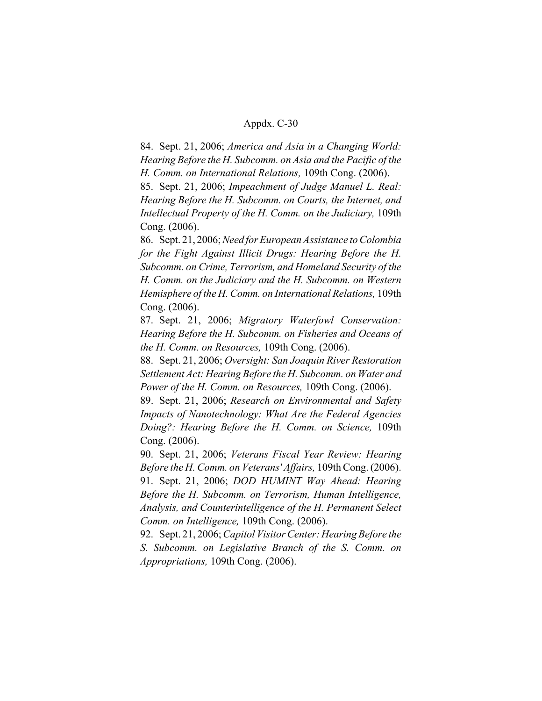84. Sept. 21, 2006; *America and Asia in a Changing World: Hearing Before the H. Subcomm. on Asia and the Pacific of the H. Comm. on International Relations,* 109th Cong. (2006).

85. Sept. 21, 2006; *Impeachment of Judge Manuel L. Real: Hearing Before the H. Subcomm. on Courts, the Internet, and Intellectual Property of the H. Comm. on the Judiciary,* 109th Cong. (2006).

86. Sept. 21, 2006; *Need for European Assistance to Colombia for the Fight Against Illicit Drugs: Hearing Before the H. Subcomm. on Crime, Terrorism, and Homeland Security of the H. Comm. on the Judiciary and the H. Subcomm. on Western Hemisphere of the H. Comm. on International Relations,* 109th Cong. (2006).

87. Sept. 21, 2006; *Migratory Waterfowl Conservation: Hearing Before the H. Subcomm. on Fisheries and Oceans of the H. Comm. on Resources,* 109th Cong. (2006).

88. Sept. 21, 2006; *Oversight: San Joaquin River Restoration Settlement Act: Hearing Before the H. Subcomm. on Water and Power of the H. Comm. on Resources,* 109th Cong. (2006).

89. Sept. 21, 2006; *Research on Environmental and Safety Impacts of Nanotechnology: What Are the Federal Agencies Doing?: Hearing Before the H. Comm. on Science,* 109th Cong. (2006).

90. Sept. 21, 2006; *Veterans Fiscal Year Review: Hearing Before the H. Comm. on Veterans' Affairs,* 109th Cong. (2006).

91. Sept. 21, 2006; *DOD HUMINT Way Ahead: Hearing Before the H. Subcomm. on Terrorism, Human Intelligence, Analysis, and Counterintelligence of the H. Permanent Select Comm. on Intelligence,* 109th Cong. (2006).

92. Sept. 21, 2006; *Capitol Visitor Center: Hearing Before the S. Subcomm. on Legislative Branch of the S. Comm. on Appropriations,* 109th Cong. (2006).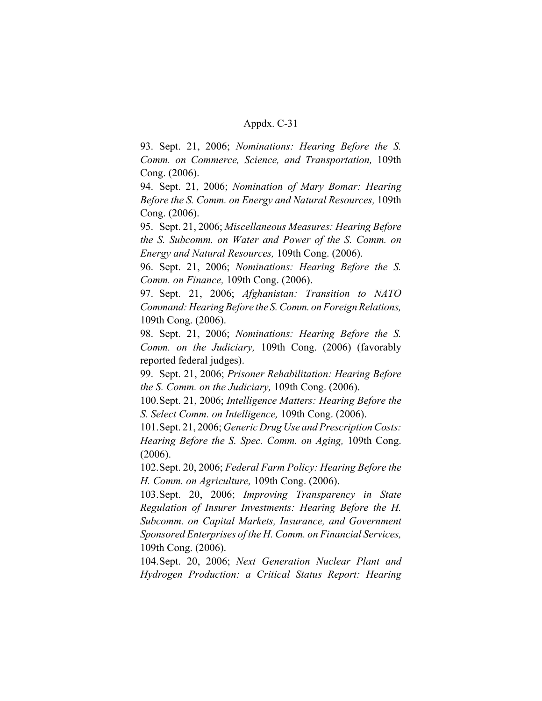93. Sept. 21, 2006; *Nominations: Hearing Before the S. Comm. on Commerce, Science, and Transportation,* 109th Cong. (2006).

94. Sept. 21, 2006; *Nomination of Mary Bomar: Hearing Before the S. Comm. on Energy and Natural Resources,* 109th Cong. (2006).

95. Sept. 21, 2006; *Miscellaneous Measures: Hearing Before the S. Subcomm. on Water and Power of the S. Comm. on Energy and Natural Resources,* 109th Cong. (2006).

96. Sept. 21, 2006; *Nominations: Hearing Before the S. Comm. on Finance,* 109th Cong. (2006).

97. Sept. 21, 2006; *Afghanistan: Transition to NATO Command: Hearing Before the S. Comm. on Foreign Relations,* 109th Cong. (2006).

98. Sept. 21, 2006; *Nominations: Hearing Before the S. Comm. on the Judiciary,* 109th Cong. (2006) (favorably reported federal judges).

99. Sept. 21, 2006; *Prisoner Rehabilitation: Hearing Before the S. Comm. on the Judiciary,* 109th Cong. (2006).

100.Sept. 21, 2006; *Intelligence Matters: Hearing Before the S. Select Comm. on Intelligence,* 109th Cong. (2006).

101.Sept. 21, 2006; *Generic Drug Use and Prescription Costs: Hearing Before the S. Spec. Comm. on Aging,* 109th Cong. (2006).

102.Sept. 20, 2006; *Federal Farm Policy: Hearing Before the H. Comm. on Agriculture,* 109th Cong. (2006).

103.Sept. 20, 2006; *Improving Transparency in State Regulation of Insurer Investments: Hearing Before the H. Subcomm. on Capital Markets, Insurance, and Government Sponsored Enterprises of the H. Comm. on Financial Services,* 109th Cong. (2006).

104.Sept. 20, 2006; *Next Generation Nuclear Plant and Hydrogen Production: a Critical Status Report: Hearing*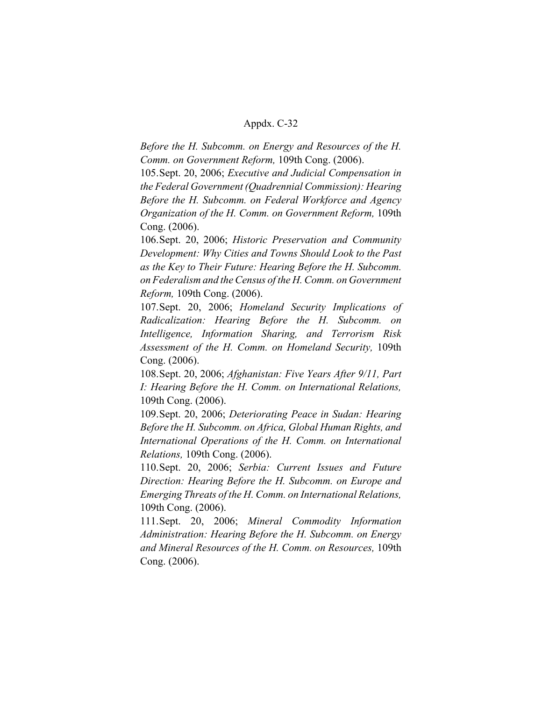*Before the H. Subcomm. on Energy and Resources of the H. Comm. on Government Reform,* 109th Cong. (2006).

105.Sept. 20, 2006; *Executive and Judicial Compensation in the Federal Government (Quadrennial Commission): Hearing Before the H. Subcomm. on Federal Workforce and Agency Organization of the H. Comm. on Government Reform,* 109th Cong. (2006).

106.Sept. 20, 2006; *Historic Preservation and Community Development: Why Cities and Towns Should Look to the Past as the Key to Their Future: Hearing Before the H. Subcomm. on Federalism and the Census of the H. Comm. on Government Reform,* 109th Cong. (2006).

107.Sept. 20, 2006; *Homeland Security Implications of Radicalization: Hearing Before the H. Subcomm. on Intelligence, Information Sharing, and Terrorism Risk Assessment of the H. Comm. on Homeland Security,* 109th Cong. (2006).

108.Sept. 20, 2006; *Afghanistan: Five Years After 9/11, Part I: Hearing Before the H. Comm. on International Relations,* 109th Cong. (2006).

109.Sept. 20, 2006; *Deteriorating Peace in Sudan: Hearing Before the H. Subcomm. on Africa, Global Human Rights, and International Operations of the H. Comm. on International Relations,* 109th Cong. (2006).

110.Sept. 20, 2006; *Serbia: Current Issues and Future Direction: Hearing Before the H. Subcomm. on Europe and Emerging Threats of the H. Comm. on International Relations,* 109th Cong. (2006).

111.Sept. 20, 2006; *Mineral Commodity Information Administration: Hearing Before the H. Subcomm. on Energy and Mineral Resources of the H. Comm. on Resources,* 109th Cong. (2006).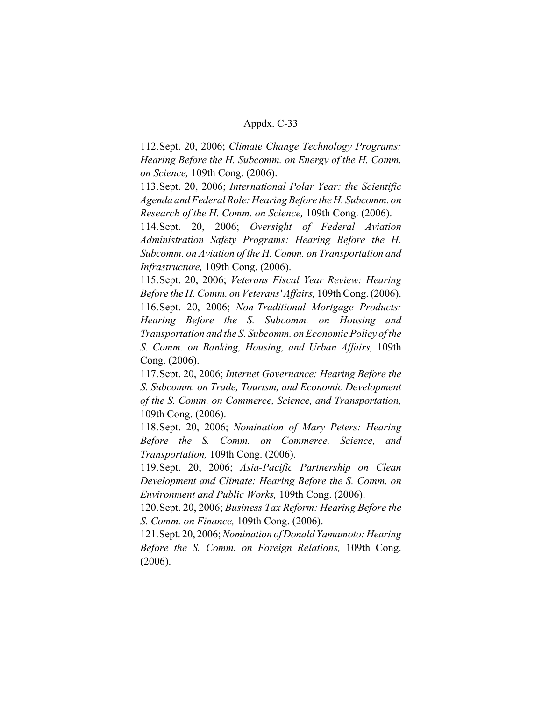112.Sept. 20, 2006; *Climate Change Technology Programs: Hearing Before the H. Subcomm. on Energy of the H. Comm. on Science,* 109th Cong. (2006).

113.Sept. 20, 2006; *International Polar Year: the Scientific Agenda and Federal Role: Hearing Before the H. Subcomm. on Research of the H. Comm. on Science,* 109th Cong. (2006).

114.Sept. 20, 2006; *Oversight of Federal Aviation Administration Safety Programs: Hearing Before the H. Subcomm. on Aviation of the H. Comm. on Transportation and Infrastructure,* 109th Cong. (2006).

115.Sept. 20, 2006; *Veterans Fiscal Year Review: Hearing Before the H. Comm. on Veterans' Affairs,* 109th Cong. (2006). 116.Sept. 20, 2006; *Non-Traditional Mortgage Products: Hearing Before the S. Subcomm. on Housing and Transportation and the S. Subcomm. on Economic Policy of the S. Comm. on Banking, Housing, and Urban Affairs,* 109th Cong. (2006).

117.Sept. 20, 2006; *Internet Governance: Hearing Before the S. Subcomm. on Trade, Tourism, and Economic Development of the S. Comm. on Commerce, Science, and Transportation,* 109th Cong. (2006).

118.Sept. 20, 2006; *Nomination of Mary Peters: Hearing Before the S. Comm. on Commerce, Science, and Transportation,* 109th Cong. (2006).

119.Sept. 20, 2006; *Asia-Pacific Partnership on Clean Development and Climate: Hearing Before the S. Comm. on Environment and Public Works,* 109th Cong. (2006).

120.Sept. 20, 2006; *Business Tax Reform: Hearing Before the S. Comm. on Finance,* 109th Cong. (2006).

121.Sept. 20, 2006; *Nomination of Donald Yamamoto: Hearing Before the S. Comm. on Foreign Relations,* 109th Cong. (2006).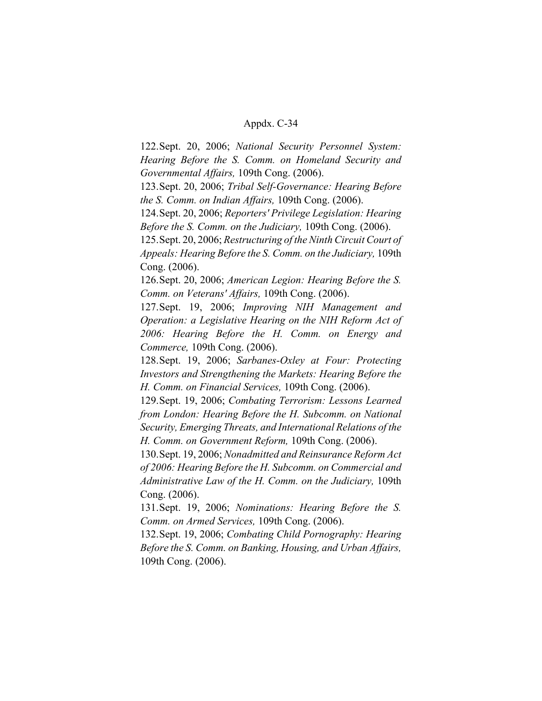122.Sept. 20, 2006; *National Security Personnel System: Hearing Before the S. Comm. on Homeland Security and Governmental Affairs,* 109th Cong. (2006).

123.Sept. 20, 2006; *Tribal Self-Governance: Hearing Before the S. Comm. on Indian Affairs,* 109th Cong. (2006).

124.Sept. 20, 2006; *Reporters' Privilege Legislation: Hearing Before the S. Comm. on the Judiciary,* 109th Cong. (2006).

125.Sept. 20, 2006; *Restructuring of the Ninth Circuit Court of Appeals: Hearing Before the S. Comm. on the Judiciary,* 109th Cong. (2006).

126.Sept. 20, 2006; *American Legion: Hearing Before the S. Comm. on Veterans' Affairs,* 109th Cong. (2006).

127.Sept. 19, 2006; *Improving NIH Management and Operation: a Legislative Hearing on the NIH Reform Act of 2006: Hearing Before the H. Comm. on Energy and Commerce,* 109th Cong. (2006).

128.Sept. 19, 2006; *Sarbanes-Oxley at Four: Protecting Investors and Strengthening the Markets: Hearing Before the H. Comm. on Financial Services,* 109th Cong. (2006).

129.Sept. 19, 2006; *Combating Terrorism: Lessons Learned from London: Hearing Before the H. Subcomm. on National Security, Emerging Threats, and International Relations of the H. Comm. on Government Reform,* 109th Cong. (2006).

130.Sept. 19, 2006; *Nonadmitted and Reinsurance Reform Act of 2006: Hearing Before the H. Subcomm. on Commercial and Administrative Law of the H. Comm. on the Judiciary,* 109th Cong. (2006).

131.Sept. 19, 2006; *Nominations: Hearing Before the S. Comm. on Armed Services,* 109th Cong. (2006).

132.Sept. 19, 2006; *Combating Child Pornography: Hearing Before the S. Comm. on Banking, Housing, and Urban Affairs,* 109th Cong. (2006).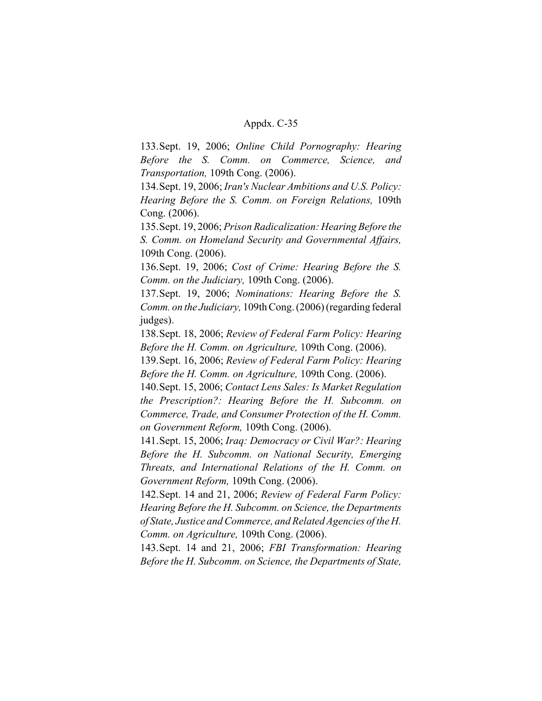133.Sept. 19, 2006; *Online Child Pornography: Hearing Before the S. Comm. on Commerce, Science, and Transportation,* 109th Cong. (2006).

134.Sept. 19, 2006; *Iran's Nuclear Ambitions and U.S. Policy: Hearing Before the S. Comm. on Foreign Relations,* 109th Cong. (2006).

135.Sept. 19, 2006; *Prison Radicalization: Hearing Before the S. Comm. on Homeland Security and Governmental Affairs,* 109th Cong. (2006).

136.Sept. 19, 2006; *Cost of Crime: Hearing Before the S. Comm. on the Judiciary,* 109th Cong. (2006).

137.Sept. 19, 2006; *Nominations: Hearing Before the S. Comm. on the Judiciary,* 109th Cong. (2006) (regarding federal judges).

138.Sept. 18, 2006; *Review of Federal Farm Policy: Hearing Before the H. Comm. on Agriculture,* 109th Cong. (2006).

139.Sept. 16, 2006; *Review of Federal Farm Policy: Hearing Before the H. Comm. on Agriculture,* 109th Cong. (2006).

140.Sept. 15, 2006; *Contact Lens Sales: Is Market Regulation the Prescription?: Hearing Before the H. Subcomm. on Commerce, Trade, and Consumer Protection of the H. Comm. on Government Reform,* 109th Cong. (2006).

141.Sept. 15, 2006; *Iraq: Democracy or Civil War?: Hearing Before the H. Subcomm. on National Security, Emerging Threats, and International Relations of the H. Comm. on Government Reform,* 109th Cong. (2006).

142.Sept. 14 and 21, 2006; *Review of Federal Farm Policy: Hearing Before the H. Subcomm. on Science, the Departments of State, Justice and Commerce, and Related Agencies of the H. Comm. on Agriculture,* 109th Cong. (2006).

143.Sept. 14 and 21, 2006; *FBI Transformation: Hearing Before the H. Subcomm. on Science, the Departments of State,*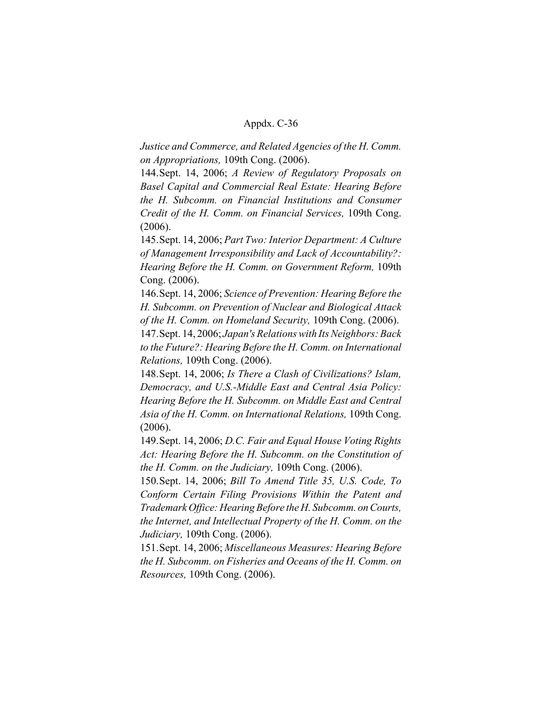*Justice and Commerce, and Related Agencies of the H. Comm. on Appropriations,* 109th Cong. (2006).

144.Sept. 14, 2006; *A Review of Regulatory Proposals on Basel Capital and Commercial Real Estate: Hearing Before the H. Subcomm. on Financial Institutions and Consumer Credit of the H. Comm. on Financial Services,* 109th Cong. (2006).

145.Sept. 14, 2006; *Part Two: Interior Department: A Culture of Management Irresponsibility and Lack of Accountability?: Hearing Before the H. Comm. on Government Reform,* 109th Cong. (2006).

146.Sept. 14, 2006; *Science of Prevention: Hearing Before the H. Subcomm. on Prevention of Nuclear and Biological Attack of the H. Comm. on Homeland Security,* 109th Cong. (2006). 147.Sept. 14, 2006; *Japan's Relations with Its Neighbors: Back to the Future?: Hearing Before the H. Comm. on International Relations,* 109th Cong. (2006).

148.Sept. 14, 2006; *Is There a Clash of Civilizations? Islam, Democracy, and U.S.-Middle East and Central Asia Policy: Hearing Before the H. Subcomm. on Middle East and Central Asia of the H. Comm. on International Relations,* 109th Cong. (2006).

149.Sept. 14, 2006; *D.C. Fair and Equal House Voting Rights Act: Hearing Before the H. Subcomm. on the Constitution of the H. Comm. on the Judiciary,* 109th Cong. (2006).

150.Sept. 14, 2006; *Bill To Amend Title 35, U.S. Code, To Conform Certain Filing Provisions Within the Patent and Trademark Office: Hearing Before the H. Subcomm. on Courts, the Internet, and Intellectual Property of the H. Comm. on the Judiciary,* 109th Cong. (2006).

151.Sept. 14, 2006; *Miscellaneous Measures: Hearing Before the H. Subcomm. on Fisheries and Oceans of the H. Comm. on Resources,* 109th Cong. (2006).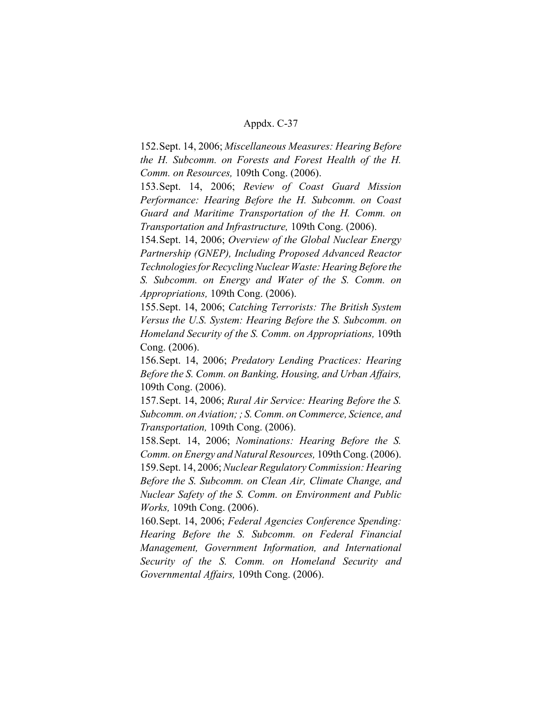152.Sept. 14, 2006; *Miscellaneous Measures: Hearing Before the H. Subcomm. on Forests and Forest Health of the H. Comm. on Resources,* 109th Cong. (2006).

153.Sept. 14, 2006; *Review of Coast Guard Mission Performance: Hearing Before the H. Subcomm. on Coast Guard and Maritime Transportation of the H. Comm. on Transportation and Infrastructure,* 109th Cong. (2006).

154.Sept. 14, 2006; *Overview of the Global Nuclear Energy Partnership (GNEP), Including Proposed Advanced Reactor Technologies for Recycling Nuclear Waste: Hearing Before the S. Subcomm. on Energy and Water of the S. Comm. on Appropriations,* 109th Cong. (2006).

155.Sept. 14, 2006; *Catching Terrorists: The British System Versus the U.S. System: Hearing Before the S. Subcomm. on Homeland Security of the S. Comm. on Appropriations,* 109th Cong. (2006).

156.Sept. 14, 2006; *Predatory Lending Practices: Hearing Before the S. Comm. on Banking, Housing, and Urban Affairs,* 109th Cong. (2006).

157.Sept. 14, 2006; *Rural Air Service: Hearing Before the S. Subcomm. on Aviation; ; S. Comm. on Commerce, Science, and Transportation,* 109th Cong. (2006).

158.Sept. 14, 2006; *Nominations: Hearing Before the S. Comm. on Energy and Natural Resources,* 109th Cong. (2006).

159.Sept. 14, 2006; *Nuclear Regulatory Commission: Hearing Before the S. Subcomm. on Clean Air, Climate Change, and Nuclear Safety of the S. Comm. on Environment and Public Works,* 109th Cong. (2006).

160.Sept. 14, 2006; *Federal Agencies Conference Spending: Hearing Before the S. Subcomm. on Federal Financial Management, Government Information, and International Security of the S. Comm. on Homeland Security and Governmental Affairs,* 109th Cong. (2006).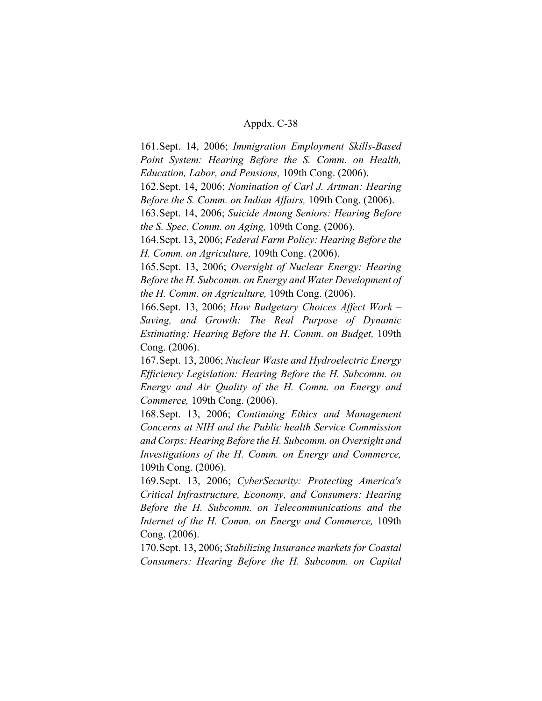161.Sept. 14, 2006; *Immigration Employment Skills-Based Point System: Hearing Before the S. Comm. on Health, Education, Labor, and Pensions,* 109th Cong. (2006).

162.Sept. 14, 2006; *Nomination of Carl J. Artman: Hearing Before the S. Comm. on Indian Affairs,* 109th Cong. (2006).

163.Sept. 14, 2006; *Suicide Among Seniors: Hearing Before the S. Spec. Comm. on Aging,* 109th Cong. (2006).

164.Sept. 13, 2006; *Federal Farm Policy: Hearing Before the H. Comm. on Agriculture,* 109th Cong. (2006).

165.Sept. 13, 2006; *Oversight of Nuclear Energy: Hearing Before the H. Subcomm. on Energy and Water Development of the H. Comm. on Agriculture,* 109th Cong. (2006).

166.Sept. 13, 2006; *How Budgetary Choices Affect Work – Saving, and Growth: The Real Purpose of Dynamic Estimating: Hearing Before the H. Comm. on Budget,* 109th Cong. (2006).

167.Sept. 13, 2006; *Nuclear Waste and Hydroelectric Energy Efficiency Legislation: Hearing Before the H. Subcomm. on Energy and Air Quality of the H. Comm. on Energy and Commerce,* 109th Cong. (2006).

168.Sept. 13, 2006; *Continuing Ethics and Management Concerns at NIH and the Public health Service Commission and Corps: Hearing Before the H. Subcomm. on Oversight and Investigations of the H. Comm. on Energy and Commerce,* 109th Cong. (2006).

169.Sept. 13, 2006; *CyberSecurity: Protecting America's Critical Infrastructure, Economy, and Consumers: Hearing Before the H. Subcomm. on Telecommunications and the Internet of the H. Comm. on Energy and Commerce,* 109th Cong. (2006).

170.Sept. 13, 2006; *Stabilizing Insurance markets for Coastal Consumers: Hearing Before the H. Subcomm. on Capital*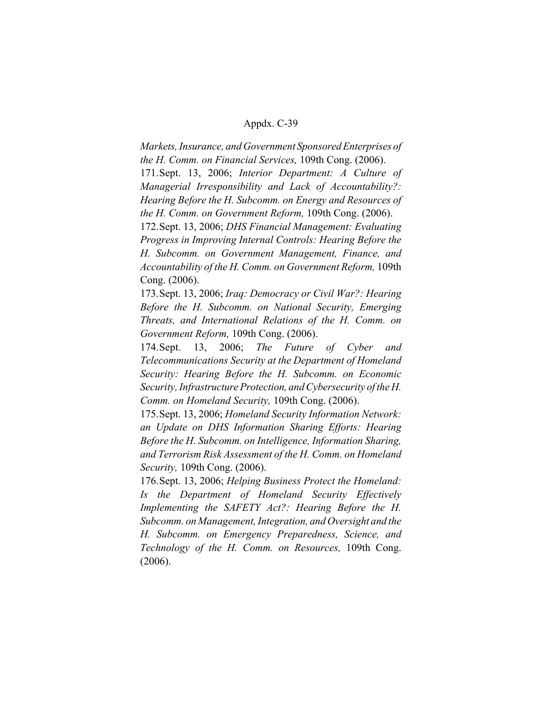*Markets, Insurance, and Government Sponsored Enterprises of the H. Comm. on Financial Services,* 109th Cong. (2006). 171.Sept. 13, 2006; *Interior Department: A Culture of Managerial Irresponsibility and Lack of Accountability?: Hearing Before the H. Subcomm. on Energy and Resources of the H. Comm. on Government Reform,* 109th Cong. (2006).

172.Sept. 13, 2006; *DHS Financial Management: Evaluating Progress in Improving Internal Controls: Hearing Before the H. Subcomm. on Government Management, Finance, and Accountability of the H. Comm. on Government Reform,* 109th Cong. (2006).

173.Sept. 13, 2006; *Iraq: Democracy or Civil War?: Hearing Before the H. Subcomm. on National Security, Emerging Threats, and International Relations of the H. Comm. on Government Reform,* 109th Cong. (2006).

174.Sept. 13, 2006; *The Future of Cyber and Telecommunications Security at the Department of Homeland Security: Hearing Before the H. Subcomm. on Economic Security, Infrastructure Protection, and Cybersecurity of the H. Comm. on Homeland Security,* 109th Cong. (2006).

175.Sept. 13, 2006; *Homeland Security Information Network: an Update on DHS Information Sharing Efforts: Hearing Before the H. Subcomm. on Intelligence, Information Sharing, and Terrorism Risk Assessment of the H. Comm. on Homeland Security,* 109th Cong. (2006).

176.Sept. 13, 2006; *Helping Business Protect the Homeland: Is the Department of Homeland Security Effectively Implementing the SAFETY Act?: Hearing Before the H. Subcomm. on Management, Integration, and Oversight and the H. Subcomm. on Emergency Preparedness, Science, and Technology of the H. Comm. on Resources,* 109th Cong. (2006).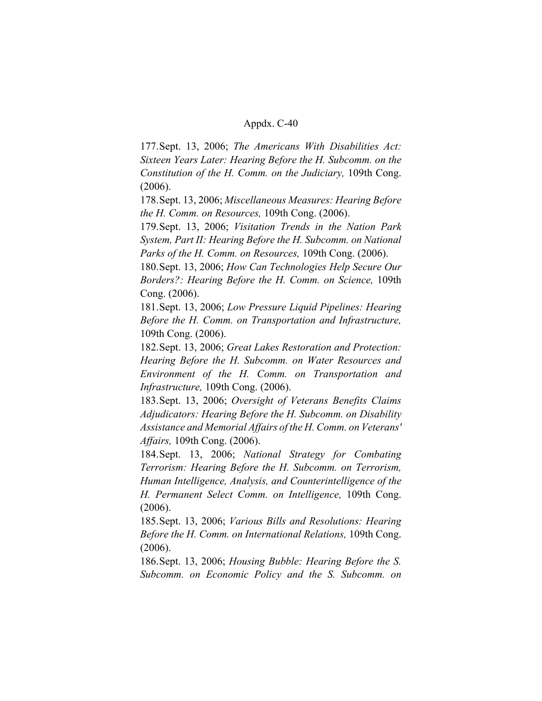177.Sept. 13, 2006; *The Americans With Disabilities Act: Sixteen Years Later: Hearing Before the H. Subcomm. on the Constitution of the H. Comm. on the Judiciary,* 109th Cong. (2006).

178.Sept. 13, 2006; *Miscellaneous Measures: Hearing Before the H. Comm. on Resources,* 109th Cong. (2006).

179.Sept. 13, 2006; *Visitation Trends in the Nation Park System, Part II: Hearing Before the H. Subcomm. on National Parks of the H. Comm. on Resources,* 109th Cong. (2006).

180.Sept. 13, 2006; *How Can Technologies Help Secure Our Borders?: Hearing Before the H. Comm. on Science,* 109th Cong. (2006).

181.Sept. 13, 2006; *Low Pressure Liquid Pipelines: Hearing Before the H. Comm. on Transportation and Infrastructure,* 109th Cong. (2006).

182.Sept. 13, 2006; *Great Lakes Restoration and Protection: Hearing Before the H. Subcomm. on Water Resources and Environment of the H. Comm. on Transportation and Infrastructure,* 109th Cong. (2006).

183.Sept. 13, 2006; *Oversight of Veterans Benefits Claims Adjudicators: Hearing Before the H. Subcomm. on Disability Assistance and Memorial Affairs of the H. Comm. on Veterans' Affairs,* 109th Cong. (2006).

184.Sept. 13, 2006; *National Strategy for Combating Terrorism: Hearing Before the H. Subcomm. on Terrorism, Human Intelligence, Analysis, and Counterintelligence of the H. Permanent Select Comm. on Intelligence,* 109th Cong. (2006).

185.Sept. 13, 2006; *Various Bills and Resolutions: Hearing Before the H. Comm. on International Relations,* 109th Cong. (2006).

186.Sept. 13, 2006; *Housing Bubble: Hearing Before the S. Subcomm. on Economic Policy and the S. Subcomm. on*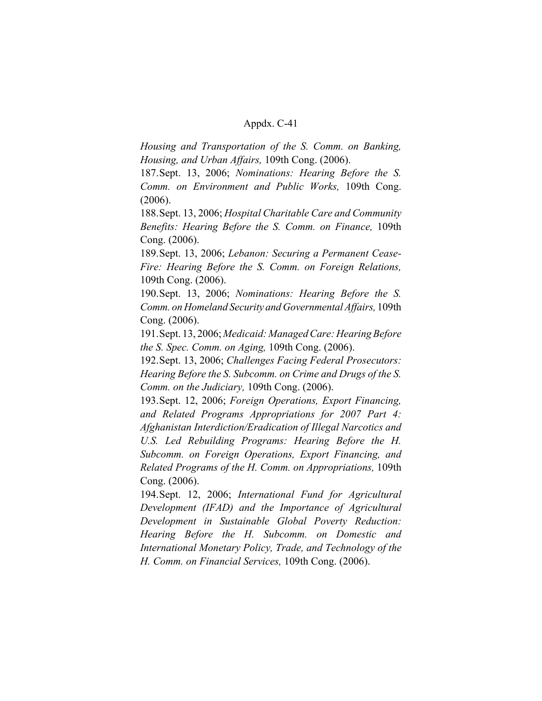*Housing and Transportation of the S. Comm. on Banking, Housing, and Urban Affairs,* 109th Cong. (2006).

187.Sept. 13, 2006; *Nominations: Hearing Before the S. Comm. on Environment and Public Works,* 109th Cong. (2006).

188.Sept. 13, 2006; *Hospital Charitable Care and Community Benefits: Hearing Before the S. Comm. on Finance,* 109th Cong. (2006).

189.Sept. 13, 2006; *Lebanon: Securing a Permanent Cease-Fire: Hearing Before the S. Comm. on Foreign Relations,* 109th Cong. (2006).

190.Sept. 13, 2006; *Nominations: Hearing Before the S. Comm. on Homeland Security and Governmental Affairs,* 109th Cong. (2006).

191.Sept. 13, 2006; *Medicaid: Managed Care: Hearing Before the S. Spec. Comm. on Aging,* 109th Cong. (2006).

192.Sept. 13, 2006; *Challenges Facing Federal Prosecutors: Hearing Before the S. Subcomm. on Crime and Drugs of the S. Comm. on the Judiciary,* 109th Cong. (2006).

193.Sept. 12, 2006; *Foreign Operations, Export Financing, and Related Programs Appropriations for 2007 Part 4: Afghanistan Interdiction/Eradication of Illegal Narcotics and U.S. Led Rebuilding Programs: Hearing Before the H. Subcomm. on Foreign Operations, Export Financing, and Related Programs of the H. Comm. on Appropriations,* 109th Cong. (2006).

194.Sept. 12, 2006; *International Fund for Agricultural Development (IFAD) and the Importance of Agricultural Development in Sustainable Global Poverty Reduction: Hearing Before the H. Subcomm. on Domestic and International Monetary Policy, Trade, and Technology of the H. Comm. on Financial Services,* 109th Cong. (2006).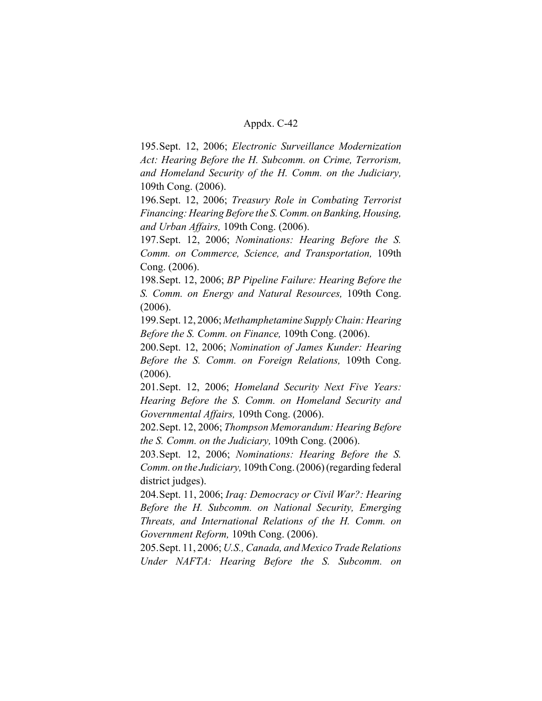195.Sept. 12, 2006; *Electronic Surveillance Modernization Act: Hearing Before the H. Subcomm. on Crime, Terrorism, and Homeland Security of the H. Comm. on the Judiciary,* 109th Cong. (2006).

196.Sept. 12, 2006; *Treasury Role in Combating Terrorist Financing: Hearing Before the S. Comm. on Banking, Housing, and Urban Affairs,* 109th Cong. (2006).

197.Sept. 12, 2006; *Nominations: Hearing Before the S. Comm. on Commerce, Science, and Transportation,* 109th Cong. (2006).

198.Sept. 12, 2006; *BP Pipeline Failure: Hearing Before the S. Comm. on Energy and Natural Resources,* 109th Cong. (2006).

199.Sept. 12, 2006; *Methamphetamine Supply Chain: Hearing Before the S. Comm. on Finance,* 109th Cong. (2006).

200.Sept. 12, 2006; *Nomination of James Kunder: Hearing Before the S. Comm. on Foreign Relations,* 109th Cong. (2006).

201.Sept. 12, 2006; *Homeland Security Next Five Years: Hearing Before the S. Comm. on Homeland Security and Governmental Affairs,* 109th Cong. (2006).

202.Sept. 12, 2006; *Thompson Memorandum: Hearing Before the S. Comm. on the Judiciary,* 109th Cong. (2006).

203.Sept. 12, 2006; *Nominations: Hearing Before the S. Comm. on the Judiciary,* 109th Cong. (2006) (regarding federal district judges).

204.Sept. 11, 2006; *Iraq: Democracy or Civil War?: Hearing Before the H. Subcomm. on National Security, Emerging Threats, and International Relations of the H. Comm. on Government Reform,* 109th Cong. (2006).

205.Sept. 11, 2006; *U.S., Canada, and Mexico Trade Relations Under NAFTA: Hearing Before the S. Subcomm. on*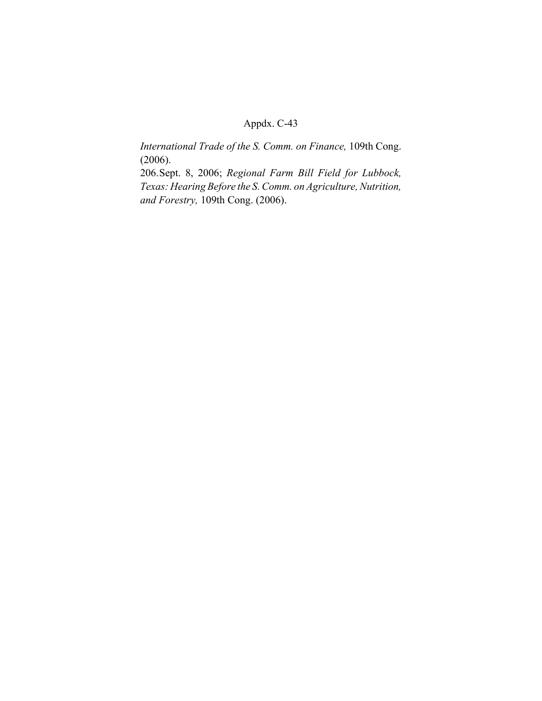*International Trade of the S. Comm. on Finance,* 109th Cong. (2006).

206.Sept. 8, 2006; *Regional Farm Bill Field for Lubbock, Texas: Hearing Before the S. Comm. on Agriculture, Nutrition, and Forestry,* 109th Cong. (2006).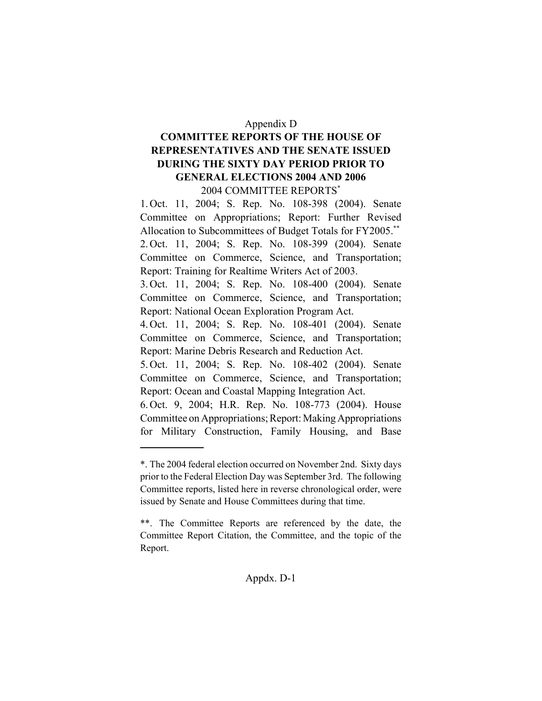#### Appendix D

# **COMMITTEE REPORTS OF THE HOUSE OF REPRESENTATIVES AND THE SENATE ISSUED DURING THE SIXTY DAY PERIOD PRIOR TO GENERAL ELECTIONS 2004 AND 2006** 2004 COMMITTEE REPORTS\*

1. Oct. 11, 2004; S. Rep. No. 108-398 (2004). Senate Committee on Appropriations; Report: Further Revised Allocation to Subcommittees of Budget Totals for FY2005.\*\* 2. Oct. 11, 2004; S. Rep. No. 108-399 (2004). Senate Committee on Commerce, Science, and Transportation; Report: Training for Realtime Writers Act of 2003.

3. Oct. 11, 2004; S. Rep. No. 108-400 (2004). Senate Committee on Commerce, Science, and Transportation; Report: National Ocean Exploration Program Act.

4. Oct. 11, 2004; S. Rep. No. 108-401 (2004). Senate Committee on Commerce, Science, and Transportation; Report: Marine Debris Research and Reduction Act.

5. Oct. 11, 2004; S. Rep. No. 108-402 (2004). Senate Committee on Commerce, Science, and Transportation; Report: Ocean and Coastal Mapping Integration Act.

6. Oct. 9, 2004; H.R. Rep. No. 108-773 (2004). House Committee on Appropriations; Report: Making Appropriations for Military Construction, Family Housing, and Base

# Appdx. D-1

<sup>\*.</sup> The 2004 federal election occurred on November 2nd. Sixty days prior to the Federal Election Day was September 3rd. The following Committee reports, listed here in reverse chronological order, were issued by Senate and House Committees during that time.

<sup>\*\*.</sup> The Committee Reports are referenced by the date, the Committee Report Citation, the Committee, and the topic of the Report.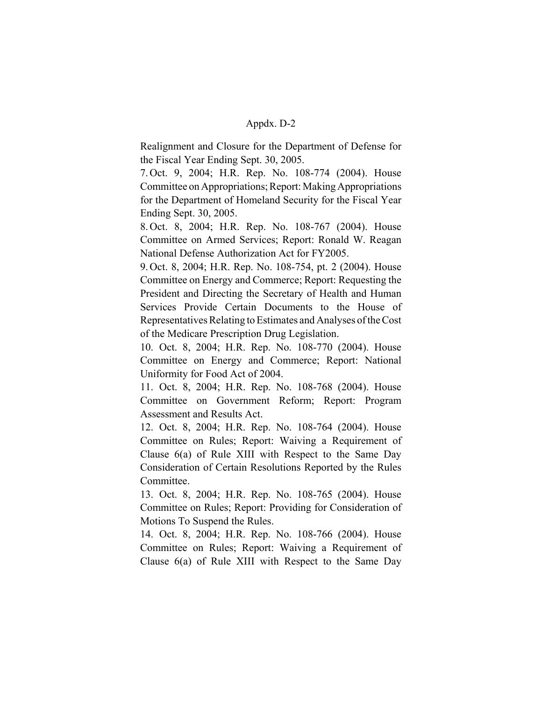Realignment and Closure for the Department of Defense for the Fiscal Year Ending Sept. 30, 2005.

7. Oct. 9, 2004; H.R. Rep. No. 108-774 (2004). House Committee on Appropriations; Report: Making Appropriations for the Department of Homeland Security for the Fiscal Year Ending Sept. 30, 2005.

8. Oct. 8, 2004; H.R. Rep. No. 108-767 (2004). House Committee on Armed Services; Report: Ronald W. Reagan National Defense Authorization Act for FY2005.

9. Oct. 8, 2004; H.R. Rep. No. 108-754, pt. 2 (2004). House Committee on Energy and Commerce; Report: Requesting the President and Directing the Secretary of Health and Human Services Provide Certain Documents to the House of Representatives Relating to Estimates and Analyses of the Cost of the Medicare Prescription Drug Legislation.

10. Oct. 8, 2004; H.R. Rep. No. 108-770 (2004). House Committee on Energy and Commerce; Report: National Uniformity for Food Act of 2004.

11. Oct. 8, 2004; H.R. Rep. No. 108-768 (2004). House Committee on Government Reform; Report: Program Assessment and Results Act.

12. Oct. 8, 2004; H.R. Rep. No. 108-764 (2004). House Committee on Rules; Report: Waiving a Requirement of Clause 6(a) of Rule XIII with Respect to the Same Day Consideration of Certain Resolutions Reported by the Rules Committee.

13. Oct. 8, 2004; H.R. Rep. No. 108-765 (2004). House Committee on Rules; Report: Providing for Consideration of Motions To Suspend the Rules.

14. Oct. 8, 2004; H.R. Rep. No. 108-766 (2004). House Committee on Rules; Report: Waiving a Requirement of Clause 6(a) of Rule XIII with Respect to the Same Day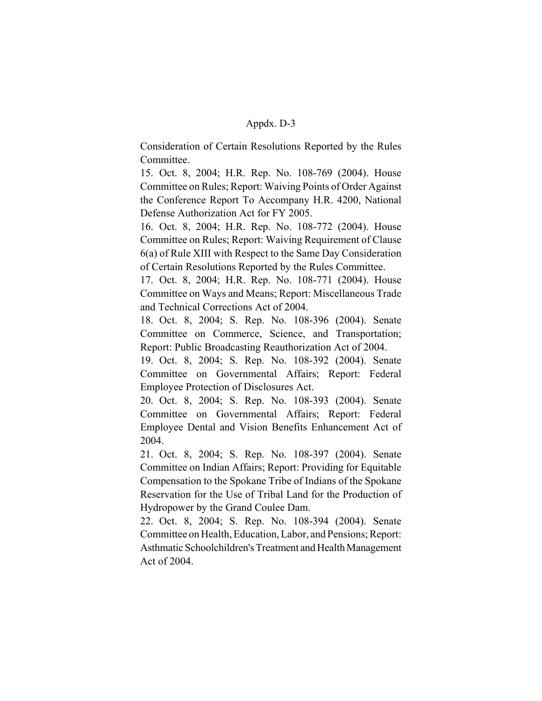Consideration of Certain Resolutions Reported by the Rules Committee.

15. Oct. 8, 2004; H.R. Rep. No. 108-769 (2004). House Committee on Rules; Report: Waiving Points of Order Against the Conference Report To Accompany H.R. 4200, National Defense Authorization Act for FY 2005.

16. Oct. 8, 2004; H.R. Rep. No. 108-772 (2004). House Committee on Rules; Report: Waiving Requirement of Clause 6(a) of Rule XIII with Respect to the Same Day Consideration of Certain Resolutions Reported by the Rules Committee.

17. Oct. 8, 2004; H.R. Rep. No. 108-771 (2004). House Committee on Ways and Means; Report: Miscellaneous Trade and Technical Corrections Act of 2004.

18. Oct. 8, 2004; S. Rep. No. 108-396 (2004). Senate Committee on Commerce, Science, and Transportation; Report: Public Broadcasting Reauthorization Act of 2004.

19. Oct. 8, 2004; S. Rep. No. 108-392 (2004). Senate Committee on Governmental Affairs; Report: Federal Employee Protection of Disclosures Act.

20. Oct. 8, 2004; S. Rep. No. 108-393 (2004). Senate Committee on Governmental Affairs; Report: Federal Employee Dental and Vision Benefits Enhancement Act of 2004.

21. Oct. 8, 2004; S. Rep. No. 108-397 (2004). Senate Committee on Indian Affairs; Report: Providing for Equitable Compensation to the Spokane Tribe of Indians of the Spokane Reservation for the Use of Tribal Land for the Production of Hydropower by the Grand Coulee Dam.

22. Oct. 8, 2004; S. Rep. No. 108-394 (2004). Senate Committee on Health, Education, Labor, and Pensions; Report: Asthmatic Schoolchildren's Treatment and Health Management Act of 2004.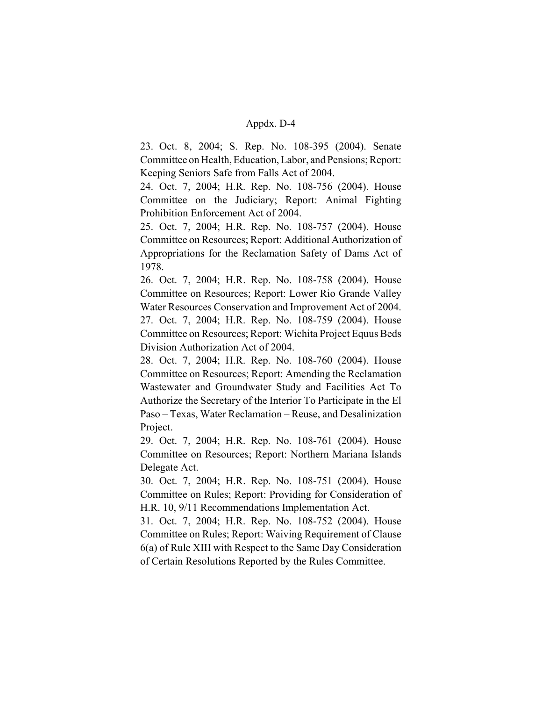23. Oct. 8, 2004; S. Rep. No. 108-395 (2004). Senate Committee on Health, Education, Labor, and Pensions; Report: Keeping Seniors Safe from Falls Act of 2004.

24. Oct. 7, 2004; H.R. Rep. No. 108-756 (2004). House Committee on the Judiciary; Report: Animal Fighting Prohibition Enforcement Act of 2004.

25. Oct. 7, 2004; H.R. Rep. No. 108-757 (2004). House Committee on Resources; Report: Additional Authorization of Appropriations for the Reclamation Safety of Dams Act of 1978.

26. Oct. 7, 2004; H.R. Rep. No. 108-758 (2004). House Committee on Resources; Report: Lower Rio Grande Valley Water Resources Conservation and Improvement Act of 2004. 27. Oct. 7, 2004; H.R. Rep. No. 108-759 (2004). House Committee on Resources; Report: Wichita Project Equus Beds Division Authorization Act of 2004.

28. Oct. 7, 2004; H.R. Rep. No. 108-760 (2004). House Committee on Resources; Report: Amending the Reclamation Wastewater and Groundwater Study and Facilities Act To Authorize the Secretary of the Interior To Participate in the El Paso – Texas, Water Reclamation – Reuse, and Desalinization Project.

29. Oct. 7, 2004; H.R. Rep. No. 108-761 (2004). House Committee on Resources; Report: Northern Mariana Islands Delegate Act.

30. Oct. 7, 2004; H.R. Rep. No. 108-751 (2004). House Committee on Rules; Report: Providing for Consideration of H.R. 10, 9/11 Recommendations Implementation Act.

31. Oct. 7, 2004; H.R. Rep. No. 108-752 (2004). House Committee on Rules; Report: Waiving Requirement of Clause 6(a) of Rule XIII with Respect to the Same Day Consideration of Certain Resolutions Reported by the Rules Committee.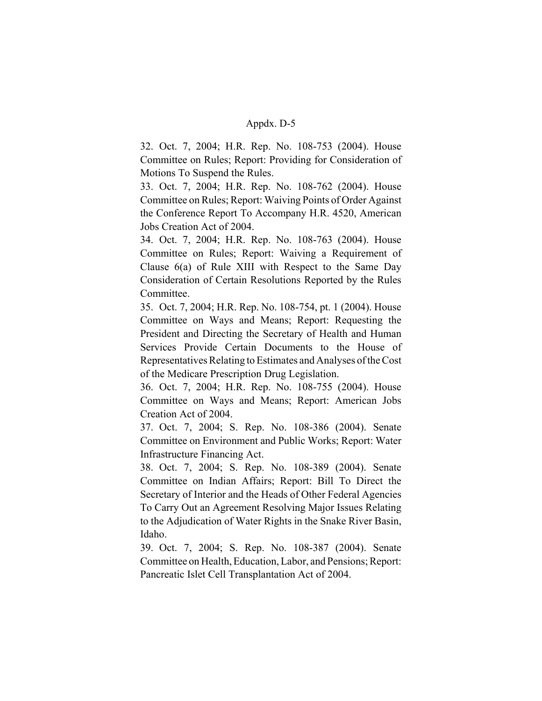32. Oct. 7, 2004; H.R. Rep. No. 108-753 (2004). House Committee on Rules; Report: Providing for Consideration of Motions To Suspend the Rules.

33. Oct. 7, 2004; H.R. Rep. No. 108-762 (2004). House Committee on Rules; Report: Waiving Points of Order Against the Conference Report To Accompany H.R. 4520, American Jobs Creation Act of 2004.

34. Oct. 7, 2004; H.R. Rep. No. 108-763 (2004). House Committee on Rules; Report: Waiving a Requirement of Clause 6(a) of Rule XIII with Respect to the Same Day Consideration of Certain Resolutions Reported by the Rules Committee.

35. Oct. 7, 2004; H.R. Rep. No. 108-754, pt. 1 (2004). House Committee on Ways and Means; Report: Requesting the President and Directing the Secretary of Health and Human Services Provide Certain Documents to the House of Representatives Relating to Estimates and Analyses of the Cost of the Medicare Prescription Drug Legislation.

36. Oct. 7, 2004; H.R. Rep. No. 108-755 (2004). House Committee on Ways and Means; Report: American Jobs Creation Act of 2004.

37. Oct. 7, 2004; S. Rep. No. 108-386 (2004). Senate Committee on Environment and Public Works; Report: Water Infrastructure Financing Act.

38. Oct. 7, 2004; S. Rep. No. 108-389 (2004). Senate Committee on Indian Affairs; Report: Bill To Direct the Secretary of Interior and the Heads of Other Federal Agencies To Carry Out an Agreement Resolving Major Issues Relating to the Adjudication of Water Rights in the Snake River Basin, Idaho.

39. Oct. 7, 2004; S. Rep. No. 108-387 (2004). Senate Committee on Health, Education, Labor, and Pensions; Report: Pancreatic Islet Cell Transplantation Act of 2004.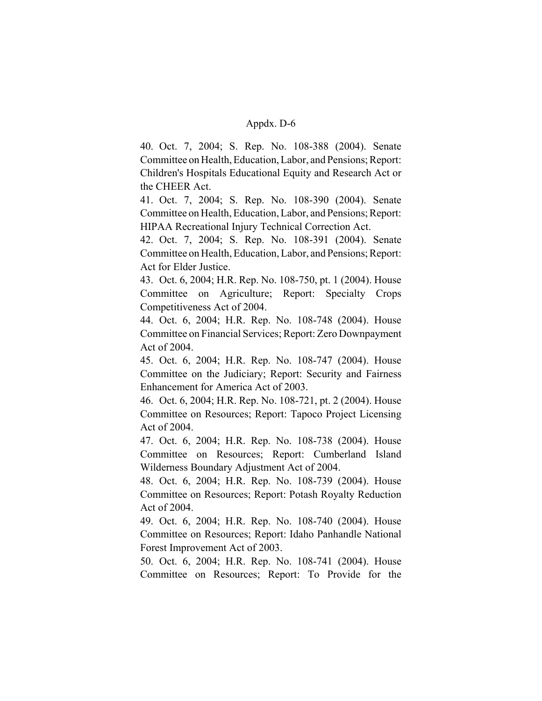40. Oct. 7, 2004; S. Rep. No. 108-388 (2004). Senate Committee on Health, Education, Labor, and Pensions; Report: Children's Hospitals Educational Equity and Research Act or the CHEER Act.

41. Oct. 7, 2004; S. Rep. No. 108-390 (2004). Senate Committee on Health, Education, Labor, and Pensions; Report: HIPAA Recreational Injury Technical Correction Act.

42. Oct. 7, 2004; S. Rep. No. 108-391 (2004). Senate Committee on Health, Education, Labor, and Pensions; Report: Act for Elder Justice.

43. Oct. 6, 2004; H.R. Rep. No. 108-750, pt. 1 (2004). House Committee on Agriculture; Report: Specialty Crops Competitiveness Act of 2004.

44. Oct. 6, 2004; H.R. Rep. No. 108-748 (2004). House Committee on Financial Services; Report: Zero Downpayment Act of 2004.

45. Oct. 6, 2004; H.R. Rep. No. 108-747 (2004). House Committee on the Judiciary; Report: Security and Fairness Enhancement for America Act of 2003.

46. Oct. 6, 2004; H.R. Rep. No. 108-721, pt. 2 (2004). House Committee on Resources; Report: Tapoco Project Licensing Act of 2004.

47. Oct. 6, 2004; H.R. Rep. No. 108-738 (2004). House Committee on Resources; Report: Cumberland Island Wilderness Boundary Adjustment Act of 2004.

48. Oct. 6, 2004; H.R. Rep. No. 108-739 (2004). House Committee on Resources; Report: Potash Royalty Reduction Act of 2004.

49. Oct. 6, 2004; H.R. Rep. No. 108-740 (2004). House Committee on Resources; Report: Idaho Panhandle National Forest Improvement Act of 2003.

50. Oct. 6, 2004; H.R. Rep. No. 108-741 (2004). House Committee on Resources; Report: To Provide for the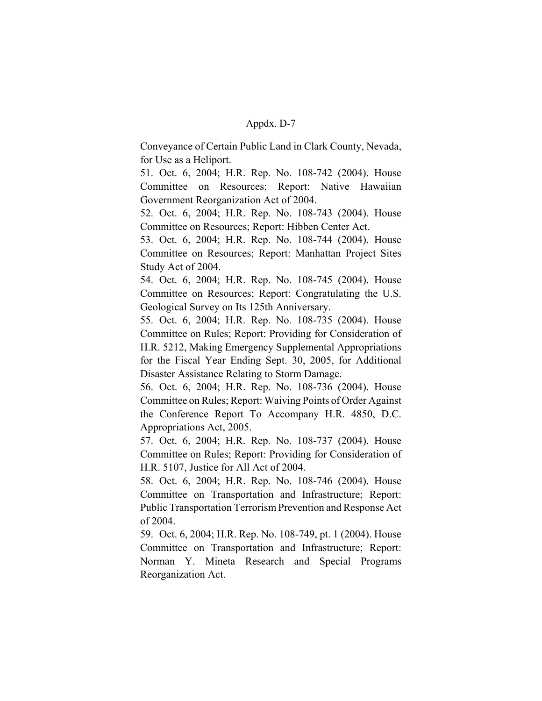Conveyance of Certain Public Land in Clark County, Nevada, for Use as a Heliport.

51. Oct. 6, 2004; H.R. Rep. No. 108-742 (2004). House Committee on Resources; Report: Native Hawaiian Government Reorganization Act of 2004.

52. Oct. 6, 2004; H.R. Rep. No. 108-743 (2004). House Committee on Resources; Report: Hibben Center Act.

53. Oct. 6, 2004; H.R. Rep. No. 108-744 (2004). House Committee on Resources; Report: Manhattan Project Sites Study Act of 2004.

54. Oct. 6, 2004; H.R. Rep. No. 108-745 (2004). House Committee on Resources; Report: Congratulating the U.S. Geological Survey on Its 125th Anniversary.

55. Oct. 6, 2004; H.R. Rep. No. 108-735 (2004). House Committee on Rules; Report: Providing for Consideration of H.R. 5212, Making Emergency Supplemental Appropriations for the Fiscal Year Ending Sept. 30, 2005, for Additional Disaster Assistance Relating to Storm Damage.

56. Oct. 6, 2004; H.R. Rep. No. 108-736 (2004). House Committee on Rules; Report: Waiving Points of Order Against the Conference Report To Accompany H.R. 4850, D.C. Appropriations Act, 2005.

57. Oct. 6, 2004; H.R. Rep. No. 108-737 (2004). House Committee on Rules; Report: Providing for Consideration of H.R. 5107, Justice for All Act of 2004.

58. Oct. 6, 2004; H.R. Rep. No. 108-746 (2004). House Committee on Transportation and Infrastructure; Report: Public Transportation Terrorism Prevention and Response Act of 2004.

59. Oct. 6, 2004; H.R. Rep. No. 108-749, pt. 1 (2004). House Committee on Transportation and Infrastructure; Report: Norman Y. Mineta Research and Special Programs Reorganization Act.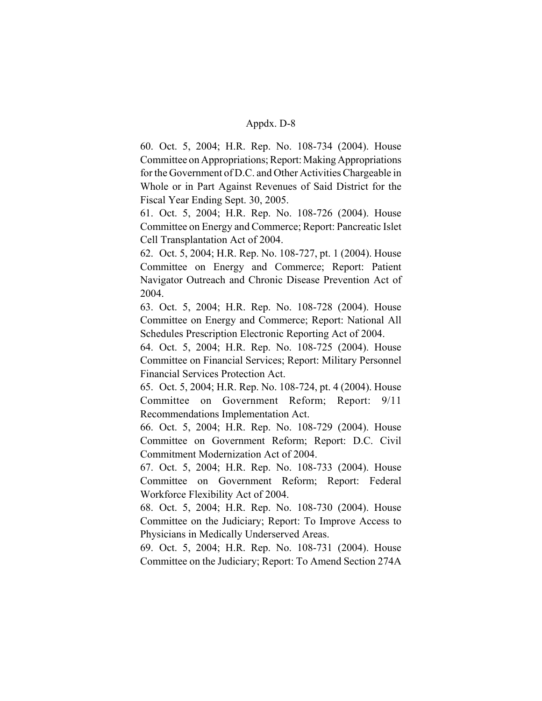60. Oct. 5, 2004; H.R. Rep. No. 108-734 (2004). House Committee on Appropriations; Report: Making Appropriations for the Government of D.C. and Other Activities Chargeable in Whole or in Part Against Revenues of Said District for the Fiscal Year Ending Sept. 30, 2005.

61. Oct. 5, 2004; H.R. Rep. No. 108-726 (2004). House Committee on Energy and Commerce; Report: Pancreatic Islet Cell Transplantation Act of 2004.

62. Oct. 5, 2004; H.R. Rep. No. 108-727, pt. 1 (2004). House Committee on Energy and Commerce; Report: Patient Navigator Outreach and Chronic Disease Prevention Act of 2004.

63. Oct. 5, 2004; H.R. Rep. No. 108-728 (2004). House Committee on Energy and Commerce; Report: National All Schedules Prescription Electronic Reporting Act of 2004.

64. Oct. 5, 2004; H.R. Rep. No. 108-725 (2004). House Committee on Financial Services; Report: Military Personnel Financial Services Protection Act.

65. Oct. 5, 2004; H.R. Rep. No. 108-724, pt. 4 (2004). House Committee on Government Reform; Report: 9/11 Recommendations Implementation Act.

66. Oct. 5, 2004; H.R. Rep. No. 108-729 (2004). House Committee on Government Reform; Report: D.C. Civil Commitment Modernization Act of 2004.

67. Oct. 5, 2004; H.R. Rep. No. 108-733 (2004). House Committee on Government Reform; Report: Federal Workforce Flexibility Act of 2004.

68. Oct. 5, 2004; H.R. Rep. No. 108-730 (2004). House Committee on the Judiciary; Report: To Improve Access to Physicians in Medically Underserved Areas.

69. Oct. 5, 2004; H.R. Rep. No. 108-731 (2004). House Committee on the Judiciary; Report: To Amend Section 274A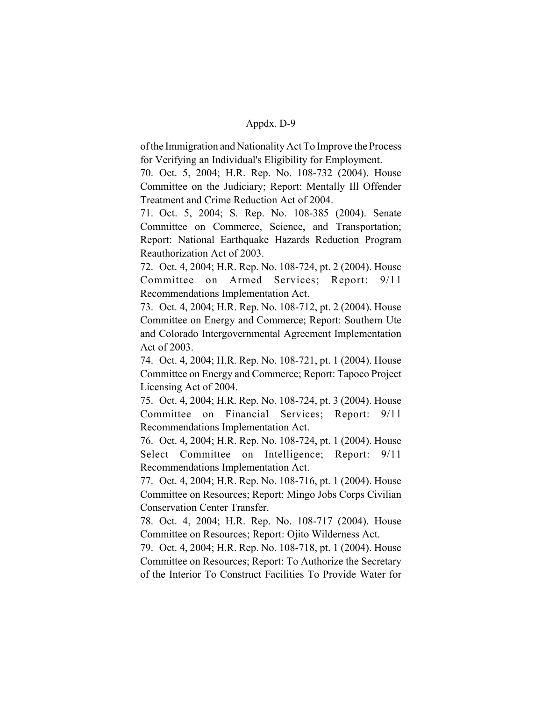of the Immigration and Nationality Act To Improve the Process for Verifying an Individual's Eligibility for Employment.

70. Oct. 5, 2004; H.R. Rep. No. 108-732 (2004). House Committee on the Judiciary; Report: Mentally Ill Offender Treatment and Crime Reduction Act of 2004.

71. Oct. 5, 2004; S. Rep. No. 108-385 (2004). Senate Committee on Commerce, Science, and Transportation; Report: National Earthquake Hazards Reduction Program Reauthorization Act of 2003.

72. Oct. 4, 2004; H.R. Rep. No. 108-724, pt. 2 (2004). House Committee on Armed Services; Report: 9/11 Recommendations Implementation Act.

73. Oct. 4, 2004; H.R. Rep. No. 108-712, pt. 2 (2004). House Committee on Energy and Commerce; Report: Southern Ute and Colorado Intergovernmental Agreement Implementation Act of 2003.

74. Oct. 4, 2004; H.R. Rep. No. 108-721, pt. 1 (2004). House Committee on Energy and Commerce; Report: Tapoco Project Licensing Act of 2004.

75. Oct. 4, 2004; H.R. Rep. No. 108-724, pt. 3 (2004). House Committee on Financial Services; Report: 9/11 Recommendations Implementation Act.

76. Oct. 4, 2004; H.R. Rep. No. 108-724, pt. 1 (2004). House Select Committee on Intelligence; Report: 9/11 Recommendations Implementation Act.

77. Oct. 4, 2004; H.R. Rep. No. 108-716, pt. 1 (2004). House Committee on Resources; Report: Mingo Jobs Corps Civilian Conservation Center Transfer.

78. Oct. 4, 2004; H.R. Rep. No. 108-717 (2004). House Committee on Resources; Report: Ojito Wilderness Act.

79. Oct. 4, 2004; H.R. Rep. No. 108-718, pt. 1 (2004). House Committee on Resources; Report: To Authorize the Secretary of the Interior To Construct Facilities To Provide Water for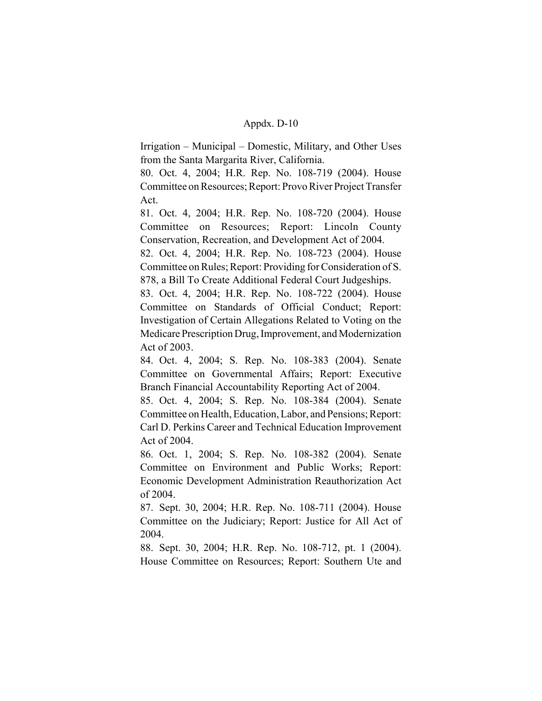Irrigation – Municipal – Domestic, Military, and Other Uses from the Santa Margarita River, California.

80. Oct. 4, 2004; H.R. Rep. No. 108-719 (2004). House Committee on Resources; Report: Provo River Project Transfer Act.

81. Oct. 4, 2004; H.R. Rep. No. 108-720 (2004). House Committee on Resources; Report: Lincoln County Conservation, Recreation, and Development Act of 2004.

82. Oct. 4, 2004; H.R. Rep. No. 108-723 (2004). House Committee on Rules; Report: Providing for Consideration of S. 878, a Bill To Create Additional Federal Court Judgeships.

83. Oct. 4, 2004; H.R. Rep. No. 108-722 (2004). House Committee on Standards of Official Conduct; Report: Investigation of Certain Allegations Related to Voting on the Medicare Prescription Drug, Improvement, and Modernization Act of 2003.

84. Oct. 4, 2004; S. Rep. No. 108-383 (2004). Senate Committee on Governmental Affairs; Report: Executive Branch Financial Accountability Reporting Act of 2004.

85. Oct. 4, 2004; S. Rep. No. 108-384 (2004). Senate Committee on Health, Education, Labor, and Pensions; Report: Carl D. Perkins Career and Technical Education Improvement Act of 2004.

86. Oct. 1, 2004; S. Rep. No. 108-382 (2004). Senate Committee on Environment and Public Works; Report: Economic Development Administration Reauthorization Act of 2004.

87. Sept. 30, 2004; H.R. Rep. No. 108-711 (2004). House Committee on the Judiciary; Report: Justice for All Act of 2004.

88. Sept. 30, 2004; H.R. Rep. No. 108-712, pt. 1 (2004). House Committee on Resources; Report: Southern Ute and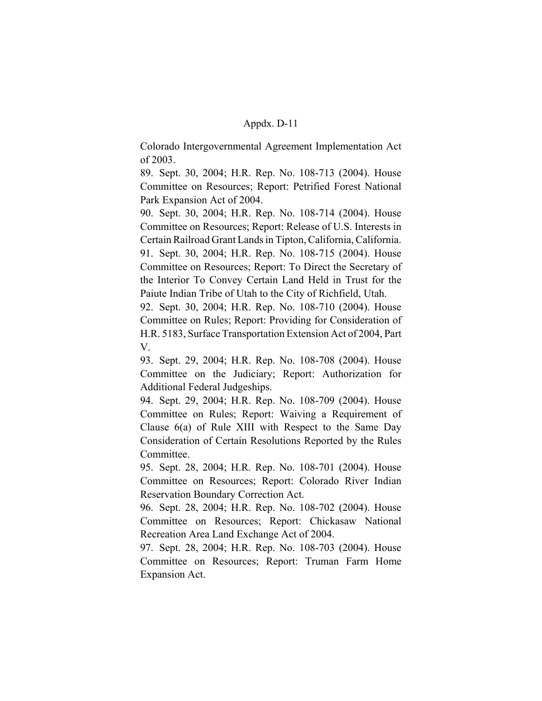Colorado Intergovernmental Agreement Implementation Act of 2003.

89. Sept. 30, 2004; H.R. Rep. No. 108-713 (2004). House Committee on Resources; Report: Petrified Forest National Park Expansion Act of 2004.

90. Sept. 30, 2004; H.R. Rep. No. 108-714 (2004). House Committee on Resources; Report: Release of U.S. Interests in Certain Railroad Grant Lands in Tipton, California, California. 91. Sept. 30, 2004; H.R. Rep. No. 108-715 (2004). House Committee on Resources; Report: To Direct the Secretary of the Interior To Convey Certain Land Held in Trust for the Paiute Indian Tribe of Utah to the City of Richfield, Utah.

92. Sept. 30, 2004; H.R. Rep. No. 108-710 (2004). House Committee on Rules; Report: Providing for Consideration of H.R. 5183, Surface Transportation Extension Act of 2004, Part V.

93. Sept. 29, 2004; H.R. Rep. No. 108-708 (2004). House Committee on the Judiciary; Report: Authorization for Additional Federal Judgeships.

94. Sept. 29, 2004; H.R. Rep. No. 108-709 (2004). House Committee on Rules; Report: Waiving a Requirement of Clause 6(a) of Rule XIII with Respect to the Same Day Consideration of Certain Resolutions Reported by the Rules Committee.

95. Sept. 28, 2004; H.R. Rep. No. 108-701 (2004). House Committee on Resources; Report: Colorado River Indian Reservation Boundary Correction Act.

96. Sept. 28, 2004; H.R. Rep. No. 108-702 (2004). House Committee on Resources; Report: Chickasaw National Recreation Area Land Exchange Act of 2004.

97. Sept. 28, 2004; H.R. Rep. No. 108-703 (2004). House Committee on Resources; Report: Truman Farm Home Expansion Act.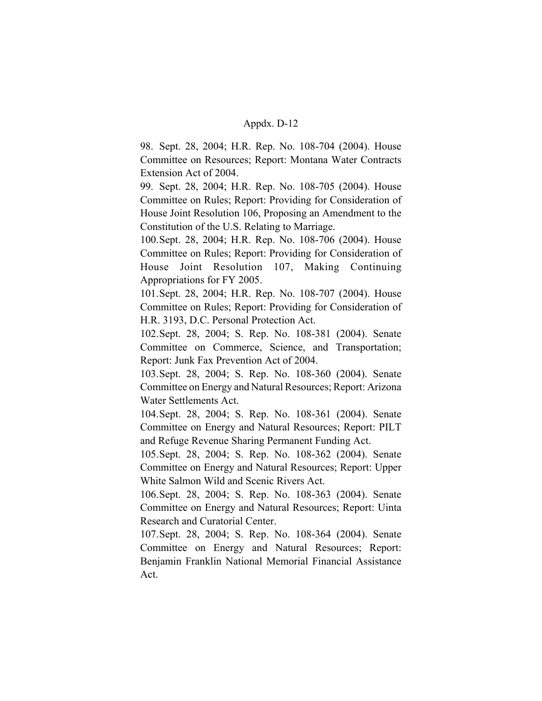98. Sept. 28, 2004; H.R. Rep. No. 108-704 (2004). House Committee on Resources; Report: Montana Water Contracts Extension Act of 2004.

99. Sept. 28, 2004; H.R. Rep. No. 108-705 (2004). House Committee on Rules; Report: Providing for Consideration of House Joint Resolution 106, Proposing an Amendment to the Constitution of the U.S. Relating to Marriage.

100.Sept. 28, 2004; H.R. Rep. No. 108-706 (2004). House Committee on Rules; Report: Providing for Consideration of House Joint Resolution 107, Making Continuing Appropriations for FY 2005.

101.Sept. 28, 2004; H.R. Rep. No. 108-707 (2004). House Committee on Rules; Report: Providing for Consideration of H.R. 3193, D.C. Personal Protection Act.

102.Sept. 28, 2004; S. Rep. No. 108-381 (2004). Senate Committee on Commerce, Science, and Transportation; Report: Junk Fax Prevention Act of 2004.

103.Sept. 28, 2004; S. Rep. No. 108-360 (2004). Senate Committee on Energy and Natural Resources; Report: Arizona Water Settlements Act.

104.Sept. 28, 2004; S. Rep. No. 108-361 (2004). Senate Committee on Energy and Natural Resources; Report: PILT and Refuge Revenue Sharing Permanent Funding Act.

105.Sept. 28, 2004; S. Rep. No. 108-362 (2004). Senate Committee on Energy and Natural Resources; Report: Upper White Salmon Wild and Scenic Rivers Act.

106.Sept. 28, 2004; S. Rep. No. 108-363 (2004). Senate Committee on Energy and Natural Resources; Report: Uinta Research and Curatorial Center.

107.Sept. 28, 2004; S. Rep. No. 108-364 (2004). Senate Committee on Energy and Natural Resources; Report: Benjamin Franklin National Memorial Financial Assistance Act.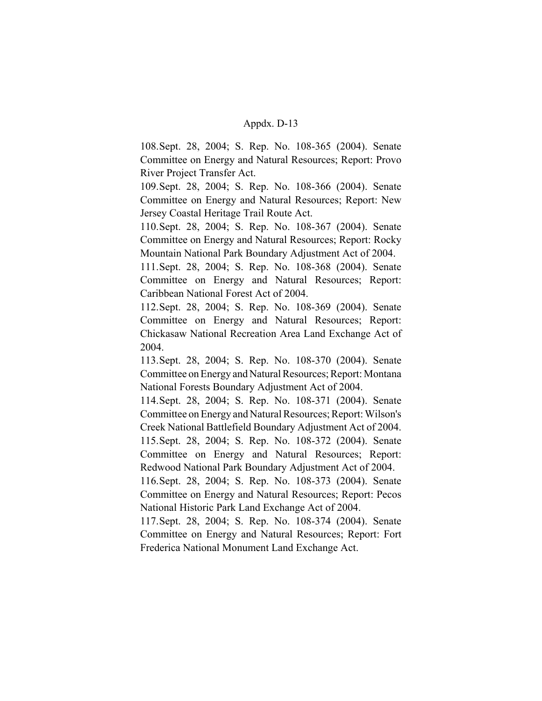108.Sept. 28, 2004; S. Rep. No. 108-365 (2004). Senate Committee on Energy and Natural Resources; Report: Provo River Project Transfer Act.

109.Sept. 28, 2004; S. Rep. No. 108-366 (2004). Senate Committee on Energy and Natural Resources; Report: New Jersey Coastal Heritage Trail Route Act.

110.Sept. 28, 2004; S. Rep. No. 108-367 (2004). Senate Committee on Energy and Natural Resources; Report: Rocky Mountain National Park Boundary Adjustment Act of 2004.

111.Sept. 28, 2004; S. Rep. No. 108-368 (2004). Senate Committee on Energy and Natural Resources; Report: Caribbean National Forest Act of 2004.

112.Sept. 28, 2004; S. Rep. No. 108-369 (2004). Senate Committee on Energy and Natural Resources; Report: Chickasaw National Recreation Area Land Exchange Act of 2004.

113.Sept. 28, 2004; S. Rep. No. 108-370 (2004). Senate Committee on Energy and Natural Resources; Report: Montana National Forests Boundary Adjustment Act of 2004.

114.Sept. 28, 2004; S. Rep. No. 108-371 (2004). Senate Committee on Energy and Natural Resources; Report: Wilson's Creek National Battlefield Boundary Adjustment Act of 2004. 115.Sept. 28, 2004; S. Rep. No. 108-372 (2004). Senate Committee on Energy and Natural Resources; Report: Redwood National Park Boundary Adjustment Act of 2004.

116.Sept. 28, 2004; S. Rep. No. 108-373 (2004). Senate Committee on Energy and Natural Resources; Report: Pecos National Historic Park Land Exchange Act of 2004.

117.Sept. 28, 2004; S. Rep. No. 108-374 (2004). Senate Committee on Energy and Natural Resources; Report: Fort Frederica National Monument Land Exchange Act.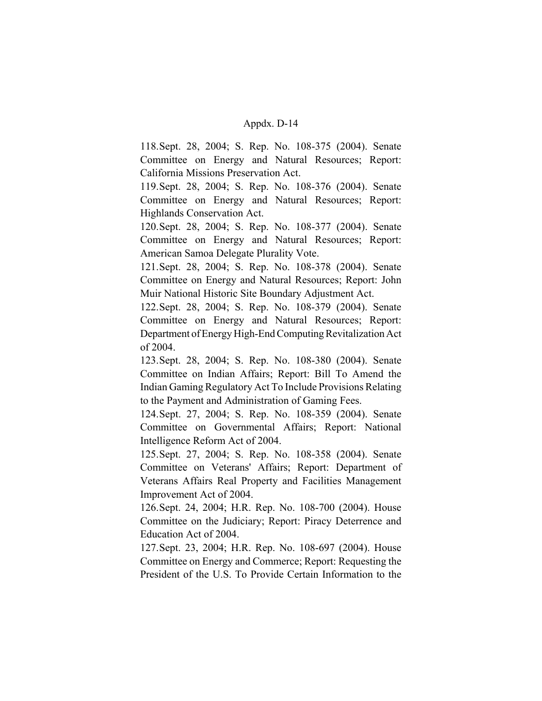118.Sept. 28, 2004; S. Rep. No. 108-375 (2004). Senate Committee on Energy and Natural Resources; Report: California Missions Preservation Act.

119.Sept. 28, 2004; S. Rep. No. 108-376 (2004). Senate Committee on Energy and Natural Resources; Report: Highlands Conservation Act.

120.Sept. 28, 2004; S. Rep. No. 108-377 (2004). Senate Committee on Energy and Natural Resources; Report: American Samoa Delegate Plurality Vote.

121.Sept. 28, 2004; S. Rep. No. 108-378 (2004). Senate Committee on Energy and Natural Resources; Report: John Muir National Historic Site Boundary Adjustment Act.

122.Sept. 28, 2004; S. Rep. No. 108-379 (2004). Senate Committee on Energy and Natural Resources; Report: Department of Energy High-End Computing Revitalization Act of 2004.

123.Sept. 28, 2004; S. Rep. No. 108-380 (2004). Senate Committee on Indian Affairs; Report: Bill To Amend the Indian Gaming Regulatory Act To Include Provisions Relating to the Payment and Administration of Gaming Fees.

124.Sept. 27, 2004; S. Rep. No. 108-359 (2004). Senate Committee on Governmental Affairs; Report: National Intelligence Reform Act of 2004.

125.Sept. 27, 2004; S. Rep. No. 108-358 (2004). Senate Committee on Veterans' Affairs; Report: Department of Veterans Affairs Real Property and Facilities Management Improvement Act of 2004.

126.Sept. 24, 2004; H.R. Rep. No. 108-700 (2004). House Committee on the Judiciary; Report: Piracy Deterrence and Education Act of 2004.

127.Sept. 23, 2004; H.R. Rep. No. 108-697 (2004). House Committee on Energy and Commerce; Report: Requesting the President of the U.S. To Provide Certain Information to the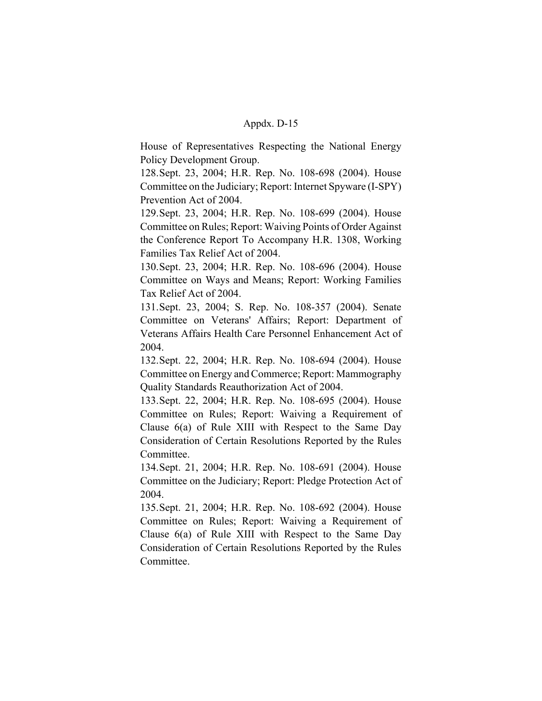House of Representatives Respecting the National Energy Policy Development Group.

128.Sept. 23, 2004; H.R. Rep. No. 108-698 (2004). House Committee on the Judiciary; Report: Internet Spyware (I-SPY) Prevention Act of 2004.

129.Sept. 23, 2004; H.R. Rep. No. 108-699 (2004). House Committee on Rules; Report: Waiving Points of Order Against the Conference Report To Accompany H.R. 1308, Working Families Tax Relief Act of 2004.

130.Sept. 23, 2004; H.R. Rep. No. 108-696 (2004). House Committee on Ways and Means; Report: Working Families Tax Relief Act of 2004.

131.Sept. 23, 2004; S. Rep. No. 108-357 (2004). Senate Committee on Veterans' Affairs; Report: Department of Veterans Affairs Health Care Personnel Enhancement Act of 2004.

132.Sept. 22, 2004; H.R. Rep. No. 108-694 (2004). House Committee on Energy and Commerce; Report: Mammography Quality Standards Reauthorization Act of 2004.

133.Sept. 22, 2004; H.R. Rep. No. 108-695 (2004). House Committee on Rules; Report: Waiving a Requirement of Clause 6(a) of Rule XIII with Respect to the Same Day Consideration of Certain Resolutions Reported by the Rules Committee.

134.Sept. 21, 2004; H.R. Rep. No. 108-691 (2004). House Committee on the Judiciary; Report: Pledge Protection Act of 2004.

135.Sept. 21, 2004; H.R. Rep. No. 108-692 (2004). House Committee on Rules; Report: Waiving a Requirement of Clause 6(a) of Rule XIII with Respect to the Same Day Consideration of Certain Resolutions Reported by the Rules Committee.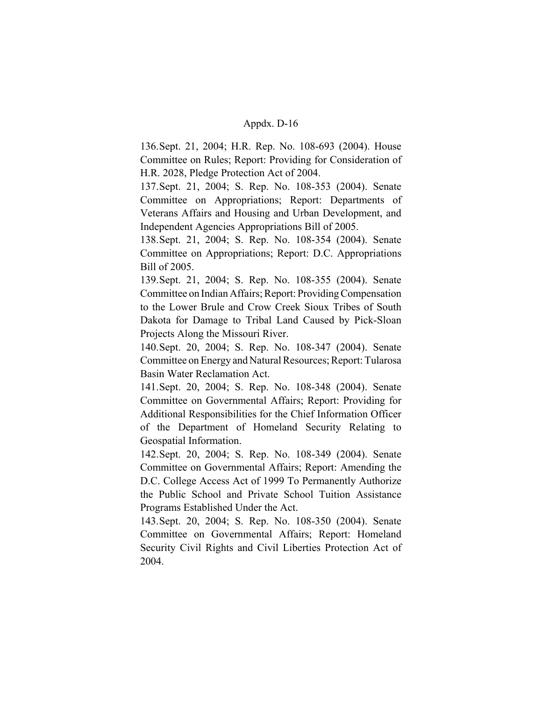136.Sept. 21, 2004; H.R. Rep. No. 108-693 (2004). House Committee on Rules; Report: Providing for Consideration of H.R. 2028, Pledge Protection Act of 2004.

137.Sept. 21, 2004; S. Rep. No. 108-353 (2004). Senate Committee on Appropriations; Report: Departments of Veterans Affairs and Housing and Urban Development, and Independent Agencies Appropriations Bill of 2005.

138.Sept. 21, 2004; S. Rep. No. 108-354 (2004). Senate Committee on Appropriations; Report: D.C. Appropriations Bill of 2005.

139.Sept. 21, 2004; S. Rep. No. 108-355 (2004). Senate Committee on Indian Affairs; Report: Providing Compensation to the Lower Brule and Crow Creek Sioux Tribes of South Dakota for Damage to Tribal Land Caused by Pick-Sloan Projects Along the Missouri River.

140.Sept. 20, 2004; S. Rep. No. 108-347 (2004). Senate Committee on Energy and Natural Resources; Report: Tularosa Basin Water Reclamation Act.

141.Sept. 20, 2004; S. Rep. No. 108-348 (2004). Senate Committee on Governmental Affairs; Report: Providing for Additional Responsibilities for the Chief Information Officer of the Department of Homeland Security Relating to Geospatial Information.

142.Sept. 20, 2004; S. Rep. No. 108-349 (2004). Senate Committee on Governmental Affairs; Report: Amending the D.C. College Access Act of 1999 To Permanently Authorize the Public School and Private School Tuition Assistance Programs Established Under the Act.

143.Sept. 20, 2004; S. Rep. No. 108-350 (2004). Senate Committee on Governmental Affairs; Report: Homeland Security Civil Rights and Civil Liberties Protection Act of 2004.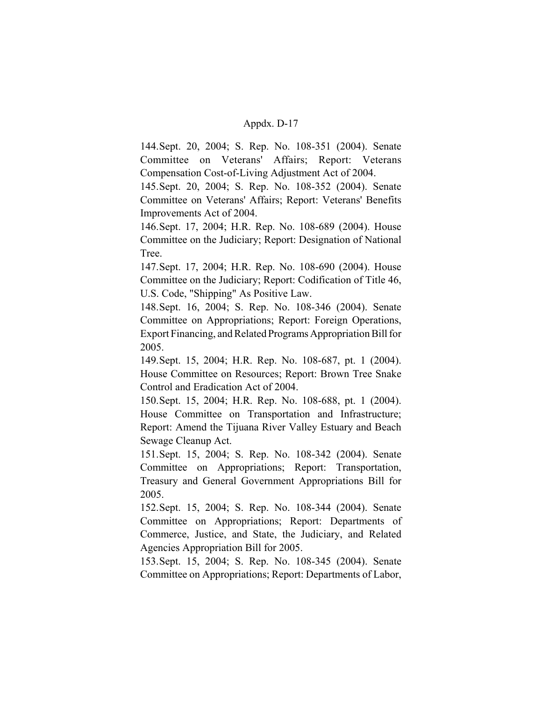144.Sept. 20, 2004; S. Rep. No. 108-351 (2004). Senate Committee on Veterans' Affairs; Report: Veterans Compensation Cost-of-Living Adjustment Act of 2004.

145.Sept. 20, 2004; S. Rep. No. 108-352 (2004). Senate Committee on Veterans' Affairs; Report: Veterans' Benefits Improvements Act of 2004.

146.Sept. 17, 2004; H.R. Rep. No. 108-689 (2004). House Committee on the Judiciary; Report: Designation of National Tree.

147.Sept. 17, 2004; H.R. Rep. No. 108-690 (2004). House Committee on the Judiciary; Report: Codification of Title 46, U.S. Code, "Shipping" As Positive Law.

148.Sept. 16, 2004; S. Rep. No. 108-346 (2004). Senate Committee on Appropriations; Report: Foreign Operations, Export Financing, and Related Programs Appropriation Bill for 2005.

149.Sept. 15, 2004; H.R. Rep. No. 108-687, pt. 1 (2004). House Committee on Resources; Report: Brown Tree Snake Control and Eradication Act of 2004.

150.Sept. 15, 2004; H.R. Rep. No. 108-688, pt. 1 (2004). House Committee on Transportation and Infrastructure; Report: Amend the Tijuana River Valley Estuary and Beach Sewage Cleanup Act.

151.Sept. 15, 2004; S. Rep. No. 108-342 (2004). Senate Committee on Appropriations; Report: Transportation, Treasury and General Government Appropriations Bill for 2005.

152.Sept. 15, 2004; S. Rep. No. 108-344 (2004). Senate Committee on Appropriations; Report: Departments of Commerce, Justice, and State, the Judiciary, and Related Agencies Appropriation Bill for 2005.

153.Sept. 15, 2004; S. Rep. No. 108-345 (2004). Senate Committee on Appropriations; Report: Departments of Labor,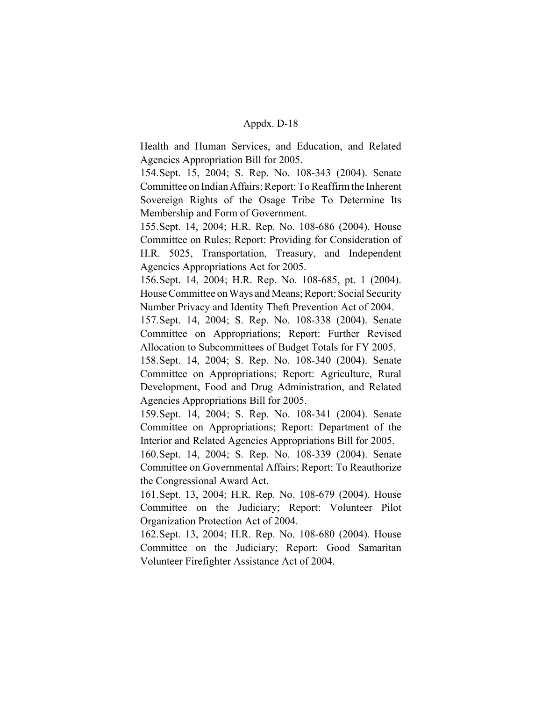Health and Human Services, and Education, and Related Agencies Appropriation Bill for 2005.

154.Sept. 15, 2004; S. Rep. No. 108-343 (2004). Senate Committee on Indian Affairs; Report: To Reaffirm the Inherent Sovereign Rights of the Osage Tribe To Determine Its Membership and Form of Government.

155.Sept. 14, 2004; H.R. Rep. No. 108-686 (2004). House Committee on Rules; Report: Providing for Consideration of H.R. 5025, Transportation, Treasury, and Independent Agencies Appropriations Act for 2005.

156.Sept. 14, 2004; H.R. Rep. No. 108-685, pt. 1 (2004). House Committee on Ways and Means; Report: Social Security Number Privacy and Identity Theft Prevention Act of 2004.

157.Sept. 14, 2004; S. Rep. No. 108-338 (2004). Senate Committee on Appropriations; Report: Further Revised Allocation to Subcommittees of Budget Totals for FY 2005.

158.Sept. 14, 2004; S. Rep. No. 108-340 (2004). Senate Committee on Appropriations; Report: Agriculture, Rural Development, Food and Drug Administration, and Related Agencies Appropriations Bill for 2005.

159.Sept. 14, 2004; S. Rep. No. 108-341 (2004). Senate Committee on Appropriations; Report: Department of the Interior and Related Agencies Appropriations Bill for 2005.

160.Sept. 14, 2004; S. Rep. No. 108-339 (2004). Senate Committee on Governmental Affairs; Report: To Reauthorize the Congressional Award Act.

161.Sept. 13, 2004; H.R. Rep. No. 108-679 (2004). House Committee on the Judiciary; Report: Volunteer Pilot Organization Protection Act of 2004.

162.Sept. 13, 2004; H.R. Rep. No. 108-680 (2004). House Committee on the Judiciary; Report: Good Samaritan Volunteer Firefighter Assistance Act of 2004.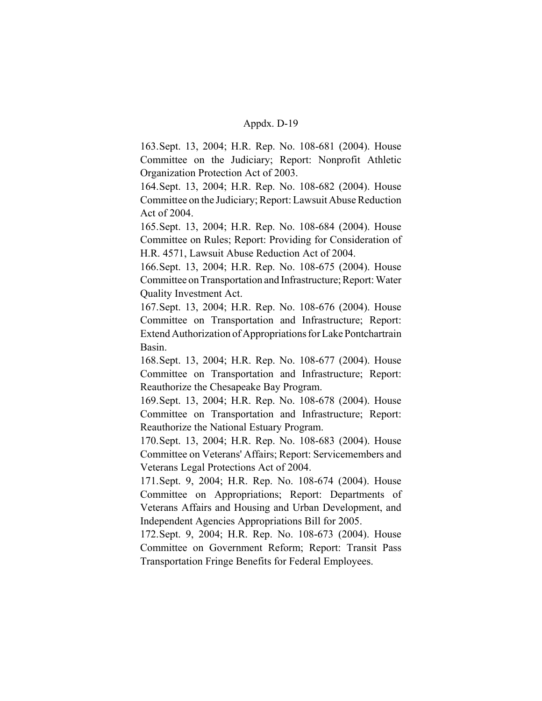163.Sept. 13, 2004; H.R. Rep. No. 108-681 (2004). House Committee on the Judiciary; Report: Nonprofit Athletic Organization Protection Act of 2003.

164.Sept. 13, 2004; H.R. Rep. No. 108-682 (2004). House Committee on the Judiciary; Report: Lawsuit Abuse Reduction Act of 2004.

165.Sept. 13, 2004; H.R. Rep. No. 108-684 (2004). House Committee on Rules; Report: Providing for Consideration of H.R. 4571, Lawsuit Abuse Reduction Act of 2004.

166.Sept. 13, 2004; H.R. Rep. No. 108-675 (2004). House Committee on Transportation and Infrastructure; Report: Water Quality Investment Act.

167.Sept. 13, 2004; H.R. Rep. No. 108-676 (2004). House Committee on Transportation and Infrastructure; Report: Extend Authorization of Appropriations for Lake Pontchartrain Basin.

168.Sept. 13, 2004; H.R. Rep. No. 108-677 (2004). House Committee on Transportation and Infrastructure; Report: Reauthorize the Chesapeake Bay Program.

169.Sept. 13, 2004; H.R. Rep. No. 108-678 (2004). House Committee on Transportation and Infrastructure; Report: Reauthorize the National Estuary Program.

170.Sept. 13, 2004; H.R. Rep. No. 108-683 (2004). House Committee on Veterans' Affairs; Report: Servicemembers and Veterans Legal Protections Act of 2004.

171.Sept. 9, 2004; H.R. Rep. No. 108-674 (2004). House Committee on Appropriations; Report: Departments of Veterans Affairs and Housing and Urban Development, and Independent Agencies Appropriations Bill for 2005.

172.Sept. 9, 2004; H.R. Rep. No. 108-673 (2004). House Committee on Government Reform; Report: Transit Pass Transportation Fringe Benefits for Federal Employees.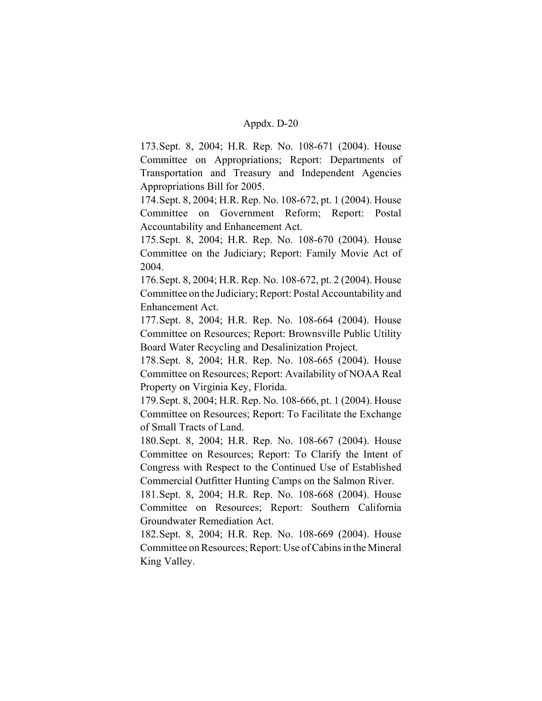173.Sept. 8, 2004; H.R. Rep. No. 108-671 (2004). House Committee on Appropriations; Report: Departments of Transportation and Treasury and Independent Agencies Appropriations Bill for 2005.

174.Sept. 8, 2004; H.R. Rep. No. 108-672, pt. 1 (2004). House Committee on Government Reform; Report: Postal Accountability and Enhancement Act.

175.Sept. 8, 2004; H.R. Rep. No. 108-670 (2004). House Committee on the Judiciary; Report: Family Movie Act of 2004.

176.Sept. 8, 2004; H.R. Rep. No. 108-672, pt. 2 (2004). House Committee on the Judiciary; Report: Postal Accountability and Enhancement Act.

177.Sept. 8, 2004; H.R. Rep. No. 108-664 (2004). House Committee on Resources; Report: Brownsville Public Utility Board Water Recycling and Desalinization Project.

178.Sept. 8, 2004; H.R. Rep. No. 108-665 (2004). House Committee on Resources; Report: Availability of NOAA Real Property on Virginia Key, Florida.

179.Sept. 8, 2004; H.R. Rep. No. 108-666, pt. 1 (2004). House Committee on Resources; Report: To Facilitate the Exchange of Small Tracts of Land.

180.Sept. 8, 2004; H.R. Rep. No. 108-667 (2004). House Committee on Resources; Report: To Clarify the Intent of Congress with Respect to the Continued Use of Established Commercial Outfitter Hunting Camps on the Salmon River.

181.Sept. 8, 2004; H.R. Rep. No. 108-668 (2004). House Committee on Resources; Report: Southern California Groundwater Remediation Act.

182.Sept. 8, 2004; H.R. Rep. No. 108-669 (2004). House Committee on Resources; Report: Use of Cabins in the Mineral King Valley.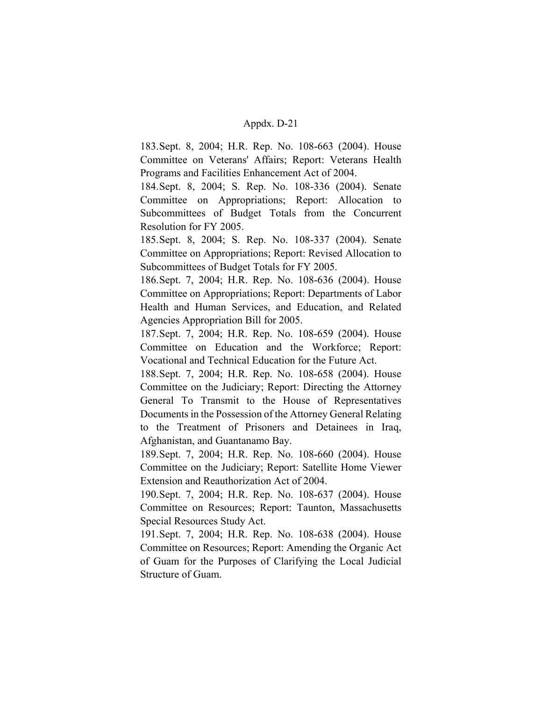183.Sept. 8, 2004; H.R. Rep. No. 108-663 (2004). House Committee on Veterans' Affairs; Report: Veterans Health Programs and Facilities Enhancement Act of 2004.

184.Sept. 8, 2004; S. Rep. No. 108-336 (2004). Senate Committee on Appropriations; Report: Allocation to Subcommittees of Budget Totals from the Concurrent Resolution for FY 2005.

185.Sept. 8, 2004; S. Rep. No. 108-337 (2004). Senate Committee on Appropriations; Report: Revised Allocation to Subcommittees of Budget Totals for FY 2005.

186.Sept. 7, 2004; H.R. Rep. No. 108-636 (2004). House Committee on Appropriations; Report: Departments of Labor Health and Human Services, and Education, and Related Agencies Appropriation Bill for 2005.

187.Sept. 7, 2004; H.R. Rep. No. 108-659 (2004). House Committee on Education and the Workforce; Report: Vocational and Technical Education for the Future Act.

188.Sept. 7, 2004; H.R. Rep. No. 108-658 (2004). House Committee on the Judiciary; Report: Directing the Attorney General To Transmit to the House of Representatives Documents in the Possession of the Attorney General Relating to the Treatment of Prisoners and Detainees in Iraq, Afghanistan, and Guantanamo Bay.

189.Sept. 7, 2004; H.R. Rep. No. 108-660 (2004). House Committee on the Judiciary; Report: Satellite Home Viewer Extension and Reauthorization Act of 2004.

190.Sept. 7, 2004; H.R. Rep. No. 108-637 (2004). House Committee on Resources; Report: Taunton, Massachusetts Special Resources Study Act.

191.Sept. 7, 2004; H.R. Rep. No. 108-638 (2004). House Committee on Resources; Report: Amending the Organic Act of Guam for the Purposes of Clarifying the Local Judicial Structure of Guam.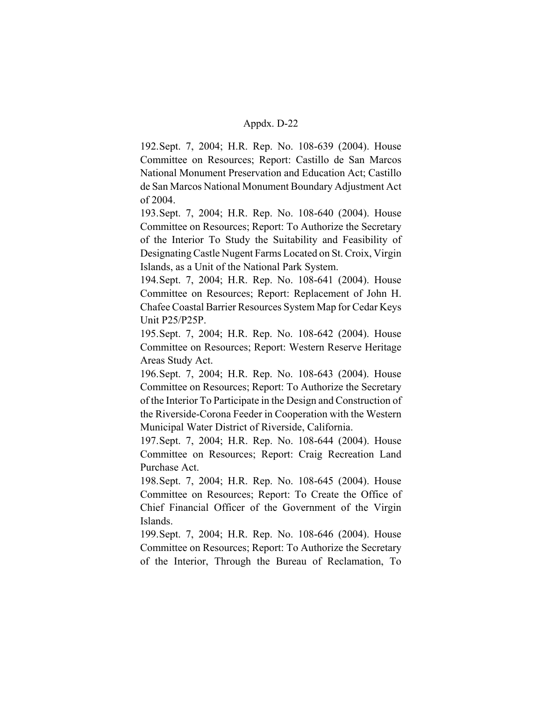192.Sept. 7, 2004; H.R. Rep. No. 108-639 (2004). House Committee on Resources; Report: Castillo de San Marcos National Monument Preservation and Education Act; Castillo de San Marcos National Monument Boundary Adjustment Act of 2004.

193.Sept. 7, 2004; H.R. Rep. No. 108-640 (2004). House Committee on Resources; Report: To Authorize the Secretary of the Interior To Study the Suitability and Feasibility of Designating Castle Nugent Farms Located on St. Croix, Virgin Islands, as a Unit of the National Park System.

194.Sept. 7, 2004; H.R. Rep. No. 108-641 (2004). House Committee on Resources; Report: Replacement of John H. Chafee Coastal Barrier Resources System Map for Cedar Keys Unit P25/P25P.

195.Sept. 7, 2004; H.R. Rep. No. 108-642 (2004). House Committee on Resources; Report: Western Reserve Heritage Areas Study Act.

196.Sept. 7, 2004; H.R. Rep. No. 108-643 (2004). House Committee on Resources; Report: To Authorize the Secretary of the Interior To Participate in the Design and Construction of the Riverside-Corona Feeder in Cooperation with the Western Municipal Water District of Riverside, California.

197.Sept. 7, 2004; H.R. Rep. No. 108-644 (2004). House Committee on Resources; Report: Craig Recreation Land Purchase Act.

198.Sept. 7, 2004; H.R. Rep. No. 108-645 (2004). House Committee on Resources; Report: To Create the Office of Chief Financial Officer of the Government of the Virgin Islands.

199.Sept. 7, 2004; H.R. Rep. No. 108-646 (2004). House Committee on Resources; Report: To Authorize the Secretary of the Interior, Through the Bureau of Reclamation, To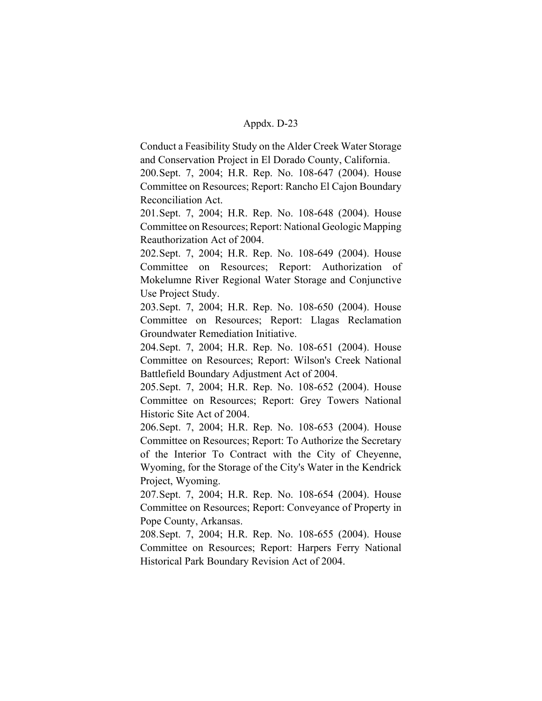Conduct a Feasibility Study on the Alder Creek Water Storage and Conservation Project in El Dorado County, California.

200.Sept. 7, 2004; H.R. Rep. No. 108-647 (2004). House Committee on Resources; Report: Rancho El Cajon Boundary Reconciliation Act.

201.Sept. 7, 2004; H.R. Rep. No. 108-648 (2004). House Committee on Resources; Report: National Geologic Mapping Reauthorization Act of 2004.

202.Sept. 7, 2004; H.R. Rep. No. 108-649 (2004). House Committee on Resources; Report: Authorization of Mokelumne River Regional Water Storage and Conjunctive Use Project Study.

203.Sept. 7, 2004; H.R. Rep. No. 108-650 (2004). House Committee on Resources; Report: Llagas Reclamation Groundwater Remediation Initiative.

204.Sept. 7, 2004; H.R. Rep. No. 108-651 (2004). House Committee on Resources; Report: Wilson's Creek National Battlefield Boundary Adjustment Act of 2004.

205.Sept. 7, 2004; H.R. Rep. No. 108-652 (2004). House Committee on Resources; Report: Grey Towers National Historic Site Act of 2004.

206.Sept. 7, 2004; H.R. Rep. No. 108-653 (2004). House Committee on Resources; Report: To Authorize the Secretary of the Interior To Contract with the City of Cheyenne, Wyoming, for the Storage of the City's Water in the Kendrick Project, Wyoming.

207.Sept. 7, 2004; H.R. Rep. No. 108-654 (2004). House Committee on Resources; Report: Conveyance of Property in Pope County, Arkansas.

208.Sept. 7, 2004; H.R. Rep. No. 108-655 (2004). House Committee on Resources; Report: Harpers Ferry National Historical Park Boundary Revision Act of 2004.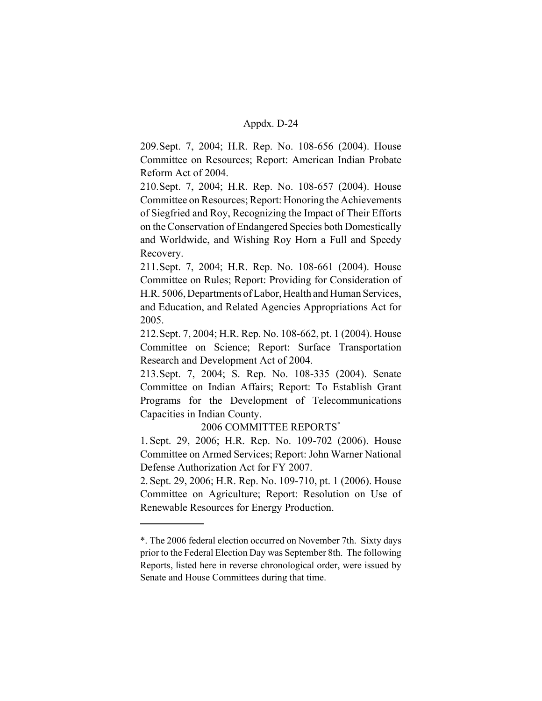209.Sept. 7, 2004; H.R. Rep. No. 108-656 (2004). House Committee on Resources; Report: American Indian Probate Reform Act of 2004.

210.Sept. 7, 2004; H.R. Rep. No. 108-657 (2004). House Committee on Resources; Report: Honoring the Achievements of Siegfried and Roy, Recognizing the Impact of Their Efforts on the Conservation of Endangered Species both Domestically and Worldwide, and Wishing Roy Horn a Full and Speedy Recovery.

211.Sept. 7, 2004; H.R. Rep. No. 108-661 (2004). House Committee on Rules; Report: Providing for Consideration of H.R. 5006, Departments of Labor, Health and Human Services, and Education, and Related Agencies Appropriations Act for 2005.

212.Sept. 7, 2004; H.R. Rep. No. 108-662, pt. 1 (2004). House Committee on Science; Report: Surface Transportation Research and Development Act of 2004.

213.Sept. 7, 2004; S. Rep. No. 108-335 (2004). Senate Committee on Indian Affairs; Report: To Establish Grant Programs for the Development of Telecommunications Capacities in Indian County.

# 2006 COMMITTEE REPORTS\*

1. Sept. 29, 2006; H.R. Rep. No. 109-702 (2006). House Committee on Armed Services; Report: John Warner National Defense Authorization Act for FY 2007.

2. Sept. 29, 2006; H.R. Rep. No. 109-710, pt. 1 (2006). House Committee on Agriculture; Report: Resolution on Use of Renewable Resources for Energy Production.

<sup>\*.</sup> The 2006 federal election occurred on November 7th. Sixty days prior to the Federal Election Day was September 8th. The following Reports, listed here in reverse chronological order, were issued by Senate and House Committees during that time.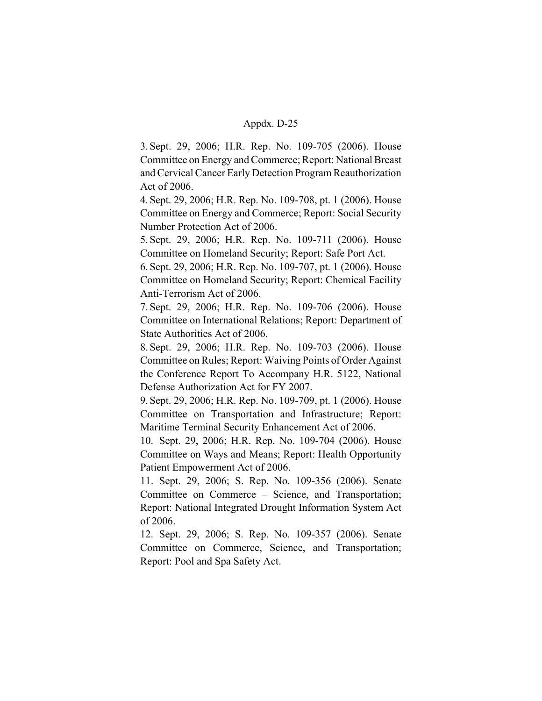3. Sept. 29, 2006; H.R. Rep. No. 109-705 (2006). House Committee on Energy and Commerce; Report: National Breast and Cervical Cancer Early Detection Program Reauthorization Act of 2006.

4. Sept. 29, 2006; H.R. Rep. No. 109-708, pt. 1 (2006). House Committee on Energy and Commerce; Report: Social Security Number Protection Act of 2006.

5. Sept. 29, 2006; H.R. Rep. No. 109-711 (2006). House Committee on Homeland Security; Report: Safe Port Act.

6. Sept. 29, 2006; H.R. Rep. No. 109-707, pt. 1 (2006). House Committee on Homeland Security; Report: Chemical Facility Anti-Terrorism Act of 2006.

7. Sept. 29, 2006; H.R. Rep. No. 109-706 (2006). House Committee on International Relations; Report: Department of State Authorities Act of 2006.

8. Sept. 29, 2006; H.R. Rep. No. 109-703 (2006). House Committee on Rules; Report: Waiving Points of Order Against the Conference Report To Accompany H.R. 5122, National Defense Authorization Act for FY 2007.

9. Sept. 29, 2006; H.R. Rep. No. 109-709, pt. 1 (2006). House Committee on Transportation and Infrastructure; Report: Maritime Terminal Security Enhancement Act of 2006.

10. Sept. 29, 2006; H.R. Rep. No. 109-704 (2006). House Committee on Ways and Means; Report: Health Opportunity Patient Empowerment Act of 2006.

11. Sept. 29, 2006; S. Rep. No. 109-356 (2006). Senate Committee on Commerce – Science, and Transportation; Report: National Integrated Drought Information System Act of 2006.

12. Sept. 29, 2006; S. Rep. No. 109-357 (2006). Senate Committee on Commerce, Science, and Transportation; Report: Pool and Spa Safety Act.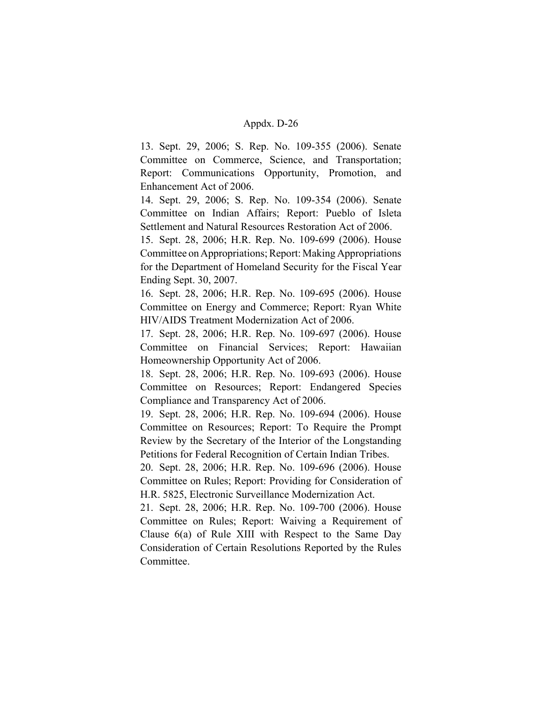13. Sept. 29, 2006; S. Rep. No. 109-355 (2006). Senate Committee on Commerce, Science, and Transportation; Report: Communications Opportunity, Promotion, and Enhancement Act of 2006.

14. Sept. 29, 2006; S. Rep. No. 109-354 (2006). Senate Committee on Indian Affairs; Report: Pueblo of Isleta Settlement and Natural Resources Restoration Act of 2006.

15. Sept. 28, 2006; H.R. Rep. No. 109-699 (2006). House Committee on Appropriations; Report: Making Appropriations for the Department of Homeland Security for the Fiscal Year Ending Sept. 30, 2007.

16. Sept. 28, 2006; H.R. Rep. No. 109-695 (2006). House Committee on Energy and Commerce; Report: Ryan White HIV/AIDS Treatment Modernization Act of 2006.

17. Sept. 28, 2006; H.R. Rep. No. 109-697 (2006). House Committee on Financial Services; Report: Hawaiian Homeownership Opportunity Act of 2006.

18. Sept. 28, 2006; H.R. Rep. No. 109-693 (2006). House Committee on Resources; Report: Endangered Species Compliance and Transparency Act of 2006.

19. Sept. 28, 2006; H.R. Rep. No. 109-694 (2006). House Committee on Resources; Report: To Require the Prompt Review by the Secretary of the Interior of the Longstanding Petitions for Federal Recognition of Certain Indian Tribes.

20. Sept. 28, 2006; H.R. Rep. No. 109-696 (2006). House Committee on Rules; Report: Providing for Consideration of H.R. 5825, Electronic Surveillance Modernization Act.

21. Sept. 28, 2006; H.R. Rep. No. 109-700 (2006). House Committee on Rules; Report: Waiving a Requirement of Clause 6(a) of Rule XIII with Respect to the Same Day Consideration of Certain Resolutions Reported by the Rules Committee.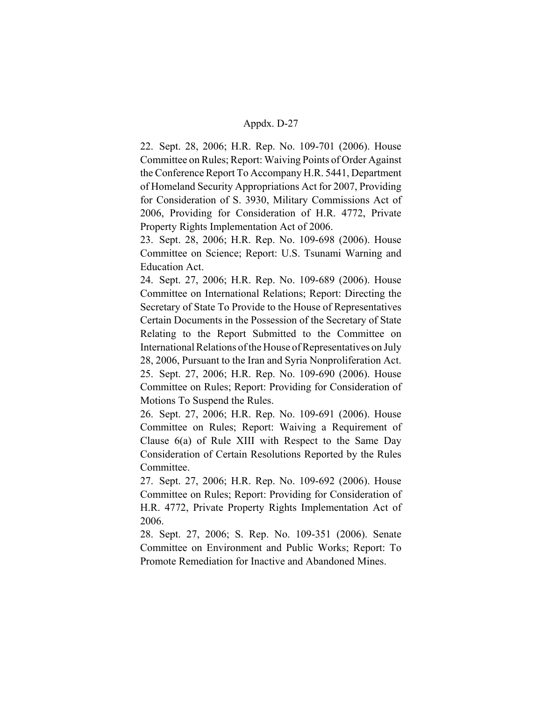22. Sept. 28, 2006; H.R. Rep. No. 109-701 (2006). House Committee on Rules; Report: Waiving Points of Order Against the Conference Report To Accompany H.R. 5441, Department of Homeland Security Appropriations Act for 2007, Providing for Consideration of S. 3930, Military Commissions Act of 2006, Providing for Consideration of H.R. 4772, Private Property Rights Implementation Act of 2006.

23. Sept. 28, 2006; H.R. Rep. No. 109-698 (2006). House Committee on Science; Report: U.S. Tsunami Warning and Education Act.

24. Sept. 27, 2006; H.R. Rep. No. 109-689 (2006). House Committee on International Relations; Report: Directing the Secretary of State To Provide to the House of Representatives Certain Documents in the Possession of the Secretary of State Relating to the Report Submitted to the Committee on International Relations of the House of Representatives on July 28, 2006, Pursuant to the Iran and Syria Nonproliferation Act. 25. Sept. 27, 2006; H.R. Rep. No. 109-690 (2006). House Committee on Rules; Report: Providing for Consideration of Motions To Suspend the Rules.

26. Sept. 27, 2006; H.R. Rep. No. 109-691 (2006). House Committee on Rules; Report: Waiving a Requirement of Clause 6(a) of Rule XIII with Respect to the Same Day Consideration of Certain Resolutions Reported by the Rules Committee.

27. Sept. 27, 2006; H.R. Rep. No. 109-692 (2006). House Committee on Rules; Report: Providing for Consideration of H.R. 4772, Private Property Rights Implementation Act of 2006.

28. Sept. 27, 2006; S. Rep. No. 109-351 (2006). Senate Committee on Environment and Public Works; Report: To Promote Remediation for Inactive and Abandoned Mines.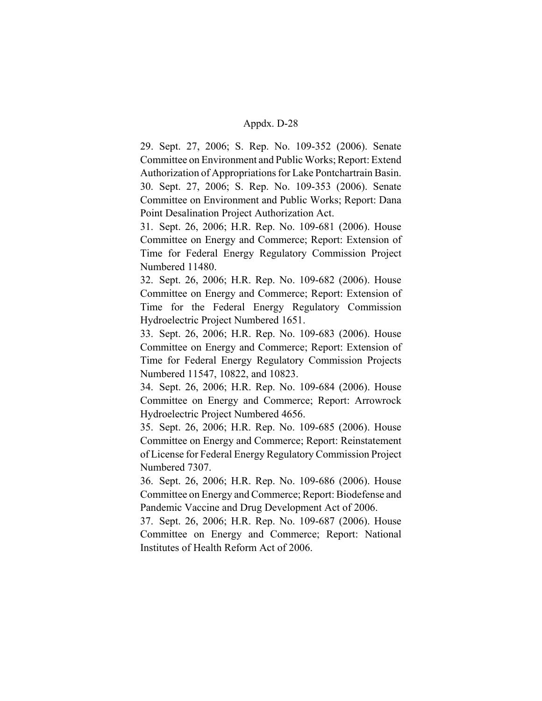29. Sept. 27, 2006; S. Rep. No. 109-352 (2006). Senate Committee on Environment and Public Works; Report: Extend Authorization of Appropriations for Lake Pontchartrain Basin. 30. Sept. 27, 2006; S. Rep. No. 109-353 (2006). Senate Committee on Environment and Public Works; Report: Dana Point Desalination Project Authorization Act.

31. Sept. 26, 2006; H.R. Rep. No. 109-681 (2006). House Committee on Energy and Commerce; Report: Extension of Time for Federal Energy Regulatory Commission Project Numbered 11480.

32. Sept. 26, 2006; H.R. Rep. No. 109-682 (2006). House Committee on Energy and Commerce; Report: Extension of Time for the Federal Energy Regulatory Commission Hydroelectric Project Numbered 1651.

33. Sept. 26, 2006; H.R. Rep. No. 109-683 (2006). House Committee on Energy and Commerce; Report: Extension of Time for Federal Energy Regulatory Commission Projects Numbered 11547, 10822, and 10823.

34. Sept. 26, 2006; H.R. Rep. No. 109-684 (2006). House Committee on Energy and Commerce; Report: Arrowrock Hydroelectric Project Numbered 4656.

35. Sept. 26, 2006; H.R. Rep. No. 109-685 (2006). House Committee on Energy and Commerce; Report: Reinstatement of License for Federal Energy Regulatory Commission Project Numbered 7307.

36. Sept. 26, 2006; H.R. Rep. No. 109-686 (2006). House Committee on Energy and Commerce; Report: Biodefense and Pandemic Vaccine and Drug Development Act of 2006.

37. Sept. 26, 2006; H.R. Rep. No. 109-687 (2006). House Committee on Energy and Commerce; Report: National Institutes of Health Reform Act of 2006.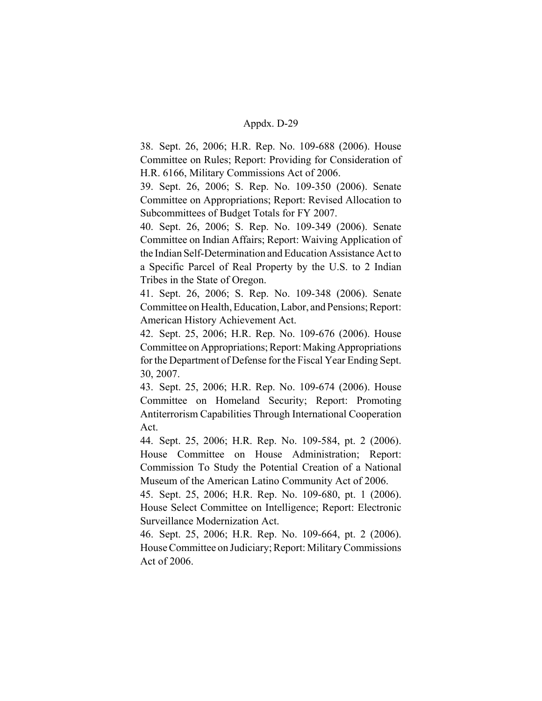38. Sept. 26, 2006; H.R. Rep. No. 109-688 (2006). House Committee on Rules; Report: Providing for Consideration of H.R. 6166, Military Commissions Act of 2006.

39. Sept. 26, 2006; S. Rep. No. 109-350 (2006). Senate Committee on Appropriations; Report: Revised Allocation to Subcommittees of Budget Totals for FY 2007.

40. Sept. 26, 2006; S. Rep. No. 109-349 (2006). Senate Committee on Indian Affairs; Report: Waiving Application of the Indian Self-Determination and Education Assistance Act to a Specific Parcel of Real Property by the U.S. to 2 Indian Tribes in the State of Oregon.

41. Sept. 26, 2006; S. Rep. No. 109-348 (2006). Senate Committee on Health, Education, Labor, and Pensions; Report: American History Achievement Act.

42. Sept. 25, 2006; H.R. Rep. No. 109-676 (2006). House Committee on Appropriations; Report: Making Appropriations for the Department of Defense for the Fiscal Year Ending Sept. 30, 2007.

43. Sept. 25, 2006; H.R. Rep. No. 109-674 (2006). House Committee on Homeland Security; Report: Promoting Antiterrorism Capabilities Through International Cooperation Act.

44. Sept. 25, 2006; H.R. Rep. No. 109-584, pt. 2 (2006). House Committee on House Administration; Report: Commission To Study the Potential Creation of a National Museum of the American Latino Community Act of 2006.

45. Sept. 25, 2006; H.R. Rep. No. 109-680, pt. 1 (2006). House Select Committee on Intelligence; Report: Electronic Surveillance Modernization Act.

46. Sept. 25, 2006; H.R. Rep. No. 109-664, pt. 2 (2006). House Committee on Judiciary; Report: Military Commissions Act of 2006.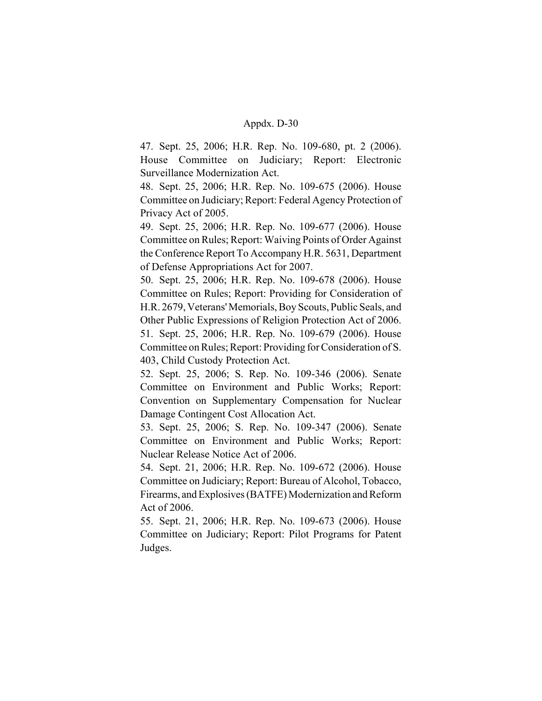47. Sept. 25, 2006; H.R. Rep. No. 109-680, pt. 2 (2006). House Committee on Judiciary; Report: Electronic Surveillance Modernization Act.

48. Sept. 25, 2006; H.R. Rep. No. 109-675 (2006). House Committee on Judiciary; Report: Federal Agency Protection of Privacy Act of 2005.

49. Sept. 25, 2006; H.R. Rep. No. 109-677 (2006). House Committee on Rules; Report: Waiving Points of Order Against the Conference Report To Accompany H.R. 5631, Department of Defense Appropriations Act for 2007.

50. Sept. 25, 2006; H.R. Rep. No. 109-678 (2006). House Committee on Rules; Report: Providing for Consideration of H.R. 2679, Veterans' Memorials, Boy Scouts, Public Seals, and Other Public Expressions of Religion Protection Act of 2006. 51. Sept. 25, 2006; H.R. Rep. No. 109-679 (2006). House Committee on Rules; Report: Providing for Consideration of S. 403, Child Custody Protection Act.

52. Sept. 25, 2006; S. Rep. No. 109-346 (2006). Senate Committee on Environment and Public Works; Report: Convention on Supplementary Compensation for Nuclear Damage Contingent Cost Allocation Act.

53. Sept. 25, 2006; S. Rep. No. 109-347 (2006). Senate Committee on Environment and Public Works; Report: Nuclear Release Notice Act of 2006.

54. Sept. 21, 2006; H.R. Rep. No. 109-672 (2006). House Committee on Judiciary; Report: Bureau of Alcohol, Tobacco, Firearms, and Explosives (BATFE) Modernization and Reform Act of 2006.

55. Sept. 21, 2006; H.R. Rep. No. 109-673 (2006). House Committee on Judiciary; Report: Pilot Programs for Patent Judges.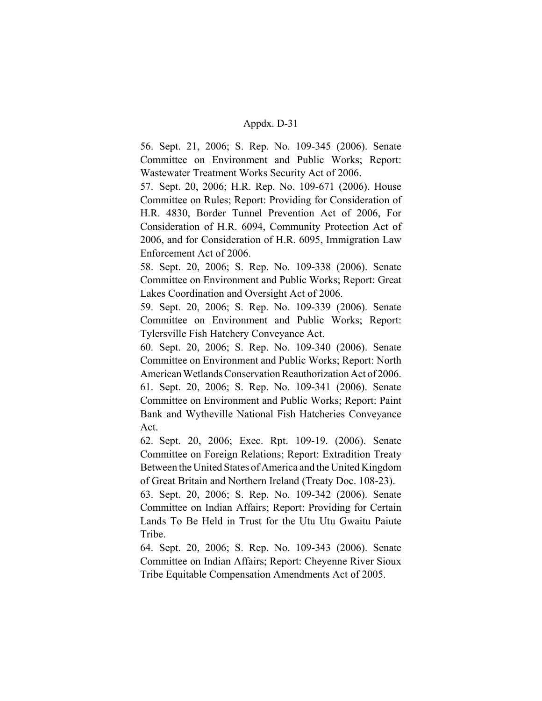56. Sept. 21, 2006; S. Rep. No. 109-345 (2006). Senate Committee on Environment and Public Works; Report: Wastewater Treatment Works Security Act of 2006.

57. Sept. 20, 2006; H.R. Rep. No. 109-671 (2006). House Committee on Rules; Report: Providing for Consideration of H.R. 4830, Border Tunnel Prevention Act of 2006, For Consideration of H.R. 6094, Community Protection Act of 2006, and for Consideration of H.R. 6095, Immigration Law Enforcement Act of 2006.

58. Sept. 20, 2006; S. Rep. No. 109-338 (2006). Senate Committee on Environment and Public Works; Report: Great Lakes Coordination and Oversight Act of 2006.

59. Sept. 20, 2006; S. Rep. No. 109-339 (2006). Senate Committee on Environment and Public Works; Report: Tylersville Fish Hatchery Conveyance Act.

60. Sept. 20, 2006; S. Rep. No. 109-340 (2006). Senate Committee on Environment and Public Works; Report: North American Wetlands Conservation Reauthorization Act of 2006. 61. Sept. 20, 2006; S. Rep. No. 109-341 (2006). Senate Committee on Environment and Public Works; Report: Paint Bank and Wytheville National Fish Hatcheries Conveyance Act.

62. Sept. 20, 2006; Exec. Rpt. 109-19. (2006). Senate Committee on Foreign Relations; Report: Extradition Treaty Between the United States of America and the United Kingdom of Great Britain and Northern Ireland (Treaty Doc. 108-23).

63. Sept. 20, 2006; S. Rep. No. 109-342 (2006). Senate Committee on Indian Affairs; Report: Providing for Certain Lands To Be Held in Trust for the Utu Utu Gwaitu Paiute Tribe.

64. Sept. 20, 2006; S. Rep. No. 109-343 (2006). Senate Committee on Indian Affairs; Report: Cheyenne River Sioux Tribe Equitable Compensation Amendments Act of 2005.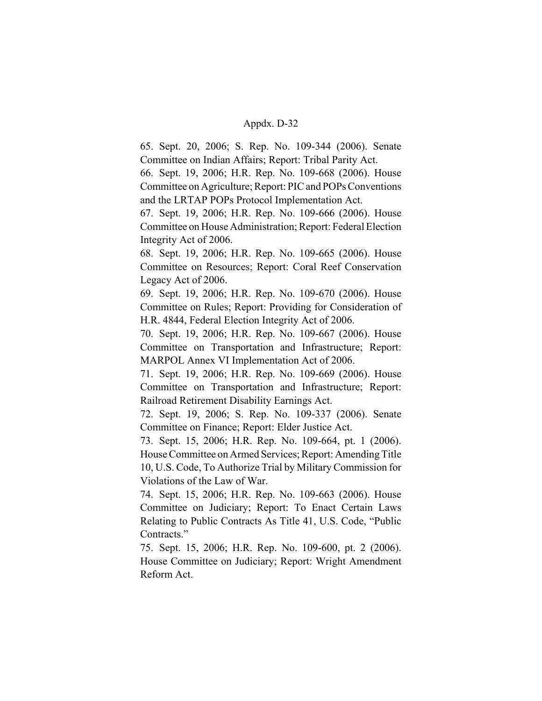65. Sept. 20, 2006; S. Rep. No. 109-344 (2006). Senate Committee on Indian Affairs; Report: Tribal Parity Act.

66. Sept. 19, 2006; H.R. Rep. No. 109-668 (2006). House Committee on Agriculture; Report: PIC and POPs Conventions and the LRTAP POPs Protocol Implementation Act.

67. Sept. 19, 2006; H.R. Rep. No. 109-666 (2006). House Committee on House Administration; Report: Federal Election Integrity Act of 2006.

68. Sept. 19, 2006; H.R. Rep. No. 109-665 (2006). House Committee on Resources; Report: Coral Reef Conservation Legacy Act of 2006.

69. Sept. 19, 2006; H.R. Rep. No. 109-670 (2006). House Committee on Rules; Report: Providing for Consideration of H.R. 4844, Federal Election Integrity Act of 2006.

70. Sept. 19, 2006; H.R. Rep. No. 109-667 (2006). House Committee on Transportation and Infrastructure; Report: MARPOL Annex VI Implementation Act of 2006.

71. Sept. 19, 2006; H.R. Rep. No. 109-669 (2006). House Committee on Transportation and Infrastructure; Report: Railroad Retirement Disability Earnings Act.

72. Sept. 19, 2006; S. Rep. No. 109-337 (2006). Senate Committee on Finance; Report: Elder Justice Act.

73. Sept. 15, 2006; H.R. Rep. No. 109-664, pt. 1 (2006). House Committee on Armed Services; Report: Amending Title 10, U.S. Code, To Authorize Trial by Military Commission for Violations of the Law of War.

74. Sept. 15, 2006; H.R. Rep. No. 109-663 (2006). House Committee on Judiciary; Report: To Enact Certain Laws Relating to Public Contracts As Title 41, U.S. Code, "Public Contracts."

75. Sept. 15, 2006; H.R. Rep. No. 109-600, pt. 2 (2006). House Committee on Judiciary; Report: Wright Amendment Reform Act.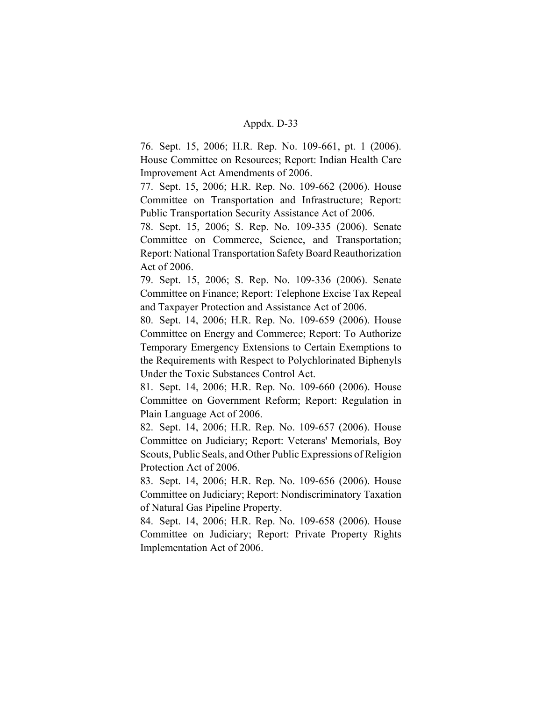76. Sept. 15, 2006; H.R. Rep. No. 109-661, pt. 1 (2006). House Committee on Resources; Report: Indian Health Care Improvement Act Amendments of 2006.

77. Sept. 15, 2006; H.R. Rep. No. 109-662 (2006). House Committee on Transportation and Infrastructure; Report: Public Transportation Security Assistance Act of 2006.

78. Sept. 15, 2006; S. Rep. No. 109-335 (2006). Senate Committee on Commerce, Science, and Transportation; Report: National Transportation Safety Board Reauthorization Act of 2006.

79. Sept. 15, 2006; S. Rep. No. 109-336 (2006). Senate Committee on Finance; Report: Telephone Excise Tax Repeal and Taxpayer Protection and Assistance Act of 2006.

80. Sept. 14, 2006; H.R. Rep. No. 109-659 (2006). House Committee on Energy and Commerce; Report: To Authorize Temporary Emergency Extensions to Certain Exemptions to the Requirements with Respect to Polychlorinated Biphenyls Under the Toxic Substances Control Act.

81. Sept. 14, 2006; H.R. Rep. No. 109-660 (2006). House Committee on Government Reform; Report: Regulation in Plain Language Act of 2006.

82. Sept. 14, 2006; H.R. Rep. No. 109-657 (2006). House Committee on Judiciary; Report: Veterans' Memorials, Boy Scouts, Public Seals, and Other Public Expressions of Religion Protection Act of 2006.

83. Sept. 14, 2006; H.R. Rep. No. 109-656 (2006). House Committee on Judiciary; Report: Nondiscriminatory Taxation of Natural Gas Pipeline Property.

84. Sept. 14, 2006; H.R. Rep. No. 109-658 (2006). House Committee on Judiciary; Report: Private Property Rights Implementation Act of 2006.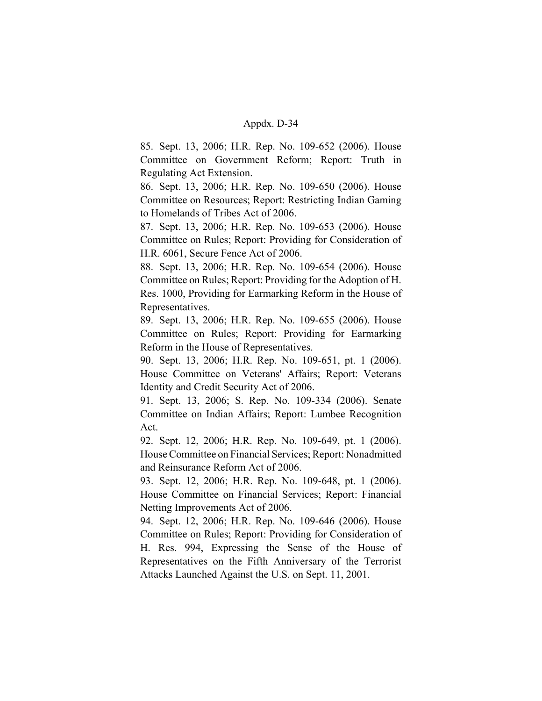85. Sept. 13, 2006; H.R. Rep. No. 109-652 (2006). House Committee on Government Reform; Report: Truth in Regulating Act Extension.

86. Sept. 13, 2006; H.R. Rep. No. 109-650 (2006). House Committee on Resources; Report: Restricting Indian Gaming to Homelands of Tribes Act of 2006.

87. Sept. 13, 2006; H.R. Rep. No. 109-653 (2006). House Committee on Rules; Report: Providing for Consideration of H.R. 6061, Secure Fence Act of 2006.

88. Sept. 13, 2006; H.R. Rep. No. 109-654 (2006). House Committee on Rules; Report: Providing for the Adoption of H. Res. 1000, Providing for Earmarking Reform in the House of Representatives.

89. Sept. 13, 2006; H.R. Rep. No. 109-655 (2006). House Committee on Rules; Report: Providing for Earmarking Reform in the House of Representatives.

90. Sept. 13, 2006; H.R. Rep. No. 109-651, pt. 1 (2006). House Committee on Veterans' Affairs; Report: Veterans Identity and Credit Security Act of 2006.

91. Sept. 13, 2006; S. Rep. No. 109-334 (2006). Senate Committee on Indian Affairs; Report: Lumbee Recognition Act.

92. Sept. 12, 2006; H.R. Rep. No. 109-649, pt. 1 (2006). House Committee on Financial Services; Report: Nonadmitted and Reinsurance Reform Act of 2006.

93. Sept. 12, 2006; H.R. Rep. No. 109-648, pt. 1 (2006). House Committee on Financial Services; Report: Financial Netting Improvements Act of 2006.

94. Sept. 12, 2006; H.R. Rep. No. 109-646 (2006). House Committee on Rules; Report: Providing for Consideration of H. Res. 994, Expressing the Sense of the House of Representatives on the Fifth Anniversary of the Terrorist Attacks Launched Against the U.S. on Sept. 11, 2001.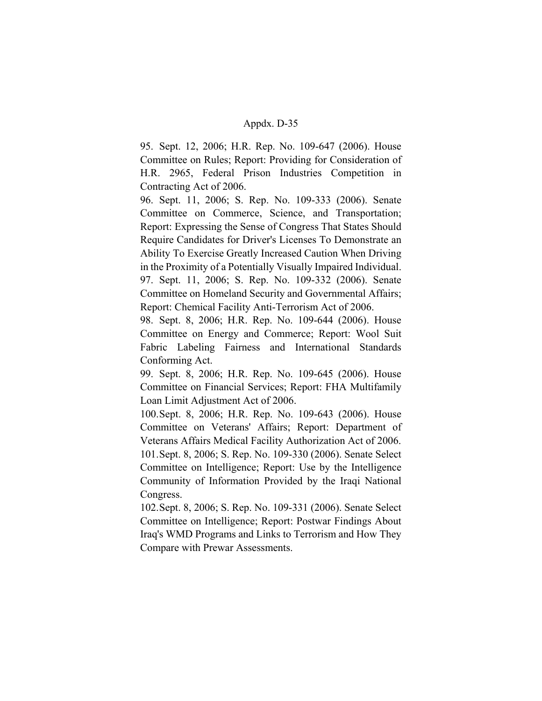95. Sept. 12, 2006; H.R. Rep. No. 109-647 (2006). House Committee on Rules; Report: Providing for Consideration of H.R. 2965, Federal Prison Industries Competition in Contracting Act of 2006.

96. Sept. 11, 2006; S. Rep. No. 109-333 (2006). Senate Committee on Commerce, Science, and Transportation; Report: Expressing the Sense of Congress That States Should Require Candidates for Driver's Licenses To Demonstrate an Ability To Exercise Greatly Increased Caution When Driving in the Proximity of a Potentially Visually Impaired Individual. 97. Sept. 11, 2006; S. Rep. No. 109-332 (2006). Senate Committee on Homeland Security and Governmental Affairs; Report: Chemical Facility Anti-Terrorism Act of 2006.

98. Sept. 8, 2006; H.R. Rep. No. 109-644 (2006). House Committee on Energy and Commerce; Report: Wool Suit Fabric Labeling Fairness and International Standards Conforming Act.

99. Sept. 8, 2006; H.R. Rep. No. 109-645 (2006). House Committee on Financial Services; Report: FHA Multifamily Loan Limit Adjustment Act of 2006.

100.Sept. 8, 2006; H.R. Rep. No. 109-643 (2006). House Committee on Veterans' Affairs; Report: Department of Veterans Affairs Medical Facility Authorization Act of 2006. 101.Sept. 8, 2006; S. Rep. No. 109-330 (2006). Senate Select Committee on Intelligence; Report: Use by the Intelligence Community of Information Provided by the Iraqi National Congress.

102.Sept. 8, 2006; S. Rep. No. 109-331 (2006). Senate Select Committee on Intelligence; Report: Postwar Findings About Iraq's WMD Programs and Links to Terrorism and How They Compare with Prewar Assessments.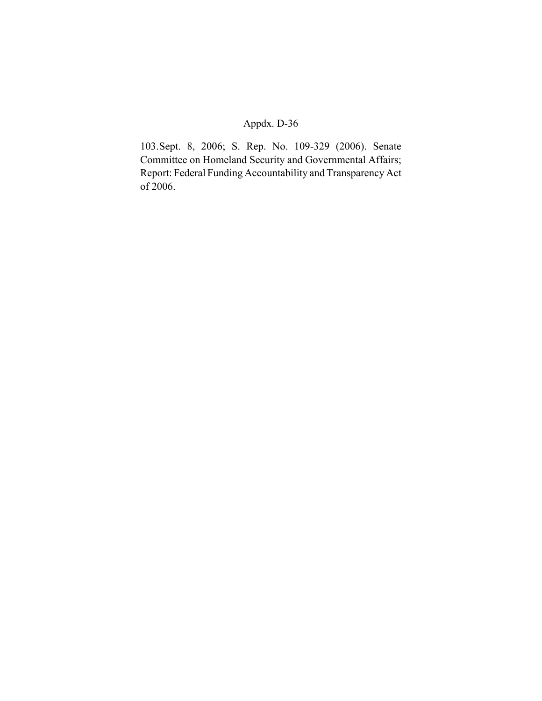103.Sept. 8, 2006; S. Rep. No. 109-329 (2006). Senate Committee on Homeland Security and Governmental Affairs; Report: Federal Funding Accountability and Transparency Act of 2006.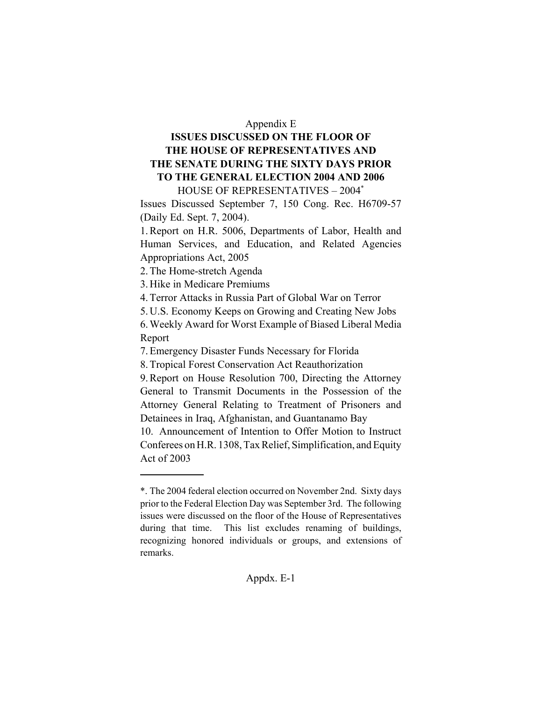#### Appendix E

# **ISSUES DISCUSSED ON THE FLOOR OF THE HOUSE OF REPRESENTATIVES AND THE SENATE DURING THE SIXTY DAYS PRIOR TO THE GENERAL ELECTION 2004 AND 2006** HOUSE OF REPRESENTATIVES – 2004\*

Issues Discussed September 7, 150 Cong. Rec. H6709-57 (Daily Ed. Sept. 7, 2004).

1. Report on H.R. 5006, Departments of Labor, Health and Human Services, and Education, and Related Agencies Appropriations Act, 2005

2. The Home-stretch Agenda

3. Hike in Medicare Premiums

4. Terror Attacks in Russia Part of Global War on Terror

5. U.S. Economy Keeps on Growing and Creating New Jobs

6. Weekly Award for Worst Example of Biased Liberal Media Report

7. Emergency Disaster Funds Necessary for Florida

8. Tropical Forest Conservation Act Reauthorization

9. Report on House Resolution 700, Directing the Attorney General to Transmit Documents in the Possession of the Attorney General Relating to Treatment of Prisoners and Detainees in Iraq, Afghanistan, and Guantanamo Bay

10. Announcement of Intention to Offer Motion to Instruct Conferees on H.R. 1308, Tax Relief, Simplification, and Equity Act of 2003

<sup>\*.</sup> The 2004 federal election occurred on November 2nd. Sixty days prior to the Federal Election Day was September 3rd. The following issues were discussed on the floor of the House of Representatives during that time. This list excludes renaming of buildings, recognizing honored individuals or groups, and extensions of remarks.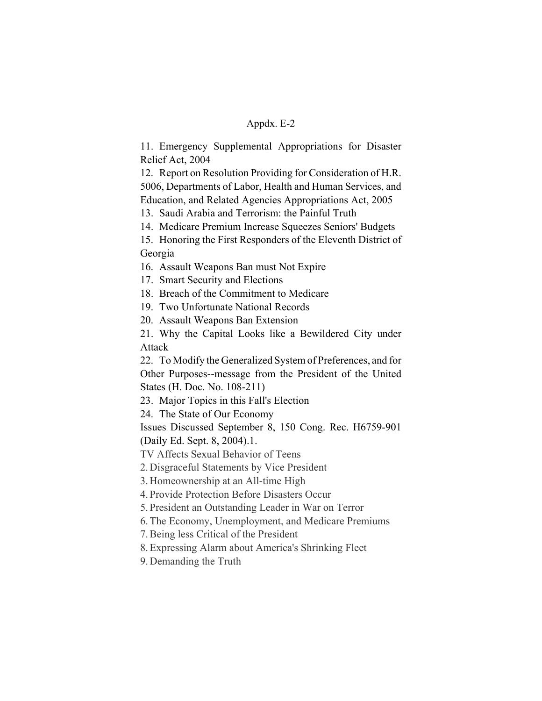11. Emergency Supplemental Appropriations for Disaster Relief Act, 2004

12. Report on Resolution Providing for Consideration of H.R. 5006, Departments of Labor, Health and Human Services, and Education, and Related Agencies Appropriations Act, 2005

13. Saudi Arabia and Terrorism: the Painful Truth

14. Medicare Premium Increase Squeezes Seniors' Budgets

15. Honoring the First Responders of the Eleventh District of Georgia

16. Assault Weapons Ban must Not Expire

17. Smart Security and Elections

18. Breach of the Commitment to Medicare

19. Two Unfortunate National Records

20. Assault Weapons Ban Extension

21. Why the Capital Looks like a Bewildered City under Attack

22. To Modify the Generalized System of Preferences, and for Other Purposes--message from the President of the United States (H. Doc. No. 108-211)

23. Major Topics in this Fall's Election

24. The State of Our Economy

Issues Discussed September 8, 150 Cong. Rec. H6759-901 (Daily Ed. Sept. 8, 2004).1.

TV Affects Sexual Behavior of Teens

2. Disgraceful Statements by Vice President

3. Homeownership at an All-time High

4. Provide Protection Before Disasters Occur

5. President an Outstanding Leader in War on Terror

6. The Economy, Unemployment, and Medicare Premiums

7. Being less Critical of the President

8. Expressing Alarm about America's Shrinking Fleet

9. Demanding the Truth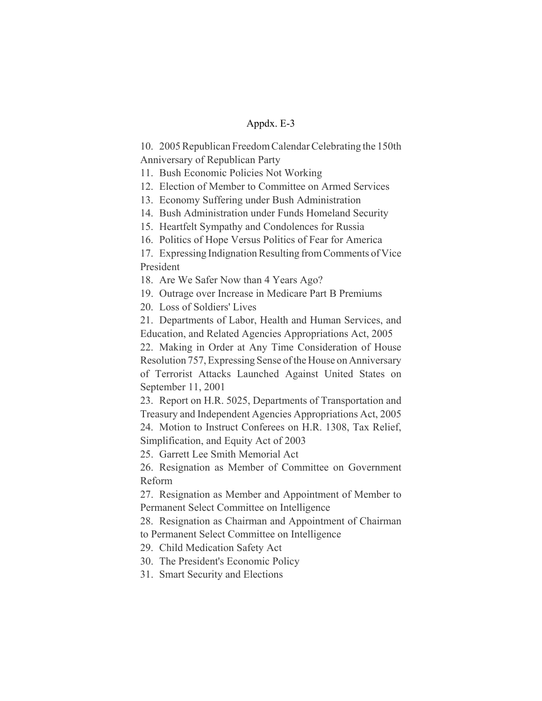10. 2005 Republican Freedom Calendar Celebrating the 150th Anniversary of Republican Party

11. Bush Economic Policies Not Working

12. Election of Member to Committee on Armed Services

13. Economy Suffering under Bush Administration

14. Bush Administration under Funds Homeland Security

15. Heartfelt Sympathy and Condolences for Russia

16. Politics of Hope Versus Politics of Fear for America

17. Expressing Indignation Resulting from Comments of Vice President

18. Are We Safer Now than 4 Years Ago?

19. Outrage over Increase in Medicare Part B Premiums

20. Loss of Soldiers' Lives

21. Departments of Labor, Health and Human Services, and Education, and Related Agencies Appropriations Act, 2005

22. Making in Order at Any Time Consideration of House Resolution 757, Expressing Sense of the House on Anniversary of Terrorist Attacks Launched Against United States on September 11, 2001

23. Report on H.R. 5025, Departments of Transportation and Treasury and Independent Agencies Appropriations Act, 2005

24. Motion to Instruct Conferees on H.R. 1308, Tax Relief, Simplification, and Equity Act of 2003

25. Garrett Lee Smith Memorial Act

26. Resignation as Member of Committee on Government Reform

27. Resignation as Member and Appointment of Member to Permanent Select Committee on Intelligence

28. Resignation as Chairman and Appointment of Chairman to Permanent Select Committee on Intelligence

29. Child Medication Safety Act

30. The President's Economic Policy

31. Smart Security and Elections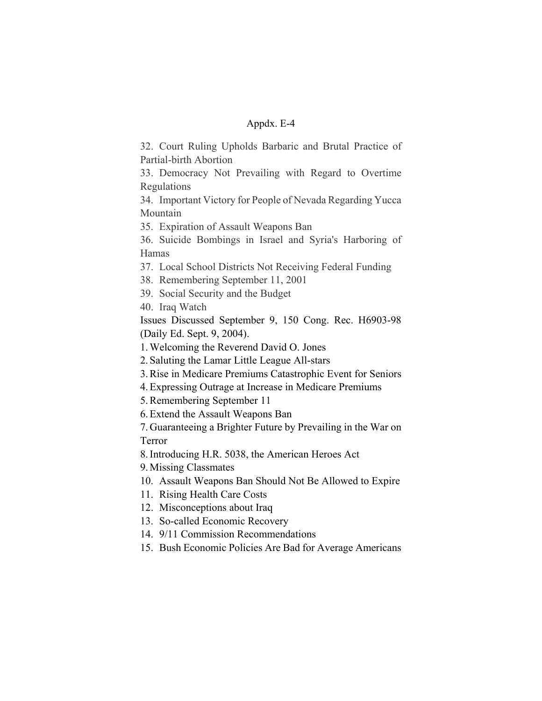32. Court Ruling Upholds Barbaric and Brutal Practice of Partial-birth Abortion

33. Democracy Not Prevailing with Regard to Overtime Regulations

34. Important Victory for People of Nevada Regarding Yucca Mountain

35. Expiration of Assault Weapons Ban

36. Suicide Bombings in Israel and Syria's Harboring of Hamas

37. Local School Districts Not Receiving Federal Funding

38. Remembering September 11, 2001

39. Social Security and the Budget

40. Iraq Watch

Issues Discussed September 9, 150 Cong. Rec. H6903-98 (Daily Ed. Sept. 9, 2004).

1. Welcoming the Reverend David O. Jones

2. Saluting the Lamar Little League All-stars

3. Rise in Medicare Premiums Catastrophic Event for Seniors

4. Expressing Outrage at Increase in Medicare Premiums

5. Remembering September 11

6. Extend the Assault Weapons Ban

7. Guaranteeing a Brighter Future by Prevailing in the War on Terror

8. Introducing H.R. 5038, the American Heroes Act

9. Missing Classmates

10. Assault Weapons Ban Should Not Be Allowed to Expire

11. Rising Health Care Costs

12. Misconceptions about Iraq

13. So-called Economic Recovery

14. 9/11 Commission Recommendations

15. Bush Economic Policies Are Bad for Average Americans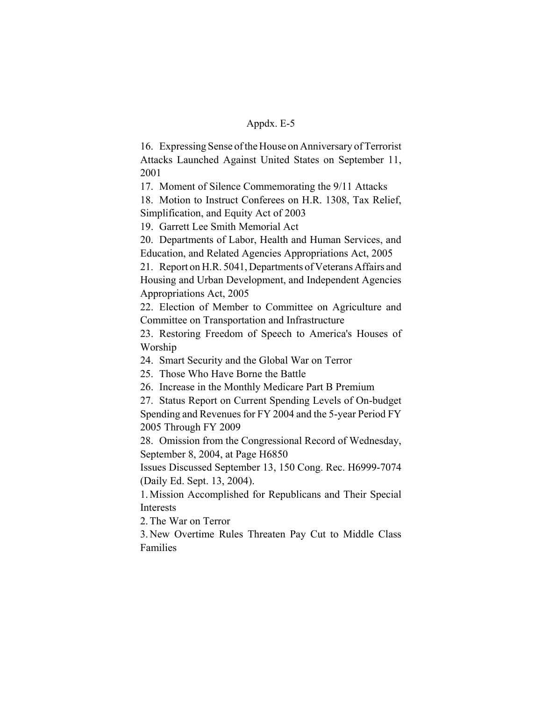16. Expressing Sense of the House on Anniversary of Terrorist Attacks Launched Against United States on September 11, 2001

17. Moment of Silence Commemorating the 9/11 Attacks

18. Motion to Instruct Conferees on H.R. 1308, Tax Relief, Simplification, and Equity Act of 2003

19. Garrett Lee Smith Memorial Act

20. Departments of Labor, Health and Human Services, and Education, and Related Agencies Appropriations Act, 2005

21. Report on H.R. 5041, Departments of Veterans Affairs and Housing and Urban Development, and Independent Agencies Appropriations Act, 2005

22. Election of Member to Committee on Agriculture and Committee on Transportation and Infrastructure

23. Restoring Freedom of Speech to America's Houses of Worship

24. Smart Security and the Global War on Terror

25. Those Who Have Borne the Battle

26. Increase in the Monthly Medicare Part B Premium

27. Status Report on Current Spending Levels of On-budget Spending and Revenues for FY 2004 and the 5-year Period FY 2005 Through FY 2009

28. Omission from the Congressional Record of Wednesday, September 8, 2004, at Page H6850

Issues Discussed September 13, 150 Cong. Rec. H6999-7074 (Daily Ed. Sept. 13, 2004).

1. Mission Accomplished for Republicans and Their Special Interests

2. The War on Terror

3. New Overtime Rules Threaten Pay Cut to Middle Class Families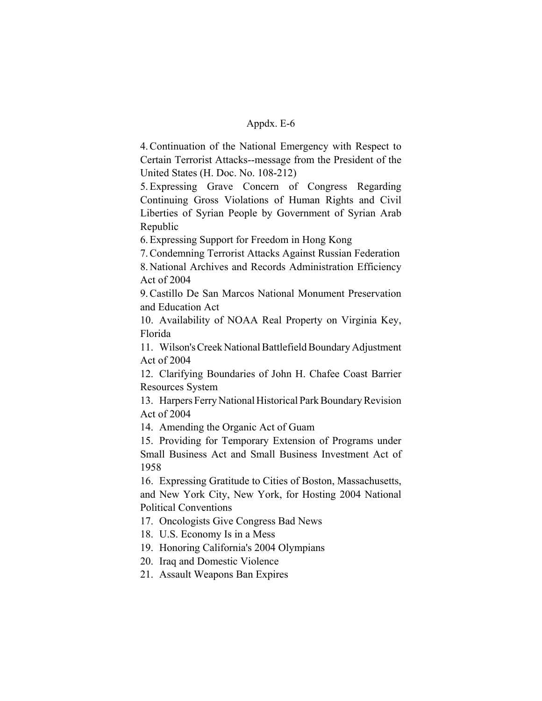4. Continuation of the National Emergency with Respect to Certain Terrorist Attacks--message from the President of the United States (H. Doc. No. 108-212)

5. Expressing Grave Concern of Congress Regarding Continuing Gross Violations of Human Rights and Civil Liberties of Syrian People by Government of Syrian Arab Republic

6. Expressing Support for Freedom in Hong Kong

7. Condemning Terrorist Attacks Against Russian Federation 8. National Archives and Records Administration Efficiency Act of 2004

9. Castillo De San Marcos National Monument Preservation and Education Act

10. Availability of NOAA Real Property on Virginia Key, Florida

11. Wilson's Creek National Battlefield Boundary Adjustment Act of 2004

12. Clarifying Boundaries of John H. Chafee Coast Barrier Resources System

13. Harpers Ferry National Historical Park Boundary Revision Act of 2004

14. Amending the Organic Act of Guam

15. Providing for Temporary Extension of Programs under Small Business Act and Small Business Investment Act of 1958

16. Expressing Gratitude to Cities of Boston, Massachusetts, and New York City, New York, for Hosting 2004 National Political Conventions

17. Oncologists Give Congress Bad News

- 18. U.S. Economy Is in a Mess
- 19. Honoring California's 2004 Olympians
- 20. Iraq and Domestic Violence
- 21. Assault Weapons Ban Expires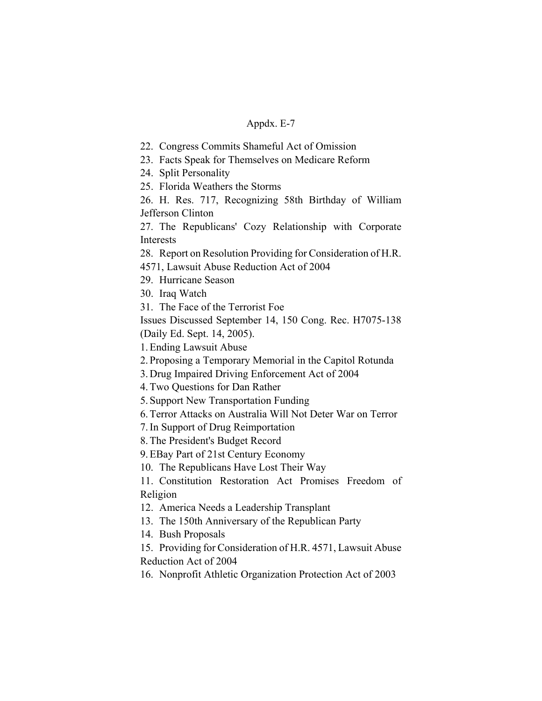22. Congress Commits Shameful Act of Omission

23. Facts Speak for Themselves on Medicare Reform

24. Split Personality

25. Florida Weathers the Storms

26. H. Res. 717, Recognizing 58th Birthday of William Jefferson Clinton

27. The Republicans' Cozy Relationship with Corporate Interests

28. Report on Resolution Providing for Consideration of H.R.

4571, Lawsuit Abuse Reduction Act of 2004

29. Hurricane Season

30. Iraq Watch

31. The Face of the Terrorist Foe

Issues Discussed September 14, 150 Cong. Rec. H7075-138 (Daily Ed. Sept. 14, 2005).

1. Ending Lawsuit Abuse

2. Proposing a Temporary Memorial in the Capitol Rotunda

3. Drug Impaired Driving Enforcement Act of 2004

4. Two Questions for Dan Rather

5. Support New Transportation Funding

6. Terror Attacks on Australia Will Not Deter War on Terror

7. In Support of Drug Reimportation

8. The President's Budget Record

9. EBay Part of 21st Century Economy

10. The Republicans Have Lost Their Way

11. Constitution Restoration Act Promises Freedom of Religion

12. America Needs a Leadership Transplant

13. The 150th Anniversary of the Republican Party

14. Bush Proposals

15. Providing for Consideration of H.R. 4571, Lawsuit Abuse Reduction Act of 2004

16. Nonprofit Athletic Organization Protection Act of 2003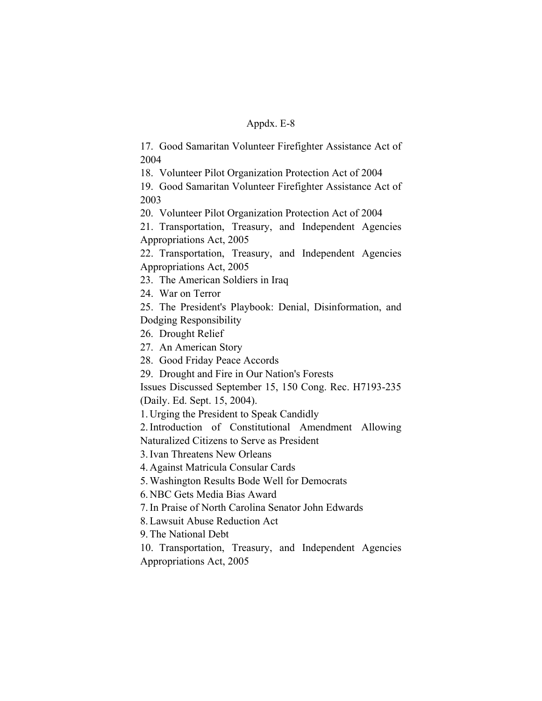17. Good Samaritan Volunteer Firefighter Assistance Act of 2004

18. Volunteer Pilot Organization Protection Act of 2004

19. Good Samaritan Volunteer Firefighter Assistance Act of 2003

20. Volunteer Pilot Organization Protection Act of 2004

21. Transportation, Treasury, and Independent Agencies Appropriations Act, 2005

22. Transportation, Treasury, and Independent Agencies Appropriations Act, 2005

23. The American Soldiers in Iraq

24. War on Terror

25. The President's Playbook: Denial, Disinformation, and Dodging Responsibility

26. Drought Relief

27. An American Story

28. Good Friday Peace Accords

29. Drought and Fire in Our Nation's Forests

Issues Discussed September 15, 150 Cong. Rec. H7193-235 (Daily. Ed. Sept. 15, 2004).

1. Urging the President to Speak Candidly

2. Introduction of Constitutional Amendment Allowing Naturalized Citizens to Serve as President

3. Ivan Threatens New Orleans

4. Against Matricula Consular Cards

5. Washington Results Bode Well for Democrats

6. NBC Gets Media Bias Award

7. In Praise of North Carolina Senator John Edwards

8. Lawsuit Abuse Reduction Act

9. The National Debt

10. Transportation, Treasury, and Independent Agencies Appropriations Act, 2005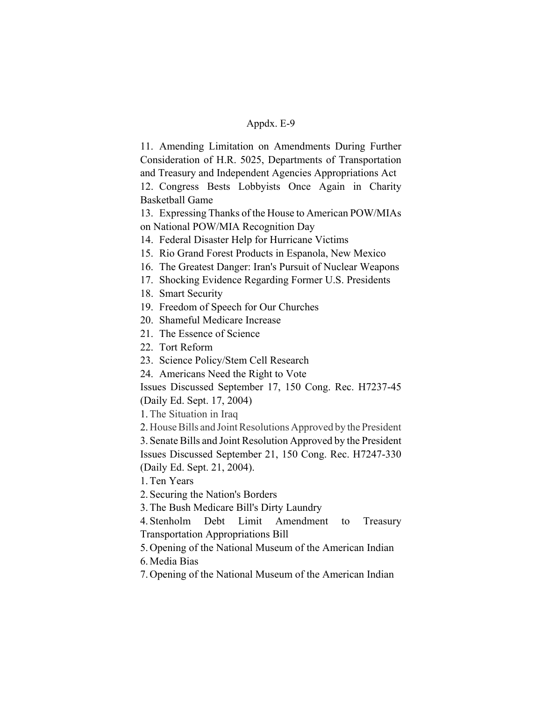11. Amending Limitation on Amendments During Further Consideration of H.R. 5025, Departments of Transportation and Treasury and Independent Agencies Appropriations Act 12. Congress Bests Lobbyists Once Again in Charity Basketball Game

13. Expressing Thanks of the House to American POW/MIAs on National POW/MIA Recognition Day

- 14. Federal Disaster Help for Hurricane Victims
- 15. Rio Grand Forest Products in Espanola, New Mexico
- 16. The Greatest Danger: Iran's Pursuit of Nuclear Weapons
- 17. Shocking Evidence Regarding Former U.S. Presidents
- 18. Smart Security
- 19. Freedom of Speech for Our Churches
- 20. Shameful Medicare Increase
- 21. The Essence of Science
- 22. Tort Reform
- 23. Science Policy/Stem Cell Research
- 24. Americans Need the Right to Vote

Issues Discussed September 17, 150 Cong. Rec. H7237-45

(Daily Ed. Sept. 17, 2004)

1.The Situation in Iraq

2. House Bills and Joint Resolutions Approved by the President 3. Senate Bills and Joint Resolution Approved by the President Issues Discussed September 21, 150 Cong. Rec. H7247-330 (Daily Ed. Sept. 21, 2004).

1. Ten Years

2. Securing the Nation's Borders

3. The Bush Medicare Bill's Dirty Laundry

4. Stenholm Debt Limit Amendment to Treasury Transportation Appropriations Bill

5. Opening of the National Museum of the American Indian

6. Media Bias

7. Opening of the National Museum of the American Indian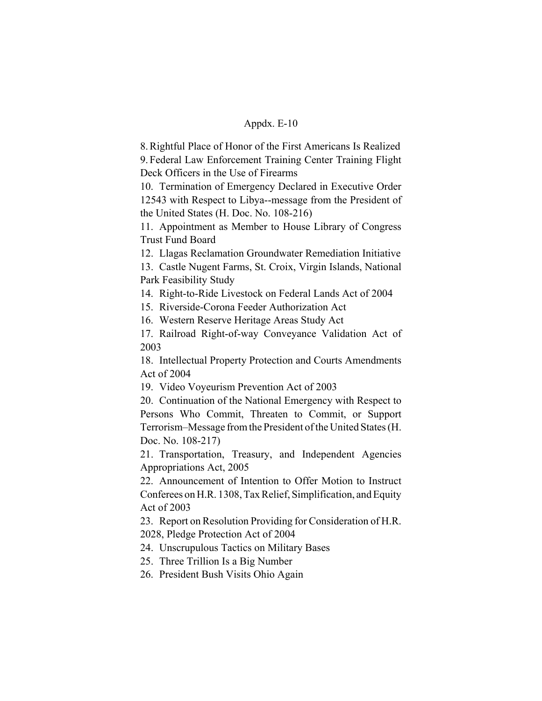8. Rightful Place of Honor of the First Americans Is Realized 9. Federal Law Enforcement Training Center Training Flight Deck Officers in the Use of Firearms

10. Termination of Emergency Declared in Executive Order 12543 with Respect to Libya--message from the President of the United States (H. Doc. No. 108-216)

11. Appointment as Member to House Library of Congress Trust Fund Board

12. Llagas Reclamation Groundwater Remediation Initiative

13. Castle Nugent Farms, St. Croix, Virgin Islands, National Park Feasibility Study

14. Right-to-Ride Livestock on Federal Lands Act of 2004

15. Riverside-Corona Feeder Authorization Act

16. Western Reserve Heritage Areas Study Act

17. Railroad Right-of-way Conveyance Validation Act of 2003

18. Intellectual Property Protection and Courts Amendments Act of 2004

19. Video Voyeurism Prevention Act of 2003

20. Continuation of the National Emergency with Respect to Persons Who Commit, Threaten to Commit, or Support Terrorism–Message from the President of the United States (H. Doc. No. 108-217)

21. Transportation, Treasury, and Independent Agencies Appropriations Act, 2005

22. Announcement of Intention to Offer Motion to Instruct Conferees on H.R. 1308, Tax Relief, Simplification, and Equity Act of 2003

23. Report on Resolution Providing for Consideration of H.R. 2028, Pledge Protection Act of 2004

24. Unscrupulous Tactics on Military Bases

25. Three Trillion Is a Big Number

26. President Bush Visits Ohio Again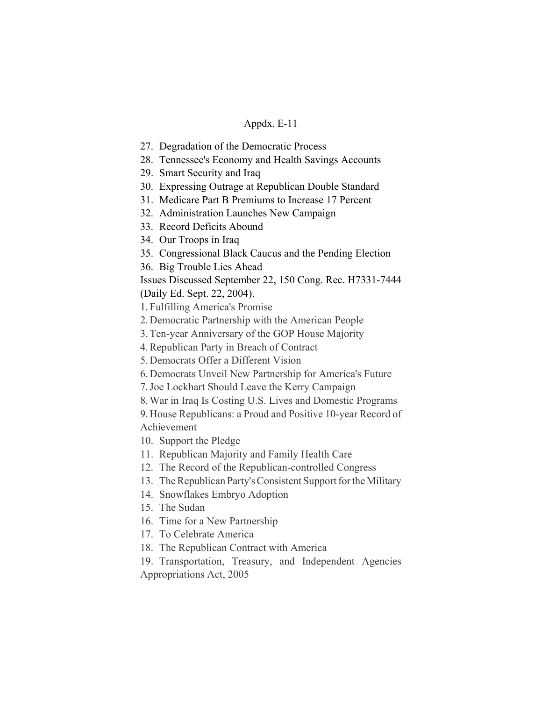- 27. Degradation of the Democratic Process
- 28. Tennessee's Economy and Health Savings Accounts
- 29. Smart Security and Iraq
- 30. Expressing Outrage at Republican Double Standard
- 31. Medicare Part B Premiums to Increase 17 Percent
- 32. Administration Launches New Campaign
- 33. Record Deficits Abound
- 34. Our Troops in Iraq
- 35. Congressional Black Caucus and the Pending Election
- 36. Big Trouble Lies Ahead

Issues Discussed September 22, 150 Cong. Rec. H7331-7444 (Daily Ed. Sept. 22, 2004).

1. Fulfilling America's Promise

- 2. Democratic Partnership with the American People
- 3. Ten-year Anniversary of the GOP House Majority
- 4. Republican Party in Breach of Contract
- 5. Democrats Offer a Different Vision
- 6. Democrats Unveil New Partnership for America's Future
- 7. Joe Lockhart Should Leave the Kerry Campaign
- 8. War in Iraq Is Costing U.S. Lives and Domestic Programs

9. House Republicans: a Proud and Positive 10-year Record of Achievement

- 10. Support the Pledge
- 11. Republican Majority and Family Health Care
- 12. The Record of the Republican-controlled Congress
- 13. The Republican Party's Consistent Support for the Military
- 14. Snowflakes Embryo Adoption
- 15. The Sudan
- 16. Time for a New Partnership
- 17. To Celebrate America
- 18. The Republican Contract with America

19. Transportation, Treasury, and Independent Agencies Appropriations Act, 2005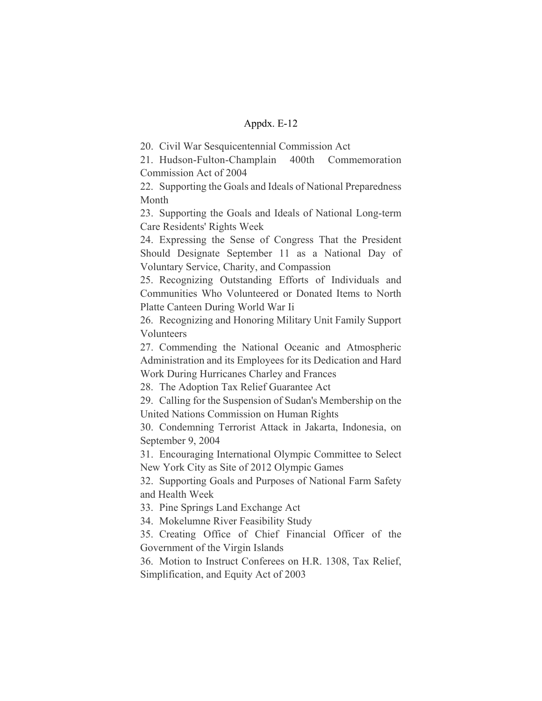20. Civil War Sesquicentennial Commission Act

21. Hudson-Fulton-Champlain 400th Commemoration Commission Act of 2004

22. Supporting the Goals and Ideals of National Preparedness Month

23. Supporting the Goals and Ideals of National Long-term Care Residents' Rights Week

24. Expressing the Sense of Congress That the President Should Designate September 11 as a National Day of Voluntary Service, Charity, and Compassion

25. Recognizing Outstanding Efforts of Individuals and Communities Who Volunteered or Donated Items to North Platte Canteen During World War Ii

26. Recognizing and Honoring Military Unit Family Support Volunteers

27. Commending the National Oceanic and Atmospheric Administration and its Employees for its Dedication and Hard Work During Hurricanes Charley and Frances

28. The Adoption Tax Relief Guarantee Act

29. Calling for the Suspension of Sudan's Membership on the United Nations Commission on Human Rights

30. Condemning Terrorist Attack in Jakarta, Indonesia, on September 9, 2004

31. Encouraging International Olympic Committee to Select New York City as Site of 2012 Olympic Games

32. Supporting Goals and Purposes of National Farm Safety and Health Week

33. Pine Springs Land Exchange Act

34. Mokelumne River Feasibility Study

35. Creating Office of Chief Financial Officer of the Government of the Virgin Islands

36. Motion to Instruct Conferees on H.R. 1308, Tax Relief, Simplification, and Equity Act of 2003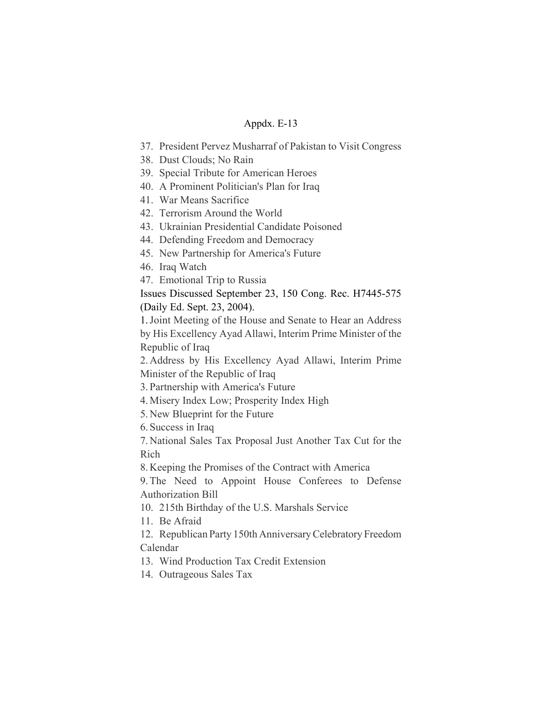- 37. President Pervez Musharraf of Pakistan to Visit Congress
- 38. Dust Clouds; No Rain
- 39. Special Tribute for American Heroes
- 40. A Prominent Politician's Plan for Iraq
- 41. War Means Sacrifice
- 42. Terrorism Around the World
- 43. Ukrainian Presidential Candidate Poisoned
- 44. Defending Freedom and Democracy
- 45. New Partnership for America's Future
- 46. Iraq Watch
- 47. Emotional Trip to Russia

Issues Discussed September 23, 150 Cong. Rec. H7445-575 (Daily Ed. Sept. 23, 2004).

1.Joint Meeting of the House and Senate to Hear an Address by His Excellency Ayad Allawi, Interim Prime Minister of the Republic of Iraq

2. Address by His Excellency Ayad Allawi, Interim Prime Minister of the Republic of Iraq

3. Partnership with America's Future

4. Misery Index Low; Prosperity Index High

5. New Blueprint for the Future

6. Success in Iraq

7. National Sales Tax Proposal Just Another Tax Cut for the Rich

8. Keeping the Promises of the Contract with America

9. The Need to Appoint House Conferees to Defense Authorization Bill

10. 215th Birthday of the U.S. Marshals Service

11. Be Afraid

12. Republican Party 150th Anniversary Celebratory Freedom Calendar

13. Wind Production Tax Credit Extension

14. Outrageous Sales Tax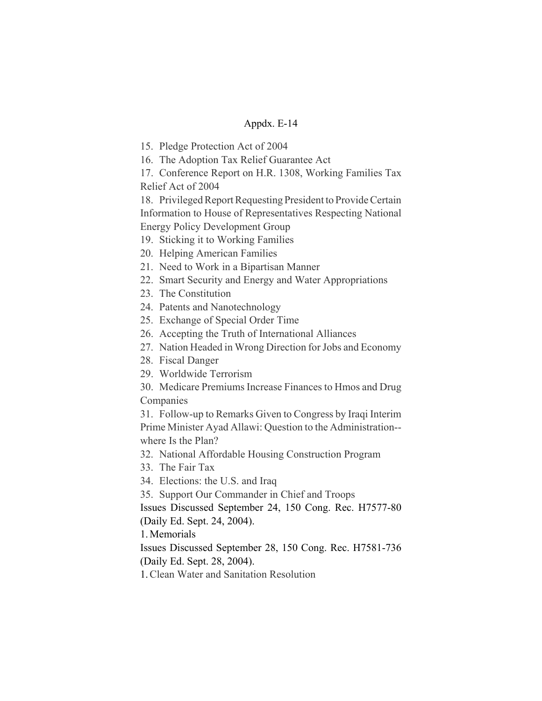15. Pledge Protection Act of 2004

16. The Adoption Tax Relief Guarantee Act

17. Conference Report on H.R. 1308, Working Families Tax Relief Act of 2004

18. Privileged Report Requesting President to Provide Certain Information to House of Representatives Respecting National Energy Policy Development Group

- 19. Sticking it to Working Families
- 20. Helping American Families
- 21. Need to Work in a Bipartisan Manner
- 22. Smart Security and Energy and Water Appropriations
- 23. The Constitution
- 24. Patents and Nanotechnology
- 25. Exchange of Special Order Time
- 26. Accepting the Truth of International Alliances
- 27. Nation Headed in Wrong Direction for Jobs and Economy
- 28. Fiscal Danger
- 29. Worldwide Terrorism
- 30. Medicare Premiums Increase Finances to Hmos and Drug Companies

31. Follow-up to Remarks Given to Congress by Iraqi Interim Prime Minister Ayad Allawi: Question to the Administration- where Is the Plan?

32. National Affordable Housing Construction Program

- 33. The Fair Tax
- 34. Elections: the U.S. and Iraq
- 35. Support Our Commander in Chief and Troops

Issues Discussed September 24, 150 Cong. Rec. H7577-80 (Daily Ed. Sept. 24, 2004).

1. Memorials

Issues Discussed September 28, 150 Cong. Rec. H7581-736 (Daily Ed. Sept. 28, 2004).

1.Clean Water and Sanitation Resolution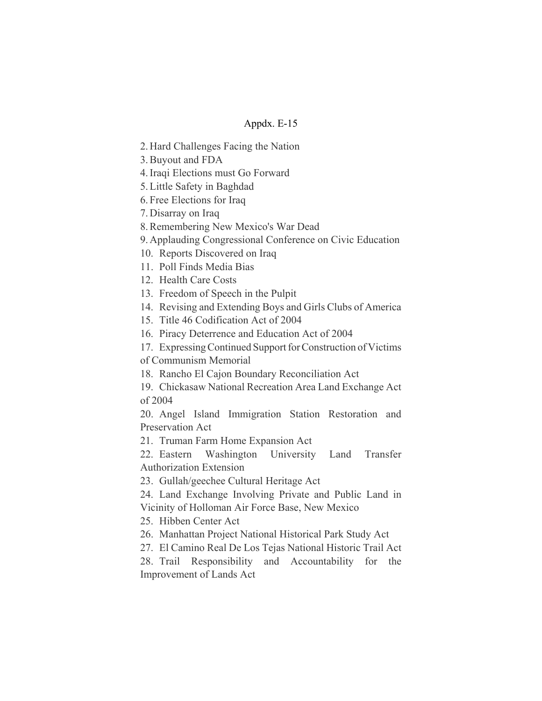- 2. Hard Challenges Facing the Nation
- 3. Buyout and FDA
- 4. Iraqi Elections must Go Forward
- 5. Little Safety in Baghdad
- 6. Free Elections for Iraq
- 7. Disarray on Iraq
- 8. Remembering New Mexico's War Dead
- 9. Applauding Congressional Conference on Civic Education
- 10. Reports Discovered on Iraq
- 11. Poll Finds Media Bias
- 12. Health Care Costs
- 13. Freedom of Speech in the Pulpit
- 14. Revising and Extending Boys and Girls Clubs of America
- 15. Title 46 Codification Act of 2004
- 16. Piracy Deterrence and Education Act of 2004
- 17. Expressing Continued Support for Construction of Victims
- of Communism Memorial
- 18. Rancho El Cajon Boundary Reconciliation Act
- 19. Chickasaw National Recreation Area Land Exchange Act of 2004

20. Angel Island Immigration Station Restoration and Preservation Act

21. Truman Farm Home Expansion Act

22. Eastern Washington University Land Transfer Authorization Extension

23. Gullah/geechee Cultural Heritage Act

- 24. Land Exchange Involving Private and Public Land in Vicinity of Holloman Air Force Base, New Mexico
- 25. Hibben Center Act
- 26. Manhattan Project National Historical Park Study Act
- 27. El Camino Real De Los Tejas National Historic Trail Act
- 28. Trail Responsibility and Accountability for the Improvement of Lands Act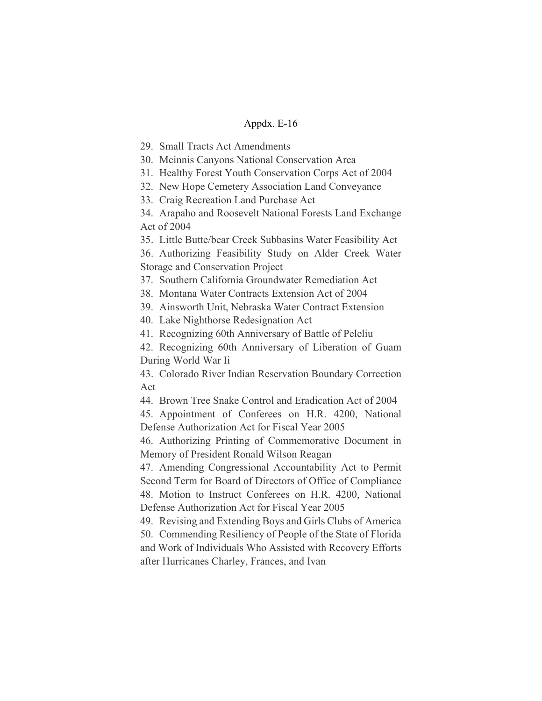29. Small Tracts Act Amendments

30. Mcinnis Canyons National Conservation Area

31. Healthy Forest Youth Conservation Corps Act of 2004

32. New Hope Cemetery Association Land Conveyance

33. Craig Recreation Land Purchase Act

34. Arapaho and Roosevelt National Forests Land Exchange Act of 2004

35. Little Butte/bear Creek Subbasins Water Feasibility Act

36. Authorizing Feasibility Study on Alder Creek Water Storage and Conservation Project

37. Southern California Groundwater Remediation Act

38. Montana Water Contracts Extension Act of 2004

39. Ainsworth Unit, Nebraska Water Contract Extension

40. Lake Nighthorse Redesignation Act

41. Recognizing 60th Anniversary of Battle of Peleliu

42. Recognizing 60th Anniversary of Liberation of Guam During World War Ii

43. Colorado River Indian Reservation Boundary Correction Act

44. Brown Tree Snake Control and Eradication Act of 2004

45. Appointment of Conferees on H.R. 4200, National Defense Authorization Act for Fiscal Year 2005

46. Authorizing Printing of Commemorative Document in Memory of President Ronald Wilson Reagan

47. Amending Congressional Accountability Act to Permit Second Term for Board of Directors of Office of Compliance 48. Motion to Instruct Conferees on H.R. 4200, National Defense Authorization Act for Fiscal Year 2005

49. Revising and Extending Boys and Girls Clubs of America 50. Commending Resiliency of People of the State of Florida and Work of Individuals Who Assisted with Recovery Efforts

after Hurricanes Charley, Frances, and Ivan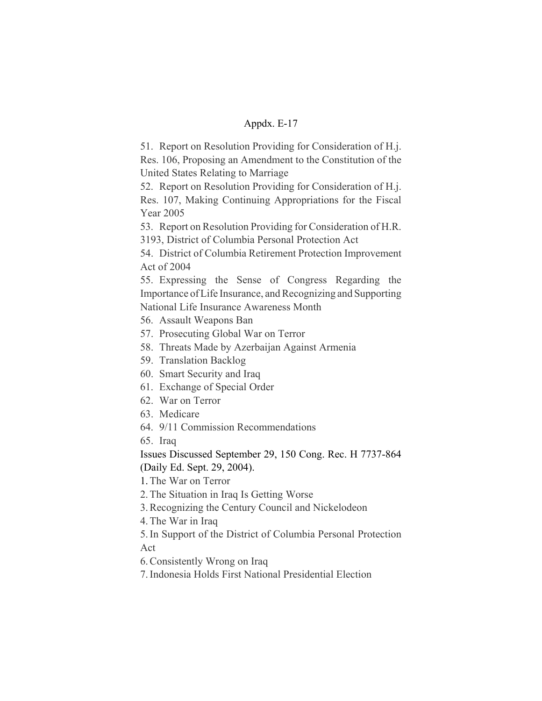51. Report on Resolution Providing for Consideration of H.j. Res. 106, Proposing an Amendment to the Constitution of the United States Relating to Marriage

52. Report on Resolution Providing for Consideration of H.j. Res. 107, Making Continuing Appropriations for the Fiscal Year 2005

53. Report on Resolution Providing for Consideration of H.R. 3193, District of Columbia Personal Protection Act

54. District of Columbia Retirement Protection Improvement Act of 2004

55. Expressing the Sense of Congress Regarding the Importance of Life Insurance, and Recognizing and Supporting National Life Insurance Awareness Month

- 56. Assault Weapons Ban
- 57. Prosecuting Global War on Terror
- 58. Threats Made by Azerbaijan Against Armenia
- 59. Translation Backlog
- 60. Smart Security and Iraq
- 61. Exchange of Special Order
- 62. War on Terror
- 63. Medicare
- 64. 9/11 Commission Recommendations

65. Iraq

Issues Discussed September 29, 150 Cong. Rec. H 7737-864 (Daily Ed. Sept. 29, 2004).

1.The War on Terror

2. The Situation in Iraq Is Getting Worse

3. Recognizing the Century Council and Nickelodeon

4. The War in Iraq

5. In Support of the District of Columbia Personal Protection Act

6. Consistently Wrong on Iraq

7. Indonesia Holds First National Presidential Election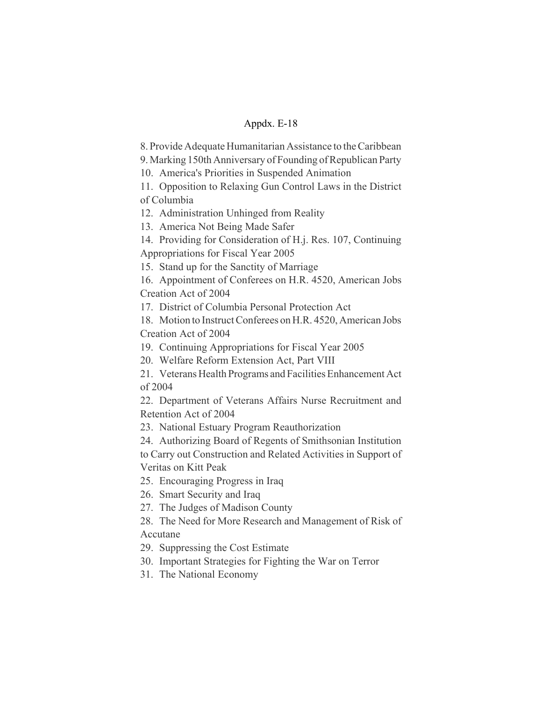8. Provide Adequate Humanitarian Assistance to the Caribbean

9. Marking 150th Anniversary of Founding of Republican Party

10. America's Priorities in Suspended Animation

11. Opposition to Relaxing Gun Control Laws in the District of Columbia

12. Administration Unhinged from Reality

13. America Not Being Made Safer

14. Providing for Consideration of H.j. Res. 107, Continuing Appropriations for Fiscal Year 2005

15. Stand up for the Sanctity of Marriage

16. Appointment of Conferees on H.R. 4520, American Jobs Creation Act of 2004

17. District of Columbia Personal Protection Act

18. Motion to Instruct Conferees on H.R. 4520, American Jobs Creation Act of 2004

19. Continuing Appropriations for Fiscal Year 2005

20. Welfare Reform Extension Act, Part VIII

21. Veterans Health Programs and Facilities Enhancement Act of 2004

22. Department of Veterans Affairs Nurse Recruitment and Retention Act of 2004

23. National Estuary Program Reauthorization

24. Authorizing Board of Regents of Smithsonian Institution to Carry out Construction and Related Activities in Support of Veritas on Kitt Peak

25. Encouraging Progress in Iraq

26. Smart Security and Iraq

27. The Judges of Madison County

28. The Need for More Research and Management of Risk of Accutane

29. Suppressing the Cost Estimate

30. Important Strategies for Fighting the War on Terror

31. The National Economy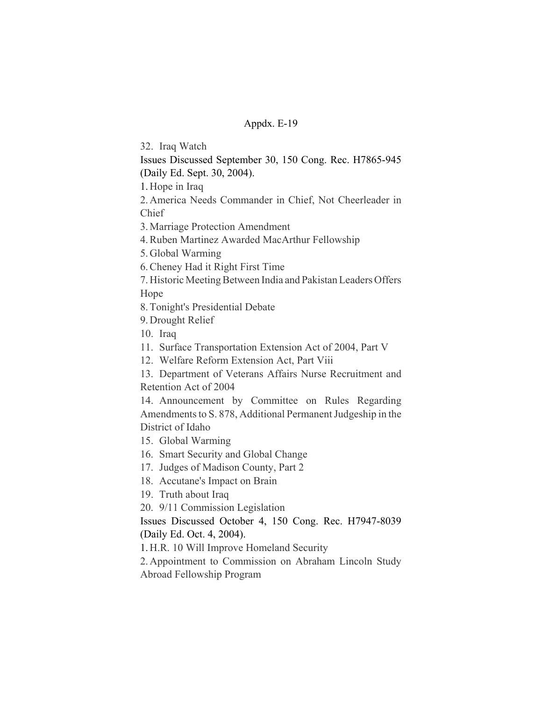32. Iraq Watch

Issues Discussed September 30, 150 Cong. Rec. H7865-945

(Daily Ed. Sept. 30, 2004).

1. Hope in Iraq

2. America Needs Commander in Chief, Not Cheerleader in Chief

3. Marriage Protection Amendment

4. Ruben Martinez Awarded MacArthur Fellowship

5. Global Warming

6. Cheney Had it Right First Time

7. Historic Meeting Between India and Pakistan Leaders Offers Hope

8. Tonight's Presidential Debate

9. Drought Relief

10. Iraq

11. Surface Transportation Extension Act of 2004, Part V

12. Welfare Reform Extension Act, Part Viii

13. Department of Veterans Affairs Nurse Recruitment and Retention Act of 2004

14. Announcement by Committee on Rules Regarding Amendments to S. 878, Additional Permanent Judgeship in the District of Idaho

15. Global Warming

16. Smart Security and Global Change

17. Judges of Madison County, Part 2

18. Accutane's Impact on Brain

19. Truth about Iraq

20. 9/11 Commission Legislation

Issues Discussed October 4, 150 Cong. Rec. H7947-8039 (Daily Ed. Oct. 4, 2004).

1. H.R. 10 Will Improve Homeland Security

2. Appointment to Commission on Abraham Lincoln Study Abroad Fellowship Program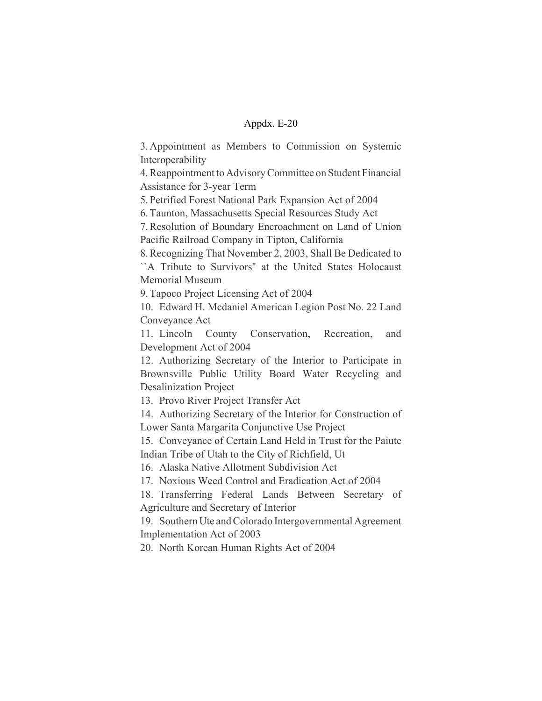3. Appointment as Members to Commission on Systemic Interoperability

4. Reappointment to Advisory Committee on Student Financial Assistance for 3-year Term

5. Petrified Forest National Park Expansion Act of 2004

6. Taunton, Massachusetts Special Resources Study Act

7. Resolution of Boundary Encroachment on Land of Union Pacific Railroad Company in Tipton, California

8. Recognizing That November 2, 2003, Shall Be Dedicated to ``A Tribute to Survivors'' at the United States Holocaust Memorial Museum

9. Tapoco Project Licensing Act of 2004

10. Edward H. Mcdaniel American Legion Post No. 22 Land Conveyance Act

11. Lincoln County Conservation, Recreation, and Development Act of 2004

12. Authorizing Secretary of the Interior to Participate in Brownsville Public Utility Board Water Recycling and Desalinization Project

13. Provo River Project Transfer Act

14. Authorizing Secretary of the Interior for Construction of Lower Santa Margarita Conjunctive Use Project

15. Conveyance of Certain Land Held in Trust for the Paiute Indian Tribe of Utah to the City of Richfield, Ut

16. Alaska Native Allotment Subdivision Act

17. Noxious Weed Control and Eradication Act of 2004

18. Transferring Federal Lands Between Secretary of Agriculture and Secretary of Interior

19. Southern Ute and Colorado Intergovernmental Agreement Implementation Act of 2003

20. North Korean Human Rights Act of 2004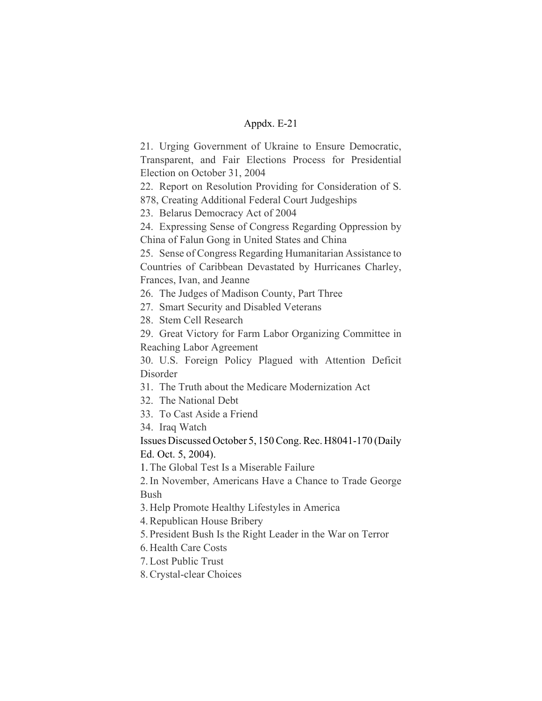21. Urging Government of Ukraine to Ensure Democratic, Transparent, and Fair Elections Process for Presidential Election on October 31, 2004

22. Report on Resolution Providing for Consideration of S. 878, Creating Additional Federal Court Judgeships

23. Belarus Democracy Act of 2004

24. Expressing Sense of Congress Regarding Oppression by China of Falun Gong in United States and China

25. Sense of Congress Regarding Humanitarian Assistance to Countries of Caribbean Devastated by Hurricanes Charley, Frances, Ivan, and Jeanne

26. The Judges of Madison County, Part Three

27. Smart Security and Disabled Veterans

28. Stem Cell Research

29. Great Victory for Farm Labor Organizing Committee in Reaching Labor Agreement

30. U.S. Foreign Policy Plagued with Attention Deficit Disorder

31. The Truth about the Medicare Modernization Act

32. The National Debt

33. To Cast Aside a Friend

34. Iraq Watch

Issues Discussed October 5, 150 Cong. Rec. H8041-170 (Daily Ed. Oct. 5, 2004).

1.The Global Test Is a Miserable Failure

2. In November, Americans Have a Chance to Trade George Bush

3. Help Promote Healthy Lifestyles in America

4. Republican House Bribery

5. President Bush Is the Right Leader in the War on Terror

6. Health Care Costs

7. Lost Public Trust

8. Crystal-clear Choices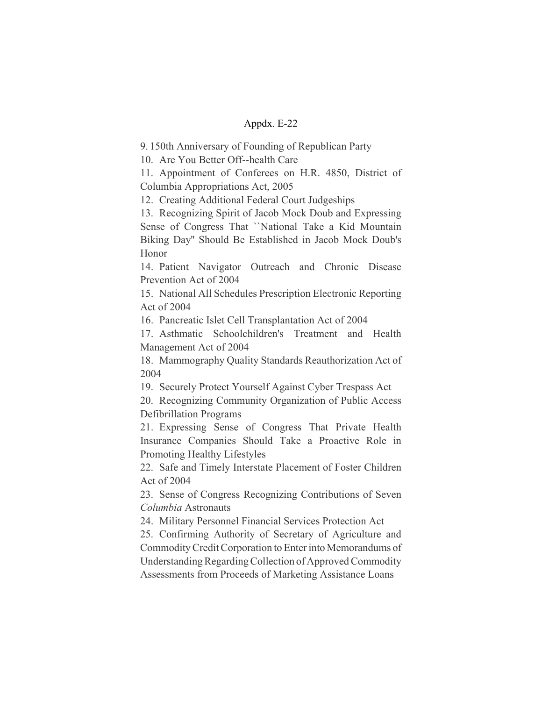9. 150th Anniversary of Founding of Republican Party

10. Are You Better Off--health Care

11. Appointment of Conferees on H.R. 4850, District of Columbia Appropriations Act, 2005

12. Creating Additional Federal Court Judgeships

13. Recognizing Spirit of Jacob Mock Doub and Expressing Sense of Congress That ``National Take a Kid Mountain Biking Day'' Should Be Established in Jacob Mock Doub's Honor

14. Patient Navigator Outreach and Chronic Disease Prevention Act of 2004

15. National All Schedules Prescription Electronic Reporting Act of 2004

16. Pancreatic Islet Cell Transplantation Act of 2004

17. Asthmatic Schoolchildren's Treatment and Health Management Act of 2004

18. Mammography Quality Standards Reauthorization Act of 2004

19. Securely Protect Yourself Against Cyber Trespass Act

20. Recognizing Community Organization of Public Access Defibrillation Programs

21. Expressing Sense of Congress That Private Health Insurance Companies Should Take a Proactive Role in Promoting Healthy Lifestyles

22. Safe and Timely Interstate Placement of Foster Children Act of 2004

23. Sense of Congress Recognizing Contributions of Seven *Columbia* Astronauts

24. Military Personnel Financial Services Protection Act

25. Confirming Authority of Secretary of Agriculture and Commodity Credit Corporation to Enter into Memorandums of Understanding Regarding Collection of Approved Commodity Assessments from Proceeds of Marketing Assistance Loans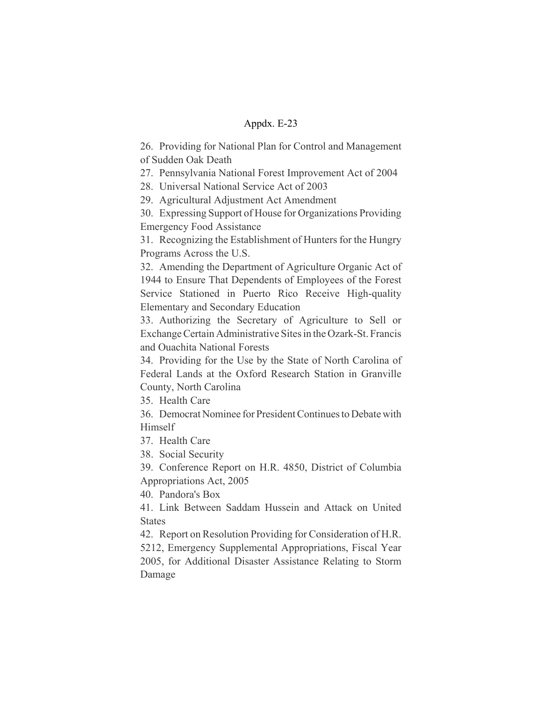26. Providing for National Plan for Control and Management of Sudden Oak Death

27. Pennsylvania National Forest Improvement Act of 2004

28. Universal National Service Act of 2003

29. Agricultural Adjustment Act Amendment

30. Expressing Support of House for Organizations Providing Emergency Food Assistance

31. Recognizing the Establishment of Hunters for the Hungry Programs Across the U.S.

32. Amending the Department of Agriculture Organic Act of 1944 to Ensure That Dependents of Employees of the Forest Service Stationed in Puerto Rico Receive High-quality Elementary and Secondary Education

33. Authorizing the Secretary of Agriculture to Sell or Exchange Certain Administrative Sites in the Ozark-St. Francis and Ouachita National Forests

34. Providing for the Use by the State of North Carolina of Federal Lands at the Oxford Research Station in Granville County, North Carolina

35. Health Care

36. Democrat Nominee for President Continues to Debate with Himself

37. Health Care

38. Social Security

39. Conference Report on H.R. 4850, District of Columbia Appropriations Act, 2005

40. Pandora's Box

41. Link Between Saddam Hussein and Attack on United **States** 

42. Report on Resolution Providing for Consideration of H.R. 5212, Emergency Supplemental Appropriations, Fiscal Year 2005, for Additional Disaster Assistance Relating to Storm Damage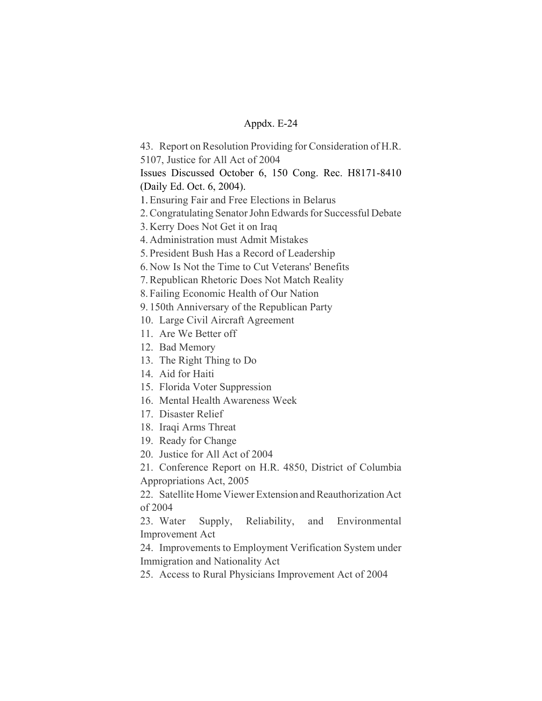43. Report on Resolution Providing for Consideration of H.R.

5107, Justice for All Act of 2004

Issues Discussed October 6, 150 Cong. Rec. H8171-8410 (Daily Ed. Oct. 6, 2004).

1.Ensuring Fair and Free Elections in Belarus

2. Congratulating Senator John Edwards for Successful Debate

3. Kerry Does Not Get it on Iraq

4. Administration must Admit Mistakes

5. President Bush Has a Record of Leadership

6. Now Is Not the Time to Cut Veterans' Benefits

7. Republican Rhetoric Does Not Match Reality

8. Failing Economic Health of Our Nation

9. 150th Anniversary of the Republican Party

10. Large Civil Aircraft Agreement

11. Are We Better off

12. Bad Memory

13. The Right Thing to Do

14. Aid for Haiti

15. Florida Voter Suppression

16. Mental Health Awareness Week

17. Disaster Relief

18. Iraqi Arms Threat

19. Ready for Change

20. Justice for All Act of 2004

21. Conference Report on H.R. 4850, District of Columbia

Appropriations Act, 2005

22. Satellite Home Viewer Extension and Reauthorization Act of 2004

23. Water Supply, Reliability, and Environmental Improvement Act

24. Improvements to Employment Verification System under Immigration and Nationality Act

25. Access to Rural Physicians Improvement Act of 2004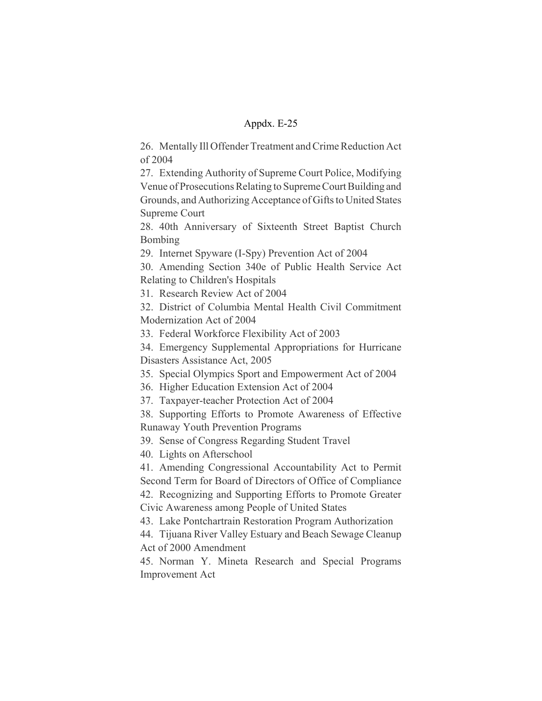26. Mentally Ill Offender Treatment and Crime Reduction Act of 2004

27. Extending Authority of Supreme Court Police, Modifying Venue of Prosecutions Relating to Supreme Court Building and Grounds, and Authorizing Acceptance of Gifts to United States Supreme Court

28. 40th Anniversary of Sixteenth Street Baptist Church Bombing

29. Internet Spyware (I-Spy) Prevention Act of 2004

30. Amending Section 340e of Public Health Service Act Relating to Children's Hospitals

31. Research Review Act of 2004

32. District of Columbia Mental Health Civil Commitment Modernization Act of 2004

33. Federal Workforce Flexibility Act of 2003

34. Emergency Supplemental Appropriations for Hurricane Disasters Assistance Act, 2005

35. Special Olympics Sport and Empowerment Act of 2004

36. Higher Education Extension Act of 2004

37. Taxpayer-teacher Protection Act of 2004

38. Supporting Efforts to Promote Awareness of Effective Runaway Youth Prevention Programs

39. Sense of Congress Regarding Student Travel

40. Lights on Afterschool

41. Amending Congressional Accountability Act to Permit Second Term for Board of Directors of Office of Compliance 42. Recognizing and Supporting Efforts to Promote Greater

Civic Awareness among People of United States

43. Lake Pontchartrain Restoration Program Authorization

44. Tijuana River Valley Estuary and Beach Sewage Cleanup Act of 2000 Amendment

45. Norman Y. Mineta Research and Special Programs Improvement Act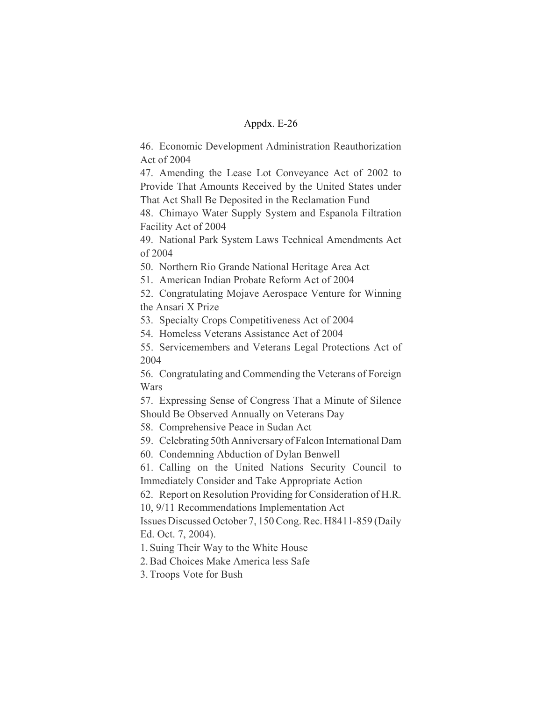46. Economic Development Administration Reauthorization Act of 2004

47. Amending the Lease Lot Conveyance Act of 2002 to Provide That Amounts Received by the United States under That Act Shall Be Deposited in the Reclamation Fund

48. Chimayo Water Supply System and Espanola Filtration Facility Act of 2004

49. National Park System Laws Technical Amendments Act of 2004

50. Northern Rio Grande National Heritage Area Act

51. American Indian Probate Reform Act of 2004

52. Congratulating Mojave Aerospace Venture for Winning the Ansari X Prize

53. Specialty Crops Competitiveness Act of 2004

54. Homeless Veterans Assistance Act of 2004

55. Servicemembers and Veterans Legal Protections Act of 2004

56. Congratulating and Commending the Veterans of Foreign Wars

57. Expressing Sense of Congress That a Minute of Silence Should Be Observed Annually on Veterans Day

58. Comprehensive Peace in Sudan Act

59. Celebrating 50th Anniversary of Falcon International Dam

60. Condemning Abduction of Dylan Benwell

61. Calling on the United Nations Security Council to Immediately Consider and Take Appropriate Action

62. Report on Resolution Providing for Consideration of H.R.

10, 9/11 Recommendations Implementation Act

Issues Discussed October 7, 150 Cong. Rec. H8411-859 (Daily Ed. Oct. 7, 2004).

1. Suing Their Way to the White House

2. Bad Choices Make America less Safe

3. Troops Vote for Bush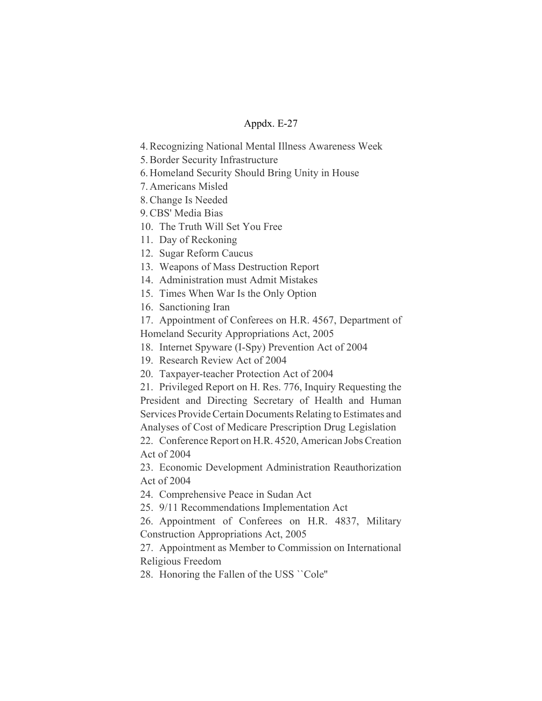4. Recognizing National Mental Illness Awareness Week

5. Border Security Infrastructure

6. Homeland Security Should Bring Unity in House

7. Americans Misled

8. Change Is Needed

9. CBS' Media Bias

10. The Truth Will Set You Free

11. Day of Reckoning

12. Sugar Reform Caucus

13. Weapons of Mass Destruction Report

14. Administration must Admit Mistakes

15. Times When War Is the Only Option

16. Sanctioning Iran

17. Appointment of Conferees on H.R. 4567, Department of

Homeland Security Appropriations Act, 2005

18. Internet Spyware (I-Spy) Prevention Act of 2004

19. Research Review Act of 2004

20. Taxpayer-teacher Protection Act of 2004

21. Privileged Report on H. Res. 776, Inquiry Requesting the President and Directing Secretary of Health and Human Services Provide Certain Documents Relating to Estimates and Analyses of Cost of Medicare Prescription Drug Legislation

22. Conference Report on H.R. 4520, American Jobs Creation Act of 2004

23. Economic Development Administration Reauthorization Act of 2004

24. Comprehensive Peace in Sudan Act

25. 9/11 Recommendations Implementation Act

26. Appointment of Conferees on H.R. 4837, Military Construction Appropriations Act, 2005

27. Appointment as Member to Commission on International Religious Freedom

28. Honoring the Fallen of the USS ``Cole''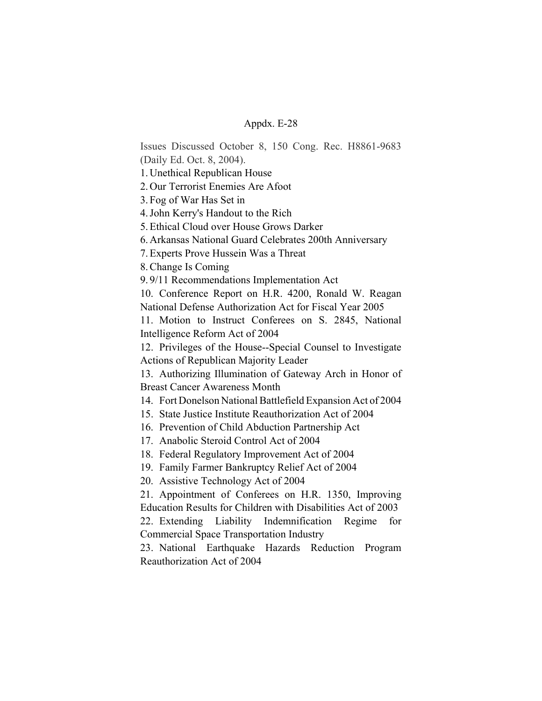Issues Discussed October 8, 150 Cong. Rec. H8861-9683 (Daily Ed. Oct. 8, 2004).

1. Unethical Republican House

2. Our Terrorist Enemies Are Afoot

3. Fog of War Has Set in

4. John Kerry's Handout to the Rich

5. Ethical Cloud over House Grows Darker

6. Arkansas National Guard Celebrates 200th Anniversary

7. Experts Prove Hussein Was a Threat

8. Change Is Coming

9. 9/11 Recommendations Implementation Act

10. Conference Report on H.R. 4200, Ronald W. Reagan National Defense Authorization Act for Fiscal Year 2005

11. Motion to Instruct Conferees on S. 2845, National Intelligence Reform Act of 2004

12. Privileges of the House--Special Counsel to Investigate Actions of Republican Majority Leader

13. Authorizing Illumination of Gateway Arch in Honor of Breast Cancer Awareness Month

14. Fort Donelson National Battlefield Expansion Act of 2004

15. State Justice Institute Reauthorization Act of 2004

16. Prevention of Child Abduction Partnership Act

17. Anabolic Steroid Control Act of 2004

18. Federal Regulatory Improvement Act of 2004

19. Family Farmer Bankruptcy Relief Act of 2004

20. Assistive Technology Act of 2004

21. Appointment of Conferees on H.R. 1350, Improving Education Results for Children with Disabilities Act of 2003

22. Extending Liability Indemnification Regime for Commercial Space Transportation Industry

23. National Earthquake Hazards Reduction Program Reauthorization Act of 2004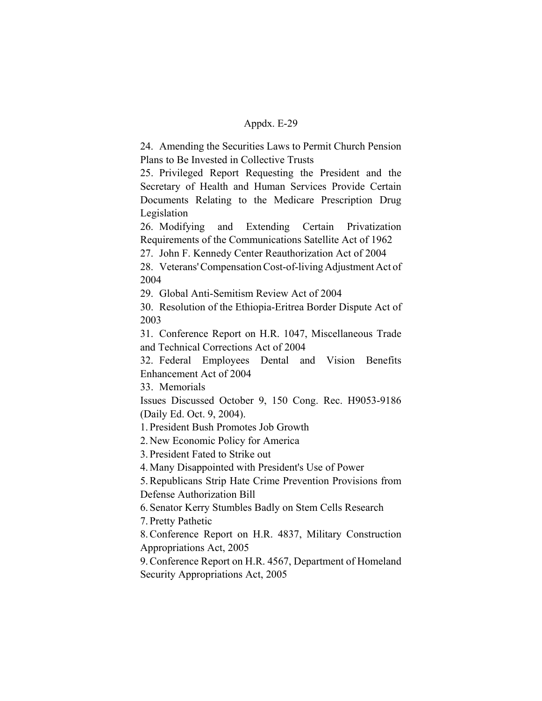24. Amending the Securities Laws to Permit Church Pension Plans to Be Invested in Collective Trusts

25. Privileged Report Requesting the President and the Secretary of Health and Human Services Provide Certain Documents Relating to the Medicare Prescription Drug Legislation

26. Modifying and Extending Certain Privatization Requirements of the Communications Satellite Act of 1962

27. John F. Kennedy Center Reauthorization Act of 2004

28. Veterans' Compensation Cost-of-living Adjustment Act of 2004

29. Global Anti-Semitism Review Act of 2004

30. Resolution of the Ethiopia-Eritrea Border Dispute Act of 2003

31. Conference Report on H.R. 1047, Miscellaneous Trade and Technical Corrections Act of 2004

32. Federal Employees Dental and Vision Benefits Enhancement Act of 2004

33. Memorials

Issues Discussed October 9, 150 Cong. Rec. H9053-9186 (Daily Ed. Oct. 9, 2004).

1. President Bush Promotes Job Growth

2. New Economic Policy for America

3. President Fated to Strike out

4. Many Disappointed with President's Use of Power

5. Republicans Strip Hate Crime Prevention Provisions from Defense Authorization Bill

6. Senator Kerry Stumbles Badly on Stem Cells Research

7. Pretty Pathetic

8. Conference Report on H.R. 4837, Military Construction Appropriations Act, 2005

9. Conference Report on H.R. 4567, Department of Homeland Security Appropriations Act, 2005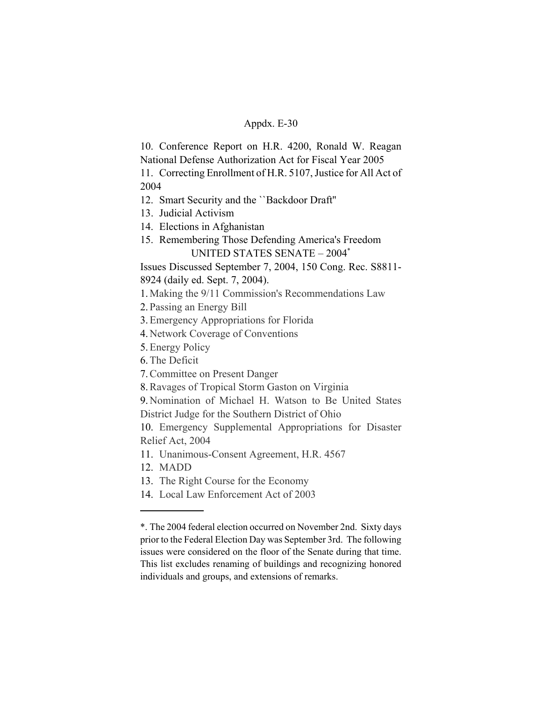10. Conference Report on H.R. 4200, Ronald W. Reagan National Defense Authorization Act for Fiscal Year 2005

11. Correcting Enrollment of H.R. 5107, Justice for All Act of 2004

- 12. Smart Security and the ``Backdoor Draft''
- 13. Judicial Activism
- 14. Elections in Afghanistan
- 15. Remembering Those Defending America's Freedom UNITED STATES SENATE – 2004\*

Issues Discussed September 7, 2004, 150 Cong. Rec. S8811- 8924 (daily ed. Sept. 7, 2004).

- 1. Making the 9/11 Commission's Recommendations Law
- 2. Passing an Energy Bill
- 3.Emergency Appropriations for Florida
- 4. Network Coverage of Conventions
- 5.Energy Policy
- 6.The Deficit
- 7.Committee on Present Danger
- 8.Ravages of Tropical Storm Gaston on Virginia

9. Nomination of Michael H. Watson to Be United States District Judge for the Southern District of Ohio

10. Emergency Supplemental Appropriations for Disaster Relief Act, 2004

- 11. Unanimous-Consent Agreement, H.R. 4567
- 12. MADD
- 13. The Right Course for the Economy
- 14. Local Law Enforcement Act of 2003

<sup>\*.</sup> The 2004 federal election occurred on November 2nd. Sixty days prior to the Federal Election Day was September 3rd. The following issues were considered on the floor of the Senate during that time. This list excludes renaming of buildings and recognizing honored individuals and groups, and extensions of remarks.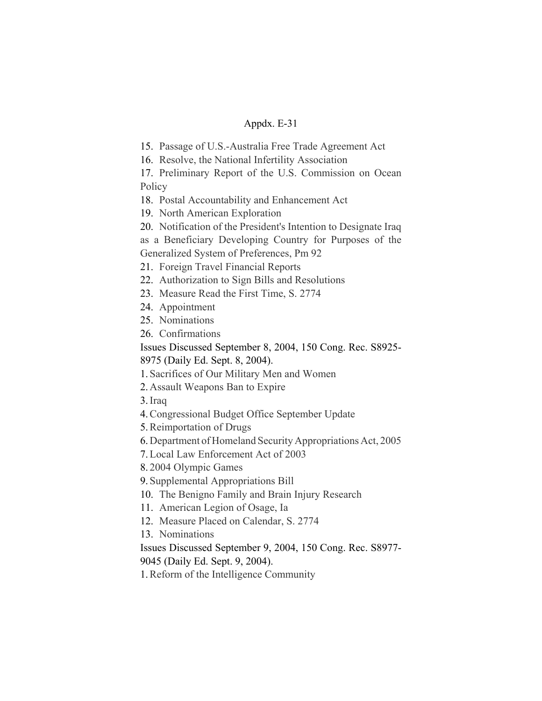15. Passage of U.S.-Australia Free Trade Agreement Act

16. Resolve, the National Infertility Association

17. Preliminary Report of the U.S. Commission on Ocean **Policy** 

18. Postal Accountability and Enhancement Act

19. North American Exploration

20. Notification of the President's Intention to Designate Iraq

as a Beneficiary Developing Country for Purposes of the Generalized System of Preferences, Pm 92

21. Foreign Travel Financial Reports

22. Authorization to Sign Bills and Resolutions

23. Measure Read the First Time, S. 2774

24. Appointment

25. Nominations

26. Confirmations

Issues Discussed September 8, 2004, 150 Cong. Rec. S8925- 8975 (Daily Ed. Sept. 8, 2004).

1. Sacrifices of Our Military Men and Women

2. Assault Weapons Ban to Expire

3.Iraq

4.Congressional Budget Office September Update

5.Reimportation of Drugs

6. Department of Homeland Security Appropriations Act, 2005

7.Local Law Enforcement Act of 2003

8. 2004 Olympic Games

9. Supplemental Appropriations Bill

10. The Benigno Family and Brain Injury Research

11. American Legion of Osage, Ia

12. Measure Placed on Calendar, S. 2774

13. Nominations

Issues Discussed September 9, 2004, 150 Cong. Rec. S8977-

9045 (Daily Ed. Sept. 9, 2004).

1.Reform of the Intelligence Community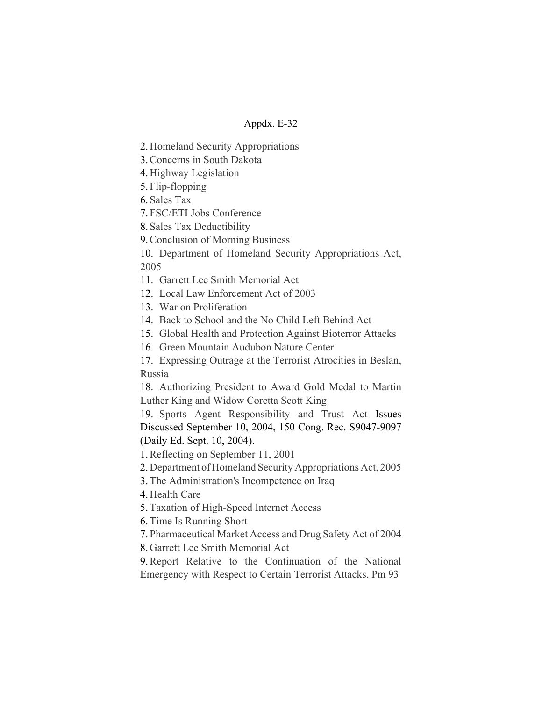2. Homeland Security Appropriations

3.Concerns in South Dakota

4. Highway Legislation

5. Flip-flopping

6. Sales Tax

7. FSC/ETI Jobs Conference

8. Sales Tax Deductibility

9.Conclusion of Morning Business

10. Department of Homeland Security Appropriations Act, 2005

11. Garrett Lee Smith Memorial Act

12. Local Law Enforcement Act of 2003

13. War on Proliferation

14. Back to School and the No Child Left Behind Act

15. Global Health and Protection Against Bioterror Attacks

16. Green Mountain Audubon Nature Center

17. Expressing Outrage at the Terrorist Atrocities in Beslan, Russia

18. Authorizing President to Award Gold Medal to Martin Luther King and Widow Coretta Scott King

19. Sports Agent Responsibility and Trust Act Issues Discussed September 10, 2004, 150 Cong. Rec. S9047-9097 (Daily Ed. Sept. 10, 2004).

1.Reflecting on September 11, 2001

2. Department of Homeland Security Appropriations Act, 2005

3.The Administration's Incompetence on Iraq

4. Health Care

5.Taxation of High-Speed Internet Access

6.Time Is Running Short

7. Pharmaceutical Market Access and Drug Safety Act of 2004

8. Garrett Lee Smith Memorial Act

9.Report Relative to the Continuation of the National Emergency with Respect to Certain Terrorist Attacks, Pm 93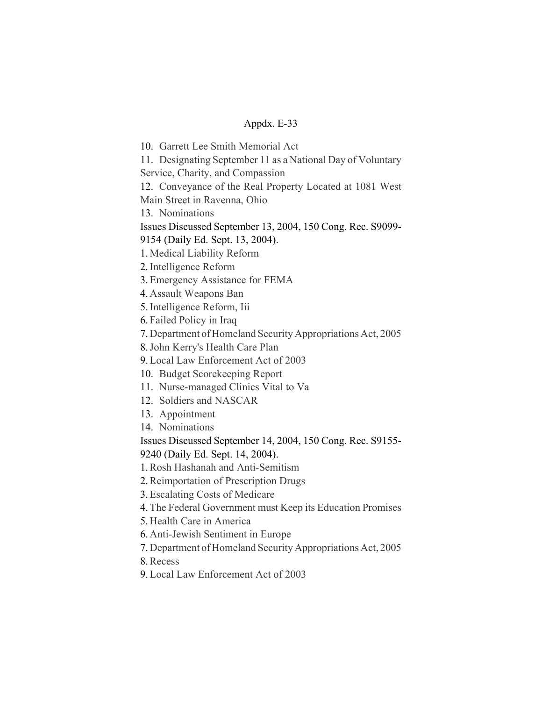10. Garrett Lee Smith Memorial Act

11. Designating September 11 as a National Day of Voluntary

Service, Charity, and Compassion

12. Conveyance of the Real Property Located at 1081 West Main Street in Ravenna, Ohio

13. Nominations

Issues Discussed September 13, 2004, 150 Cong. Rec. S9099-

9154 (Daily Ed. Sept. 13, 2004).

1. Medical Liability Reform

2.Intelligence Reform

- 3.Emergency Assistance for FEMA
- 4. Assault Weapons Ban
- 5.Intelligence Reform, Iii

6. Failed Policy in Iraq

7. Department of Homeland Security Appropriations Act, 2005

8.John Kerry's Health Care Plan

9.Local Law Enforcement Act of 2003

- 10. Budget Scorekeeping Report
- 11. Nurse-managed Clinics Vital to Va
- 12. Soldiers and NASCAR
- 13. Appointment
- 14. Nominations

Issues Discussed September 14, 2004, 150 Cong. Rec. S9155- 9240 (Daily Ed. Sept. 14, 2004).

1.Rosh Hashanah and Anti-Semitism

2.Reimportation of Prescription Drugs

3.Escalating Costs of Medicare

4.The Federal Government must Keep its Education Promises

5. Health Care in America

6. Anti-Jewish Sentiment in Europe

7. Department of Homeland Security Appropriations Act, 2005

8.Recess

9.Local Law Enforcement Act of 2003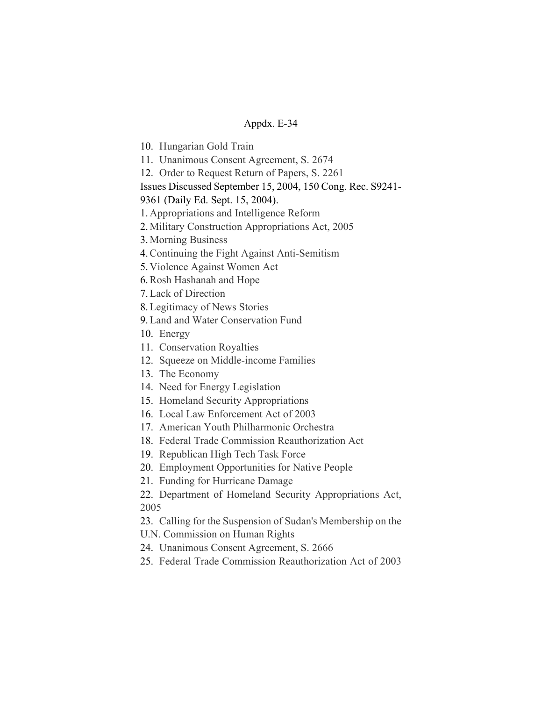10. Hungarian Gold Train

11. Unanimous Consent Agreement, S. 2674

12. Order to Request Return of Papers, S. 2261

Issues Discussed September 15, 2004, 150 Cong. Rec. S9241-

9361 (Daily Ed. Sept. 15, 2004).

1. Appropriations and Intelligence Reform

2. Military Construction Appropriations Act, 2005

3. Morning Business

4.Continuing the Fight Against Anti-Semitism

5. Violence Against Women Act

6.Rosh Hashanah and Hope

7.Lack of Direction

8.Legitimacy of News Stories

9.Land and Water Conservation Fund

10. Energy

11. Conservation Royalties

12. Squeeze on Middle-income Families

13. The Economy

14. Need for Energy Legislation

15. Homeland Security Appropriations

16. Local Law Enforcement Act of 2003

17. American Youth Philharmonic Orchestra

18. Federal Trade Commission Reauthorization Act

19. Republican High Tech Task Force

20. Employment Opportunities for Native People

21. Funding for Hurricane Damage

22. Department of Homeland Security Appropriations Act, 2005

23. Calling for the Suspension of Sudan's Membership on the U.N. Commission on Human Rights

24. Unanimous Consent Agreement, S. 2666

25. Federal Trade Commission Reauthorization Act of 2003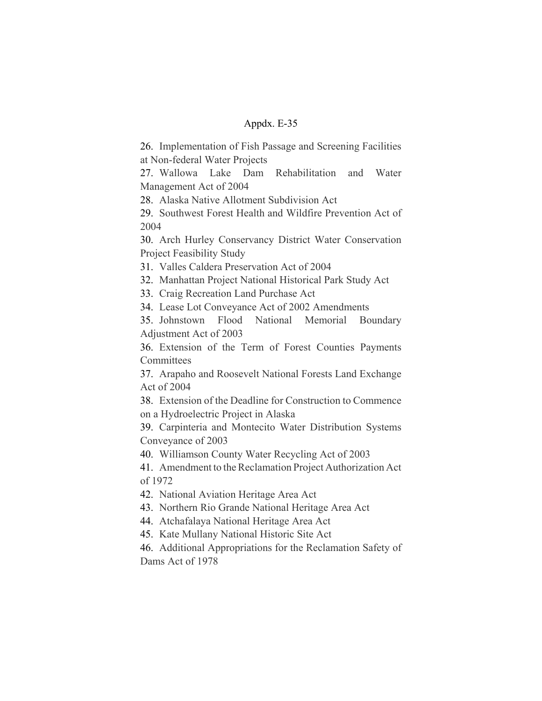26. Implementation of Fish Passage and Screening Facilities at Non-federal Water Projects

27. Wallowa Lake Dam Rehabilitation and Water Management Act of 2004

28. Alaska Native Allotment Subdivision Act

29. Southwest Forest Health and Wildfire Prevention Act of 2004

30. Arch Hurley Conservancy District Water Conservation Project Feasibility Study

31. Valles Caldera Preservation Act of 2004

32. Manhattan Project National Historical Park Study Act

33. Craig Recreation Land Purchase Act

34. Lease Lot Conveyance Act of 2002 Amendments

35. Johnstown Flood National Memorial Boundary Adjustment Act of 2003

36. Extension of the Term of Forest Counties Payments **Committees** 

37. Arapaho and Roosevelt National Forests Land Exchange Act of 2004

38. Extension of the Deadline for Construction to Commence on a Hydroelectric Project in Alaska

39. Carpinteria and Montecito Water Distribution Systems Conveyance of 2003

40. Williamson County Water Recycling Act of 2003

41. Amendment to the Reclamation Project Authorization Act of 1972

42. National Aviation Heritage Area Act

43. Northern Rio Grande National Heritage Area Act

44. Atchafalaya National Heritage Area Act

45. Kate Mullany National Historic Site Act

46. Additional Appropriations for the Reclamation Safety of Dams Act of 1978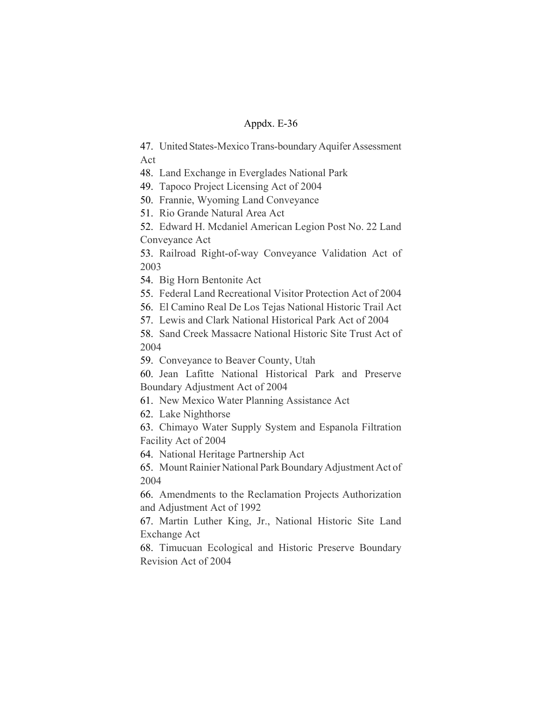47. United States-Mexico Trans-boundary Aquifer Assessment Act

48. Land Exchange in Everglades National Park

49. Tapoco Project Licensing Act of 2004

50. Frannie, Wyoming Land Conveyance

51. Rio Grande Natural Area Act

52. Edward H. Mcdaniel American Legion Post No. 22 Land Conveyance Act

53. Railroad Right-of-way Conveyance Validation Act of 2003

54. Big Horn Bentonite Act

55. Federal Land Recreational Visitor Protection Act of 2004

56. El Camino Real De Los Tejas National Historic Trail Act

57. Lewis and Clark National Historical Park Act of 2004

58. Sand Creek Massacre National Historic Site Trust Act of 2004

59. Conveyance to Beaver County, Utah

60. Jean Lafitte National Historical Park and Preserve Boundary Adjustment Act of 2004

61. New Mexico Water Planning Assistance Act

62. Lake Nighthorse

63. Chimayo Water Supply System and Espanola Filtration Facility Act of 2004

64. National Heritage Partnership Act

65. Mount Rainier National Park Boundary Adjustment Act of 2004

66. Amendments to the Reclamation Projects Authorization and Adjustment Act of 1992

67. Martin Luther King, Jr., National Historic Site Land Exchange Act

68. Timucuan Ecological and Historic Preserve Boundary Revision Act of 2004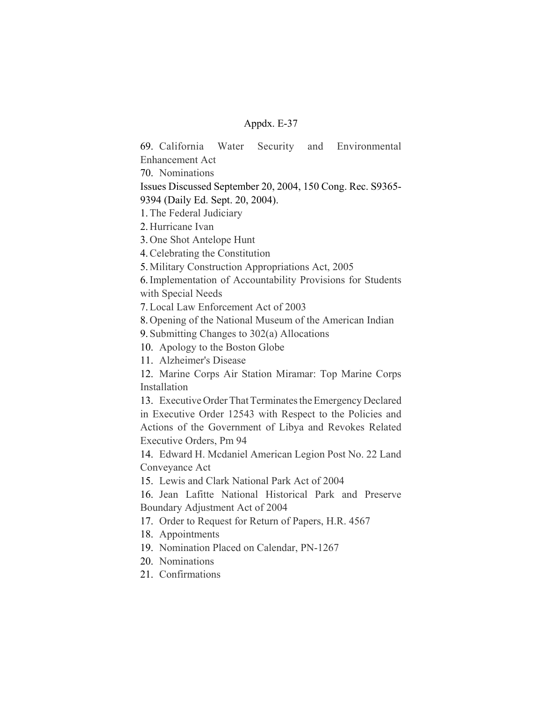69. California Water Security and Environmental Enhancement Act

70. Nominations

Issues Discussed September 20, 2004, 150 Cong. Rec. S9365- 9394 (Daily Ed. Sept. 20, 2004).

1.The Federal Judiciary

2. Hurricane Ivan

3. One Shot Antelope Hunt

4.Celebrating the Constitution

5. Military Construction Appropriations Act, 2005

6.Implementation of Accountability Provisions for Students with Special Needs

7.Local Law Enforcement Act of 2003

8. Opening of the National Museum of the American Indian

9. Submitting Changes to 302(a) Allocations

10. Apology to the Boston Globe

11. Alzheimer's Disease

12. Marine Corps Air Station Miramar: Top Marine Corps Installation

13. Executive Order That Terminates the Emergency Declared in Executive Order 12543 with Respect to the Policies and Actions of the Government of Libya and Revokes Related Executive Orders, Pm 94

14. Edward H. Mcdaniel American Legion Post No. 22 Land Conveyance Act

15. Lewis and Clark National Park Act of 2004

16. Jean Lafitte National Historical Park and Preserve Boundary Adjustment Act of 2004

17. Order to Request for Return of Papers, H.R. 4567

18. Appointments

19. Nomination Placed on Calendar, PN-1267

20. Nominations

21. Confirmations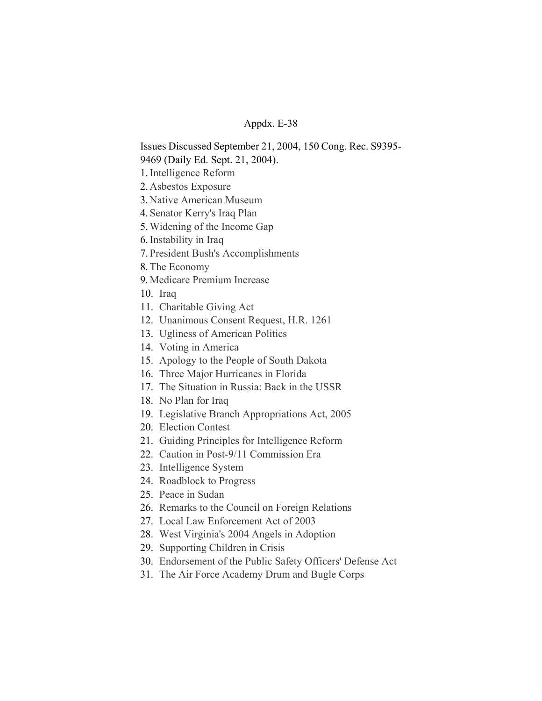Issues Discussed September 21, 2004, 150 Cong. Rec. S9395- 9469 (Daily Ed. Sept. 21, 2004).

- 1.Intelligence Reform
- 2. Asbestos Exposure
- 3. Native American Museum
- 4. Senator Kerry's Iraq Plan
- 5.Widening of the Income Gap
- 6.Instability in Iraq
- 7. President Bush's Accomplishments
- 8.The Economy
- 9. Medicare Premium Increase
- 10. Iraq
- 11. Charitable Giving Act
- 12. Unanimous Consent Request, H.R. 1261
- 13. Ugliness of American Politics
- 14. Voting in America
- 15. Apology to the People of South Dakota
- 16. Three Major Hurricanes in Florida
- 17. The Situation in Russia: Back in the USSR
- 18. No Plan for Iraq
- 19. Legislative Branch Appropriations Act, 2005
- 20. Election Contest
- 21. Guiding Principles for Intelligence Reform
- 22. Caution in Post-9/11 Commission Era
- 23. Intelligence System
- 24. Roadblock to Progress
- 25. Peace in Sudan
- 26. Remarks to the Council on Foreign Relations
- 27. Local Law Enforcement Act of 2003
- 28. West Virginia's 2004 Angels in Adoption
- 29. Supporting Children in Crisis
- 30. Endorsement of the Public Safety Officers' Defense Act
- 31. The Air Force Academy Drum and Bugle Corps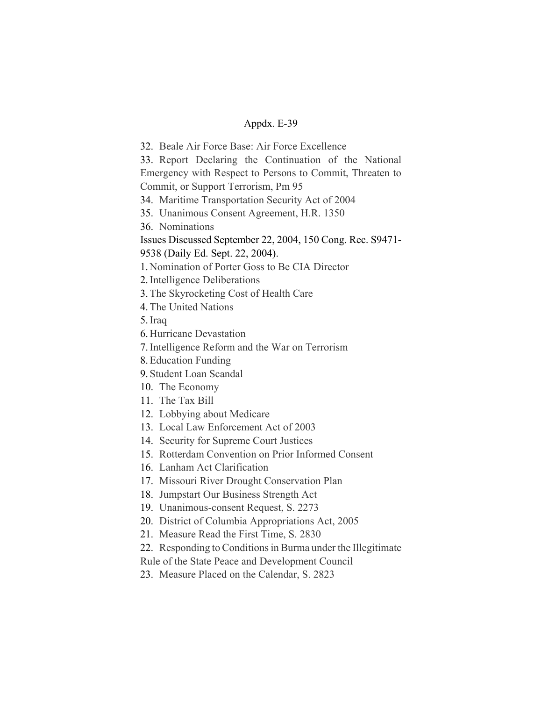32. Beale Air Force Base: Air Force Excellence

33. Report Declaring the Continuation of the National Emergency with Respect to Persons to Commit, Threaten to Commit, or Support Terrorism, Pm 95

34. Maritime Transportation Security Act of 2004

35. Unanimous Consent Agreement, H.R. 1350

36. Nominations

Issues Discussed September 22, 2004, 150 Cong. Rec. S9471- 9538 (Daily Ed. Sept. 22, 2004).

1. Nomination of Porter Goss to Be CIA Director

2.Intelligence Deliberations

3.The Skyrocketing Cost of Health Care

4.The United Nations

5.Iraq

6. Hurricane Devastation

7.Intelligence Reform and the War on Terrorism

8.Education Funding

9. Student Loan Scandal

10. The Economy

11. The Tax Bill

12. Lobbying about Medicare

13. Local Law Enforcement Act of 2003

14. Security for Supreme Court Justices

15. Rotterdam Convention on Prior Informed Consent

16. Lanham Act Clarification

17. Missouri River Drought Conservation Plan

18. Jumpstart Our Business Strength Act

19. Unanimous-consent Request, S. 2273

20. District of Columbia Appropriations Act, 2005

21. Measure Read the First Time, S. 2830

22. Responding to Conditions in Burma under the Illegitimate

Rule of the State Peace and Development Council

23. Measure Placed on the Calendar, S. 2823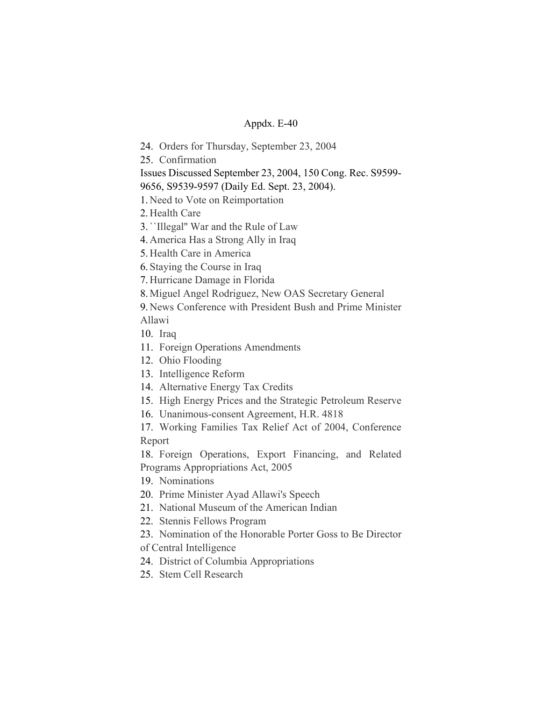24. Orders for Thursday, September 23, 2004

25. Confirmation

Issues Discussed September 23, 2004, 150 Cong. Rec. S9599-

9656, S9539-9597 (Daily Ed. Sept. 23, 2004).

1. Need to Vote on Reimportation

2. Health Care

3.``Illegal'' War and the Rule of Law

4. America Has a Strong Ally in Iraq

5. Health Care in America

6. Staying the Course in Iraq

7. Hurricane Damage in Florida

8. Miguel Angel Rodriguez, New OAS Secretary General

9. News Conference with President Bush and Prime Minister Allawi

10. Iraq

11. Foreign Operations Amendments

12. Ohio Flooding

13. Intelligence Reform

14. Alternative Energy Tax Credits

15. High Energy Prices and the Strategic Petroleum Reserve

16. Unanimous-consent Agreement, H.R. 4818

17. Working Families Tax Relief Act of 2004, Conference Report

18. Foreign Operations, Export Financing, and Related Programs Appropriations Act, 2005

19. Nominations

20. Prime Minister Ayad Allawi's Speech

21. National Museum of the American Indian

22. Stennis Fellows Program

23. Nomination of the Honorable Porter Goss to Be Director

of Central Intelligence

24. District of Columbia Appropriations

25. Stem Cell Research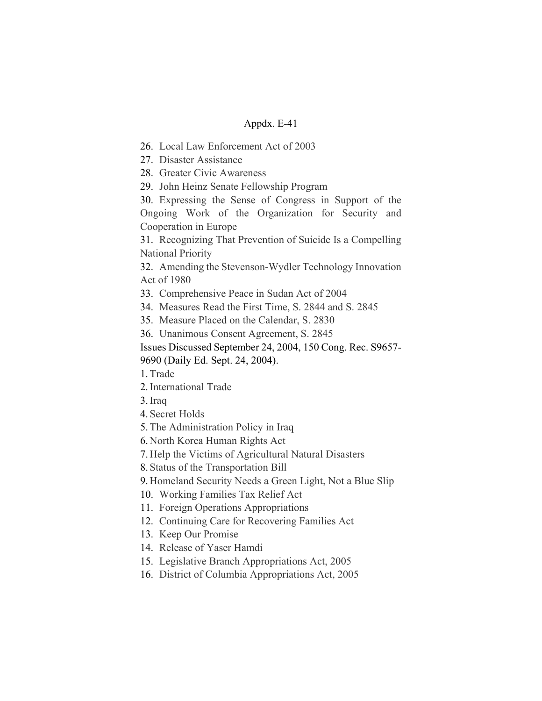- 26. Local Law Enforcement Act of 2003
- 27. Disaster Assistance
- 28. Greater Civic Awareness
- 29. John Heinz Senate Fellowship Program

30. Expressing the Sense of Congress in Support of the Ongoing Work of the Organization for Security and Cooperation in Europe

31. Recognizing That Prevention of Suicide Is a Compelling National Priority

32. Amending the Stevenson-Wydler Technology Innovation Act of 1980

- 33. Comprehensive Peace in Sudan Act of 2004
- 34. Measures Read the First Time, S. 2844 and S. 2845
- 35. Measure Placed on the Calendar, S. 2830
- 36. Unanimous Consent Agreement, S. 2845
- Issues Discussed September 24, 2004, 150 Cong. Rec. S9657- 9690 (Daily Ed. Sept. 24, 2004).
- 1.Trade
- 2.International Trade
- 3.Iraq
- 4. Secret Holds
- 5.The Administration Policy in Iraq
- 6. North Korea Human Rights Act
- 7. Help the Victims of Agricultural Natural Disasters
- 8. Status of the Transportation Bill
- 9. Homeland Security Needs a Green Light, Not a Blue Slip
- 10. Working Families Tax Relief Act
- 11. Foreign Operations Appropriations
- 12. Continuing Care for Recovering Families Act
- 13. Keep Our Promise
- 14. Release of Yaser Hamdi
- 15. Legislative Branch Appropriations Act, 2005
- 16. District of Columbia Appropriations Act, 2005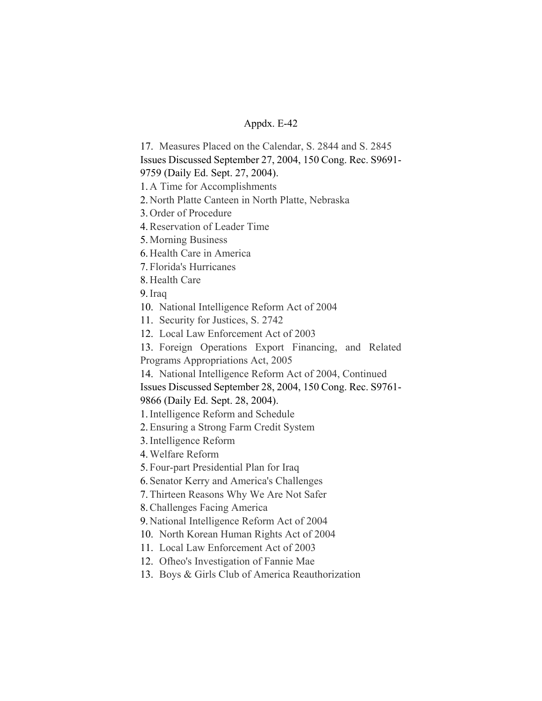17. Measures Placed on the Calendar, S. 2844 and S. 2845

Issues Discussed September 27, 2004, 150 Cong. Rec. S9691-

9759 (Daily Ed. Sept. 27, 2004).

1. A Time for Accomplishments

2. North Platte Canteen in North Platte, Nebraska

3. Order of Procedure

4.Reservation of Leader Time

5. Morning Business

6. Health Care in America

7. Florida's Hurricanes

8. Health Care

9.Iraq

10. National Intelligence Reform Act of 2004

11. Security for Justices, S. 2742

12. Local Law Enforcement Act of 2003

13. Foreign Operations Export Financing, and Related Programs Appropriations Act, 2005

14. National Intelligence Reform Act of 2004, Continued

Issues Discussed September 28, 2004, 150 Cong. Rec. S9761-

9866 (Daily Ed. Sept. 28, 2004).

1.Intelligence Reform and Schedule

2.Ensuring a Strong Farm Credit System

3.Intelligence Reform

4.Welfare Reform

5. Four-part Presidential Plan for Iraq

6. Senator Kerry and America's Challenges

7.Thirteen Reasons Why We Are Not Safer

8.Challenges Facing America

9. National Intelligence Reform Act of 2004

10. North Korean Human Rights Act of 2004

11. Local Law Enforcement Act of 2003

12. Ofheo's Investigation of Fannie Mae

13. Boys & Girls Club of America Reauthorization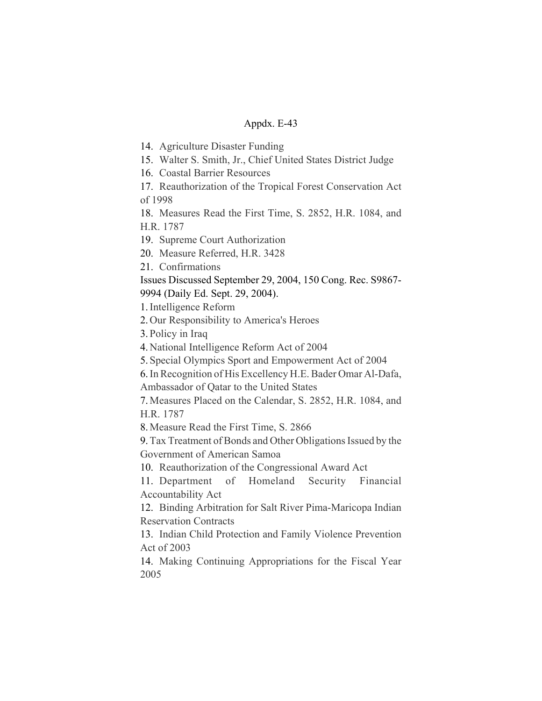14. Agriculture Disaster Funding

15. Walter S. Smith, Jr., Chief United States District Judge

16. Coastal Barrier Resources

17. Reauthorization of the Tropical Forest Conservation Act of 1998

18. Measures Read the First Time, S. 2852, H.R. 1084, and H.R. 1787

19. Supreme Court Authorization

20. Measure Referred, H.R. 3428

21. Confirmations

Issues Discussed September 29, 2004, 150 Cong. Rec. S9867- 9994 (Daily Ed. Sept. 29, 2004).

1.Intelligence Reform

2. Our Responsibility to America's Heroes

3. Policy in Iraq

4. National Intelligence Reform Act of 2004

5. Special Olympics Sport and Empowerment Act of 2004

6.In Recognition of His Excellency H.E. Bader Omar Al-Dafa,

Ambassador of Qatar to the United States

7. Measures Placed on the Calendar, S. 2852, H.R. 1084, and H.R. 1787

8. Measure Read the First Time, S. 2866

9.Tax Treatment of Bonds and Other Obligations Issued by the Government of American Samoa

10. Reauthorization of the Congressional Award Act

11. Department of Homeland Security Financial Accountability Act

12. Binding Arbitration for Salt River Pima-Maricopa Indian Reservation Contracts

13. Indian Child Protection and Family Violence Prevention Act of 2003

14. Making Continuing Appropriations for the Fiscal Year 2005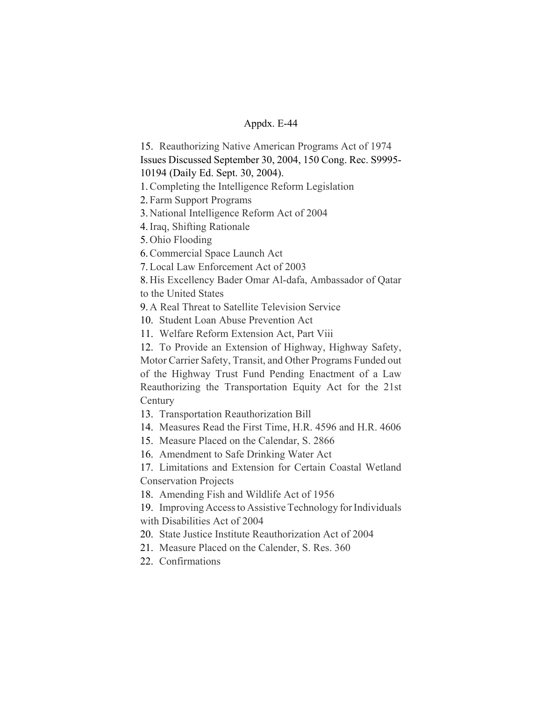15. Reauthorizing Native American Programs Act of 1974 Issues Discussed September 30, 2004, 150 Cong. Rec. S9995-

10194 (Daily Ed. Sept. 30, 2004).

1.Completing the Intelligence Reform Legislation

2. Farm Support Programs

3. National Intelligence Reform Act of 2004

4.Iraq, Shifting Rationale

5. Ohio Flooding

6.Commercial Space Launch Act

7.Local Law Enforcement Act of 2003

8. His Excellency Bader Omar Al-dafa, Ambassador of Qatar to the United States

9. A Real Threat to Satellite Television Service

10. Student Loan Abuse Prevention Act

11. Welfare Reform Extension Act, Part Viii

12. To Provide an Extension of Highway, Highway Safety, Motor Carrier Safety, Transit, and Other Programs Funded out of the Highway Trust Fund Pending Enactment of a Law Reauthorizing the Transportation Equity Act for the 21st **Century** 

13. Transportation Reauthorization Bill

14. Measures Read the First Time, H.R. 4596 and H.R. 4606

15. Measure Placed on the Calendar, S. 2866

16. Amendment to Safe Drinking Water Act

17. Limitations and Extension for Certain Coastal Wetland Conservation Projects

18. Amending Fish and Wildlife Act of 1956

19. Improving Access to Assistive Technology for Individuals with Disabilities Act of 2004

20. State Justice Institute Reauthorization Act of 2004

21. Measure Placed on the Calender, S. Res. 360

22. Confirmations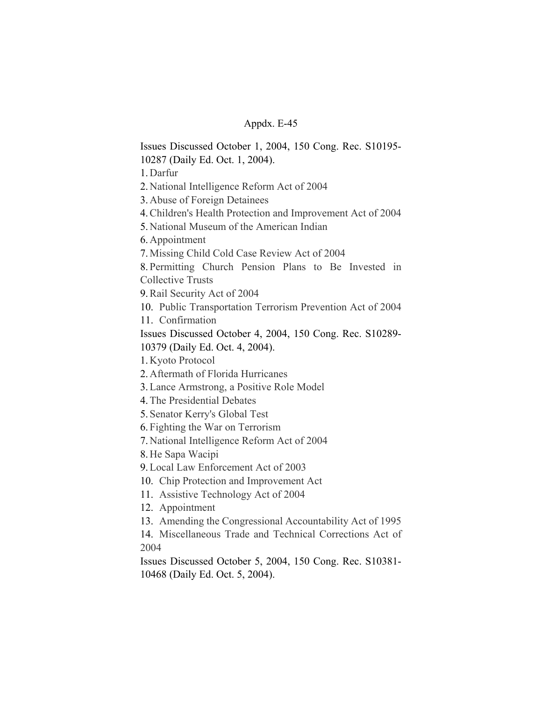Issues Discussed October 1, 2004, 150 Cong. Rec. S10195- 10287 (Daily Ed. Oct. 1, 2004). 1. Darfur 2. National Intelligence Reform Act of 2004 3. Abuse of Foreign Detainees 4.Children's Health Protection and Improvement Act of 2004 5. National Museum of the American Indian 6. Appointment 7. Missing Child Cold Case Review Act of 2004 8. Permitting Church Pension Plans to Be Invested in Collective Trusts 9.Rail Security Act of 2004 10. Public Transportation Terrorism Prevention Act of 2004 11. Confirmation Issues Discussed October 4, 2004, 150 Cong. Rec. S10289- 10379 (Daily Ed. Oct. 4, 2004). 1. Kyoto Protocol 2. Aftermath of Florida Hurricanes 3.Lance Armstrong, a Positive Role Model 4.The Presidential Debates 5. Senator Kerry's Global Test 6. Fighting the War on Terrorism 7. National Intelligence Reform Act of 2004 8. He Sapa Wacipi 9.Local Law Enforcement Act of 2003 10. Chip Protection and Improvement Act

11. Assistive Technology Act of 2004

12. Appointment

13. Amending the Congressional Accountability Act of 1995

14. Miscellaneous Trade and Technical Corrections Act of 2004

Issues Discussed October 5, 2004, 150 Cong. Rec. S10381- 10468 (Daily Ed. Oct. 5, 2004).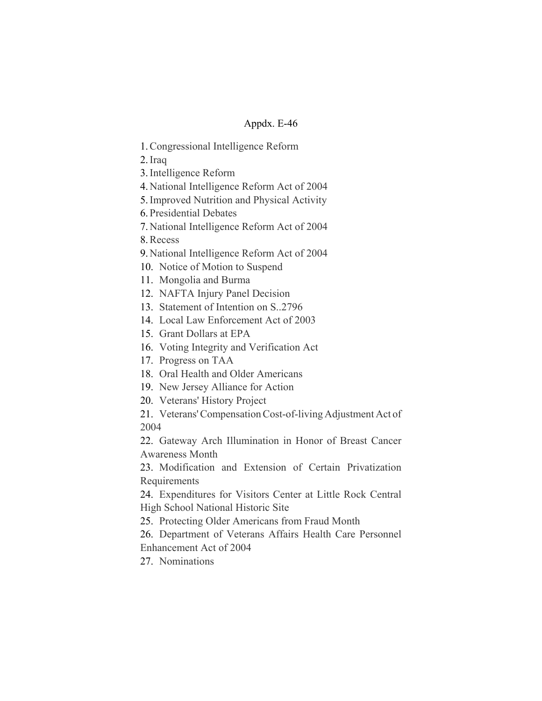- 1.Congressional Intelligence Reform
- 2.Iraq

3.Intelligence Reform

- 4. National Intelligence Reform Act of 2004
- 5.Improved Nutrition and Physical Activity
- 6. Presidential Debates
- 7. National Intelligence Reform Act of 2004

8.Recess

- 9. National Intelligence Reform Act of 2004
- 10. Notice of Motion to Suspend
- 11. Mongolia and Burma
- 12. NAFTA Injury Panel Decision
- 13. Statement of Intention on S..2796
- 14. Local Law Enforcement Act of 2003
- 15. Grant Dollars at EPA
- 16. Voting Integrity and Verification Act
- 17. Progress on TAA
- 18. Oral Health and Older Americans
- 19. New Jersey Alliance for Action
- 20. Veterans' History Project

21. Veterans' Compensation Cost-of-living Adjustment Act of 2004

22. Gateway Arch Illumination in Honor of Breast Cancer Awareness Month

23. Modification and Extension of Certain Privatization Requirements

24. Expenditures for Visitors Center at Little Rock Central High School National Historic Site

25. Protecting Older Americans from Fraud Month

26. Department of Veterans Affairs Health Care Personnel Enhancement Act of 2004

27. Nominations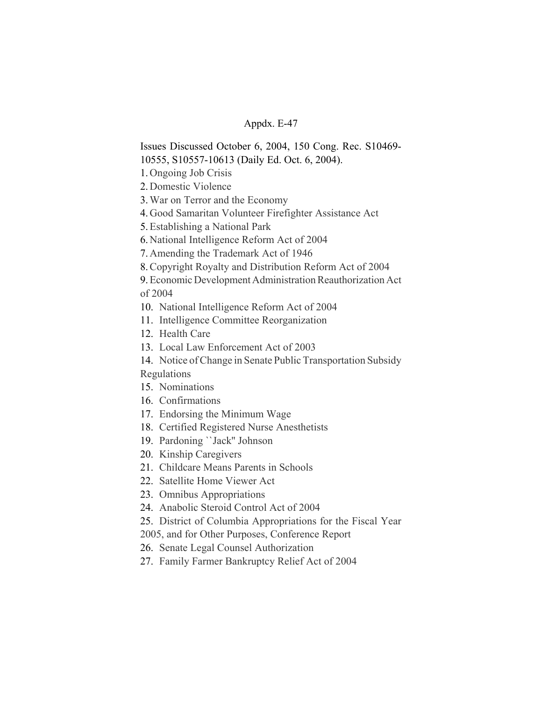Issues Discussed October 6, 2004, 150 Cong. Rec. S10469- 10555, S10557-10613 (Daily Ed. Oct. 6, 2004).

1. Ongoing Job Crisis

2. Domestic Violence

3.War on Terror and the Economy

4. Good Samaritan Volunteer Firefighter Assistance Act

5.Establishing a National Park

6. National Intelligence Reform Act of 2004

7. Amending the Trademark Act of 1946

8.Copyright Royalty and Distribution Reform Act of 2004

9.Economic Development Administration Reauthorization Act of 2004

10. National Intelligence Reform Act of 2004

11. Intelligence Committee Reorganization

12. Health Care

13. Local Law Enforcement Act of 2003

14. Notice of Change in Senate Public Transportation Subsidy Regulations

15. Nominations

- 16. Confirmations
- 17. Endorsing the Minimum Wage
- 18. Certified Registered Nurse Anesthetists
- 19. Pardoning ``Jack'' Johnson
- 20. Kinship Caregivers
- 21. Childcare Means Parents in Schools
- 22. Satellite Home Viewer Act
- 23. Omnibus Appropriations
- 24. Anabolic Steroid Control Act of 2004
- 25. District of Columbia Appropriations for the Fiscal Year

2005, and for Other Purposes, Conference Report

26. Senate Legal Counsel Authorization

27. Family Farmer Bankruptcy Relief Act of 2004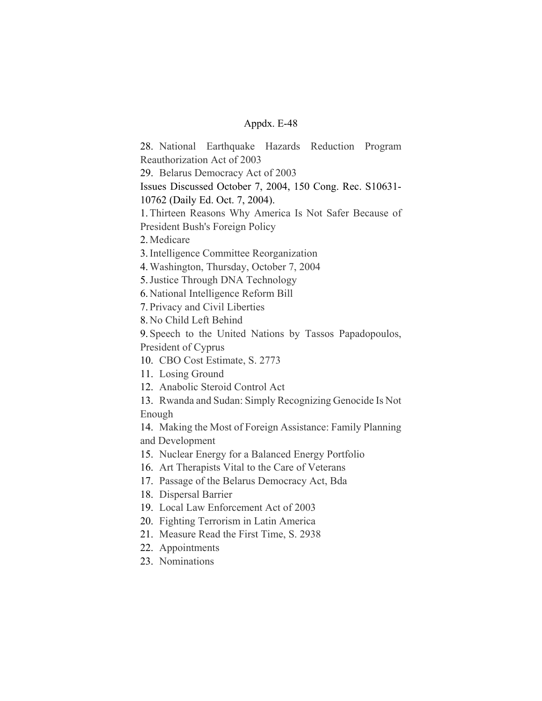28. National Earthquake Hazards Reduction Program Reauthorization Act of 2003

29. Belarus Democracy Act of 2003

Issues Discussed October 7, 2004, 150 Cong. Rec. S10631- 10762 (Daily Ed. Oct. 7, 2004).

1.Thirteen Reasons Why America Is Not Safer Because of

President Bush's Foreign Policy

2. Medicare

3.Intelligence Committee Reorganization

4.Washington, Thursday, October 7, 2004

5.Justice Through DNA Technology

6. National Intelligence Reform Bill

7. Privacy and Civil Liberties

8. No Child Left Behind

9. Speech to the United Nations by Tassos Papadopoulos, President of Cyprus

10. CBO Cost Estimate, S. 2773

11. Losing Ground

12. Anabolic Steroid Control Act

13. Rwanda and Sudan: Simply Recognizing Genocide Is Not Enough

14. Making the Most of Foreign Assistance: Family Planning and Development

15. Nuclear Energy for a Balanced Energy Portfolio

16. Art Therapists Vital to the Care of Veterans

17. Passage of the Belarus Democracy Act, Bda

18. Dispersal Barrier

19. Local Law Enforcement Act of 2003

20. Fighting Terrorism in Latin America

21. Measure Read the First Time, S. 2938

22. Appointments

23. Nominations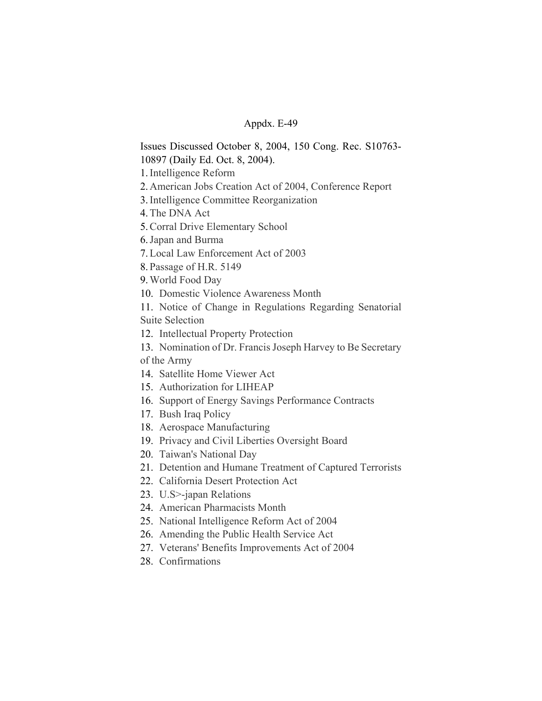Issues Discussed October 8, 2004, 150 Cong. Rec. S10763- 10897 (Daily Ed. Oct. 8, 2004).

1.Intelligence Reform

2. American Jobs Creation Act of 2004, Conference Report

3.Intelligence Committee Reorganization

4.The DNA Act

5.Corral Drive Elementary School

6.Japan and Burma

7.Local Law Enforcement Act of 2003

8. Passage of H.R. 5149

9.World Food Day

10. Domestic Violence Awareness Month

11. Notice of Change in Regulations Regarding Senatorial Suite Selection

12. Intellectual Property Protection

13. Nomination of Dr. Francis Joseph Harvey to Be Secretary of the Army

- 14. Satellite Home Viewer Act
- 15. Authorization for LIHEAP
- 16. Support of Energy Savings Performance Contracts
- 17. Bush Iraq Policy
- 18. Aerospace Manufacturing
- 19. Privacy and Civil Liberties Oversight Board
- 20. Taiwan's National Day
- 21. Detention and Humane Treatment of Captured Terrorists
- 22. California Desert Protection Act
- 23. U.S>-japan Relations
- 24. American Pharmacists Month
- 25. National Intelligence Reform Act of 2004
- 26. Amending the Public Health Service Act
- 27. Veterans' Benefits Improvements Act of 2004
- 28. Confirmations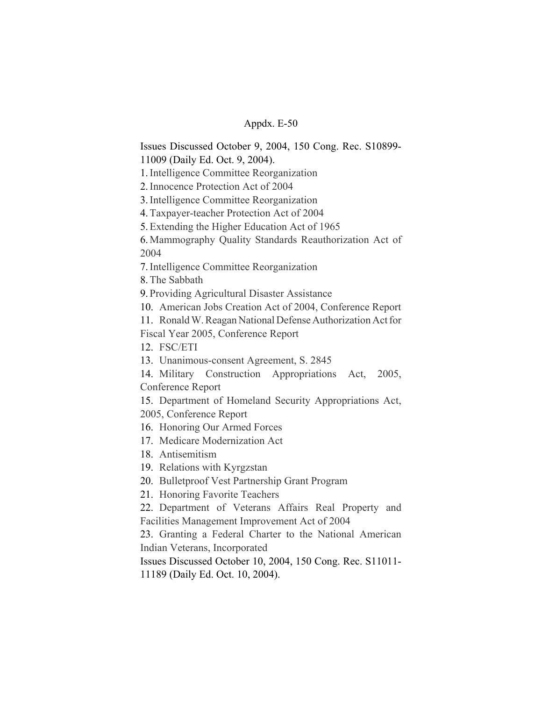Issues Discussed October 9, 2004, 150 Cong. Rec. S10899- 11009 (Daily Ed. Oct. 9, 2004).

1.Intelligence Committee Reorganization

2.Innocence Protection Act of 2004

3.Intelligence Committee Reorganization

4.Taxpayer-teacher Protection Act of 2004

5.Extending the Higher Education Act of 1965

6. Mammography Quality Standards Reauthorization Act of 2004

7.Intelligence Committee Reorganization

8.The Sabbath

9. Providing Agricultural Disaster Assistance

10. American Jobs Creation Act of 2004, Conference Report

11. Ronald W. Reagan National Defense Authorization Act for

Fiscal Year 2005, Conference Report

12. FSC/ETI

13. Unanimous-consent Agreement, S. 2845

14. Military Construction Appropriations Act, 2005, Conference Report

15. Department of Homeland Security Appropriations Act, 2005, Conference Report

16. Honoring Our Armed Forces

17. Medicare Modernization Act

18. Antisemitism

19. Relations with Kyrgzstan

20. Bulletproof Vest Partnership Grant Program

21. Honoring Favorite Teachers

22. Department of Veterans Affairs Real Property and Facilities Management Improvement Act of 2004

23. Granting a Federal Charter to the National American Indian Veterans, Incorporated

Issues Discussed October 10, 2004, 150 Cong. Rec. S11011- 11189 (Daily Ed. Oct. 10, 2004).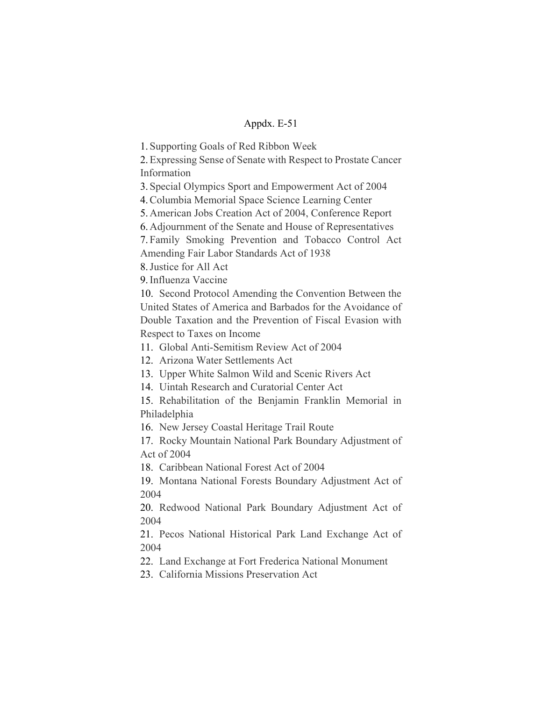1. Supporting Goals of Red Ribbon Week

2.Expressing Sense of Senate with Respect to Prostate Cancer Information

3. Special Olympics Sport and Empowerment Act of 2004

4.Columbia Memorial Space Science Learning Center

5. American Jobs Creation Act of 2004, Conference Report

6. Adjournment of the Senate and House of Representatives

7. Family Smoking Prevention and Tobacco Control Act Amending Fair Labor Standards Act of 1938

8.Justice for All Act

9.Influenza Vaccine

10. Second Protocol Amending the Convention Between the United States of America and Barbados for the Avoidance of Double Taxation and the Prevention of Fiscal Evasion with Respect to Taxes on Income

11. Global Anti-Semitism Review Act of 2004

12. Arizona Water Settlements Act

13. Upper White Salmon Wild and Scenic Rivers Act

14. Uintah Research and Curatorial Center Act

15. Rehabilitation of the Benjamin Franklin Memorial in Philadelphia

16. New Jersey Coastal Heritage Trail Route

17. Rocky Mountain National Park Boundary Adjustment of Act of 2004

18. Caribbean National Forest Act of 2004

19. Montana National Forests Boundary Adjustment Act of 2004

20. Redwood National Park Boundary Adjustment Act of 2004

21. Pecos National Historical Park Land Exchange Act of 2004

22. Land Exchange at Fort Frederica National Monument

23. California Missions Preservation Act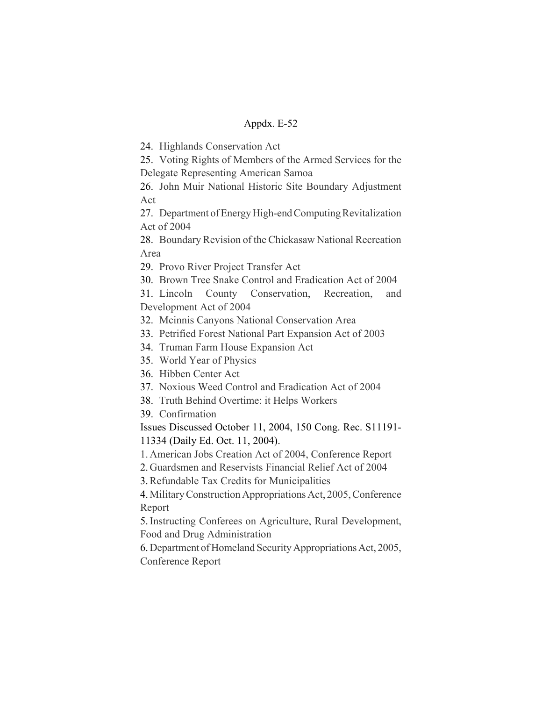24. Highlands Conservation Act

25. Voting Rights of Members of the Armed Services for the Delegate Representing American Samoa

26. John Muir National Historic Site Boundary Adjustment Act

27. Department of Energy High-end Computing Revitalization Act of 2004

28. Boundary Revision of the Chickasaw National Recreation Area

29. Provo River Project Transfer Act

30. Brown Tree Snake Control and Eradication Act of 2004

31. Lincoln County Conservation, Recreation, and Development Act of 2004

32. Mcinnis Canyons National Conservation Area

33. Petrified Forest National Part Expansion Act of 2003

34. Truman Farm House Expansion Act

35. World Year of Physics

36. Hibben Center Act

37. Noxious Weed Control and Eradication Act of 2004

38. Truth Behind Overtime: it Helps Workers

39. Confirmation

Issues Discussed October 11, 2004, 150 Cong. Rec. S11191- 11334 (Daily Ed. Oct. 11, 2004).

1. American Jobs Creation Act of 2004, Conference Report

2. Guardsmen and Reservists Financial Relief Act of 2004

3.Refundable Tax Credits for Municipalities

4. Military Construction Appropriations Act, 2005, Conference Report

5.Instructing Conferees on Agriculture, Rural Development, Food and Drug Administration

6. Department of Homeland Security Appropriations Act, 2005, Conference Report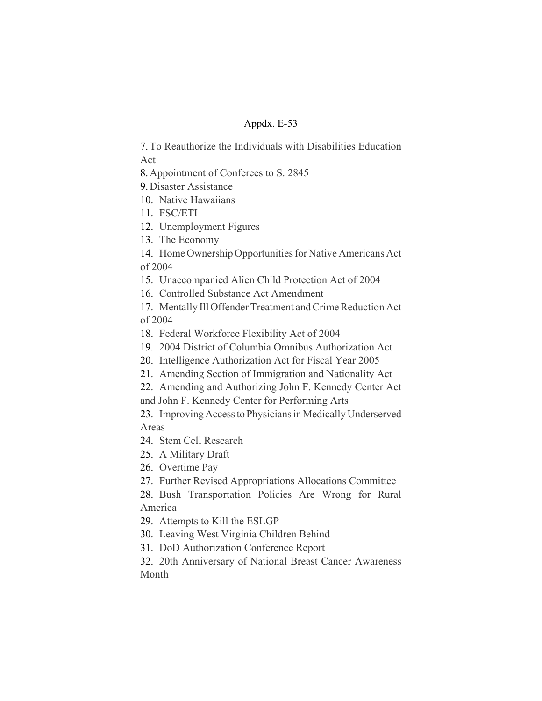7.To Reauthorize the Individuals with Disabilities Education Act

8. Appointment of Conferees to S. 2845

9. Disaster Assistance

- 10. Native Hawaiians
- 11. FSC/ETI
- 12. Unemployment Figures
- 13. The Economy

14. Home Ownership Opportunities for Native Americans Act of 2004

15. Unaccompanied Alien Child Protection Act of 2004

16. Controlled Substance Act Amendment

17. Mentally Ill Offender Treatment and Crime Reduction Act of 2004

- 18. Federal Workforce Flexibility Act of 2004
- 19. 2004 District of Columbia Omnibus Authorization Act
- 20. Intelligence Authorization Act for Fiscal Year 2005
- 21. Amending Section of Immigration and Nationality Act
- 22. Amending and Authorizing John F. Kennedy Center Act

and John F. Kennedy Center for Performing Arts

23. Improving Access to Physicians in Medically Underserved Areas

24. Stem Cell Research

25. A Military Draft

26. Overtime Pay

27. Further Revised Appropriations Allocations Committee

28. Bush Transportation Policies Are Wrong for Rural America

29. Attempts to Kill the ESLGP

30. Leaving West Virginia Children Behind

31. DoD Authorization Conference Report

32. 20th Anniversary of National Breast Cancer Awareness Month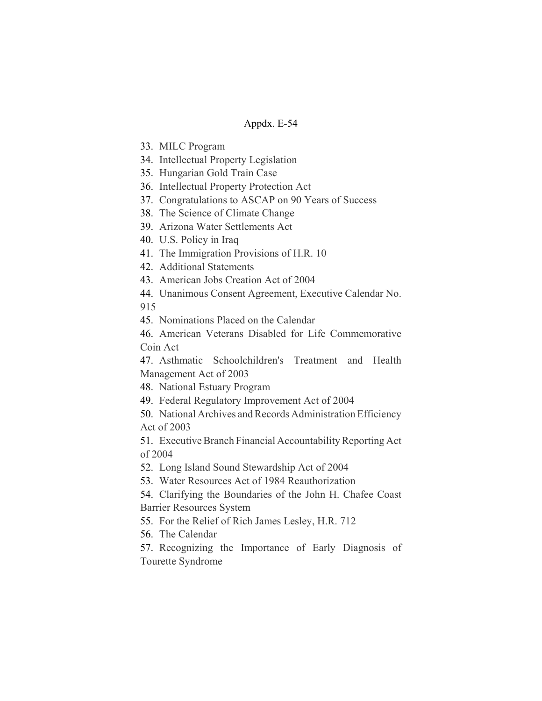- 33. MILC Program
- 34. Intellectual Property Legislation
- 35. Hungarian Gold Train Case
- 36. Intellectual Property Protection Act
- 37. Congratulations to ASCAP on 90 Years of Success
- 38. The Science of Climate Change
- 39. Arizona Water Settlements Act
- 40. U.S. Policy in Iraq
- 41. The Immigration Provisions of H.R. 10
- 42. Additional Statements
- 43. American Jobs Creation Act of 2004
- 44. Unanimous Consent Agreement, Executive Calendar No.
- 915

45. Nominations Placed on the Calendar

46. American Veterans Disabled for Life Commemorative Coin Act

47. Asthmatic Schoolchildren's Treatment and Health Management Act of 2003

48. National Estuary Program

49. Federal Regulatory Improvement Act of 2004

50. National Archives and Records Administration Efficiency Act of 2003

51. Executive Branch Financial Accountability Reporting Act of 2004

52. Long Island Sound Stewardship Act of 2004

53. Water Resources Act of 1984 Reauthorization

54. Clarifying the Boundaries of the John H. Chafee Coast Barrier Resources System

55. For the Relief of Rich James Lesley, H.R. 712

56. The Calendar

57. Recognizing the Importance of Early Diagnosis of Tourette Syndrome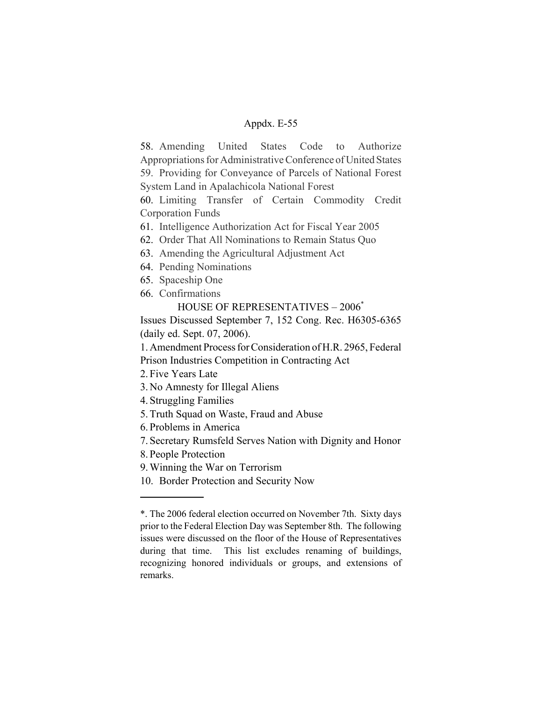58. Amending United States Code to Authorize Appropriations for Administrative Conference of United States 59. Providing for Conveyance of Parcels of National Forest System Land in Apalachicola National Forest

60. Limiting Transfer of Certain Commodity Credit Corporation Funds

61. Intelligence Authorization Act for Fiscal Year 2005

- 62. Order That All Nominations to Remain Status Quo
- 63. Amending the Agricultural Adjustment Act
- 64. Pending Nominations
- 65. Spaceship One
- 66. Confirmations

HOUSE OF REPRESENTATIVES – 2006\*

Issues Discussed September 7, 152 Cong. Rec. H6305-6365 (daily ed. Sept. 07, 2006).

1. Amendment Process for Consideration of H.R. 2965, Federal Prison Industries Competition in Contracting Act

2. Five Years Late

3. No Amnesty for Illegal Aliens

4. Struggling Families

- 5. Truth Squad on Waste, Fraud and Abuse
- 6. Problems in America

7. Secretary Rumsfeld Serves Nation with Dignity and Honor

8. People Protection

9. Winning the War on Terrorism

10. Border Protection and Security Now

<sup>\*.</sup> The 2006 federal election occurred on November 7th. Sixty days prior to the Federal Election Day was September 8th. The following issues were discussed on the floor of the House of Representatives during that time. This list excludes renaming of buildings, recognizing honored individuals or groups, and extensions of remarks.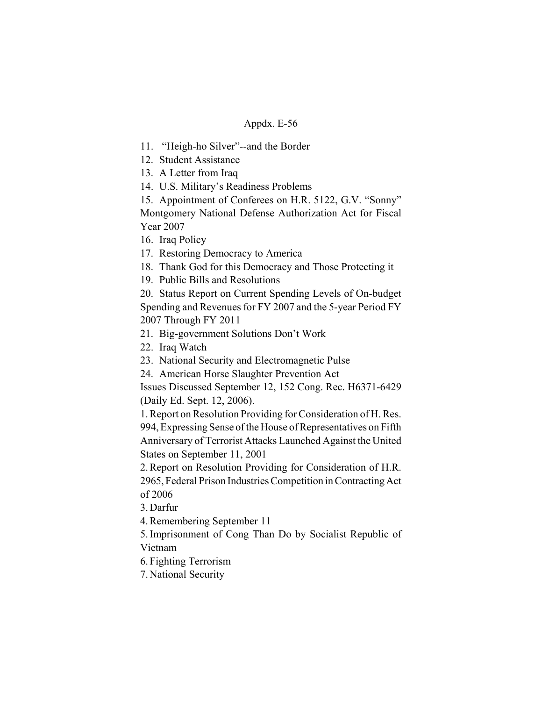11. "Heigh-ho Silver"--and the Border

12. Student Assistance

13. A Letter from Iraq

14. U.S. Military's Readiness Problems

15. Appointment of Conferees on H.R. 5122, G.V. "Sonny" Montgomery National Defense Authorization Act for Fiscal Year 2007

16. Iraq Policy

17. Restoring Democracy to America

18. Thank God for this Democracy and Those Protecting it

19. Public Bills and Resolutions

20. Status Report on Current Spending Levels of On-budget Spending and Revenues for FY 2007 and the 5-year Period FY 2007 Through FY 2011

21. Big-government Solutions Don't Work

22. Iraq Watch

23. National Security and Electromagnetic Pulse

24. American Horse Slaughter Prevention Act

Issues Discussed September 12, 152 Cong. Rec. H6371-6429 (Daily Ed. Sept. 12, 2006).

1. Report on Resolution Providing for Consideration of H. Res. 994, Expressing Sense of the House of Representatives on Fifth Anniversary of Terrorist Attacks Launched Against the United States on September 11, 2001

2. Report on Resolution Providing for Consideration of H.R. 2965, Federal Prison Industries Competition in Contracting Act of 2006

3. Darfur

4. Remembering September 11

5. Imprisonment of Cong Than Do by Socialist Republic of Vietnam

6. Fighting Terrorism

7. National Security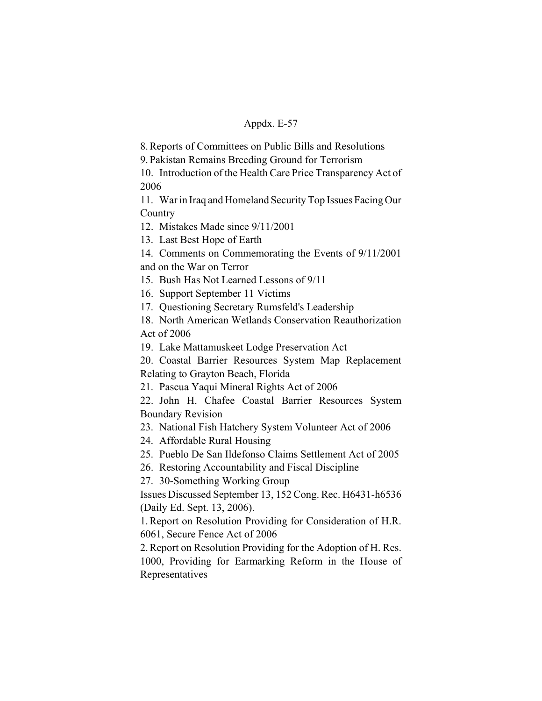8. Reports of Committees on Public Bills and Resolutions

9. Pakistan Remains Breeding Ground for Terrorism

10. Introduction of the Health Care Price Transparency Act of 2006

11. War in Iraq and Homeland Security Top Issues Facing Our **Country** 

12. Mistakes Made since 9/11/2001

13. Last Best Hope of Earth

14. Comments on Commemorating the Events of 9/11/2001 and on the War on Terror

15. Bush Has Not Learned Lessons of 9/11

16. Support September 11 Victims

17. Questioning Secretary Rumsfeld's Leadership

18. North American Wetlands Conservation Reauthorization Act of 2006

19. Lake Mattamuskeet Lodge Preservation Act

20. Coastal Barrier Resources System Map Replacement Relating to Grayton Beach, Florida

21. Pascua Yaqui Mineral Rights Act of 2006

22. John H. Chafee Coastal Barrier Resources System Boundary Revision

23. National Fish Hatchery System Volunteer Act of 2006

24. Affordable Rural Housing

25. Pueblo De San Ildefonso Claims Settlement Act of 2005

26. Restoring Accountability and Fiscal Discipline

27. 30-Something Working Group

Issues Discussed September 13, 152 Cong. Rec. H6431-h6536 (Daily Ed. Sept. 13, 2006).

1. Report on Resolution Providing for Consideration of H.R. 6061, Secure Fence Act of 2006

2. Report on Resolution Providing for the Adoption of H. Res. 1000, Providing for Earmarking Reform in the House of Representatives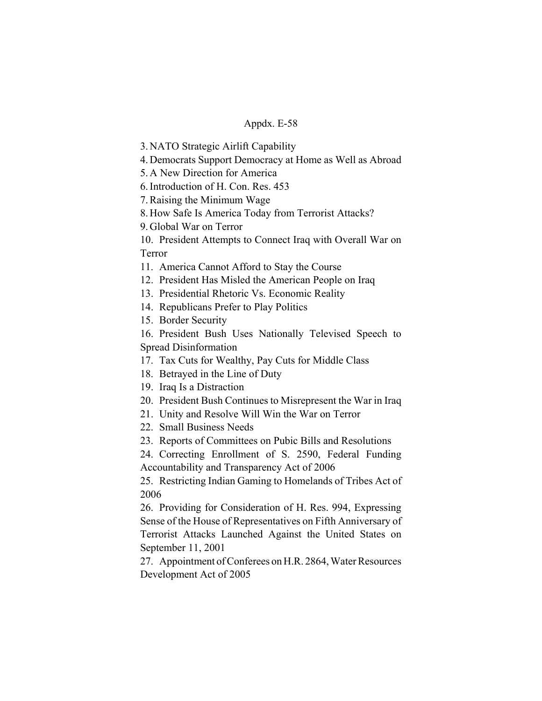3. NATO Strategic Airlift Capability

4. Democrats Support Democracy at Home as Well as Abroad

5. A New Direction for America

6. Introduction of H. Con. Res. 453

7. Raising the Minimum Wage

8. How Safe Is America Today from Terrorist Attacks?

9. Global War on Terror

10. President Attempts to Connect Iraq with Overall War on Terror

11. America Cannot Afford to Stay the Course

12. President Has Misled the American People on Iraq

13. Presidential Rhetoric Vs. Economic Reality

14. Republicans Prefer to Play Politics

15. Border Security

16. President Bush Uses Nationally Televised Speech to Spread Disinformation

17. Tax Cuts for Wealthy, Pay Cuts for Middle Class

18. Betrayed in the Line of Duty

19. Iraq Is a Distraction

20. President Bush Continues to Misrepresent the War in Iraq

21. Unity and Resolve Will Win the War on Terror

22. Small Business Needs

23. Reports of Committees on Pubic Bills and Resolutions

24. Correcting Enrollment of S. 2590, Federal Funding Accountability and Transparency Act of 2006

25. Restricting Indian Gaming to Homelands of Tribes Act of 2006

26. Providing for Consideration of H. Res. 994, Expressing Sense of the House of Representatives on Fifth Anniversary of Terrorist Attacks Launched Against the United States on September 11, 2001

27. Appointment of Conferees on H.R. 2864, Water Resources Development Act of 2005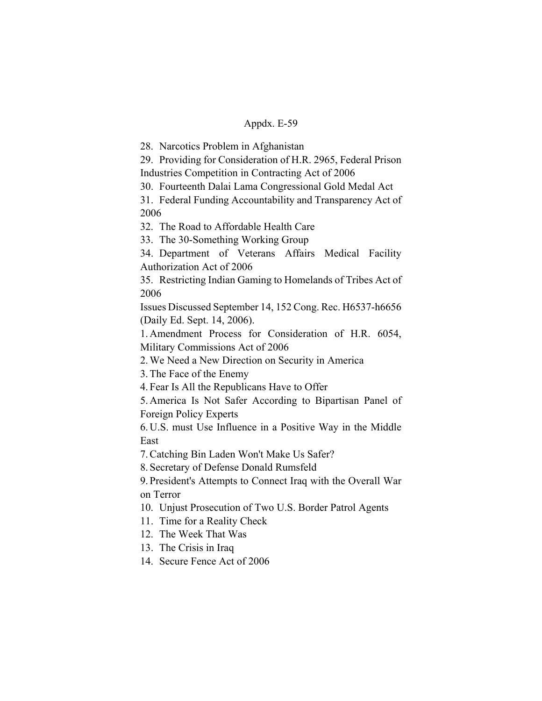28. Narcotics Problem in Afghanistan

29. Providing for Consideration of H.R. 2965, Federal Prison Industries Competition in Contracting Act of 2006

30. Fourteenth Dalai Lama Congressional Gold Medal Act

31. Federal Funding Accountability and Transparency Act of 2006

32. The Road to Affordable Health Care

33. The 30-Something Working Group

34. Department of Veterans Affairs Medical Facility Authorization Act of 2006

35. Restricting Indian Gaming to Homelands of Tribes Act of 2006

Issues Discussed September 14, 152 Cong. Rec. H6537-h6656 (Daily Ed. Sept. 14, 2006).

1. Amendment Process for Consideration of H.R. 6054, Military Commissions Act of 2006

2. We Need a New Direction on Security in America

3. The Face of the Enemy

4. Fear Is All the Republicans Have to Offer

5. America Is Not Safer According to Bipartisan Panel of Foreign Policy Experts

6. U.S. must Use Influence in a Positive Way in the Middle East

7. Catching Bin Laden Won't Make Us Safer?

8. Secretary of Defense Donald Rumsfeld

9. President's Attempts to Connect Iraq with the Overall War on Terror

10. Unjust Prosecution of Two U.S. Border Patrol Agents

11. Time for a Reality Check

12. The Week That Was

13. The Crisis in Iraq

14. Secure Fence Act of 2006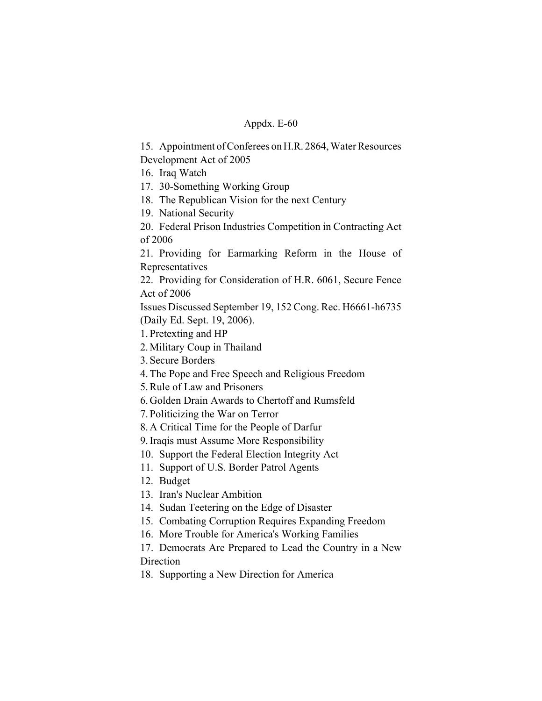15. Appointment of Conferees on H.R. 2864, Water Resources Development Act of 2005

16. Iraq Watch

17. 30-Something Working Group

18. The Republican Vision for the next Century

19. National Security

20. Federal Prison Industries Competition in Contracting Act of 2006

21. Providing for Earmarking Reform in the House of Representatives

22. Providing for Consideration of H.R. 6061, Secure Fence Act of 2006

Issues Discussed September 19, 152 Cong. Rec. H6661-h6735 (Daily Ed. Sept. 19, 2006).

1. Pretexting and HP

2. Military Coup in Thailand

3. Secure Borders

4. The Pope and Free Speech and Religious Freedom

5. Rule of Law and Prisoners

6. Golden Drain Awards to Chertoff and Rumsfeld

7. Politicizing the War on Terror

8. A Critical Time for the People of Darfur

9. Iraqis must Assume More Responsibility

10. Support the Federal Election Integrity Act

11. Support of U.S. Border Patrol Agents

12. Budget

13. Iran's Nuclear Ambition

14. Sudan Teetering on the Edge of Disaster

15. Combating Corruption Requires Expanding Freedom

16. More Trouble for America's Working Families

17. Democrats Are Prepared to Lead the Country in a New **Direction** 

18. Supporting a New Direction for America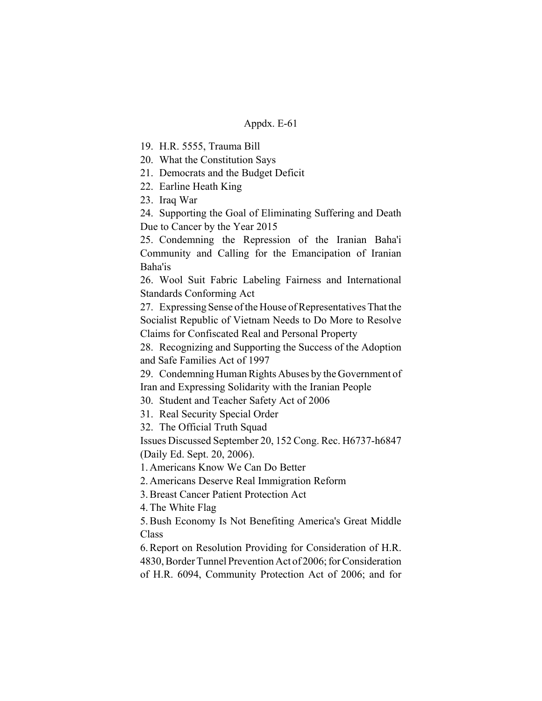19. H.R. 5555, Trauma Bill

20. What the Constitution Says

21. Democrats and the Budget Deficit

22. Earline Heath King

23. Iraq War

24. Supporting the Goal of Eliminating Suffering and Death Due to Cancer by the Year 2015

25. Condemning the Repression of the Iranian Baha'i Community and Calling for the Emancipation of Iranian Baha'is

26. Wool Suit Fabric Labeling Fairness and International Standards Conforming Act

27. Expressing Sense of the House of Representatives That the Socialist Republic of Vietnam Needs to Do More to Resolve Claims for Confiscated Real and Personal Property

28. Recognizing and Supporting the Success of the Adoption and Safe Families Act of 1997

29. Condemning Human Rights Abuses by the Government of Iran and Expressing Solidarity with the Iranian People

30. Student and Teacher Safety Act of 2006

31. Real Security Special Order

32. The Official Truth Squad

Issues Discussed September 20, 152 Cong. Rec. H6737-h6847 (Daily Ed. Sept. 20, 2006).

1. Americans Know We Can Do Better

2. Americans Deserve Real Immigration Reform

3. Breast Cancer Patient Protection Act

4. The White Flag

5. Bush Economy Is Not Benefiting America's Great Middle Class

6. Report on Resolution Providing for Consideration of H.R. 4830, Border Tunnel Prevention Act of 2006; for Consideration of H.R. 6094, Community Protection Act of 2006; and for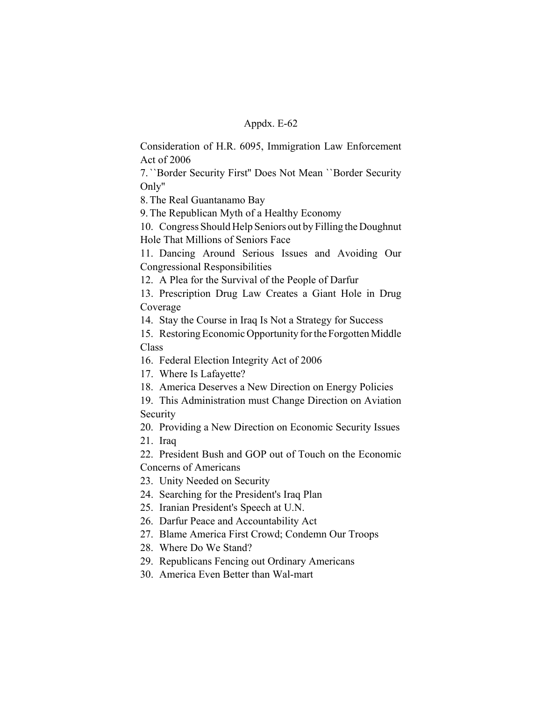Consideration of H.R. 6095, Immigration Law Enforcement Act of 2006

7. ``Border Security First'' Does Not Mean ``Border Security Only''

8. The Real Guantanamo Bay

9. The Republican Myth of a Healthy Economy

10. Congress Should Help Seniors out by Filling the Doughnut Hole That Millions of Seniors Face

11. Dancing Around Serious Issues and Avoiding Our Congressional Responsibilities

12. A Plea for the Survival of the People of Darfur

13. Prescription Drug Law Creates a Giant Hole in Drug Coverage

14. Stay the Course in Iraq Is Not a Strategy for Success

15. Restoring Economic Opportunity for the Forgotten Middle Class

16. Federal Election Integrity Act of 2006

17. Where Is Lafayette?

18. America Deserves a New Direction on Energy Policies

19. This Administration must Change Direction on Aviation Security

20. Providing a New Direction on Economic Security Issues

21. Iraq

22. President Bush and GOP out of Touch on the Economic Concerns of Americans

23. Unity Needed on Security

24. Searching for the President's Iraq Plan

25. Iranian President's Speech at U.N.

26. Darfur Peace and Accountability Act

27. Blame America First Crowd; Condemn Our Troops

28. Where Do We Stand?

29. Republicans Fencing out Ordinary Americans

30. America Even Better than Wal-mart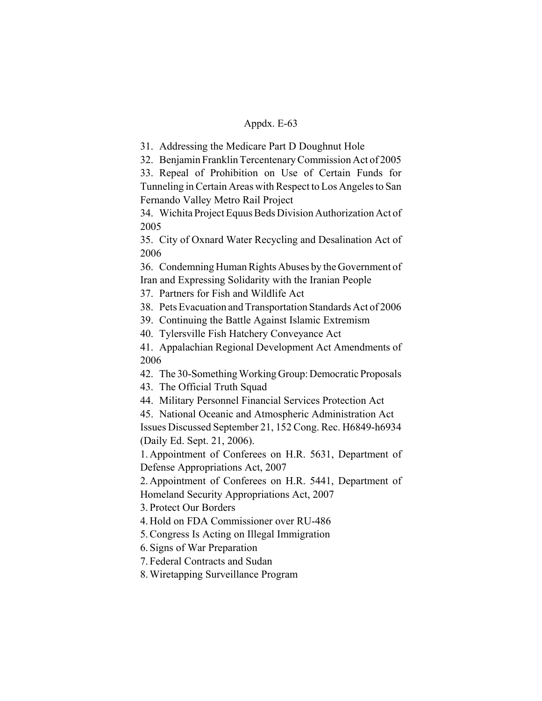31. Addressing the Medicare Part D Doughnut Hole

32. Benjamin Franklin Tercentenary Commission Act of 2005

33. Repeal of Prohibition on Use of Certain Funds for Tunneling in Certain Areas with Respect to Los Angeles to San Fernando Valley Metro Rail Project

34. Wichita Project Equus Beds Division Authorization Act of 2005

35. City of Oxnard Water Recycling and Desalination Act of 2006

36. Condemning Human Rights Abuses by the Government of Iran and Expressing Solidarity with the Iranian People

37. Partners for Fish and Wildlife Act

38. Pets Evacuation and Transportation Standards Act of 2006

39. Continuing the Battle Against Islamic Extremism

40. Tylersville Fish Hatchery Conveyance Act

41. Appalachian Regional Development Act Amendments of 2006

42. The 30-Something Working Group: Democratic Proposals

43. The Official Truth Squad

44. Military Personnel Financial Services Protection Act

45. National Oceanic and Atmospheric Administration Act Issues Discussed September 21, 152 Cong. Rec. H6849-h6934 (Daily Ed. Sept. 21, 2006).

1. Appointment of Conferees on H.R. 5631, Department of Defense Appropriations Act, 2007

2. Appointment of Conferees on H.R. 5441, Department of Homeland Security Appropriations Act, 2007

3. Protect Our Borders

4. Hold on FDA Commissioner over RU-486

5. Congress Is Acting on Illegal Immigration

6. Signs of War Preparation

7. Federal Contracts and Sudan

8. Wiretapping Surveillance Program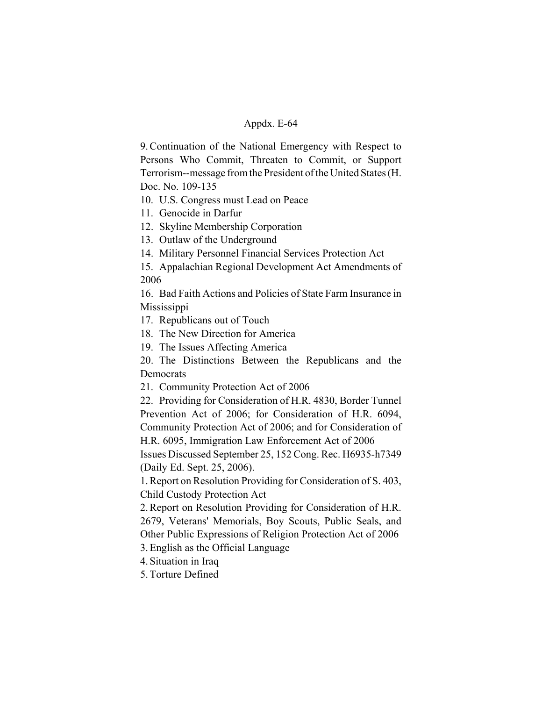9. Continuation of the National Emergency with Respect to Persons Who Commit, Threaten to Commit, or Support Terrorism--message from the President of the United States (H. Doc. No. 109-135

10. U.S. Congress must Lead on Peace

11. Genocide in Darfur

12. Skyline Membership Corporation

13. Outlaw of the Underground

14. Military Personnel Financial Services Protection Act

15. Appalachian Regional Development Act Amendments of 2006

16. Bad Faith Actions and Policies of State Farm Insurance in Mississippi

17. Republicans out of Touch

18. The New Direction for America

19. The Issues Affecting America

20. The Distinctions Between the Republicans and the **Democrats** 

21. Community Protection Act of 2006

22. Providing for Consideration of H.R. 4830, Border Tunnel Prevention Act of 2006; for Consideration of H.R. 6094, Community Protection Act of 2006; and for Consideration of H.R. 6095, Immigration Law Enforcement Act of 2006

Issues Discussed September 25, 152 Cong. Rec. H6935-h7349 (Daily Ed. Sept. 25, 2006).

1. Report on Resolution Providing for Consideration of S. 403, Child Custody Protection Act

2. Report on Resolution Providing for Consideration of H.R. 2679, Veterans' Memorials, Boy Scouts, Public Seals, and Other Public Expressions of Religion Protection Act of 2006

3. English as the Official Language

4. Situation in Iraq

5. Torture Defined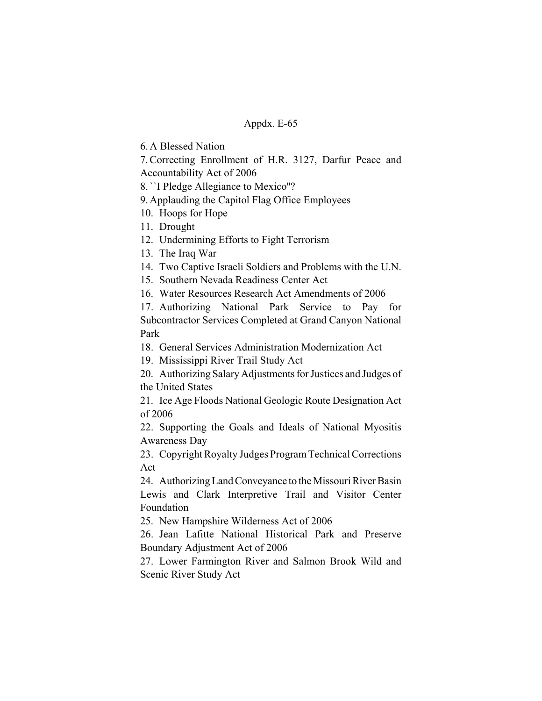6. A Blessed Nation

7. Correcting Enrollment of H.R. 3127, Darfur Peace and Accountability Act of 2006

8. ``I Pledge Allegiance to Mexico''?

9. Applauding the Capitol Flag Office Employees

10. Hoops for Hope

11. Drought

12. Undermining Efforts to Fight Terrorism

13. The Iraq War

14. Two Captive Israeli Soldiers and Problems with the U.N.

15. Southern Nevada Readiness Center Act

16. Water Resources Research Act Amendments of 2006

17. Authorizing National Park Service to Pay for Subcontractor Services Completed at Grand Canyon National Park

18. General Services Administration Modernization Act

19. Mississippi River Trail Study Act

20. Authorizing Salary Adjustments for Justices and Judges of the United States

21. Ice Age Floods National Geologic Route Designation Act of 2006

22. Supporting the Goals and Ideals of National Myositis Awareness Day

23. Copyright Royalty Judges Program Technical Corrections Act

24. Authorizing Land Conveyance to the Missouri River Basin Lewis and Clark Interpretive Trail and Visitor Center Foundation

25. New Hampshire Wilderness Act of 2006

26. Jean Lafitte National Historical Park and Preserve Boundary Adjustment Act of 2006

27. Lower Farmington River and Salmon Brook Wild and Scenic River Study Act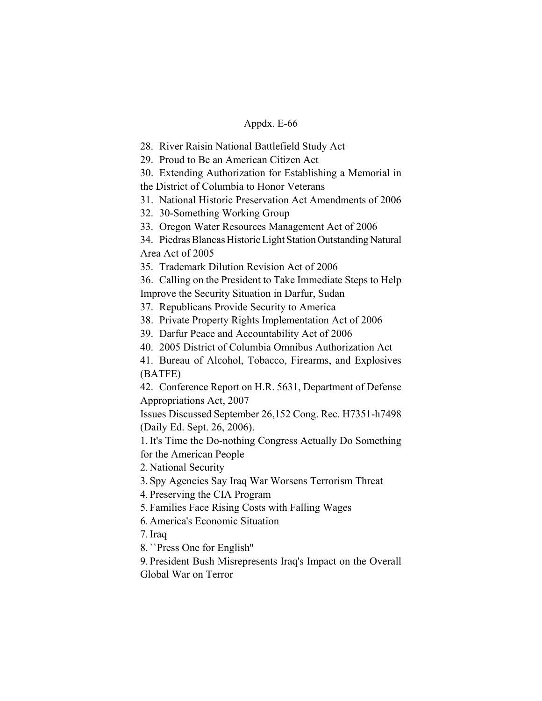28. River Raisin National Battlefield Study Act

29. Proud to Be an American Citizen Act

30. Extending Authorization for Establishing a Memorial in

the District of Columbia to Honor Veterans

31. National Historic Preservation Act Amendments of 2006

32. 30-Something Working Group

33. Oregon Water Resources Management Act of 2006

34. Piedras Blancas Historic Light Station Outstanding Natural Area Act of 2005

35. Trademark Dilution Revision Act of 2006

36. Calling on the President to Take Immediate Steps to Help Improve the Security Situation in Darfur, Sudan

37. Republicans Provide Security to America

38. Private Property Rights Implementation Act of 2006

39. Darfur Peace and Accountability Act of 2006

40. 2005 District of Columbia Omnibus Authorization Act

41. Bureau of Alcohol, Tobacco, Firearms, and Explosives (BATFE)

42. Conference Report on H.R. 5631, Department of Defense Appropriations Act, 2007

Issues Discussed September 26,152 Cong. Rec. H7351-h7498 (Daily Ed. Sept. 26, 2006).

1. It's Time the Do-nothing Congress Actually Do Something for the American People

2. National Security

3. Spy Agencies Say Iraq War Worsens Terrorism Threat

4. Preserving the CIA Program

5. Families Face Rising Costs with Falling Wages

6. America's Economic Situation

7. Iraq

8. ``Press One for English''

9. President Bush Misrepresents Iraq's Impact on the Overall Global War on Terror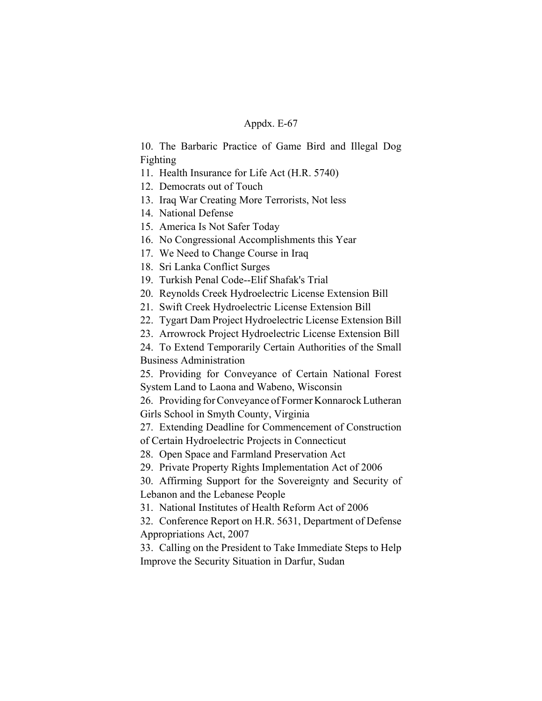10. The Barbaric Practice of Game Bird and Illegal Dog Fighting

11. Health Insurance for Life Act (H.R. 5740)

12. Democrats out of Touch

13. Iraq War Creating More Terrorists, Not less

14. National Defense

15. America Is Not Safer Today

16. No Congressional Accomplishments this Year

17. We Need to Change Course in Iraq

18. Sri Lanka Conflict Surges

19. Turkish Penal Code--Elif Shafak's Trial

20. Reynolds Creek Hydroelectric License Extension Bill

21. Swift Creek Hydroelectric License Extension Bill

22. Tygart Dam Project Hydroelectric License Extension Bill

23. Arrowrock Project Hydroelectric License Extension Bill

24. To Extend Temporarily Certain Authorities of the Small Business Administration

25. Providing for Conveyance of Certain National Forest System Land to Laona and Wabeno, Wisconsin

26. Providing for Conveyance of Former Konnarock Lutheran Girls School in Smyth County, Virginia

27. Extending Deadline for Commencement of Construction of Certain Hydroelectric Projects in Connecticut

28. Open Space and Farmland Preservation Act

29. Private Property Rights Implementation Act of 2006

30. Affirming Support for the Sovereignty and Security of Lebanon and the Lebanese People

31. National Institutes of Health Reform Act of 2006

32. Conference Report on H.R. 5631, Department of Defense Appropriations Act, 2007

33. Calling on the President to Take Immediate Steps to Help Improve the Security Situation in Darfur, Sudan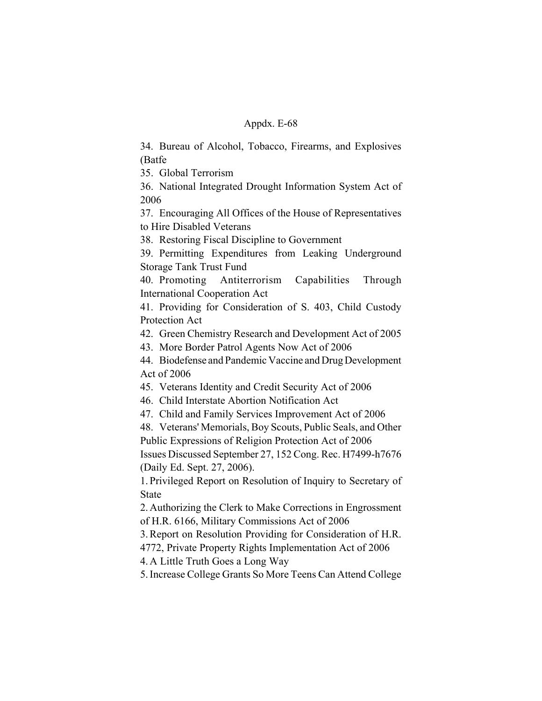34. Bureau of Alcohol, Tobacco, Firearms, and Explosives (Batfe

35. Global Terrorism

36. National Integrated Drought Information System Act of 2006

37. Encouraging All Offices of the House of Representatives to Hire Disabled Veterans

38. Restoring Fiscal Discipline to Government

39. Permitting Expenditures from Leaking Underground Storage Tank Trust Fund

40. Promoting Antiterrorism Capabilities Through International Cooperation Act

41. Providing for Consideration of S. 403, Child Custody Protection Act

42. Green Chemistry Research and Development Act of 2005

43. More Border Patrol Agents Now Act of 2006

44. Biodefense and Pandemic Vaccine and Drug Development Act of 2006

45. Veterans Identity and Credit Security Act of 2006

46. Child Interstate Abortion Notification Act

47. Child and Family Services Improvement Act of 2006

48. Veterans' Memorials, Boy Scouts, Public Seals, and Other Public Expressions of Religion Protection Act of 2006

Issues Discussed September 27, 152 Cong. Rec. H7499-h7676 (Daily Ed. Sept. 27, 2006).

1. Privileged Report on Resolution of Inquiry to Secretary of State

2. Authorizing the Clerk to Make Corrections in Engrossment of H.R. 6166, Military Commissions Act of 2006

3. Report on Resolution Providing for Consideration of H.R.

4772, Private Property Rights Implementation Act of 2006

4. A Little Truth Goes a Long Way

5. Increase College Grants So More Teens Can Attend College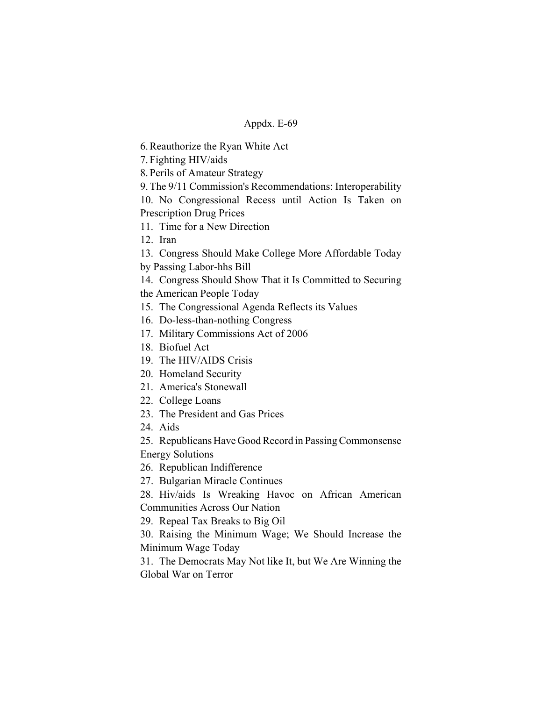6. Reauthorize the Ryan White Act

7. Fighting HIV/aids

8. Perils of Amateur Strategy

9. The 9/11 Commission's Recommendations: Interoperability

10. No Congressional Recess until Action Is Taken on Prescription Drug Prices

11. Time for a New Direction

12. Iran

13. Congress Should Make College More Affordable Today

by Passing Labor-hhs Bill

14. Congress Should Show That it Is Committed to Securing the American People Today

15. The Congressional Agenda Reflects its Values

- 16. Do-less-than-nothing Congress
- 17. Military Commissions Act of 2006
- 18. Biofuel Act
- 19. The HIV/AIDS Crisis
- 20. Homeland Security
- 21. America's Stonewall
- 22. College Loans
- 23. The President and Gas Prices
- 24. Aids

25. Republicans Have Good Record in Passing Commonsense

Energy Solutions

26. Republican Indifference

27. Bulgarian Miracle Continues

28. Hiv/aids Is Wreaking Havoc on African American Communities Across Our Nation

29. Repeal Tax Breaks to Big Oil

30. Raising the Minimum Wage; We Should Increase the Minimum Wage Today

31. The Democrats May Not like It, but We Are Winning the Global War on Terror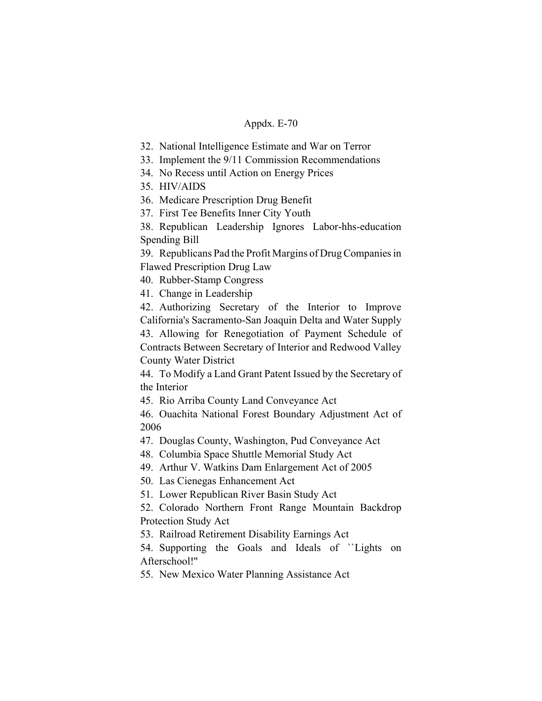- 32. National Intelligence Estimate and War on Terror
- 33. Implement the 9/11 Commission Recommendations
- 34. No Recess until Action on Energy Prices
- 35. HIV/AIDS
- 36. Medicare Prescription Drug Benefit
- 37. First Tee Benefits Inner City Youth
- 38. Republican Leadership Ignores Labor-hhs-education Spending Bill

39. Republicans Pad the Profit Margins of Drug Companies in Flawed Prescription Drug Law

40. Rubber-Stamp Congress

41. Change in Leadership

42. Authorizing Secretary of the Interior to Improve California's Sacramento-San Joaquin Delta and Water Supply 43. Allowing for Renegotiation of Payment Schedule of Contracts Between Secretary of Interior and Redwood Valley County Water District

44. To Modify a Land Grant Patent Issued by the Secretary of the Interior

45. Rio Arriba County Land Conveyance Act

46. Ouachita National Forest Boundary Adjustment Act of 2006

47. Douglas County, Washington, Pud Conveyance Act

48. Columbia Space Shuttle Memorial Study Act

49. Arthur V. Watkins Dam Enlargement Act of 2005

50. Las Cienegas Enhancement Act

51. Lower Republican River Basin Study Act

52. Colorado Northern Front Range Mountain Backdrop Protection Study Act

53. Railroad Retirement Disability Earnings Act

54. Supporting the Goals and Ideals of ``Lights on Afterschool!''

55. New Mexico Water Planning Assistance Act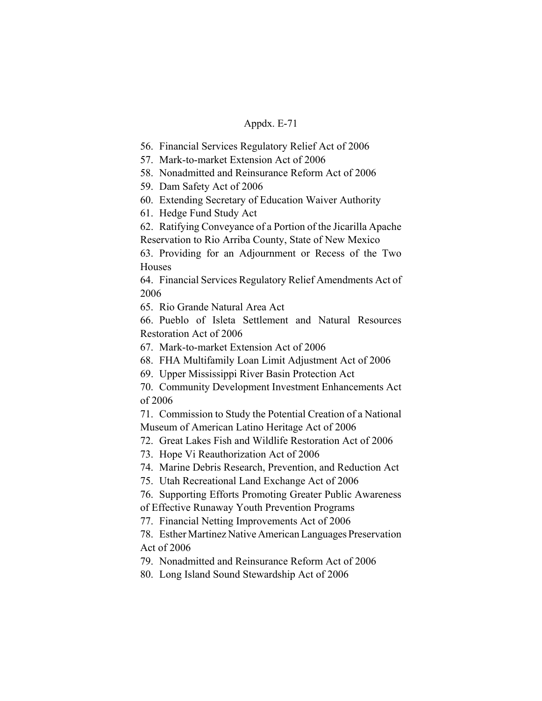56. Financial Services Regulatory Relief Act of 2006

57. Mark-to-market Extension Act of 2006

58. Nonadmitted and Reinsurance Reform Act of 2006

59. Dam Safety Act of 2006

60. Extending Secretary of Education Waiver Authority

61. Hedge Fund Study Act

62. Ratifying Conveyance of a Portion of the Jicarilla Apache Reservation to Rio Arriba County, State of New Mexico

63. Providing for an Adjournment or Recess of the Two Houses

64. Financial Services Regulatory Relief Amendments Act of 2006

65. Rio Grande Natural Area Act

66. Pueblo of Isleta Settlement and Natural Resources Restoration Act of 2006

67. Mark-to-market Extension Act of 2006

68. FHA Multifamily Loan Limit Adjustment Act of 2006

69. Upper Mississippi River Basin Protection Act

70. Community Development Investment Enhancements Act of 2006

71. Commission to Study the Potential Creation of a National Museum of American Latino Heritage Act of 2006

72. Great Lakes Fish and Wildlife Restoration Act of 2006

73. Hope Vi Reauthorization Act of 2006

74. Marine Debris Research, Prevention, and Reduction Act

75. Utah Recreational Land Exchange Act of 2006

76. Supporting Efforts Promoting Greater Public Awareness

of Effective Runaway Youth Prevention Programs

77. Financial Netting Improvements Act of 2006

78. Esther Martinez Native American Languages Preservation Act of 2006

79. Nonadmitted and Reinsurance Reform Act of 2006

80. Long Island Sound Stewardship Act of 2006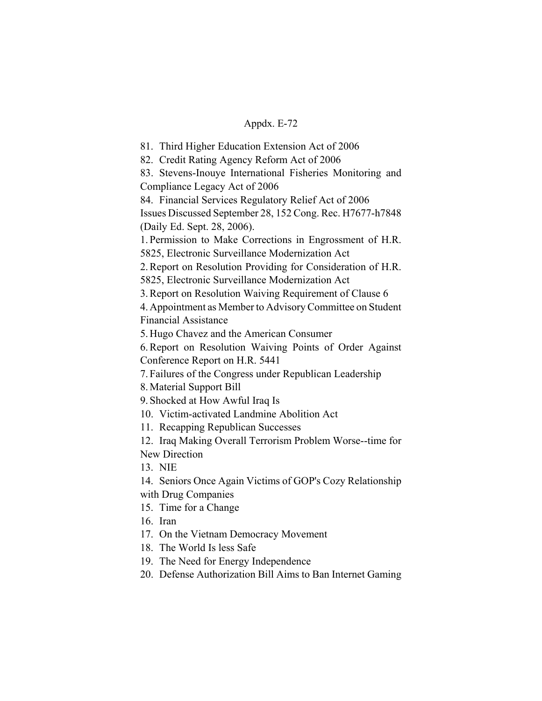81. Third Higher Education Extension Act of 2006

82. Credit Rating Agency Reform Act of 2006

83. Stevens-Inouye International Fisheries Monitoring and Compliance Legacy Act of 2006

84. Financial Services Regulatory Relief Act of 2006 Issues Discussed September 28, 152 Cong. Rec. H7677-h7848 (Daily Ed. Sept. 28, 2006).

1. Permission to Make Corrections in Engrossment of H.R. 5825, Electronic Surveillance Modernization Act

2. Report on Resolution Providing for Consideration of H.R. 5825, Electronic Surveillance Modernization Act

3. Report on Resolution Waiving Requirement of Clause 6

4. Appointment as Member to Advisory Committee on Student Financial Assistance

5. Hugo Chavez and the American Consumer

6. Report on Resolution Waiving Points of Order Against Conference Report on H.R. 5441

7. Failures of the Congress under Republican Leadership

8. Material Support Bill

9. Shocked at How Awful Iraq Is

10. Victim-activated Landmine Abolition Act

11. Recapping Republican Successes

12. Iraq Making Overall Terrorism Problem Worse--time for New Direction

13. NIE

14. Seniors Once Again Victims of GOP's Cozy Relationship with Drug Companies

15. Time for a Change

16. Iran

17. On the Vietnam Democracy Movement

18. The World Is less Safe

19. The Need for Energy Independence

20. Defense Authorization Bill Aims to Ban Internet Gaming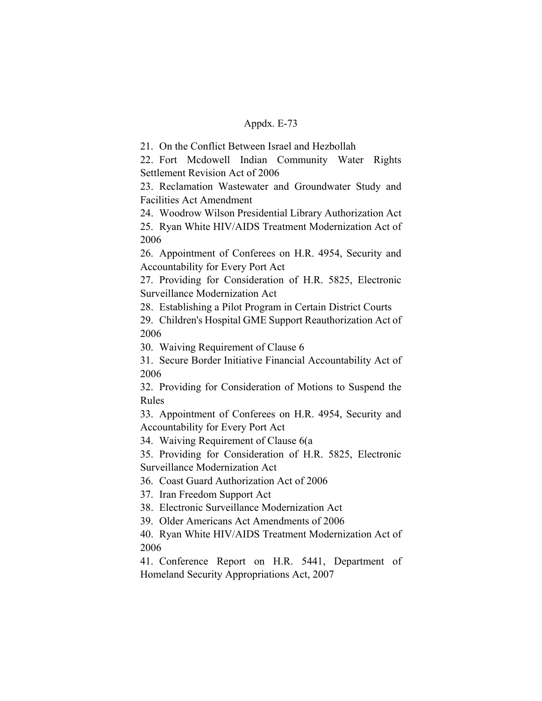21. On the Conflict Between Israel and Hezbollah

22. Fort Mcdowell Indian Community Water Rights Settlement Revision Act of 2006

23. Reclamation Wastewater and Groundwater Study and Facilities Act Amendment

24. Woodrow Wilson Presidential Library Authorization Act

25. Ryan White HIV/AIDS Treatment Modernization Act of 2006

26. Appointment of Conferees on H.R. 4954, Security and Accountability for Every Port Act

27. Providing for Consideration of H.R. 5825, Electronic Surveillance Modernization Act

28. Establishing a Pilot Program in Certain District Courts

29. Children's Hospital GME Support Reauthorization Act of 2006

30. Waiving Requirement of Clause 6

31. Secure Border Initiative Financial Accountability Act of 2006

32. Providing for Consideration of Motions to Suspend the Rules

33. Appointment of Conferees on H.R. 4954, Security and Accountability for Every Port Act

34. Waiving Requirement of Clause 6(a

35. Providing for Consideration of H.R. 5825, Electronic Surveillance Modernization Act

36. Coast Guard Authorization Act of 2006

37. Iran Freedom Support Act

38. Electronic Surveillance Modernization Act

39. Older Americans Act Amendments of 2006

40. Ryan White HIV/AIDS Treatment Modernization Act of 2006

41. Conference Report on H.R. 5441, Department of Homeland Security Appropriations Act, 2007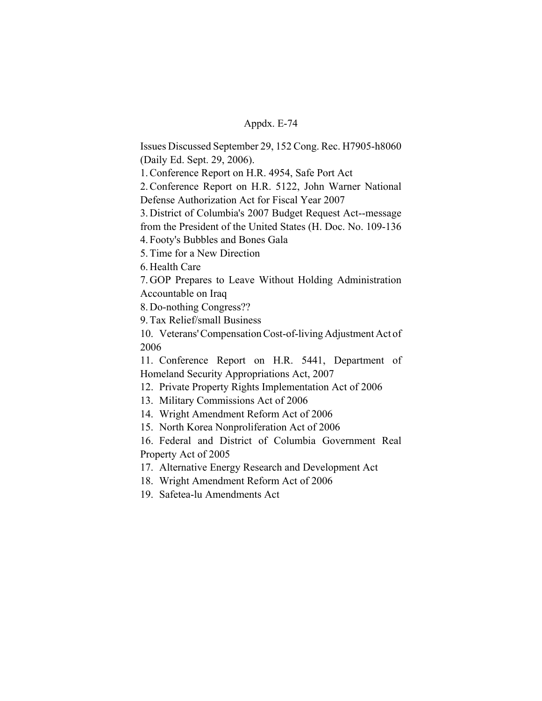Issues Discussed September 29, 152 Cong. Rec. H7905-h8060 (Daily Ed. Sept. 29, 2006).

1. Conference Report on H.R. 4954, Safe Port Act

2. Conference Report on H.R. 5122, John Warner National Defense Authorization Act for Fiscal Year 2007

3. District of Columbia's 2007 Budget Request Act--message

from the President of the United States (H. Doc. No. 109-136

4. Footy's Bubbles and Bones Gala

5. Time for a New Direction

6. Health Care

7. GOP Prepares to Leave Without Holding Administration Accountable on Iraq

8. Do-nothing Congress??

9. Tax Relief/small Business

10. Veterans' Compensation Cost-of-living Adjustment Act of 2006

11. Conference Report on H.R. 5441, Department of Homeland Security Appropriations Act, 2007

12. Private Property Rights Implementation Act of 2006

13. Military Commissions Act of 2006

14. Wright Amendment Reform Act of 2006

15. North Korea Nonproliferation Act of 2006

16. Federal and District of Columbia Government Real Property Act of 2005

17. Alternative Energy Research and Development Act

18. Wright Amendment Reform Act of 2006

19. Safetea-lu Amendments Act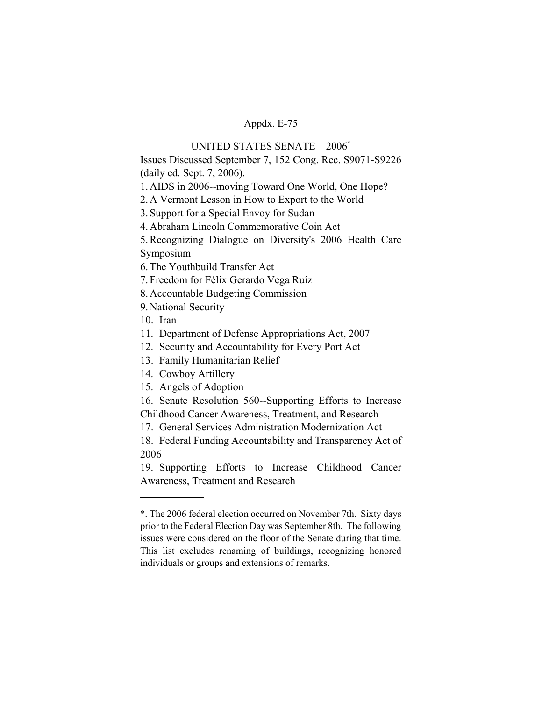# UNITED STATES SENATE – 2006\*

Issues Discussed September 7, 152 Cong. Rec. S9071-S9226 (daily ed. Sept. 7, 2006).

1. AIDS in 2006--moving Toward One World, One Hope?

2. A Vermont Lesson in How to Export to the World

3. Support for a Special Envoy for Sudan

4. Abraham Lincoln Commemorative Coin Act

5. Recognizing Dialogue on Diversity's 2006 Health Care Symposium

6. The Youthbuild Transfer Act

7. Freedom for Félix Gerardo Vega Ruíz

8. Accountable Budgeting Commission

9. National Security

10. Iran

11. Department of Defense Appropriations Act, 2007

12. Security and Accountability for Every Port Act

13. Family Humanitarian Relief

14. Cowboy Artillery

15. Angels of Adoption

16. Senate Resolution 560--Supporting Efforts to Increase Childhood Cancer Awareness, Treatment, and Research

17. General Services Administration Modernization Act

18. Federal Funding Accountability and Transparency Act of 2006

19. Supporting Efforts to Increase Childhood Cancer Awareness, Treatment and Research

<sup>\*.</sup> The 2006 federal election occurred on November 7th. Sixty days prior to the Federal Election Day was September 8th. The following issues were considered on the floor of the Senate during that time. This list excludes renaming of buildings, recognizing honored individuals or groups and extensions of remarks.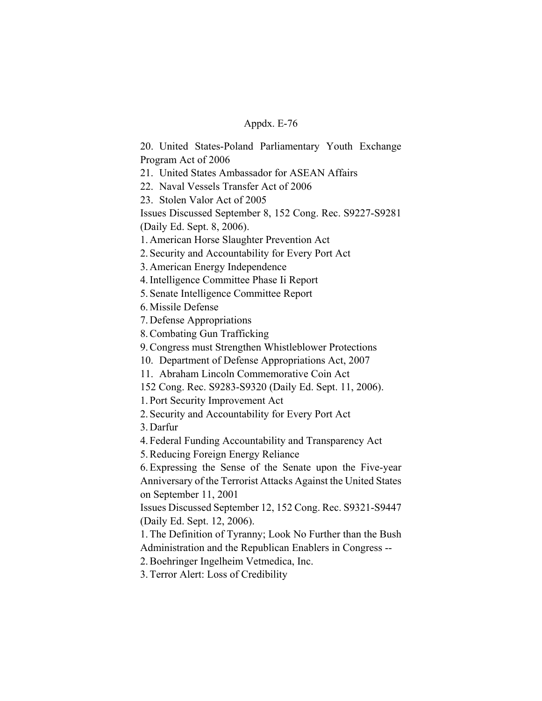20. United States-Poland Parliamentary Youth Exchange Program Act of 2006

21. United States Ambassador for ASEAN Affairs

22. Naval Vessels Transfer Act of 2006

23. Stolen Valor Act of 2005

Issues Discussed September 8, 152 Cong. Rec. S9227-S9281

(Daily Ed. Sept. 8, 2006).

1. American Horse Slaughter Prevention Act

2. Security and Accountability for Every Port Act

3. American Energy Independence

4. Intelligence Committee Phase Ii Report

5. Senate Intelligence Committee Report

6. Missile Defense

7. Defense Appropriations

8. Combating Gun Trafficking

9. Congress must Strengthen Whistleblower Protections

10. Department of Defense Appropriations Act, 2007

11. Abraham Lincoln Commemorative Coin Act

152 Cong. Rec. S9283-S9320 (Daily Ed. Sept. 11, 2006).

1. Port Security Improvement Act

2. Security and Accountability for Every Port Act

3. Darfur

4. Federal Funding Accountability and Transparency Act

5. Reducing Foreign Energy Reliance

6. Expressing the Sense of the Senate upon the Five-year Anniversary of the Terrorist Attacks Against the United States on September 11, 2001

Issues Discussed September 12, 152 Cong. Rec. S9321-S9447 (Daily Ed. Sept. 12, 2006).

1. The Definition of Tyranny; Look No Further than the Bush Administration and the Republican Enablers in Congress --

2. Boehringer Ingelheim Vetmedica, Inc.

3. Terror Alert: Loss of Credibility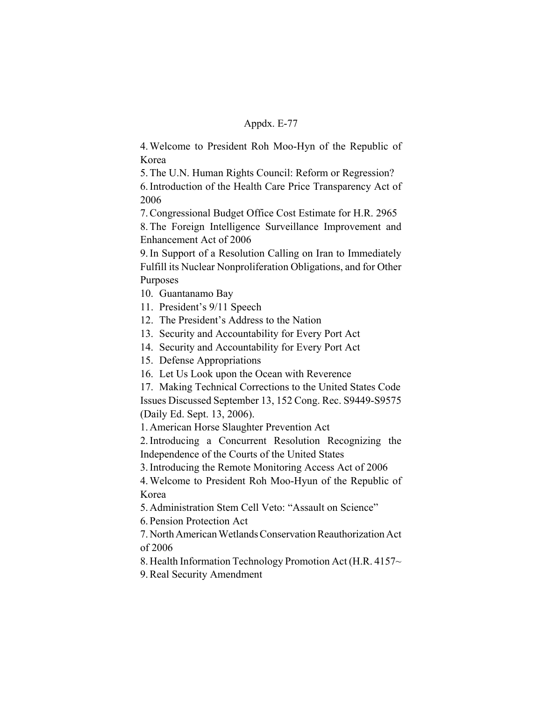4. Welcome to President Roh Moo-Hyn of the Republic of Korea

5. The U.N. Human Rights Council: Reform or Regression?

6. Introduction of the Health Care Price Transparency Act of 2006

7. Congressional Budget Office Cost Estimate for H.R. 2965

8. The Foreign Intelligence Surveillance Improvement and Enhancement Act of 2006

9. In Support of a Resolution Calling on Iran to Immediately Fulfill its Nuclear Nonproliferation Obligations, and for Other Purposes

10. Guantanamo Bay

11. President's 9/11 Speech

12. The President's Address to the Nation

13. Security and Accountability for Every Port Act

14. Security and Accountability for Every Port Act

15. Defense Appropriations

16. Let Us Look upon the Ocean with Reverence

17. Making Technical Corrections to the United States Code Issues Discussed September 13, 152 Cong. Rec. S9449-S9575 (Daily Ed. Sept. 13, 2006).

1. American Horse Slaughter Prevention Act

2. Introducing a Concurrent Resolution Recognizing the Independence of the Courts of the United States

3. Introducing the Remote Monitoring Access Act of 2006

4. Welcome to President Roh Moo-Hyun of the Republic of Korea

5. Administration Stem Cell Veto: "Assault on Science"

6. Pension Protection Act

7. North American Wetlands Conservation Reauthorization Act of 2006

8. Health Information Technology Promotion Act (H.R. 4157~

9. Real Security Amendment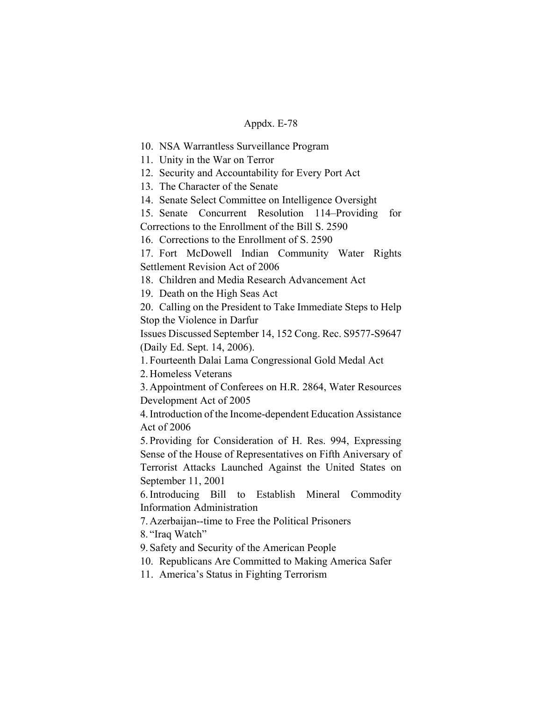10. NSA Warrantless Surveillance Program

11. Unity in the War on Terror

12. Security and Accountability for Every Port Act

13. The Character of the Senate

14. Senate Select Committee on Intelligence Oversight

15. Senate Concurrent Resolution 114–Providing for Corrections to the Enrollment of the Bill S. 2590

16. Corrections to the Enrollment of S. 2590

17. Fort McDowell Indian Community Water Rights Settlement Revision Act of 2006

18. Children and Media Research Advancement Act

19. Death on the High Seas Act

20. Calling on the President to Take Immediate Steps to Help Stop the Violence in Darfur

Issues Discussed September 14, 152 Cong. Rec. S9577-S9647 (Daily Ed. Sept. 14, 2006).

1. Fourteenth Dalai Lama Congressional Gold Medal Act

2. Homeless Veterans

3. Appointment of Conferees on H.R. 2864, Water Resources Development Act of 2005

4. Introduction of the Income-dependent Education Assistance Act of 2006

5. Providing for Consideration of H. Res. 994, Expressing Sense of the House of Representatives on Fifth Aniversary of Terrorist Attacks Launched Against the United States on September 11, 2001

6. Introducing Bill to Establish Mineral Commodity Information Administration

7. Azerbaijan--time to Free the Political Prisoners

8. "Iraq Watch"

9. Safety and Security of the American People

10. Republicans Are Committed to Making America Safer

11. America's Status in Fighting Terrorism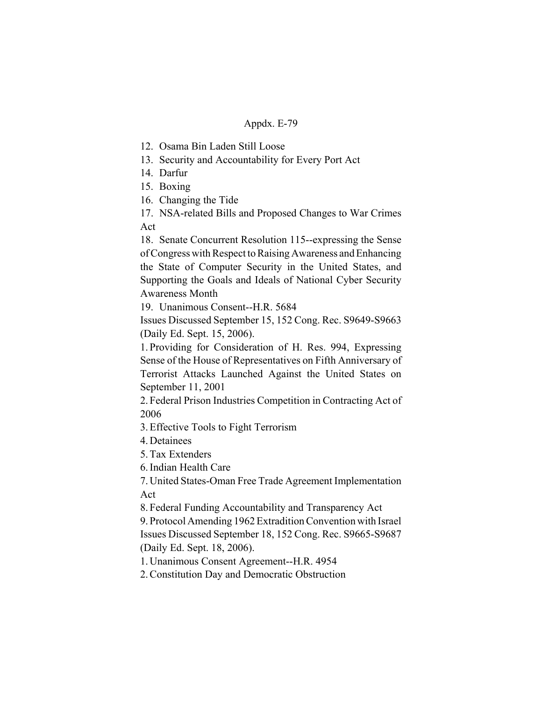12. Osama Bin Laden Still Loose

13. Security and Accountability for Every Port Act

- 14. Darfur
- 15. Boxing

16. Changing the Tide

17. NSA-related Bills and Proposed Changes to War Crimes Act

18. Senate Concurrent Resolution 115--expressing the Sense of Congress with Respect to Raising Awareness and Enhancing the State of Computer Security in the United States, and Supporting the Goals and Ideals of National Cyber Security Awareness Month

19. Unanimous Consent--H.R. 5684

Issues Discussed September 15, 152 Cong. Rec. S9649-S9663 (Daily Ed. Sept. 15, 2006).

1. Providing for Consideration of H. Res. 994, Expressing Sense of the House of Representatives on Fifth Anniversary of Terrorist Attacks Launched Against the United States on September 11, 2001

2. Federal Prison Industries Competition in Contracting Act of 2006

3. Effective Tools to Fight Terrorism

4. Detainees

5. Tax Extenders

6. Indian Health Care

7. United States-Oman Free Trade Agreement Implementation Act

8. Federal Funding Accountability and Transparency Act 9. Protocol Amending 1962 Extradition Convention with Israel Issues Discussed September 18, 152 Cong. Rec. S9665-S9687 (Daily Ed. Sept. 18, 2006).

1. Unanimous Consent Agreement--H.R. 4954

2. Constitution Day and Democratic Obstruction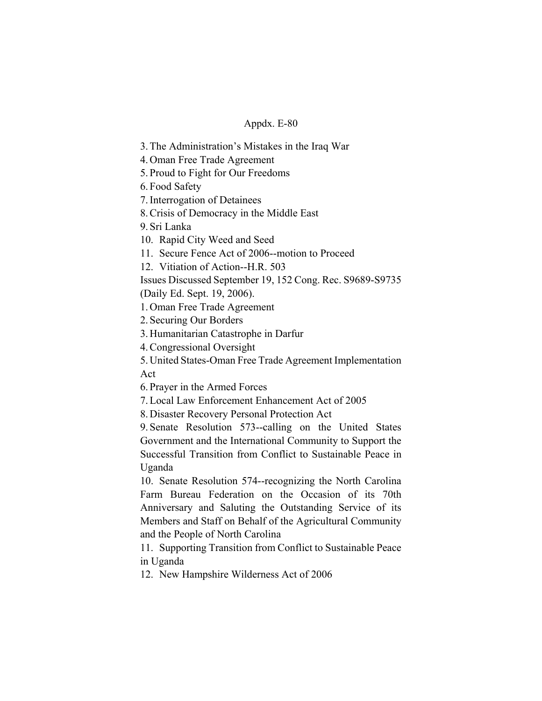3. The Administration's Mistakes in the Iraq War

4. Oman Free Trade Agreement

5. Proud to Fight for Our Freedoms

6. Food Safety

7. Interrogation of Detainees

8. Crisis of Democracy in the Middle East

9. Sri Lanka

10. Rapid City Weed and Seed

11. Secure Fence Act of 2006--motion to Proceed

12. Vitiation of Action--H.R. 503

Issues Discussed September 19, 152 Cong. Rec. S9689-S9735

(Daily Ed. Sept. 19, 2006).

1. Oman Free Trade Agreement

2. Securing Our Borders

3. Humanitarian Catastrophe in Darfur

4. Congressional Oversight

5. United States-Oman Free Trade Agreement Implementation Act

6. Prayer in the Armed Forces

7. Local Law Enforcement Enhancement Act of 2005

8. Disaster Recovery Personal Protection Act

9. Senate Resolution 573--calling on the United States Government and the International Community to Support the Successful Transition from Conflict to Sustainable Peace in Uganda

10. Senate Resolution 574--recognizing the North Carolina Farm Bureau Federation on the Occasion of its 70th Anniversary and Saluting the Outstanding Service of its Members and Staff on Behalf of the Agricultural Community and the People of North Carolina

11. Supporting Transition from Conflict to Sustainable Peace in Uganda

12. New Hampshire Wilderness Act of 2006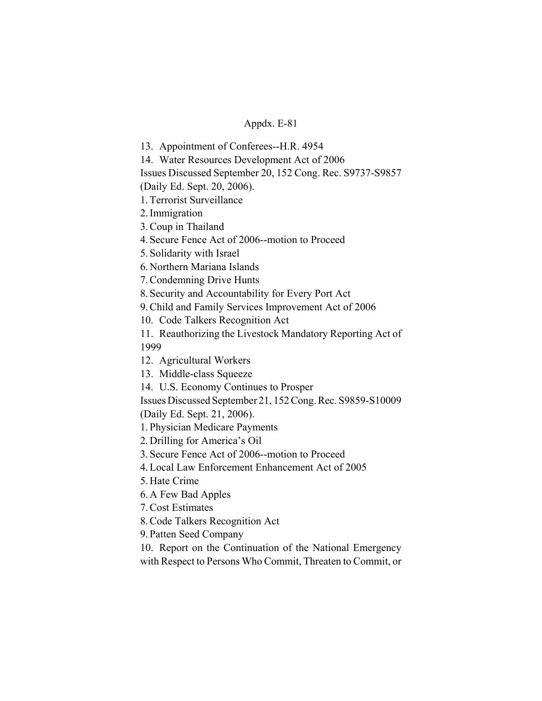13. Appointment of Conferees--H.R. 4954

14. Water Resources Development Act of 2006

Issues Discussed September 20, 152 Cong. Rec. S9737-S9857

(Daily Ed. Sept. 20, 2006).

1. Terrorist Surveillance

2. Immigration

3. Coup in Thailand

4. Secure Fence Act of 2006--motion to Proceed

5. Solidarity with Israel

6. Northern Mariana Islands

7. Condemning Drive Hunts

8. Security and Accountability for Every Port Act

9. Child and Family Services Improvement Act of 2006

10. Code Talkers Recognition Act

11. Reauthorizing the Livestock Mandatory Reporting Act of 1999

12. Agricultural Workers

13. Middle-class Squeeze

14. U.S. Economy Continues to Prosper

Issues Discussed September 21, 152 Cong. Rec. S9859-S10009

(Daily Ed. Sept. 21, 2006).

1. Physician Medicare Payments

2. Drilling for America's Oil

3. Secure Fence Act of 2006--motion to Proceed

4. Local Law Enforcement Enhancement Act of 2005

5. Hate Crime

6. A Few Bad Apples

7. Cost Estimates

8. Code Talkers Recognition Act

9. Patten Seed Company

10. Report on the Continuation of the National Emergency with Respect to Persons Who Commit, Threaten to Commit, or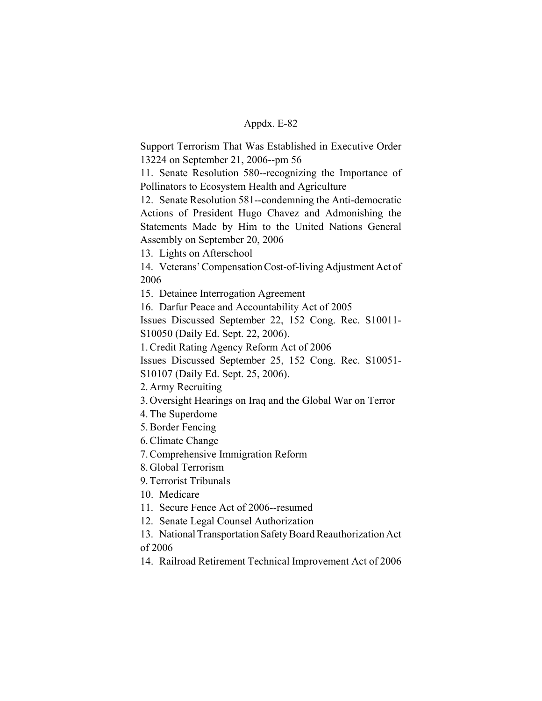Support Terrorism That Was Established in Executive Order 13224 on September 21, 2006--pm 56

11. Senate Resolution 580--recognizing the Importance of Pollinators to Ecosystem Health and Agriculture

12. Senate Resolution 581--condemning the Anti-democratic Actions of President Hugo Chavez and Admonishing the Statements Made by Him to the United Nations General Assembly on September 20, 2006

13. Lights on Afterschool

14. Veterans' Compensation Cost-of-living Adjustment Act of 2006

15. Detainee Interrogation Agreement

16. Darfur Peace and Accountability Act of 2005

Issues Discussed September 22, 152 Cong. Rec. S10011- S10050 (Daily Ed. Sept. 22, 2006).

1. Credit Rating Agency Reform Act of 2006

Issues Discussed September 25, 152 Cong. Rec. S10051- S10107 (Daily Ed. Sept. 25, 2006).

2. Army Recruiting

3. Oversight Hearings on Iraq and the Global War on Terror

- 4. The Superdome
- 5. Border Fencing
- 6. Climate Change
- 7. Comprehensive Immigration Reform

8. Global Terrorism

9. Terrorist Tribunals

10. Medicare

11. Secure Fence Act of 2006--resumed

12. Senate Legal Counsel Authorization

13. National Transportation Safety Board Reauthorization Act of 2006

14. Railroad Retirement Technical Improvement Act of 2006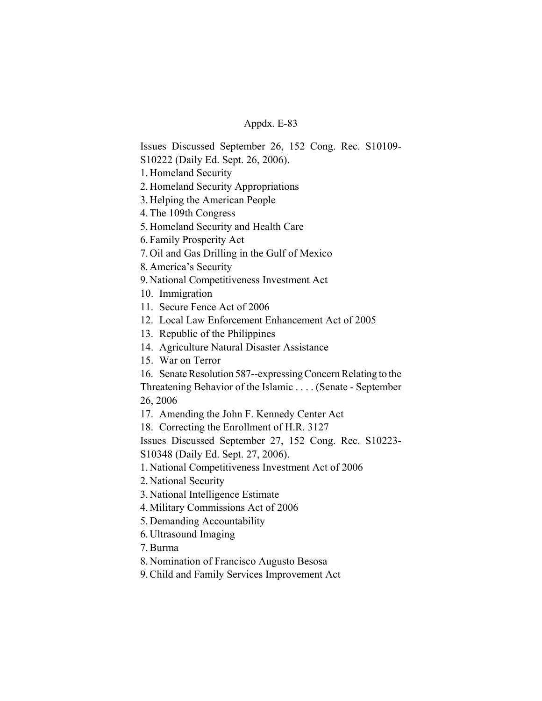Issues Discussed September 26, 152 Cong. Rec. S10109- S10222 (Daily Ed. Sept. 26, 2006).

1. Homeland Security

2. Homeland Security Appropriations

3. Helping the American People

4. The 109th Congress

5. Homeland Security and Health Care

6. Family Prosperity Act

7. Oil and Gas Drilling in the Gulf of Mexico

8. America's Security

9. National Competitiveness Investment Act

10. Immigration

11. Secure Fence Act of 2006

12. Local Law Enforcement Enhancement Act of 2005

13. Republic of the Philippines

14. Agriculture Natural Disaster Assistance

15. War on Terror

16. Senate Resolution 587--expressing Concern Relating to the

Threatening Behavior of the Islamic . . . . (Senate - September 26, 2006

17. Amending the John F. Kennedy Center Act

18. Correcting the Enrollment of H.R. 3127

Issues Discussed September 27, 152 Cong. Rec. S10223- S10348 (Daily Ed. Sept. 27, 2006).

1. National Competitiveness Investment Act of 2006

2. National Security

3. National Intelligence Estimate

4. Military Commissions Act of 2006

5. Demanding Accountability

6. Ultrasound Imaging

7. Burma

8. Nomination of Francisco Augusto Besosa

9. Child and Family Services Improvement Act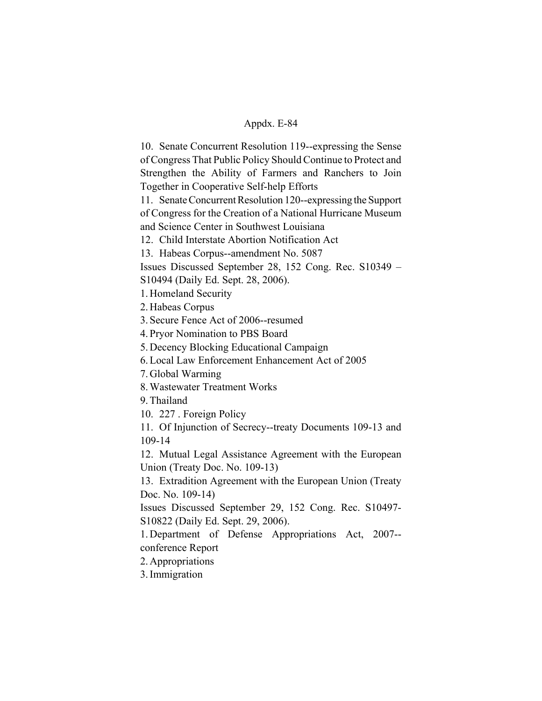10. Senate Concurrent Resolution 119--expressing the Sense of Congress That Public Policy Should Continue to Protect and Strengthen the Ability of Farmers and Ranchers to Join Together in Cooperative Self-help Efforts

11. Senate Concurrent Resolution 120--expressing the Support of Congress for the Creation of a National Hurricane Museum and Science Center in Southwest Louisiana

12. Child Interstate Abortion Notification Act

13. Habeas Corpus--amendment No. 5087

Issues Discussed September 28, 152 Cong. Rec. S10349 – S10494 (Daily Ed. Sept. 28, 2006).

1. Homeland Security

2. Habeas Corpus

3. Secure Fence Act of 2006--resumed

4. Pryor Nomination to PBS Board

5. Decency Blocking Educational Campaign

6. Local Law Enforcement Enhancement Act of 2005

7. Global Warming

8. Wastewater Treatment Works

9. Thailand

10. 227 . Foreign Policy

11. Of Injunction of Secrecy--treaty Documents 109-13 and 109-14

12. Mutual Legal Assistance Agreement with the European Union (Treaty Doc. No. 109-13)

13. Extradition Agreement with the European Union (Treaty Doc. No. 109-14)

Issues Discussed September 29, 152 Cong. Rec. S10497- S10822 (Daily Ed. Sept. 29, 2006).

1. Department of Defense Appropriations Act, 2007- conference Report

2. Appropriations

3. Immigration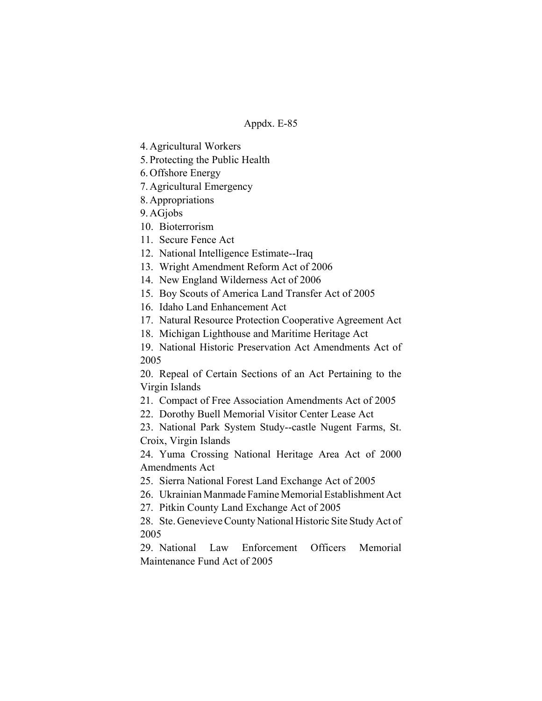4. Agricultural Workers

5. Protecting the Public Health

6. Offshore Energy

7. Agricultural Emergency

8. Appropriations

9. AGjobs

10. Bioterrorism

11. Secure Fence Act

12. National Intelligence Estimate--Iraq

13. Wright Amendment Reform Act of 2006

14. New England Wilderness Act of 2006

15. Boy Scouts of America Land Transfer Act of 2005

16. Idaho Land Enhancement Act

17. Natural Resource Protection Cooperative Agreement Act

18. Michigan Lighthouse and Maritime Heritage Act

19. National Historic Preservation Act Amendments Act of 2005

20. Repeal of Certain Sections of an Act Pertaining to the Virgin Islands

21. Compact of Free Association Amendments Act of 2005

22. Dorothy Buell Memorial Visitor Center Lease Act

23. National Park System Study--castle Nugent Farms, St. Croix, Virgin Islands

24. Yuma Crossing National Heritage Area Act of 2000 Amendments Act

25. Sierra National Forest Land Exchange Act of 2005

26. Ukrainian Manmade Famine Memorial Establishment Act

27. Pitkin County Land Exchange Act of 2005

28. Ste. Genevieve County National Historic Site Study Act of 2005

29. National Law Enforcement Officers Memorial Maintenance Fund Act of 2005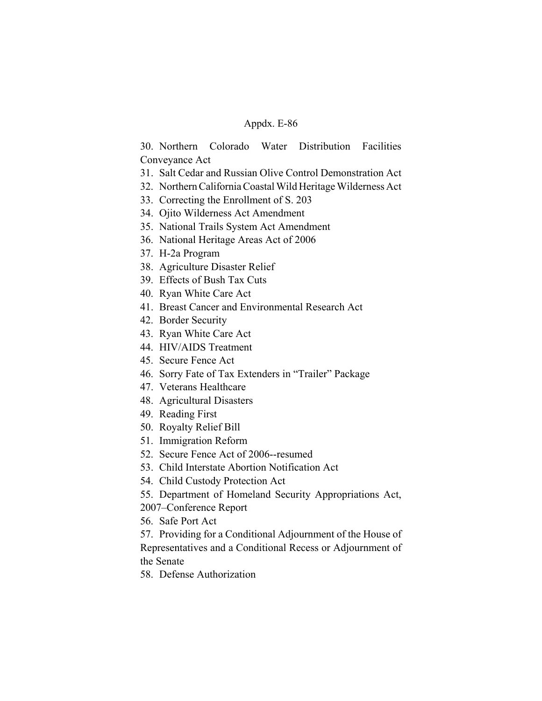## Appdx. E-86

30. Northern Colorado Water Distribution Facilities Conveyance Act

- 31. Salt Cedar and Russian Olive Control Demonstration Act
- 32. Northern California Coastal Wild Heritage Wilderness Act
- 33. Correcting the Enrollment of S. 203
- 34. Ojito Wilderness Act Amendment
- 35. National Trails System Act Amendment
- 36. National Heritage Areas Act of 2006
- 37. H-2a Program
- 38. Agriculture Disaster Relief
- 39. Effects of Bush Tax Cuts
- 40. Ryan White Care Act
- 41. Breast Cancer and Environmental Research Act
- 42. Border Security
- 43. Ryan White Care Act
- 44. HIV/AIDS Treatment
- 45. Secure Fence Act
- 46. Sorry Fate of Tax Extenders in "Trailer" Package
- 47. Veterans Healthcare
- 48. Agricultural Disasters
- 49. Reading First
- 50. Royalty Relief Bill
- 51. Immigration Reform
- 52. Secure Fence Act of 2006--resumed
- 53. Child Interstate Abortion Notification Act
- 54. Child Custody Protection Act
- 55. Department of Homeland Security Appropriations Act,
- 2007–Conference Report
- 56. Safe Port Act

57. Providing for a Conditional Adjournment of the House of Representatives and a Conditional Recess or Adjournment of the Senate

58. Defense Authorization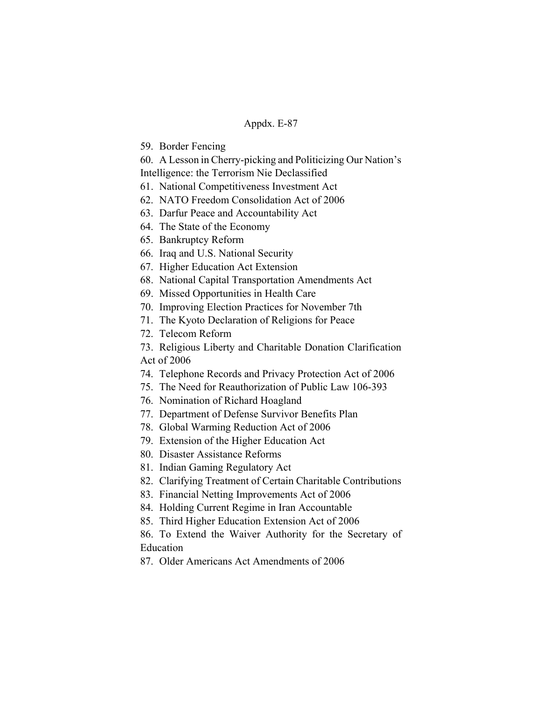## Appdx. E-87

59. Border Fencing

60. A Lesson in Cherry-picking and Politicizing Our Nation's

Intelligence: the Terrorism Nie Declassified

- 61. National Competitiveness Investment Act
- 62. NATO Freedom Consolidation Act of 2006
- 63. Darfur Peace and Accountability Act
- 64. The State of the Economy
- 65. Bankruptcy Reform
- 66. Iraq and U.S. National Security
- 67. Higher Education Act Extension
- 68. National Capital Transportation Amendments Act
- 69. Missed Opportunities in Health Care
- 70. Improving Election Practices for November 7th
- 71. The Kyoto Declaration of Religions for Peace
- 72. Telecom Reform

73. Religious Liberty and Charitable Donation Clarification Act of 2006

- 74. Telephone Records and Privacy Protection Act of 2006
- 75. The Need for Reauthorization of Public Law 106-393
- 76. Nomination of Richard Hoagland
- 77. Department of Defense Survivor Benefits Plan
- 78. Global Warming Reduction Act of 2006
- 79. Extension of the Higher Education Act
- 80. Disaster Assistance Reforms
- 81. Indian Gaming Regulatory Act
- 82. Clarifying Treatment of Certain Charitable Contributions
- 83. Financial Netting Improvements Act of 2006
- 84. Holding Current Regime in Iran Accountable
- 85. Third Higher Education Extension Act of 2006

86. To Extend the Waiver Authority for the Secretary of **Education** 

87. Older Americans Act Amendments of 2006